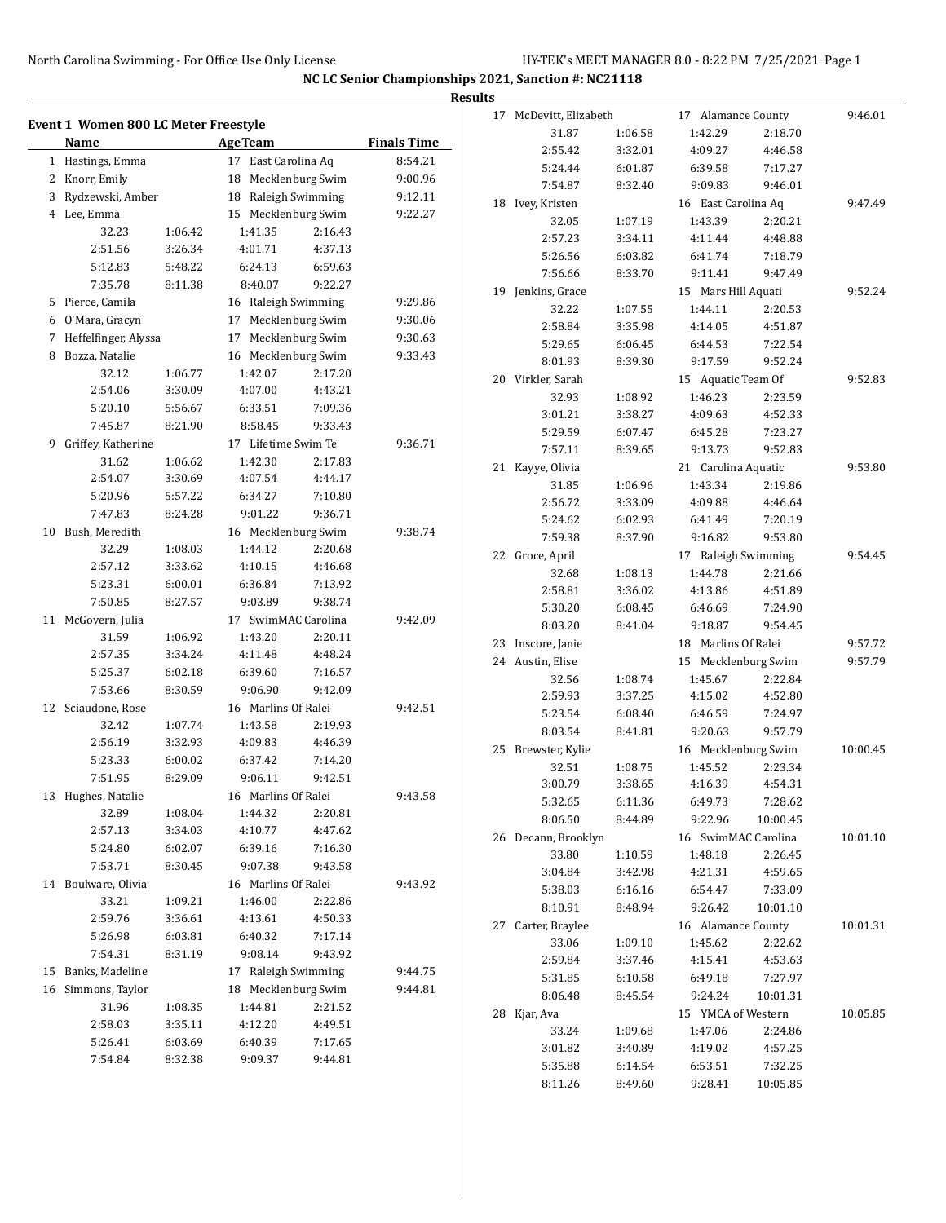|   |                                             |         |                     |                  |                    | <b>Results</b> |                        |         |                     |                    |          |
|---|---------------------------------------------|---------|---------------------|------------------|--------------------|----------------|------------------------|---------|---------------------|--------------------|----------|
|   |                                             |         |                     |                  |                    |                | 17 McDevitt, Elizabeth |         | 17 Alamance County  |                    | 9:46.01  |
|   | <b>Event 1 Women 800 LC Meter Freestyle</b> |         |                     |                  |                    |                | 31.87                  | 1:06.58 | 1:42.29             | 2:18.70            |          |
|   | Name                                        |         | <b>Age Team</b>     |                  | <b>Finals Time</b> |                | 2:55.42                | 3:32.01 | 4:09.27             | 4:46.58            |          |
|   | 1 Hastings, Emma                            |         | 17 East Carolina Aq |                  | 8:54.21            |                | 5:24.44                | 6:01.87 | 6:39.58             | 7:17.27            |          |
|   | 2 Knorr, Emily                              |         | 18 Mecklenburg Swim |                  | 9:00.96            |                | 7:54.87                | 8:32.40 | 9:09.83             | 9:46.01            |          |
| 3 | Rydzewski, Amber                            |         | 18                  | Raleigh Swimming | 9:12.11            |                | 18 Ivey, Kristen       |         | 16 East Carolina Aq |                    | 9:47.49  |
|   | 4 Lee, Emma                                 |         | 15 Mecklenburg Swim |                  | 9:22.27            |                | 32.05                  | 1:07.19 | 1:43.39             | 2:20.21            |          |
|   | 32.23                                       | 1:06.42 | 1:41.35             | 2:16.43          |                    |                | 2:57.23                | 3:34.11 | 4:11.44             | 4:48.88            |          |
|   | 2:51.56                                     | 3:26.34 | 4:01.71             | 4:37.13          |                    |                | 5:26.56                | 6:03.82 | 6:41.74             | 7:18.79            |          |
|   | 5:12.83                                     | 5:48.22 | 6:24.13             | 6:59.63          |                    |                | 7:56.66                | 8:33.70 | 9:11.41             | 9:47.49            |          |
|   | 7:35.78                                     | 8:11.38 | 8:40.07             | 9:22.27          |                    |                | 19 Jenkins, Grace      |         | 15 Mars Hill Aquati |                    | 9:52.24  |
|   | 5 Pierce, Camila                            |         | 16 Raleigh Swimming |                  | 9:29.86            |                | 32.22                  | 1:07.55 | 1:44.11             | 2:20.53            |          |
| 6 | O'Mara, Gracyn                              |         | 17 Mecklenburg Swim |                  | 9:30.06            |                | 2:58.84                | 3:35.98 | 4:14.05             | 4:51.87            |          |
| 7 | Heffelfinger, Alyssa                        |         | 17 Mecklenburg Swim |                  | 9:30.63            |                | 5:29.65                | 6:06.45 | 6:44.53             | 7:22.54            |          |
| 8 | Bozza, Natalie                              |         | 16 Mecklenburg Swim |                  | 9:33.43            |                | 8:01.93                | 8:39.30 | 9:17.59             | 9:52.24            |          |
|   | 32.12                                       | 1:06.77 | 1:42.07             | 2:17.20          |                    |                | 20 Virkler, Sarah      |         | 15 Aquatic Team Of  |                    | 9:52.83  |
|   | 2:54.06                                     | 3:30.09 | 4:07.00             | 4:43.21          |                    |                | 32.93                  | 1:08.92 | 1:46.23             | 2:23.59            |          |
|   | 5:20.10                                     | 5:56.67 | 6:33.51             | 7:09.36          |                    |                | 3:01.21                | 3:38.27 | 4:09.63             | 4:52.33            |          |
|   | 7:45.87                                     | 8:21.90 | 8:58.45             | 9:33.43          |                    |                | 5:29.59                | 6:07.47 | 6:45.28             | 7:23.27            |          |
|   | 9 Griffey, Katherine                        |         | 17 Lifetime Swim Te |                  | 9:36.71            |                | 7:57.11                | 8:39.65 | 9:13.73             | 9:52.83            |          |
|   | 31.62                                       | 1:06.62 | 1:42.30             | 2:17.83          |                    |                | 21 Kayye, Olivia       |         | 21 Carolina Aquatic |                    | 9:53.80  |
|   | 2:54.07                                     | 3:30.69 | 4:07.54             | 4:44.17          |                    |                | 31.85                  | 1:06.96 | 1:43.34             | 2:19.86            |          |
|   | 5:20.96                                     | 5:57.22 | 6:34.27             | 7:10.80          |                    |                | 2:56.72                | 3:33.09 | 4:09.88             | 4:46.64            |          |
|   | 7:47.83                                     | 8:24.28 | 9:01.22             | 9:36.71          |                    |                | 5:24.62                | 6:02.93 | 6:41.49             | 7:20.19            |          |
|   | 10 Bush, Meredith                           |         | 16 Mecklenburg Swim |                  | 9:38.74            |                | 7:59.38                | 8:37.90 | 9:16.82             | 9:53.80            |          |
|   | 32.29                                       | 1:08.03 | 1:44.12             | 2:20.68          |                    |                | 22 Groce, April        |         | 17 Raleigh Swimming |                    | 9:54.45  |
|   | 2:57.12                                     | 3:33.62 | 4:10.15             | 4:46.68          |                    |                | 32.68                  | 1:08.13 | 1:44.78             | 2:21.66            |          |
|   | 5:23.31                                     | 6:00.01 | 6:36.84             | 7:13.92          |                    |                | 2:58.81                | 3:36.02 | 4:13.86             | 4:51.89            |          |
|   | 7:50.85                                     | 8:27.57 | 9:03.89             | 9:38.74          |                    |                | 5:30.20                | 6:08.45 | 6:46.69             | 7:24.90            |          |
|   | 11 McGovern, Julia                          |         | 17 SwimMAC Carolina |                  | 9:42.09            |                | 8:03.20                | 8:41.04 | 9:18.87             | 9:54.45            |          |
|   | 31.59                                       | 1:06.92 | 1:43.20             | 2:20.11          |                    |                | 23 Inscore, Janie      |         | 18 Marlins Of Ralei |                    | 9:57.72  |
|   | 2:57.35                                     | 3:34.24 | 4:11.48             | 4:48.24          |                    |                | 24 Austin, Elise       |         | 15 Mecklenburg Swim |                    | 9:57.79  |
|   | 5:25.37                                     | 6:02.18 | 6:39.60             | 7:16.57          |                    |                | 32.56                  | 1:08.74 | 1:45.67             | 2:22.84            |          |
|   | 7:53.66                                     | 8:30.59 | 9:06.90             | 9:42.09          |                    |                | 2:59.93                | 3:37.25 | 4:15.02             | 4:52.80            |          |
|   | 12 Sciaudone, Rose                          |         | 16 Marlins Of Ralei |                  | 9:42.51            |                | 5:23.54                | 6:08.40 | 6:46.59             | 7:24.97            |          |
|   | 32.42                                       | 1:07.74 | 1:43.58             | 2:19.93          |                    |                | 8:03.54                | 8:41.81 | 9:20.63             | 9:57.79            |          |
|   | 2:56.19                                     | 3:32.93 | 4:09.83             | 4:46.39          |                    |                |                        |         | 16 Mecklenburg Swim |                    |          |
|   | 5:23.33                                     | 6:00.02 | 6:37.42             | 7:14.20          |                    |                | 25 Brewster, Kylie     |         |                     |                    | 10:00.45 |
|   | 7:51.95                                     | 8:29.09 | 9:06.11             | 9:42.51          |                    |                | 32.51<br>3:00.79       | 1:08.75 | 1:45.52             | 2:23.34<br>4:54.31 |          |
|   | 13 Hughes, Natalie                          |         | 16 Marlins Of Ralei |                  | 9:43.58            |                |                        | 3:38.65 | 4:16.39             |                    |          |
|   | 32.89                                       | 1:08.04 | 1:44.32             | 2:20.81          |                    |                | 5:32.65                | 6:11.36 | 6:49.73<br>9:22.96  | 7:28.62            |          |
|   | 2:57.13                                     | 3:34.03 | 4:10.77             | 4:47.62          |                    |                | 8:06.50                | 8:44.89 |                     | 10:00.45           |          |
|   | 5:24.80                                     | 6:02.07 | 6:39.16             | 7:16.30          |                    |                | 26 Decann, Brooklyn    |         | 16 SwimMAC Carolina |                    | 10:01.10 |
|   | 7:53.71                                     | 8:30.45 | 9:07.38             | 9:43.58          |                    |                | 33.80                  | 1:10.59 | 1:48.18             | 2:26.45            |          |
|   | 14 Boulware, Olivia                         |         | 16 Marlins Of Ralei |                  | 9:43.92            |                | 3:04.84                | 3:42.98 | 4:21.31             | 4:59.65            |          |
|   | 33.21                                       | 1:09.21 | 1:46.00             | 2:22.86          |                    |                | 5:38.03                | 6:16.16 | 6:54.47             | 7:33.09            |          |
|   | 2:59.76                                     | 3:36.61 | 4:13.61             | 4:50.33          |                    |                | 8:10.91                | 8:48.94 | 9:26.42             | 10:01.10           |          |
|   | 5:26.98                                     | 6:03.81 | 6:40.32             | 7:17.14          |                    |                | 27 Carter, Braylee     |         | 16 Alamance County  |                    | 10:01.31 |
|   | 7:54.31                                     | 8:31.19 | 9:08.14             | 9:43.92          |                    |                | 33.06                  | 1:09.10 | 1:45.62             | 2:22.62            |          |
|   | 15 Banks, Madeline                          |         | 17 Raleigh Swimming |                  | 9:44.75            |                | 2:59.84                | 3:37.46 | 4:15.41             | 4:53.63            |          |
|   | 16 Simmons, Taylor                          |         | 18 Mecklenburg Swim |                  | 9:44.81            |                | 5:31.85                | 6:10.58 | 6:49.18             | 7:27.97            |          |
|   | 31.96                                       | 1:08.35 | 1:44.81             | 2:21.52          |                    |                | 8:06.48                | 8:45.54 | 9:24.24             | 10:01.31           |          |
|   | 2:58.03                                     | 3:35.11 | 4:12.20             | 4:49.51          |                    |                | 28 Kjar, Ava           |         | 15 YMCA of Western  |                    | 10:05.85 |
|   | 5:26.41                                     | 6:03.69 | 6:40.39             | 7:17.65          |                    |                | 33.24                  | 1:09.68 | 1:47.06             | 2:24.86            |          |
|   | 7:54.84                                     | 8:32.38 | 9:09.37             | 9:44.81          |                    |                | 3:01.82                | 3:40.89 | 4:19.02             | 4:57.25            |          |
|   |                                             |         |                     |                  |                    |                | 5:35.88                | 6:14.54 | 6:53.51             | 7:32.25            |          |
|   |                                             |         |                     |                  |                    |                | 8:11.26                | 8:49.60 | 9:28.41             | 10:05.85           |          |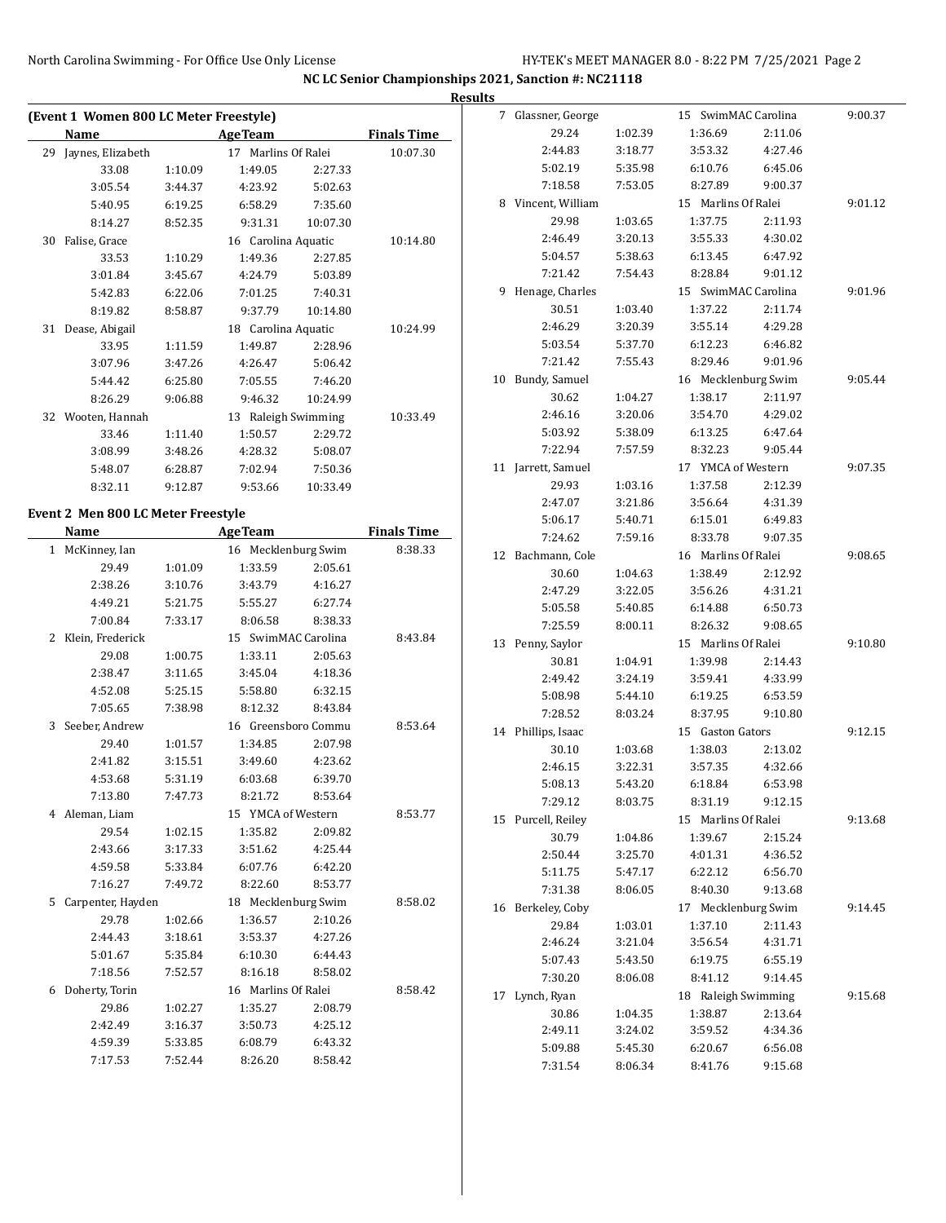$\overline{a}$ 

|    |                                        |                    |                                |                    |                    | <b>Results</b> |
|----|----------------------------------------|--------------------|--------------------------------|--------------------|--------------------|----------------|
|    | (Event 1 Women 800 LC Meter Freestyle) |                    |                                |                    | <b>Finals Time</b> |                |
|    | Name                                   |                    | <b>AgeTeam</b>                 |                    |                    |                |
|    | 29 Jaynes, Elizabeth<br>33.08          |                    | 17 Marlins Of Ralei<br>1:49.05 | 2:27.33            | 10:07.30           |                |
|    | 3:05.54                                | 1:10.09<br>3:44.37 | 4:23.92                        | 5:02.63            |                    |                |
|    |                                        |                    |                                |                    |                    |                |
|    | 5:40.95                                | 6:19.25            | 6:58.29                        | 7:35.60            |                    |                |
|    | 8:14.27                                | 8:52.35            | 9:31.31                        | 10:07.30           |                    |                |
| 30 | Falise, Grace                          |                    | 16 Carolina Aquatic            |                    | 10:14.80           |                |
|    | 33.53                                  | 1:10.29            | 1:49.36                        | 2:27.85            |                    |                |
|    | 3:01.84                                | 3:45.67            | 4:24.79                        | 5:03.89            |                    |                |
|    | 5:42.83                                | 6:22.06            | 7:01.25                        | 7:40.31            |                    |                |
|    | 8:19.82                                | 8:58.87            | 9:37.79                        | 10:14.80           |                    |                |
|    | 31 Dease, Abigail                      |                    | 18 Carolina Aquatic            |                    | 10:24.99           |                |
|    | 33.95                                  | 1:11.59            | 1:49.87                        | 2:28.96            |                    |                |
|    | 3:07.96                                | 3:47.26            | 4:26.47                        | 5:06.42            |                    |                |
|    | 5:44.42                                | 6:25.80            | 7:05.55                        | 7:46.20            |                    | 1 <sub>0</sub> |
|    | 8:26.29                                | 9:06.88            | 9:46.32                        | 10:24.99           |                    |                |
|    | 32 Wooten, Hannah                      |                    | 13 Raleigh Swimming            |                    | 10:33.49           |                |
|    | 33.46                                  | 1:11.40            | 1:50.57                        | 2:29.72            |                    |                |
|    | 3:08.99                                | 3:48.26            | 4:28.32                        | 5:08.07            |                    |                |
|    | 5:48.07                                | 6:28.87            | 7:02.94                        | 7:50.36            |                    | $\mathbf{1}$   |
|    | 8:32.11                                | 9:12.87            | 9:53.66                        | 10:33.49           |                    |                |
|    | Event 2 Men 800 LC Meter Freestyle     |                    |                                |                    |                    |                |
|    | Name                                   |                    | <b>AgeTeam</b>                 |                    | <b>Finals Time</b> |                |
|    | 1 McKinney, Ian                        |                    | 16 Mecklenburg Swim            |                    | 8:38.33            |                |
|    | 29.49                                  | 1:01.09            | 1:33.59                        | 2:05.61            |                    | 1              |
|    | 2:38.26                                | 3:10.76            | 3:43.79                        | 4:16.27            |                    |                |
|    | 4:49.21                                | 5:21.75            | 5:55.27                        | 6:27.74            |                    |                |
|    | 7:00.84                                | 7:33.17            | 8:06.58                        | 8:38.33            |                    |                |
| 2  | Klein, Frederick                       |                    | 15 SwimMAC Carolina            |                    | 8:43.84            |                |
|    | 29.08                                  | 1:00.75            | 1:33.11                        | 2:05.63            |                    | 1              |
|    | 2:38.47                                | 3:11.65            | 3:45.04                        | 4:18.36            |                    |                |
|    | 4:52.08                                | 5:25.15            | 5:58.80                        | 6:32.15            |                    |                |
|    | 7:05.65                                | 7:38.98            | 8:12.32                        | 8:43.84            |                    |                |
| 3  |                                        |                    |                                |                    |                    |                |
|    | Seeber, Andrew<br>29.40                | 1:01.57            | 16 Greensboro Commu            |                    | 8:53.64            | 1 <sub>1</sub> |
|    | 2:41.82                                | 3:15.51            | 1:34.85<br>3:49.60             | 2:07.98<br>4:23.62 |                    |                |
|    |                                        |                    |                                |                    |                    |                |
|    | 4:53.68                                | 5:31.19            | 6:03.68                        | 6:39.70            |                    |                |
|    | 7:13.80                                | 7:47.73            | 8:21.72                        | 8:53.64            |                    |                |
|    | 4 Aleman, Liam                         |                    | 15 YMCA of Western             |                    | 8:53.77            | 1!             |
|    | 29.54                                  | 1:02.15            | 1:35.82                        | 2:09.82            |                    |                |
|    | 2:43.66                                | 3:17.33            | 3:51.62                        | 4:25.44            |                    |                |
|    | 4:59.58                                | 5:33.84            | 6:07.76                        | 6:42.20            |                    |                |
|    | 7:16.27                                | 7:49.72            | 8:22.60                        | 8:53.77            |                    |                |
|    | 5 Carpenter, Hayden                    |                    | 18 Mecklenburg Swim            |                    | 8:58.02            | $\mathbf{1}$   |
|    | 29.78                                  | 1:02.66            | 1:36.57                        | 2:10.26            |                    |                |
|    | 2:44.43                                | 3:18.61            | 3:53.37                        | 4:27.26            |                    |                |
|    | 5:01.67                                | 5:35.84            | 6:10.30                        | 6:44.43            |                    |                |
|    | 7:18.56                                | 7:52.57            | 8:16.18                        | 8:58.02            |                    |                |
| 6  | Doherty, Torin                         |                    | 16 Marlins Of Ralei            |                    | 8:58.42            | $1^{\prime}$   |
|    | 29.86                                  | 1:02.27            | 1:35.27                        | 2:08.79            |                    |                |
|    | 2:42.49                                | 3:16.37            | 3:50.73                        | 4:25.12            |                    |                |
|    | 4:59.39                                | 5:33.85            | 6:08.79                        | 6:43.32            |                    |                |
|    | 7:17.53                                | 7:52.44            | 8:26.20                        | 8:58.42            |                    |                |

| 7  | Glassner, George |         | 15 SwimMAC Carolina    |         | 9:00.37 |
|----|------------------|---------|------------------------|---------|---------|
|    | 29.24            | 1:02.39 | 1:36.69                | 2:11.06 |         |
|    | 2:44.83          | 3:18.77 | 3:53.32                | 4:27.46 |         |
|    | 5:02.19          | 5:35.98 | 6:10.76                | 6:45.06 |         |
|    | 7:18.58          | 7:53.05 | 8:27.89                | 9:00.37 |         |
| 8  | Vincent, William |         | 15 Marlins Of Ralei    |         | 9:01.12 |
|    | 29.98            | 1:03.65 | 1:37.75                | 2:11.93 |         |
|    | 2:46.49          | 3:20.13 | 3:55.33                | 4:30.02 |         |
|    | 5:04.57          | 5:38.63 | 6:13.45                | 6:47.92 |         |
|    | 7:21.42          | 7:54.43 | 8:28.84                | 9:01.12 |         |
| 9  | Henage, Charles  |         | 15 SwimMAC Carolina    |         | 9:01.96 |
|    | 30.51            | 1:03.40 | 1:37.22                | 2:11.74 |         |
|    | 2:46.29          | 3:20.39 | 3:55.14                | 4:29.28 |         |
|    | 5:03.54          | 5:37.70 | 6:12.23                | 6:46.82 |         |
|    | 7:21.42          | 7:55.43 | 8:29.46                | 9:01.96 |         |
| 10 | Bundy, Samuel    |         | 16 Mecklenburg Swim    |         | 9:05.44 |
|    | 30.62            | 1:04.27 | 1:38.17                | 2:11.97 |         |
|    | 2:46.16          | 3:20.06 | 3:54.70                | 4:29.02 |         |
|    | 5:03.92          | 5:38.09 | 6:13.25                | 6:47.64 |         |
|    | 7:22.94          | 7:57.59 | 8:32.23                | 9:05.44 |         |
| 11 | Jarrett, Samuel  |         | 17 YMCA of Western     |         | 9:07.35 |
|    | 29.93            | 1:03.16 | 1:37.58                | 2:12.39 |         |
|    | 2:47.07          | 3:21.86 | 3:56.64                | 4:31.39 |         |
|    | 5:06.17          | 5:40.71 | 6:15.01                | 6:49.83 |         |
|    | 7:24.62          | 7:59.16 | 8:33.78                | 9:07.35 |         |
| 12 | Bachmann, Cole   |         | 16 Marlins Of Ralei    |         | 9:08.65 |
|    | 30.60            | 1:04.63 | 1:38.49                | 2:12.92 |         |
|    | 2:47.29          | 3:22.05 | 3:56.26                | 4:31.21 |         |
|    | 5:05.58          | 5:40.85 | 6:14.88                | 6:50.73 |         |
|    | 7:25.59          | 8:00.11 | 8:26.32                | 9:08.65 |         |
| 13 | Penny, Saylor    |         | 15 Marlins Of Ralei    |         | 9:10.80 |
|    | 30.81            | 1:04.91 | 1:39.98                | 2:14.43 |         |
|    | 2:49.42          | 3:24.19 | 3:59.41                | 4:33.99 |         |
|    | 5:08.98          | 5:44.10 | 6:19.25                | 6:53.59 |         |
|    | 7:28.52          | 8:03.24 | 8:37.95                | 9:10.80 |         |
| 14 | Phillips, Isaac  |         | 15 Gaston Gators       |         | 9:12.15 |
|    | 30.10            | 1:03.68 | 1:38.03                | 2:13.02 |         |
|    | 2:46.15          | 3:22.31 | 3:57.35                | 4:32.66 |         |
|    | 5:08.13          | 5:43.20 | 6:18.84                | 6:53.98 |         |
|    | 7:29.12          | 8:03.75 | 8:31.19                | 9:12.15 |         |
| 15 | Purcell, Reiley  |         | 15 Marlins Of Ralei    |         | 9:13.68 |
|    | 30.79            | 1:04.86 | 1:39.67                | 2:15.24 |         |
|    | 2:50.44          | 3:25.70 | 4:01.31                | 4:36.52 |         |
|    | 5:11.75          | 5:47.17 | 6:22.12                | 6:56.70 |         |
|    | 7:31.38          | 8:06.05 | 8:40.30                | 9:13.68 |         |
| 16 | Berkeley, Coby   |         | Mecklenburg Swim<br>17 |         | 9:14.45 |
|    | 29.84            | 1:03.01 | 1:37.10                | 2:11.43 |         |
|    | 2:46.24          | 3:21.04 | 3:56.54                | 4:31.71 |         |
|    | 5:07.43          | 5:43.50 | 6:19.75                | 6:55.19 |         |
|    | 7:30.20          | 8:06.08 | 8:41.12                | 9:14.45 |         |
| 17 | Lynch, Ryan      |         | 18 Raleigh Swimming    |         | 9:15.68 |
|    | 30.86            | 1:04.35 | 1:38.87                | 2:13.64 |         |
|    | 2:49.11          | 3:24.02 | 3:59.52                | 4:34.36 |         |
|    | 5:09.88          | 5:45.30 | 6:20.67                | 6:56.08 |         |
|    | 7:31.54          | 8:06.34 | 8:41.76                | 9:15.68 |         |
|    |                  |         |                        |         |         |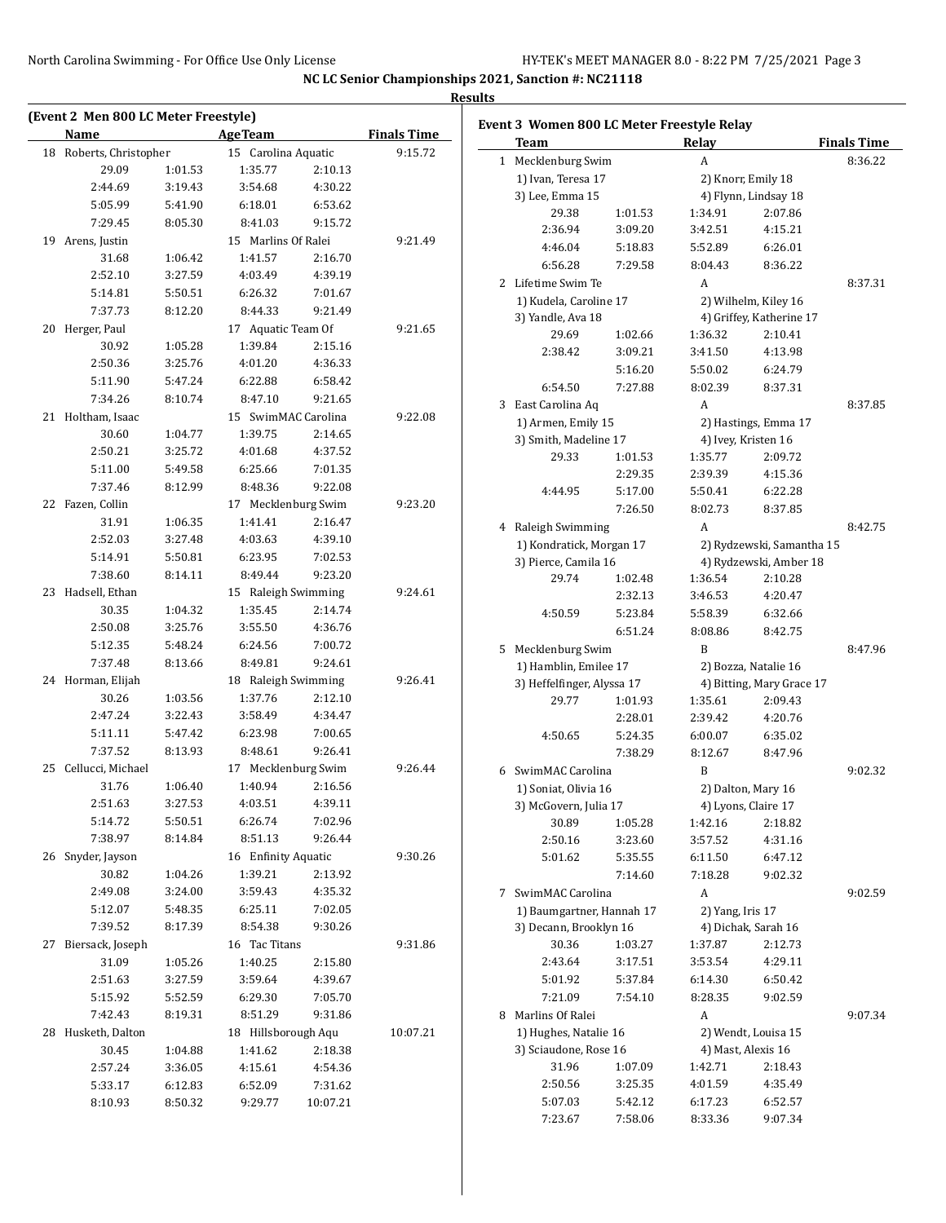|    | (Event 2 Men 800 LC Meter Freestyle)<br>Name |         | <b>AgeTeam</b>      |          | <b>Finals Time</b> |
|----|----------------------------------------------|---------|---------------------|----------|--------------------|
|    | 18 Roberts, Christopher                      |         | 15 Carolina Aquatic |          | 9:15.72            |
|    | 29.09                                        | 1:01.53 | 1:35.77             | 2:10.13  |                    |
|    | 2:44.69                                      | 3:19.43 | 3:54.68             | 4:30.22  |                    |
|    | 5:05.99                                      | 5:41.90 | 6:18.01             | 6:53.62  |                    |
|    | 7:29.45                                      | 8:05.30 | 8:41.03             | 9:15.72  |                    |
|    | 19 Arens, Justin                             |         | 15 Marlins Of Ralei |          | 9:21.49            |
|    | 31.68                                        | 1:06.42 | 1:41.57             | 2:16.70  |                    |
|    | 2:52.10                                      | 3:27.59 | 4:03.49             | 4:39.19  |                    |
|    | 5:14.81                                      | 5:50.51 | 6:26.32             | 7:01.67  |                    |
|    | 7:37.73                                      | 8:12.20 | 8:44.33             | 9:21.49  |                    |
|    | 20 Herger, Paul                              |         | 17 Aquatic Team Of  |          | 9:21.65            |
|    | 30.92                                        | 1:05.28 | 1:39.84             | 2:15.16  |                    |
|    | 2:50.36                                      | 3:25.76 | 4:01.20             | 4:36.33  |                    |
|    | 5:11.90                                      | 5:47.24 | 6:22.88             | 6:58.42  |                    |
|    | 7:34.26                                      | 8:10.74 | 8:47.10             | 9:21.65  |                    |
|    | 21 Holtham, Isaac                            |         | 15 SwimMAC Carolina |          | 9:22.08            |
|    | 30.60                                        | 1:04.77 | 1:39.75             | 2:14.65  |                    |
|    | 2:50.21                                      | 3:25.72 | 4:01.68             | 4:37.52  |                    |
|    | 5:11.00                                      | 5:49.58 | 6:25.66             | 7:01.35  |                    |
|    | 7:37.46                                      | 8:12.99 | 8:48.36             | 9:22.08  |                    |
|    | 22 Fazen, Collin                             |         | 17 Mecklenburg Swim |          | 9:23.20            |
|    | 31.91                                        | 1:06.35 | 1:41.41             | 2:16.47  |                    |
|    | 2:52.03                                      | 3:27.48 | 4:03.63             | 4:39.10  |                    |
|    | 5:14.91                                      | 5:50.81 | 6:23.95             | 7:02.53  |                    |
|    | 7:38.60                                      | 8:14.11 | 8:49.44             | 9:23.20  |                    |
| 23 | Hadsell, Ethan                               |         | 15 Raleigh Swimming |          | 9:24.61            |
|    | 30.35                                        | 1:04.32 | 1:35.45             | 2:14.74  |                    |
|    | 2:50.08                                      | 3:25.76 | 3:55.50             | 4:36.76  |                    |
|    | 5:12.35                                      | 5:48.24 | 6:24.56             | 7:00.72  |                    |
|    | 7:37.48                                      | 8:13.66 | 8:49.81             | 9:24.61  |                    |
|    | 24 Horman, Elijah                            |         | 18 Raleigh Swimming |          | 9:26.41            |
|    | 30.26                                        | 1:03.56 | 1:37.76             | 2:12.10  |                    |
|    | 2:47.24                                      | 3:22.43 | 3:58.49             | 4:34.47  |                    |
|    | 5:11.11                                      | 5:47.42 | 6:23.98             | 7:00.65  |                    |
|    | 7:37.52                                      | 8:13.93 | 8:48.61             | 9:26.41  |                    |
|    | 25 Cellucci, Michael                         |         | 17 Mecklenburg Swim |          | 9:26.44            |
|    | 31.76                                        | 1:06.40 | 1:40.94             | 2:16.56  |                    |
|    | 2:51.63                                      | 3:27.53 | 4:03.51             | 4:39.11  |                    |
|    | 5:14.72                                      | 5:50.51 | 6:26.74             | 7:02.96  |                    |
|    | 7:38.97                                      | 8:14.84 | 8:51.13             | 9:26.44  |                    |
|    | 26 Snyder, Jayson                            |         | 16 Enfinity Aquatic |          | 9:30.26            |
|    | 30.82                                        | 1:04.26 | 1:39.21             | 2:13.92  |                    |
|    | 2:49.08                                      | 3:24.00 | 3:59.43             | 4:35.32  |                    |
|    | 5:12.07                                      | 5:48.35 | 6:25.11             | 7:02.05  |                    |
|    | 7:39.52                                      | 8:17.39 | 8:54.38             | 9:30.26  |                    |
| 27 | Biersack, Joseph                             |         | 16 Tac Titans       |          | 9:31.86            |
|    | 31.09                                        | 1:05.26 | 1:40.25             | 2:15.80  |                    |
|    | 2:51.63                                      | 3:27.59 | 3:59.64             | 4:39.67  |                    |
|    | 5:15.92                                      | 5:52.59 | 6:29.30             | 7:05.70  |                    |
|    | 7:42.43                                      | 8:19.31 | 8:51.29             | 9:31.86  |                    |
|    | 28 Husketh, Dalton                           |         | 18 Hillsborough Aqu |          | 10:07.21           |
|    | 30.45                                        | 1:04.88 | 1:41.62             | 2:18.38  |                    |
|    | 2:57.24                                      | 3:36.05 | 4:15.61             | 4:54.36  |                    |
|    | 5:33.17                                      | 6:12.83 | 6:52.09             | 7:31.62  |                    |
|    | 8:10.93                                      | 8:50.32 | 9:29.77             | 10:07.21 |                    |

|   | Team                                                |         | Relay                |                           | <b>Finals Time</b> |
|---|-----------------------------------------------------|---------|----------------------|---------------------------|--------------------|
| 1 | Mecklenburg Swim                                    |         | A                    |                           | 8:36.22            |
|   | 1) Ivan, Teresa 17                                  |         |                      | 2) Knorr, Emily 18        |                    |
|   | 3) Lee, Emma 15                                     |         |                      | 4) Flynn, Lindsay 18      |                    |
|   | 29.38                                               | 1:01.53 | 1:34.91              | 2:07.86                   |                    |
|   | 2:36.94                                             | 3:09.20 | 3:42.51              | 4:15.21                   |                    |
|   | 4:46.04                                             | 5:18.83 | 5:52.89              | 6:26.01                   |                    |
|   | 6:56.28                                             | 7:29.58 | 8:04.43              | 8:36.22                   |                    |
| 2 | Lifetime Swim Te                                    |         | A                    |                           | 8:37.31            |
|   | 1) Kudela, Caroline 17                              |         | 2) Wilhelm, Kiley 16 |                           |                    |
|   | 3) Yandle, Ava 18                                   |         |                      | 4) Griffey, Katherine 17  |                    |
|   | 29.69                                               | 1:02.66 | 1:36.32              | 2:10.41                   |                    |
|   | 2:38.42                                             | 3:09.21 | 3:41.50              | 4:13.98                   |                    |
|   |                                                     | 5:16.20 | 5:50.02              | 6:24.79                   |                    |
|   | 6:54.50                                             | 7:27.88 | 8:02.39              | 8:37.31                   |                    |
| 3 | East Carolina Aq                                    |         | A                    |                           | 8:37.85            |
|   | 1) Armen, Emily 15                                  |         |                      | 2) Hastings, Emma 17      |                    |
|   | 3) Smith, Madeline 17                               |         |                      | 4) Ivey, Kristen 16       |                    |
|   | 29.33                                               | 1:01.53 | 1:35.77              | 2:09.72                   |                    |
|   |                                                     | 2:29.35 | 2:39.39              | 4:15.36                   |                    |
|   | 4:44.95                                             | 5:17.00 | 5:50.41              | 6:22.28                   |                    |
|   |                                                     | 7:26.50 | 8:02.73              | 8:37.85                   |                    |
| 4 | Raleigh Swimming                                    |         | A                    |                           | 8:42.75            |
|   | 1) Kondratick, Morgan 17                            |         |                      | 2) Rydzewski, Samantha 15 |                    |
|   | 3) Pierce, Camila 16                                |         |                      | 4) Rydzewski, Amber 18    |                    |
|   | 29.74                                               | 1:02.48 | 1:36.54              | 2:10.28                   |                    |
|   |                                                     | 2:32.13 | 3:46.53              | 4:20.47                   |                    |
|   | 4:50.59                                             | 5:23.84 | 5:58.39              | 6:32.66                   |                    |
|   |                                                     | 6:51.24 | 8:08.86              | 8:42.75                   |                    |
| 5 | Mecklenburg Swim                                    |         | B                    |                           | 8:47.96            |
|   | 1) Hamblin, Emilee 17                               |         |                      | 2) Bozza, Natalie 16      |                    |
|   | 3) Heffelfinger, Alyssa 17                          |         |                      | 4) Bitting, Mary Grace 17 |                    |
|   | 29.77                                               | 1:01.93 | 1:35.61              | 2:09.43                   |                    |
|   |                                                     | 2:28.01 | 2:39.42              | 4:20.76                   |                    |
|   | 4:50.65                                             | 5:24.35 | 6:00.07              | 6:35.02                   |                    |
|   |                                                     | 7:38.29 | 8:12.67              | 8:47.96                   |                    |
| 6 | SwimMAC Carolina                                    |         | B                    |                           | 9:02.32            |
|   | 1) Soniat, Olivia 16                                |         |                      | 2) Dalton, Mary 16        |                    |
|   | 3) McGovern, Julia 17                               |         |                      | 4) Lyons, Claire 17       |                    |
|   | 30.89                                               | 1:05.28 | 1:42.16              | 2:18.82                   |                    |
|   | 2:50.16                                             | 3:23.60 | 3:57.52              | 4:31.16                   |                    |
|   | 5:01.62                                             | 5:35.55 | 6:11.50              | 6:47.12                   |                    |
|   | SwimMAC Carolina                                    | 7:14.60 | 7:18.28<br>A         | 9:02.32                   |                    |
| 7 |                                                     |         |                      |                           | 9:02.59            |
|   | 1) Baumgartner, Hannah 17<br>3) Decann, Brooklyn 16 |         | 2) Yang, Iris 17     | 4) Dichak, Sarah 16       |                    |
|   | 30.36                                               | 1:03.27 | 1:37.87              | 2:12.73                   |                    |
|   | 2:43.64                                             | 3:17.51 | 3:53.54              | 4:29.11                   |                    |
|   | 5:01.92                                             | 5:37.84 | 6:14.30              | 6:50.42                   |                    |
|   | 7:21.09                                             | 7:54.10 | 8:28.35              | 9:02.59                   |                    |
| 8 | Marlins Of Ralei                                    |         | A                    |                           | 9:07.34            |
|   | 1) Hughes, Natalie 16                               |         |                      | 2) Wendt, Louisa 15       |                    |
|   | 3) Sciaudone, Rose 16                               |         | 4) Mast, Alexis 16   |                           |                    |
|   | 31.96                                               | 1:07.09 | 1:42.71              | 2:18.43                   |                    |
|   | 2:50.56                                             | 3:25.35 | 4:01.59              | 4:35.49                   |                    |
|   | 5:07.03                                             | 5:42.12 | 6:17.23              | 6:52.57                   |                    |
|   | 7:23.67                                             | 7:58.06 | 8:33.36              | 9:07.34                   |                    |
|   |                                                     |         |                      |                           |                    |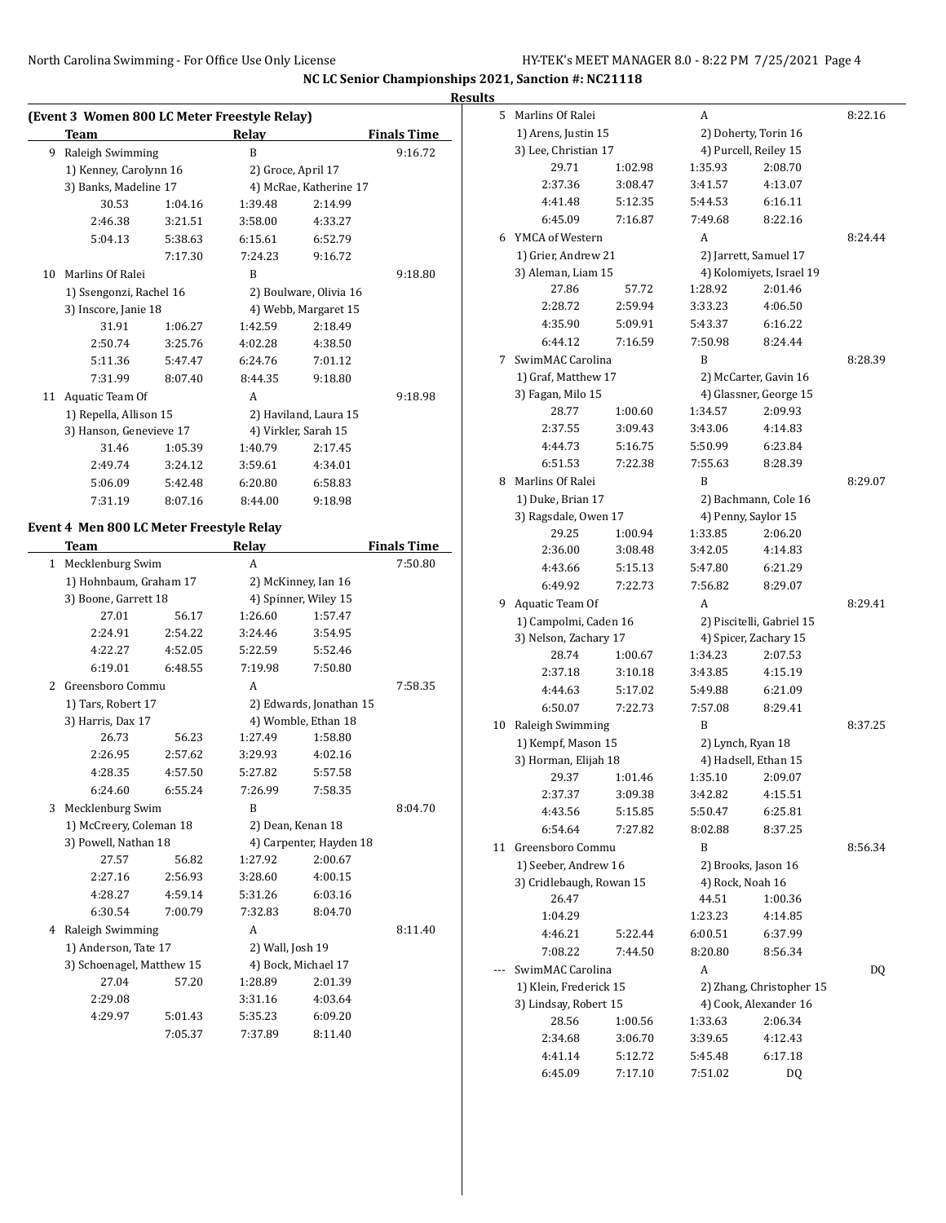L

**NC LC Senior Championships 2021, Sanction #: NC21118**

#### **Results**

|    | (Event 3 Women 800 LC Meter Freestyle Relay)    |         |                        |                        |                    |  |  |  |  |  |
|----|-------------------------------------------------|---------|------------------------|------------------------|--------------------|--|--|--|--|--|
|    | Team                                            |         | Relay                  |                        | <b>Finals Time</b> |  |  |  |  |  |
| 9  | Raleigh Swimming                                |         | B                      |                        | 9:16.72            |  |  |  |  |  |
|    | 1) Kenney, Carolynn 16<br>3) Banks, Madeline 17 |         | 2) Groce, April 17     |                        |                    |  |  |  |  |  |
|    |                                                 |         | 4) McRae, Katherine 17 |                        |                    |  |  |  |  |  |
|    | 30.53                                           | 1:04.16 | 1:39.48                | 2:14.99                |                    |  |  |  |  |  |
|    | 2:46.38                                         | 3:21.51 | 3:58.00                | 4:33.27                |                    |  |  |  |  |  |
|    | 5:04.13                                         | 5:38.63 | 6:15.61                | 6:52.79                |                    |  |  |  |  |  |
|    |                                                 | 7:17.30 | 7:24.23                | 9:16.72                |                    |  |  |  |  |  |
| 10 | Marlins Of Ralei                                |         | B                      |                        | 9:18.80            |  |  |  |  |  |
|    | 1) Ssengonzi, Rachel 16                         |         |                        | 2) Boulware, Olivia 16 |                    |  |  |  |  |  |
|    | 3) Inscore, Janie 18                            |         |                        | 4) Webb, Margaret 15   |                    |  |  |  |  |  |
|    | 31.91                                           | 1:06.27 | 1:42.59                | 2:18.49                |                    |  |  |  |  |  |
|    | 2:50.74                                         | 3:25.76 | 4:02.28                | 4:38.50                |                    |  |  |  |  |  |
|    | 5:11.36                                         | 5:47.47 | 6:24.76                | 7:01.12                |                    |  |  |  |  |  |
|    | 7:31.99                                         | 8:07.40 | 8:44.35                | 9:18.80                |                    |  |  |  |  |  |
| 11 | Aquatic Team Of                                 |         | A                      |                        | 9:18.98            |  |  |  |  |  |
|    | 1) Repella, Allison 15                          |         |                        | 2) Haviland, Laura 15  |                    |  |  |  |  |  |
|    | 3) Hanson, Genevieve 17                         |         | 4) Virkler, Sarah 15   |                        |                    |  |  |  |  |  |
|    | 31.46                                           | 1:05.39 | 1:40.79                | 2:17.45                |                    |  |  |  |  |  |
|    | 2:49.74                                         | 3:24.12 | 3:59.61                | 4:34.01                |                    |  |  |  |  |  |
|    | 5:06.09                                         | 5:42.48 | 6:20.80                | 6:58.83                |                    |  |  |  |  |  |
|    | 7:31.19                                         | 8:07.16 | 8:44.00                | 9:18.98                |                    |  |  |  |  |  |

## **Event 4 Men 800 LC Meter Freestyle Relay**

|                | Team                      |         | Relay             |                         | <b>Finals Time</b> |  |  |  |
|----------------|---------------------------|---------|-------------------|-------------------------|--------------------|--|--|--|
| $\mathbf{1}$   | Mecklenburg Swim          |         | A                 |                         | 7:50.80            |  |  |  |
|                | 1) Hohnbaum, Graham 17    |         |                   | 2) McKinney, Ian 16     |                    |  |  |  |
|                | 3) Boone, Garrett 18      |         |                   | 4) Spinner, Wiley 15    |                    |  |  |  |
|                | 27.01                     | 56.17   | 1:26.60           | 1:57.47                 |                    |  |  |  |
|                | 2:24.91                   | 2:54.22 | 3:24.46           | 3:54.95                 |                    |  |  |  |
|                | 4:22.27                   | 4:52.05 | 5:22.59           | 5:52.46                 |                    |  |  |  |
|                | 6:19.01                   | 6:48.55 | 7:19.98           | 7:50.80                 |                    |  |  |  |
| $\overline{2}$ | Greensboro Commu          |         | A                 |                         | 7:58.35            |  |  |  |
|                | 1) Tars, Robert 17        |         |                   | 2) Edwards, Jonathan 15 |                    |  |  |  |
|                | 3) Harris, Dax 17         |         |                   | 4) Womble, Ethan 18     |                    |  |  |  |
|                | 26.73                     | 56.23   | 1:27.49           | 1:58.80                 |                    |  |  |  |
|                | 2:26.95                   | 2:57.62 | 3:29.93           | 4:02.16                 |                    |  |  |  |
|                | 4:28.35                   | 4:57.50 | 5:27.82           | 5:57.58                 |                    |  |  |  |
|                | 6:24.60                   | 6:55.24 | 7:26.99           | 7:58.35                 |                    |  |  |  |
| 3              | Mecklenburg Swim          |         | B                 |                         | 8:04.70            |  |  |  |
|                | 1) McCreery, Coleman 18   |         | 2) Dean, Kenan 18 |                         |                    |  |  |  |
|                | 3) Powell, Nathan 18      |         |                   | 4) Carpenter, Hayden 18 |                    |  |  |  |
|                | 27.57                     | 56.82   | 1:27.92           | 2:00.67                 |                    |  |  |  |
|                | 2:27.16                   | 2:56.93 | 3:28.60           | 4:00.15                 |                    |  |  |  |
|                | 4:28.27                   | 4:59.14 | 5:31.26           | 6:03.16                 |                    |  |  |  |
|                | 6:30.54                   | 7:00.79 | 7:32.83           | 8:04.70                 |                    |  |  |  |
| 4              | Raleigh Swimming          |         | A                 |                         | 8:11.40            |  |  |  |
|                | 1) Anderson, Tate 17      |         | 2) Wall, Josh 19  |                         |                    |  |  |  |
|                | 3) Schoenagel, Matthew 15 |         |                   | 4) Bock, Michael 17     |                    |  |  |  |
|                | 27.04                     | 57.20   | 1:28.89           | 2:01.39                 |                    |  |  |  |
|                | 2:29.08                   |         | 3:31.16           | 4:03.64                 |                    |  |  |  |
|                | 4:29.97                   | 5:01.43 | 5:35.23           | 6:09.20                 |                    |  |  |  |
|                |                           | 7:05.37 | 7:37.89           | 8:11.40                 |                    |  |  |  |

| ,  |                          |         |                                |                           |         |
|----|--------------------------|---------|--------------------------------|---------------------------|---------|
| 5  | Marlins Of Ralei         |         | A                              |                           | 8:22.16 |
|    | 1) Arens, Justin 15      |         |                                | 2) Doherty, Torin 16      |         |
|    | 3) Lee, Christian 17     |         |                                | 4) Purcell, Reiley 15     |         |
|    | 29.71                    | 1:02.98 | 1:35.93                        | 2:08.70                   |         |
|    | 2:37.36                  | 3:08.47 | 3:41.57                        | 4:13.07                   |         |
|    | 4:41.48                  | 5:12.35 | 5:44.53                        | 6:16.11                   |         |
|    | 6:45.09                  | 7:16.87 | 7:49.68                        | 8:22.16                   |         |
| 6  | YMCA of Western          |         | А                              |                           | 8:24.44 |
|    | 1) Grier, Andrew 21      |         |                                | 2) Jarrett, Samuel 17     |         |
|    | 3) Aleman, Liam 15       |         |                                | 4) Kolomiyets, Israel 19  |         |
|    | 27.86                    | 57.72   | 1:28.92                        | 2:01.46                   |         |
|    | 2:28.72                  | 2:59.94 | 3:33.23                        | 4:06.50                   |         |
|    | 4:35.90                  | 5:09.91 | 5:43.37                        | 6:16.22                   |         |
|    | 6:44.12                  | 7:16.59 | 7:50.98                        | 8:24.44                   |         |
| 7  | SwimMAC Carolina         |         | B                              |                           | 8:28.39 |
|    | 1) Graf, Matthew 17      |         |                                | 2) McCarter, Gavin 16     |         |
|    | 3) Fagan, Milo 15        |         |                                | 4) Glassner, George 15    |         |
|    | 28.77                    | 1:00.60 | 1:34.57                        | 2:09.93                   |         |
|    | 2:37.55                  | 3:09.43 | 3:43.06                        | 4:14.83                   |         |
|    | 4:44.73                  | 5:16.75 | 5:50.99                        | 6:23.84                   |         |
|    | 6:51.53                  | 7:22.38 | 7:55.63                        | 8:28.39                   |         |
| 8  | Marlins Of Ralei         |         | B                              |                           | 8:29.07 |
|    | 1) Duke, Brian 17        |         |                                |                           |         |
|    | 3) Ragsdale, Owen 17     |         | 2) Bachmann, Cole 16           |                           |         |
|    | 29.25                    | 1:00.94 | 4) Penny, Saylor 15<br>1:33.85 | 2:06.20                   |         |
|    | 2:36.00                  | 3:08.48 | 3:42.05                        | 4:14.83                   |         |
|    |                          |         |                                |                           |         |
|    | 4:43.66                  | 5:15.13 | 5:47.80                        | 6:21.29                   |         |
|    | 6:49.92                  | 7:22.73 | 7:56.82                        | 8:29.07                   |         |
| 9  | Aquatic Team Of          |         | A                              |                           | 8:29.41 |
|    | 1) Campolmi, Caden 16    |         |                                | 2) Piscitelli, Gabriel 15 |         |
|    | 3) Nelson, Zachary 17    |         |                                | 4) Spicer, Zachary 15     |         |
|    | 28.74                    | 1:00.67 | 1:34.23                        | 2:07.53                   |         |
|    | 2:37.18                  | 3:10.18 | 3:43.85                        | 4:15.19                   |         |
|    | 4:44.63                  | 5:17.02 | 5:49.88                        | 6:21.09                   |         |
|    | 6:50.07                  | 7:22.73 | 7:57.08                        | 8:29.41                   |         |
| 10 | Raleigh Swimming         |         | B                              |                           | 8:37.25 |
|    | 1) Kempf, Mason 15       |         | 2) Lynch, Ryan 18              |                           |         |
|    | 3) Horman, Elijah 18     |         |                                | 4) Hadsell, Ethan 15      |         |
|    | 29.37                    | 1:01.46 | 1:35.10                        | 2:09.07                   |         |
|    | 2:37.37                  | 3:09.38 | 3:42.82                        | 4:15.51                   |         |
|    | 4:43.56                  | 5:15.85 | 5:50.47                        | 6:25.81                   |         |
|    | 6:54.64                  | 7:27.82 | 8:02.88                        | 8:37.25                   |         |
| 11 | Greensboro Commu         |         | B                              |                           | 8:56.34 |
|    | 1) Seeber, Andrew 16     |         | 2) Brooks, Jason 16            |                           |         |
|    | 3) Cridlebaugh, Rowan 15 |         | 4) Rock, Noah 16               |                           |         |
|    | 26.47                    |         | 44.51                          | 1:00.36                   |         |
|    | 1:04.29                  |         | 1:23.23                        | 4:14.85                   |         |
|    | 4:46.21                  | 5:22.44 | 6:00.51                        | 6:37.99                   |         |
|    | 7:08.22                  | 7:44.50 | 8:20.80                        | 8:56.34                   |         |
|    | SwimMAC Carolina         |         | A                              |                           | DQ      |
|    | 1) Klein, Frederick 15   |         |                                | 2) Zhang, Christopher 15  |         |
|    | 3) Lindsay, Robert 15    |         |                                | 4) Cook, Alexander 16     |         |
|    | 28.56                    | 1:00.56 | 1:33.63                        | 2:06.34                   |         |
|    | 2:34.68                  | 3:06.70 | 3:39.65                        | 4:12.43                   |         |
|    | 4:41.14                  | 5:12.72 | 5:45.48                        | 6:17.18                   |         |
|    | 6:45.09                  | 7:17.10 | 7:51.02                        | DQ                        |         |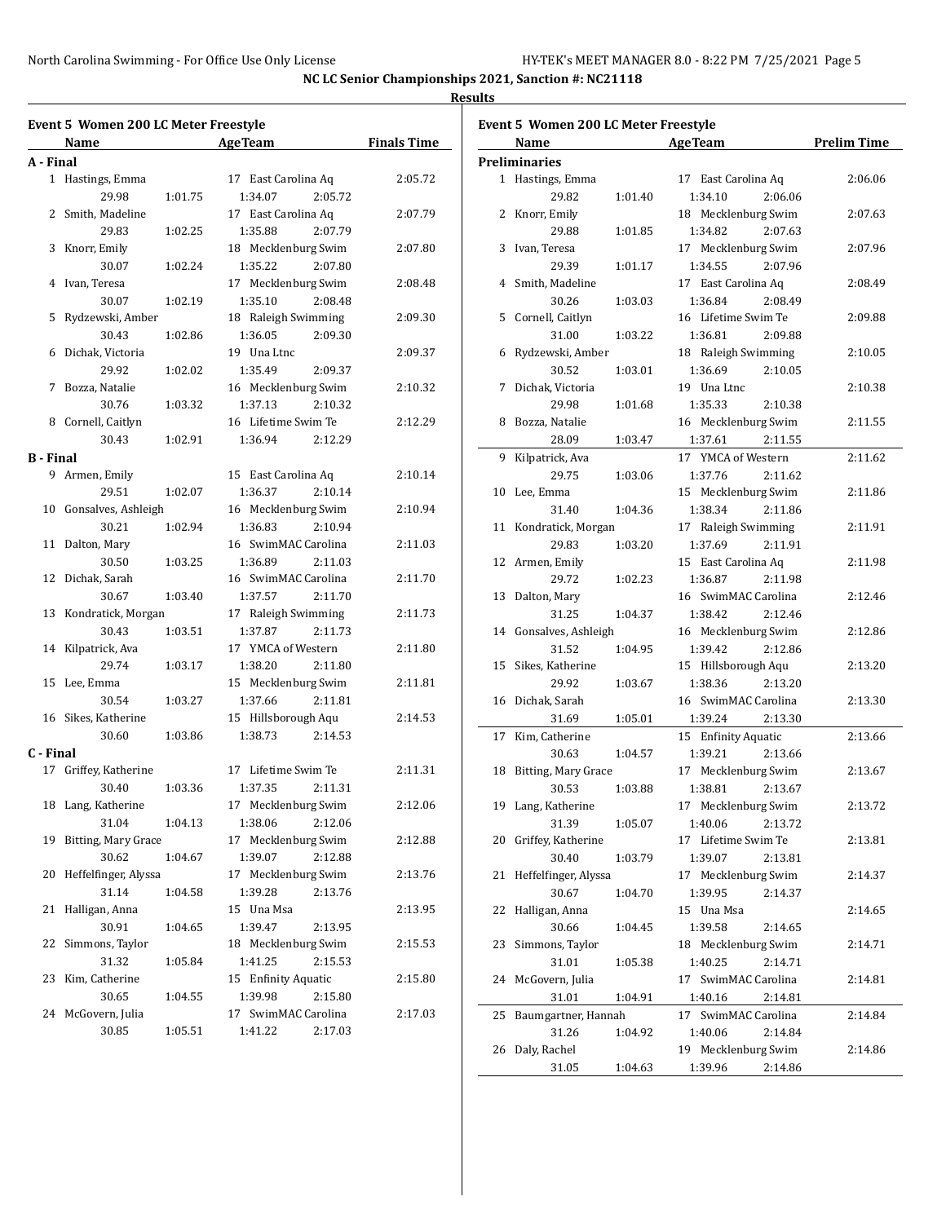**NC LC Senior Championships 2021, Sanction #: NC21118 Results**

| <b>Event 5 Women 200 LC Meter Freestyle</b><br>Event 5 Women 200 LC Meter Freestyle |                               |                 |                     |                    |  |                                  |         |                     |         |
|-------------------------------------------------------------------------------------|-------------------------------|-----------------|---------------------|--------------------|--|----------------------------------|---------|---------------------|---------|
|                                                                                     | Name                          | <b>Age Team</b> |                     | <b>Finals Time</b> |  | Name                             | AgeTeam |                     |         |
| A - Final                                                                           |                               |                 |                     |                    |  | <b>Preliminaries</b>             |         |                     |         |
|                                                                                     | 1 Hastings, Emma              |                 | 17 East Carolina Aq | 2:05.72            |  | 1 Hastings, Emma                 |         | 17 East Carolina Aq | 2:06.06 |
|                                                                                     | 29.98<br>1:01.75              | 1:34.07         | 2:05.72             |                    |  | 29.82                            | 1:01.40 | 1:34.10<br>2:06.06  |         |
|                                                                                     | 2 Smith, Madeline             |                 | 17 East Carolina Aq | 2:07.79            |  | 2 Knorr, Emily                   |         | 18 Mecklenburg Swim | 2:07.63 |
|                                                                                     | 29.83<br>1:02.25              | 1:35.88         | 2:07.79             |                    |  | 29.88                            | 1:01.85 | 1:34.82<br>2:07.63  |         |
|                                                                                     | 3 Knorr, Emily                |                 | 18 Mecklenburg Swim | 2:07.80            |  | 3 Ivan, Teresa                   |         | 17 Mecklenburg Swim | 2:07.96 |
|                                                                                     | 1:02.24<br>30.07              | 1:35.22         | 2:07.80             |                    |  | 29.39                            | 1:01.17 | 1:34.55<br>2:07.96  |         |
|                                                                                     | 4 Ivan, Teresa                |                 | 17 Mecklenburg Swim | 2:08.48            |  | 4 Smith, Madeline                |         | 17 East Carolina Aq | 2:08.49 |
|                                                                                     | 30.07<br>1:02.19              | 1:35.10         | 2:08.48             |                    |  | 30.26                            | 1:03.03 | 1:36.84<br>2:08.49  |         |
|                                                                                     | 5 Rydzewski, Amber            |                 | 18 Raleigh Swimming | 2:09.30            |  | 5 Cornell, Caitlyn               |         | 16 Lifetime Swim Te | 2:09.88 |
|                                                                                     | 30.43<br>1:02.86              | 1:36.05         | 2:09.30             |                    |  | 31.00                            | 1:03.22 | 1:36.81<br>2:09.88  |         |
|                                                                                     | 6 Dichak, Victoria            | 19 Una Ltnc     |                     | 2:09.37            |  | 6 Rydzewski, Amber               |         | 18 Raleigh Swimming | 2:10.05 |
|                                                                                     | 29.92<br>1:02.02              | 1:35.49         | 2:09.37             |                    |  | 30.52                            | 1:03.01 | 1:36.69<br>2:10.05  |         |
|                                                                                     | 7 Bozza, Natalie              |                 | 16 Mecklenburg Swim | 2:10.32            |  | 7 Dichak, Victoria               |         | 19 Una Ltnc         | 2:10.38 |
|                                                                                     | 30.76<br>1:03.32              | 1:37.13         | 2:10.32             |                    |  | 29.98                            | 1:01.68 | 1:35.33<br>2:10.38  |         |
|                                                                                     | 8 Cornell, Caitlyn            |                 | 16 Lifetime Swim Te | 2:12.29            |  | 8 Bozza, Natalie                 |         | 16 Mecklenburg Swim | 2:11.55 |
|                                                                                     | 30.43<br>1:02.91              | 1:36.94         | 2:12.29             |                    |  | 28.09                            | 1:03.47 | 1:37.61<br>2:11.55  |         |
| <b>B</b> - Final                                                                    |                               |                 |                     |                    |  | 9 Kilpatrick, Ava                |         | 17 YMCA of Western  | 2:11.62 |
|                                                                                     | 9 Armen, Emily                |                 | 15 East Carolina Aq | 2:10.14            |  | 29.75                            | 1:03.06 | 1:37.76<br>2:11.62  |         |
|                                                                                     | 29.51<br>1:02.07              | 1:36.37         | 2:10.14             |                    |  | 10 Lee, Emma                     |         | 15 Mecklenburg Swim | 2:11.86 |
|                                                                                     | 10 Gonsalves, Ashleigh        |                 | 16 Mecklenburg Swim | 2:10.94            |  | 31.40                            | 1:04.36 | 1:38.34<br>2:11.86  |         |
|                                                                                     | 1:02.94<br>30.21              | 1:36.83         | 2:10.94             |                    |  | 11 Kondratick, Morgan            |         | 17 Raleigh Swimming | 2:11.91 |
|                                                                                     | 11 Dalton, Mary               |                 | 16 SwimMAC Carolina | 2:11.03            |  | 29.83                            | 1:03.20 | 1:37.69<br>2:11.91  |         |
|                                                                                     | 1:03.25<br>30.50              | 1:36.89         | 2:11.03             |                    |  | 12 Armen, Emily                  |         | 15 East Carolina Aq | 2:11.98 |
|                                                                                     | 12 Dichak, Sarah              |                 | 16 SwimMAC Carolina | 2:11.70            |  | 29.72                            | 1:02.23 | 1:36.87<br>2:11.98  |         |
|                                                                                     | 30.67<br>1:03.40              | 1:37.57         | 2:11.70             |                    |  | 13 Dalton, Mary                  |         | 16 SwimMAC Carolina | 2:12.46 |
|                                                                                     | 13 Kondratick, Morgan         |                 | 17 Raleigh Swimming | 2:11.73            |  | 31.25                            | 1:04.37 | 1:38.42<br>2:12.46  |         |
|                                                                                     | 30.43<br>1:03.51              | 1:37.87         | 2:11.73             |                    |  | 14 Gonsalves, Ashleigh           |         | 16 Mecklenburg Swim | 2:12.86 |
|                                                                                     | 14 Kilpatrick, Ava            |                 | 17 YMCA of Western  | 2:11.80            |  | 31.52                            | 1:04.95 | 1:39.42<br>2:12.86  |         |
|                                                                                     | 29.74<br>1:03.17              | 1:38.20         | 2:11.80             |                    |  | 15 Sikes, Katherine              |         | 15 Hillsborough Aqu | 2:13.20 |
|                                                                                     | 15 Lee, Emma                  |                 | 15 Mecklenburg Swim | 2:11.81            |  | 29.92                            | 1:03.67 | 1:38.36<br>2:13.20  |         |
|                                                                                     | 1:03.27<br>30.54              | 1:37.66         | 2:11.81             |                    |  | 16 Dichak, Sarah                 |         | 16 SwimMAC Carolina | 2:13.30 |
|                                                                                     | 16 Sikes, Katherine           |                 | 15 Hillsborough Aqu | 2:14.53            |  | 31.69                            | 1:05.01 | 1:39.24<br>2:13.30  |         |
|                                                                                     | 30.60<br>1:03.86              | 1:38.73         | 2:14.53             |                    |  | 17 Kim, Catherine                |         | 15 Enfinity Aquatic | 2:13.66 |
| C - Final                                                                           |                               |                 |                     |                    |  | 30.63                            | 1:04.57 | 1:39.21<br>2:13.66  |         |
|                                                                                     | 17 Griffey, Katherine         |                 | 17 Lifetime Swim Te | 2:11.31            |  | 18 Bitting, Mary Grace           |         | 17 Mecklenburg Swim | 2:13.67 |
|                                                                                     | 30.40<br>1:03.36              | 1:37.35         | 2:11.31             |                    |  | 30.53                            | 1:03.88 | 1:38.81<br>2:13.67  |         |
|                                                                                     | 18 Lang, Katherine            |                 | 17 Mecklenburg Swim | 2:12.06            |  | 19 Lang, Katherine               |         | 17 Mecklenburg Swim | 2:13.72 |
|                                                                                     | 31.04<br>1:04.13              | 1:38.06         | 2:12.06             |                    |  | 31.39                            | 1:05.07 | 1:40.06<br>2:13.72  |         |
|                                                                                     | 19 Bitting, Mary Grace        |                 | 17 Mecklenburg Swim | 2:12.88            |  | 20 Griffey, Katherine            |         | 17 Lifetime Swim Te | 2:13.81 |
|                                                                                     | 30.62<br>1:04.67              | 1:39.07         | 2:12.88             |                    |  |                                  |         |                     |         |
|                                                                                     | 20 Heffelfinger, Alyssa       |                 | 17 Mecklenburg Swim | 2:13.76            |  | 30.40<br>21 Heffelfinger, Alyssa | 1:03.79 | 1:39.07<br>2:13.81  |         |
|                                                                                     | 31.14<br>1:04.58              | 1:39.28         | 2:13.76             |                    |  | 30.67                            |         | 17 Mecklenburg Swim | 2:14.37 |
|                                                                                     | 21 Halligan, Anna             | 15 Una Msa      |                     | 2:13.95            |  |                                  | 1:04.70 | 1:39.95<br>2:14.37  |         |
|                                                                                     | 30.91                         | 1:39.47         | 2:13.95             |                    |  | 22 Halligan, Anna                |         | 15 Una Msa          | 2:14.65 |
|                                                                                     | 1:04.65<br>22 Simmons, Taylor |                 | 18 Mecklenburg Swim | 2:15.53            |  | 30.66                            | 1:04.45 | 1:39.58<br>2:14.65  |         |
|                                                                                     |                               |                 |                     |                    |  | 23 Simmons, Taylor               |         | 18 Mecklenburg Swim | 2:14.71 |
|                                                                                     | 31.32<br>1:05.84              | 1:41.25         | 2:15.53             |                    |  | 31.01                            | 1:05.38 | 1:40.25<br>2:14.71  |         |
|                                                                                     | 23 Kim, Catherine             |                 | 15 Enfinity Aquatic | 2:15.80            |  | 24 McGovern, Julia               |         | 17 SwimMAC Carolina | 2:14.81 |
|                                                                                     | 30.65<br>1:04.55              | 1:39.98         | 2:15.80             |                    |  | 31.01                            | 1:04.91 | 1:40.16<br>2:14.81  |         |
|                                                                                     | 24 McGovern, Julia            |                 | 17 SwimMAC Carolina | 2:17.03            |  | 25 Baumgartner, Hannah           |         | 17 SwimMAC Carolina | 2:14.84 |
|                                                                                     | 30.85<br>1:05.51              | 1:41.22         | 2:17.03             |                    |  | 31.26                            | 1:04.92 | 1:40.06<br>2:14.84  |         |
|                                                                                     |                               |                 |                     |                    |  | 26 Daly, Rachel                  |         | 19 Mecklenburg Swim | 2:14.86 |
|                                                                                     |                               |                 |                     |                    |  | 31.05                            | 1:04.63 | 1:39.96<br>2:14.86  |         |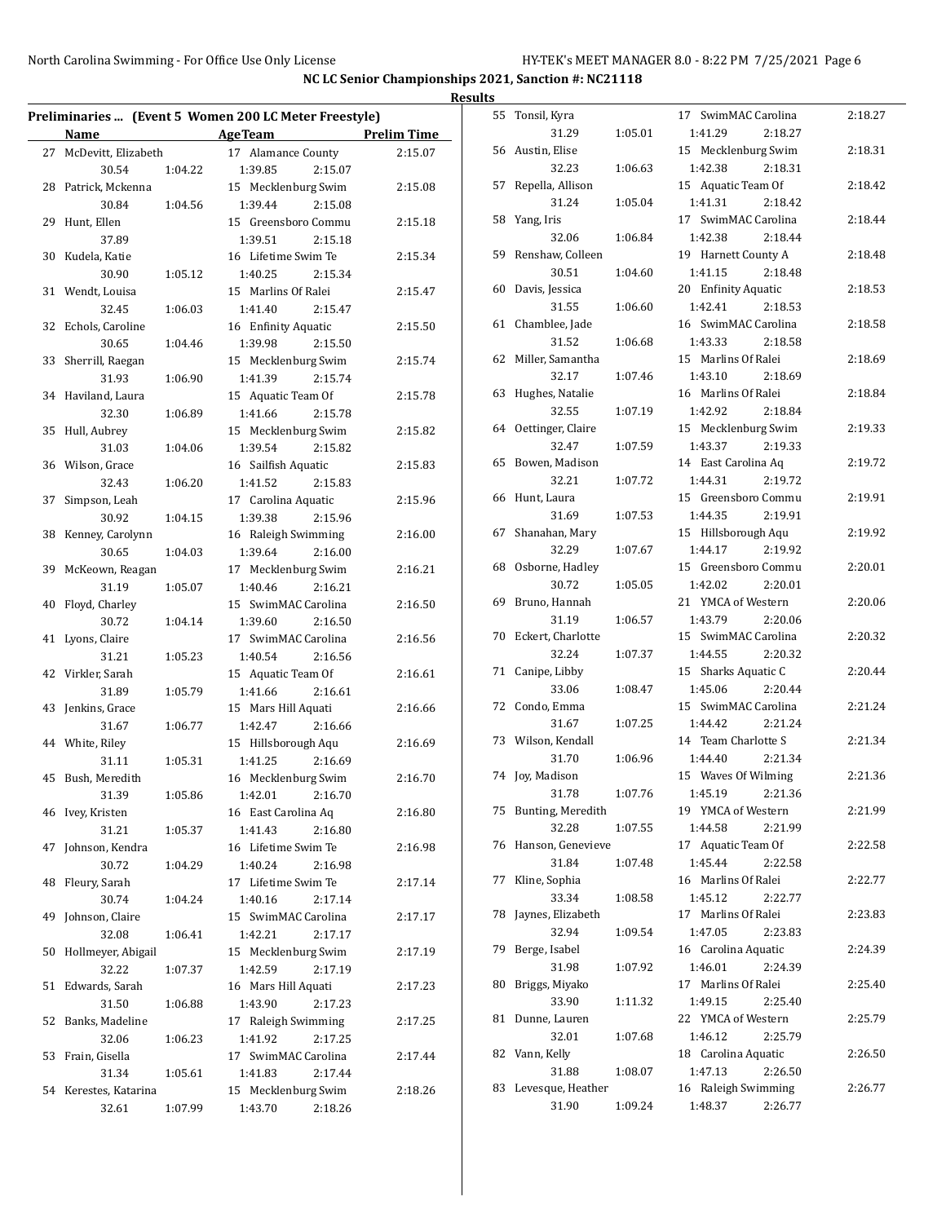|                        |         |                                                       |             | <b>Results</b> |                      |         |                     |         |
|------------------------|---------|-------------------------------------------------------|-------------|----------------|----------------------|---------|---------------------|---------|
|                        |         | Preliminaries  (Event 5 Women 200 LC Meter Freestyle) |             |                | 55 Tonsil, Kyra      |         | 17 SwimMAC Carolina | 2:18.27 |
| Name                   |         | <b>AgeTeam</b>                                        | Prelim Time |                | 31.29                | 1:05.01 | 1:41.29<br>2:18.27  |         |
| 27 McDevitt, Elizabeth |         | 17 Alamance County                                    | 2:15.07     |                | 56 Austin, Elise     |         | 15 Mecklenburg Swim | 2:18.31 |
| 30.54                  | 1:04.22 | 1:39.85<br>2:15.07                                    |             |                | 32.23                | 1:06.63 | 1:42.38<br>2:18.31  |         |
| 28 Patrick, Mckenna    |         | 15 Mecklenburg Swim                                   | 2:15.08     |                | 57 Repella, Allison  |         | 15 Aquatic Team Of  | 2:18.42 |
| 30.84                  | 1:04.56 | 1:39.44<br>2:15.08                                    |             |                | 31.24                | 1:05.04 | 1:41.31<br>2:18.42  |         |
| 29 Hunt, Ellen         |         | 15 Greensboro Commu                                   | 2:15.18     |                | 58 Yang, Iris        |         | 17 SwimMAC Carolina | 2:18.44 |
| 37.89                  |         | 1:39.51<br>2:15.18                                    |             |                | 32.06                | 1:06.84 | 1:42.38<br>2:18.44  |         |
| 30 Kudela, Katie       |         | 16 Lifetime Swim Te                                   | 2:15.34     |                | 59 Renshaw, Colleen  |         | 19 Harnett County A | 2:18.48 |
| 30.90                  | 1:05.12 | 1:40.25<br>2:15.34                                    |             |                | 30.51                | 1:04.60 | 1:41.15<br>2:18.48  |         |
| 31 Wendt, Louisa       |         | 15 Marlins Of Ralei                                   | 2:15.47     |                | 60 Davis, Jessica    |         | 20 Enfinity Aquatic | 2:18.53 |
| 32.45                  | 1:06.03 | 1:41.40<br>2:15.47                                    |             |                | 31.55                | 1:06.60 | 1:42.41<br>2:18.53  |         |
|                        |         |                                                       |             |                | 61 Chamblee, Jade    |         | 16 SwimMAC Carolina | 2:18.58 |
| 32 Echols, Caroline    |         | 16 Enfinity Aquatic                                   | 2:15.50     |                | 31.52                | 1:06.68 | 1:43.33<br>2:18.58  |         |
| 30.65                  | 1:04.46 | 1:39.98<br>2:15.50                                    |             |                | 62 Miller, Samantha  |         | 15 Marlins Of Ralei | 2:18.69 |
| 33 Sherrill, Raegan    |         | 15 Mecklenburg Swim                                   | 2:15.74     |                | 32.17                | 1:07.46 | 1:43.10             |         |
| 31.93                  | 1:06.90 | 1:41.39<br>2:15.74                                    |             |                |                      |         | 2:18.69             |         |
| 34 Haviland, Laura     |         | 15 Aquatic Team Of                                    | 2:15.78     |                | 63 Hughes, Natalie   |         | 16 Marlins Of Ralei | 2:18.84 |
| 32.30                  | 1:06.89 | 1:41.66<br>2:15.78                                    |             |                | 32.55                | 1:07.19 | 1:42.92<br>2:18.84  |         |
| 35 Hull, Aubrey        |         | 15 Mecklenburg Swim                                   | 2:15.82     |                | 64 Oettinger, Claire |         | 15 Mecklenburg Swim | 2:19.33 |
| 31.03                  | 1:04.06 | 1:39.54<br>2:15.82                                    |             |                | 32.47                | 1:07.59 | 1:43.37<br>2:19.33  |         |
| 36 Wilson, Grace       |         | 16 Sailfish Aquatic                                   | 2:15.83     |                | 65 Bowen, Madison    |         | 14 East Carolina Aq | 2:19.72 |
| 32.43                  | 1:06.20 | 1:41.52<br>2:15.83                                    |             |                | 32.21                | 1:07.72 | 1:44.31<br>2:19.72  |         |
| 37 Simpson, Leah       |         | 17 Carolina Aquatic                                   | 2:15.96     |                | 66 Hunt, Laura       |         | 15 Greensboro Commu | 2:19.91 |
| 30.92                  | 1:04.15 | 1:39.38<br>2:15.96                                    |             |                | 31.69                | 1:07.53 | 1:44.35<br>2:19.91  |         |
| 38 Kenney, Carolynn    |         | 16 Raleigh Swimming                                   | 2:16.00     |                | 67 Shanahan, Mary    |         | 15 Hillsborough Aqu | 2:19.92 |
| 30.65                  | 1:04.03 | 1:39.64<br>2:16.00                                    |             |                | 32.29                | 1:07.67 | 1:44.17<br>2:19.92  |         |
| 39 McKeown, Reagan     |         | 17 Mecklenburg Swim                                   | 2:16.21     |                | 68 Osborne, Hadley   |         | 15 Greensboro Commu | 2:20.01 |
| 31.19                  | 1:05.07 | 1:40.46<br>2:16.21                                    |             |                | 30.72                | 1:05.05 | 1:42.02<br>2:20.01  |         |
| 40 Floyd, Charley      |         | 15 SwimMAC Carolina                                   | 2:16.50     |                | 69 Bruno, Hannah     |         | 21 YMCA of Western  | 2:20.06 |
| 30.72                  | 1:04.14 | 1:39.60<br>2:16.50                                    |             |                | 31.19                | 1:06.57 | 1:43.79<br>2:20.06  |         |
| 41 Lyons, Claire       |         | 17 SwimMAC Carolina                                   | 2:16.56     |                | 70 Eckert, Charlotte |         | 15 SwimMAC Carolina | 2:20.32 |
| 31.21                  | 1:05.23 | 1:40.54<br>2:16.56                                    |             |                | 32.24                | 1:07.37 | 1:44.55<br>2:20.32  |         |
| 42 Virkler, Sarah      |         | 15 Aquatic Team Of                                    | 2:16.61     |                | 71 Canipe, Libby     |         | 15 Sharks Aquatic C | 2:20.44 |
| 31.89                  | 1:05.79 | 1:41.66<br>2:16.61                                    |             |                | 33.06                | 1:08.47 | 1:45.06<br>2:20.44  |         |
| 43 Jenkins, Grace      |         | 15 Mars Hill Aquati                                   | 2:16.66     |                | 72 Condo, Emma       |         | 15 SwimMAC Carolina | 2:21.24 |
| 31.67                  | 1:06.77 | 1:42.47<br>2:16.66                                    |             |                | 31.67                | 1:07.25 | 1:44.42<br>2:21.24  |         |
| 44 White, Riley        |         | 15 Hillsborough Aqu                                   | 2:16.69     |                | 73 Wilson, Kendall   |         | 14 Team Charlotte S | 2:21.34 |
| 31.11                  | 1:05.31 | 1:41.25                                               |             |                | 31.70                | 1:06.96 | 1:44.40<br>2:21.34  |         |
|                        |         | 2:16.69                                               |             |                | 74 Joy, Madison      |         | 15 Waves Of Wilming | 2:21.36 |
| 45 Bush, Meredith      |         | 16 Mecklenburg Swim                                   | 2:16.70     |                | 31.78                | 1:07.76 | 1:45.19<br>2:21.36  |         |
| 31.39                  | 1:05.86 | 1:42.01<br>2:16.70                                    |             |                | 75 Bunting, Meredith |         | 19 YMCA of Western  | 2:21.99 |
| 46 Ivey, Kristen       |         | 16 East Carolina Aq                                   | 2:16.80     |                |                      |         | 2:21.99             |         |
| 31.21                  | 1:05.37 | 1:41.43<br>2:16.80                                    |             |                | 32.28                | 1:07.55 | 1:44.58             |         |
| 47 Johnson, Kendra     |         | 16 Lifetime Swim Te                                   | 2:16.98     |                | 76 Hanson, Genevieve |         | 17 Aquatic Team Of  | 2:22.58 |
| 30.72                  | 1:04.29 | 1:40.24<br>2:16.98                                    |             |                | 31.84                | 1:07.48 | 1:45.44<br>2:22.58  |         |
| 48 Fleury, Sarah       |         | 17 Lifetime Swim Te                                   | 2:17.14     |                | 77 Kline, Sophia     |         | 16 Marlins Of Ralei | 2:22.77 |
| 30.74                  | 1:04.24 | 1:40.16<br>2:17.14                                    |             |                | 33.34                | 1:08.58 | 1:45.12<br>2:22.77  |         |
| 49 Johnson, Claire     |         | 15 SwimMAC Carolina                                   | 2:17.17     |                | 78 Jaynes, Elizabeth |         | 17 Marlins Of Ralei | 2:23.83 |
| 32.08                  | 1:06.41 | 1:42.21<br>2:17.17                                    |             |                | 32.94                | 1:09.54 | 1:47.05<br>2:23.83  |         |
| 50 Hollmeyer, Abigail  |         | 15 Mecklenburg Swim                                   | 2:17.19     |                | 79 Berge, Isabel     |         | 16 Carolina Aquatic | 2:24.39 |
| 32.22                  | 1:07.37 | 1:42.59<br>2:17.19                                    |             |                | 31.98                | 1:07.92 | 1:46.01<br>2:24.39  |         |
| 51 Edwards, Sarah      |         | 16 Mars Hill Aquati                                   | 2:17.23     |                | 80 Briggs, Miyako    |         | 17 Marlins Of Ralei | 2:25.40 |
| 31.50                  | 1:06.88 | 1:43.90<br>2:17.23                                    |             |                | 33.90                | 1:11.32 | 1:49.15<br>2:25.40  |         |
| 52 Banks, Madeline     |         | 17 Raleigh Swimming                                   | 2:17.25     |                | 81 Dunne, Lauren     |         | 22 YMCA of Western  | 2:25.79 |
| 32.06                  | 1:06.23 | 1:41.92<br>2:17.25                                    |             |                | 32.01                | 1:07.68 | 1:46.12<br>2:25.79  |         |
| 53 Frain, Gisella      |         | 17 SwimMAC Carolina                                   | 2:17.44     |                | 82 Vann, Kelly       |         | 18 Carolina Aquatic | 2:26.50 |
| 31.34                  | 1:05.61 | 1:41.83<br>2:17.44                                    |             |                | 31.88                | 1:08.07 | 1:47.13<br>2:26.50  |         |
| 54 Kerestes, Katarina  |         | 15 Mecklenburg Swim                                   | 2:18.26     |                | 83 Levesque, Heather |         | 16 Raleigh Swimming | 2:26.77 |
| 32.61                  | 1:07.99 | 1:43.70<br>2:18.26                                    |             |                | 31.90                | 1:09.24 | 1:48.37<br>2:26.77  |         |
|                        |         |                                                       |             |                |                      |         |                     |         |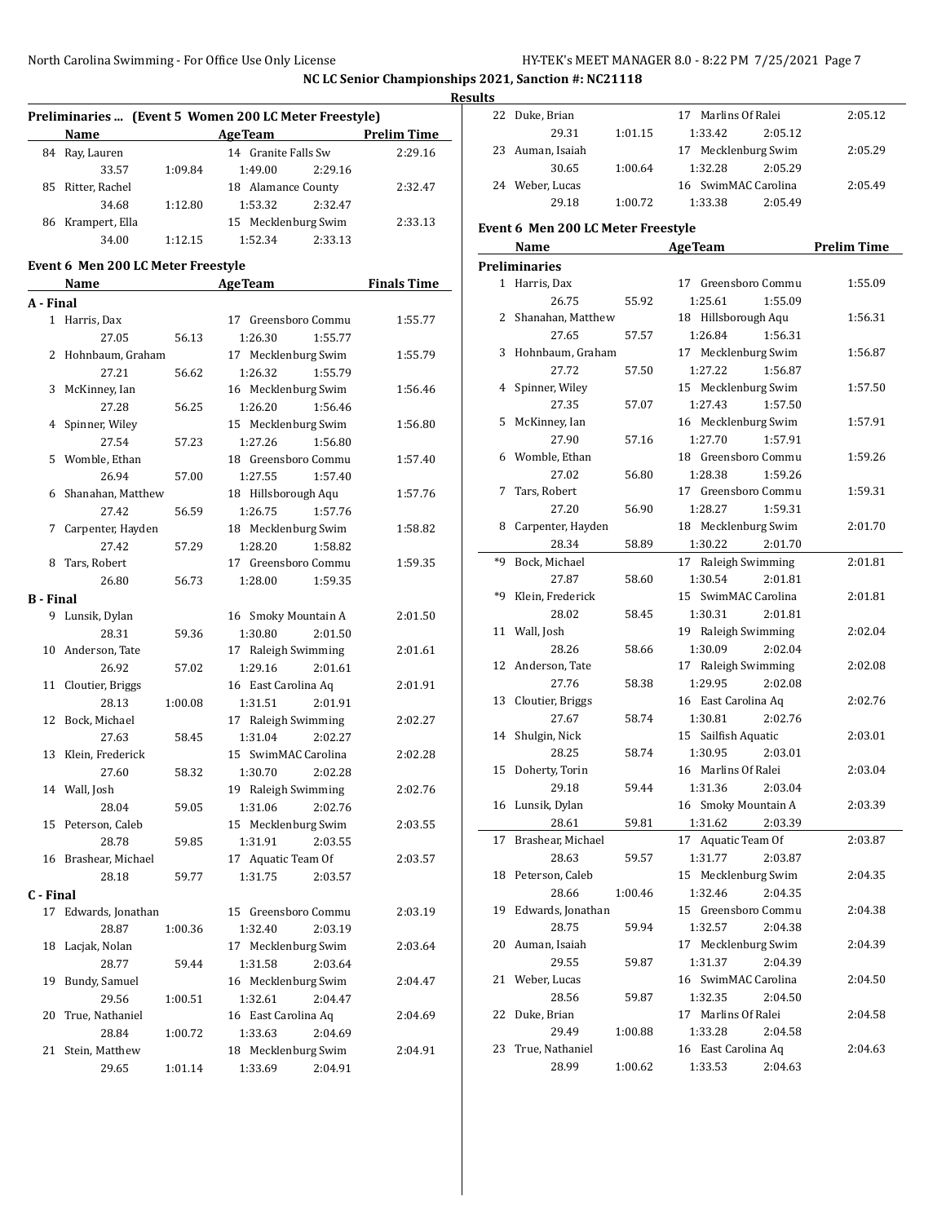|                  |                                    |         |                                                       |                    | <b>Results</b> |
|------------------|------------------------------------|---------|-------------------------------------------------------|--------------------|----------------|
|                  |                                    |         | Preliminaries  (Event 5 Women 200 LC Meter Freestyle) |                    | $22$ Du        |
|                  | Name                               |         | Age Team                                              | <b>Prelim Time</b> |                |
|                  | 84 Ray, Lauren                     |         | 14 Granite Falls Sw                                   | 2:29.16            | 23 Au          |
|                  | 33.57                              | 1:09.84 | 1:49.00<br>2:29.16                                    |                    |                |
|                  | 85 Ritter, Rachel                  |         | 18 Alamance County                                    | 2:32.47            | 24 We          |
|                  | 34.68                              | 1:12.80 | 1:53.32<br>2:32.47                                    |                    |                |
|                  | 86 Krampert, Ella                  |         | 15 Mecklenburg Swim                                   | 2:33.13            | Event 6        |
|                  | 34.00                              | 1:12.15 | 1:52.34<br>2:33.13                                    |                    | Nε             |
|                  | Event 6 Men 200 LC Meter Freestyle |         |                                                       |                    | Prelimir       |
|                  |                                    |         | <b>Age Team</b>                                       | <b>Finals Time</b> | 1 Ha           |
|                  | Name                               |         |                                                       |                    |                |
| A - Final        |                                    |         |                                                       |                    | 2 Sh           |
|                  | 1 Harris, Dax                      |         | 17 Greensboro Commu                                   | 1:55.77            |                |
|                  | 27.05<br>2 Hohnbaum, Graham        | 56.13   | 1:26.30<br>1:55.77<br>17 Mecklenburg Swim             | 1:55.79            | 3 Hc           |
|                  | 27.21                              |         | 1:55.79                                               |                    |                |
| 3                | McKinney, Ian                      | 56.62   | 1:26.32<br>16 Mecklenburg Swim                        | 1:56.46            | 4 Sp           |
|                  | 27.28                              | 56.25   | 1:26.20<br>1:56.46                                    |                    |                |
|                  | 4 Spinner, Wiley                   |         | 15 Mecklenburg Swim                                   | 1:56.80            | 5 M            |
|                  | 27.54                              | 57.23   | 1:27.26<br>1:56.80                                    |                    |                |
|                  | 5 Womble, Ethan                    |         | 18 Greensboro Commu                                   | 1:57.40            | 6 W            |
|                  | 26.94                              | 57.00   | 1:27.55<br>1:57.40                                    |                    |                |
|                  | 6 Shanahan, Matthew                |         | 18 Hillsborough Aqu                                   | 1:57.76            | 7 Ta           |
|                  | 27.42                              | 56.59   | 1:26.75<br>1:57.76                                    |                    |                |
|                  | 7 Carpenter, Hayden                |         | 18 Mecklenburg Swim                                   | 1:58.82            | 8 Ca           |
|                  | 27.42                              | 57.29   | 1:28.20<br>1:58.82                                    |                    |                |
|                  | 8 Tars, Robert                     |         | 17 Greensboro Commu                                   | 1:59.35            | *9 Bo          |
|                  | 26.80                              | 56.73   | 1:28.00<br>1:59.35                                    |                    |                |
| <b>B</b> - Final |                                    |         |                                                       |                    | *9 Kl          |
|                  | 9 Lunsik, Dylan                    |         | 16 Smoky Mountain A                                   | 2:01.50            |                |
|                  | 28.31                              | 59.36   | 1:30.80<br>2:01.50                                    |                    | 11 Wa          |
|                  | 10 Anderson, Tate                  |         | 17 Raleigh Swimming                                   | 2:01.61            |                |
|                  | 26.92                              | 57.02   | 1:29.16<br>2:01.61                                    |                    | 12 An          |
|                  | 11 Cloutier, Briggs                |         | 16 East Carolina Aq                                   | 2:01.91            |                |
|                  | 28.13                              | 1:00.08 | 1:31.51<br>2:01.91                                    |                    | 13 Clo         |
|                  | 12 Bock, Michael                   |         | 17 Raleigh Swimming                                   | 2:02.27            |                |
|                  | 27.63                              | 58.45   | 1:31.04<br>2:02.27                                    |                    | 14 Sh          |
|                  | 13 Klein, Frederick                |         | 15 SwimMAC Carolina                                   | 2:02.28            |                |
|                  | 27.60                              | 58.32   | 1:30.70<br>2:02.28                                    |                    | 15 Do          |
|                  | 14 Wall, Josh                      |         | 19 Raleigh Swimming                                   | 2:02.76            |                |
|                  | 28.04                              | 59.05   | 1:31.06<br>2:02.76                                    |                    | 16 Lu          |
|                  | 15 Peterson, Caleb                 |         | 15 Mecklenburg Swim                                   | 2:03.55            |                |
|                  | 28.78                              | 59.85   | 1:31.91<br>2:03.55                                    |                    | 17 Br          |
|                  | 16 Brashear, Michael               |         | 17 Aquatic Team Of                                    | 2:03.57            |                |
|                  | 28.18                              | 59.77   | 1:31.75<br>2:03.57                                    |                    | 18 Pe          |
| C - Final        |                                    |         |                                                       |                    |                |
|                  | 17 Edwards, Jonathan               |         | 15 Greensboro Commu                                   | 2:03.19            | 19 Ed          |
|                  | 28.87                              | 1:00.36 | 1:32.40<br>2:03.19                                    |                    |                |
|                  | 18 Lacjak, Nolan                   |         | 17 Mecklenburg Swim                                   | 2:03.64            | 20 Au          |
|                  | 28.77                              | 59.44   | 1:31.58<br>2:03.64                                    |                    |                |
| 19               | Bundy, Samuel                      |         | 16 Mecklenburg Swim                                   | 2:04.47            | 21 We          |
|                  | 29.56                              | 1:00.51 | 1:32.61<br>2:04.47                                    |                    |                |
| 20               | True, Nathaniel                    |         | 16 East Carolina Aq                                   | 2:04.69            | $22$ Du        |
|                  | 28.84                              | 1:00.72 | 1:33.63<br>2:04.69                                    |                    |                |
|                  | 21 Stein, Matthew                  |         | 18 Mecklenburg Swim                                   | 2:04.91            | 23 Tr          |
|                  | 29.65                              | 1:01.14 | 1:33.69<br>2:04.91                                    |                    |                |

| 22 | Duke, Brian                        |         | 17 Marlins Of Ralei | 2:05.12            |
|----|------------------------------------|---------|---------------------|--------------------|
|    | 29.31                              | 1:01.15 | 1:33.42<br>2:05.12  |                    |
| 23 | Auman, Isaiah                      |         | 17 Mecklenburg Swim | 2:05.29            |
|    | 30.65                              | 1:00.64 | 1:32.28<br>2:05.29  |                    |
|    | 24 Weber, Lucas                    |         | 16 SwimMAC Carolina | 2:05.49            |
|    | 29.18                              | 1:00.72 | 1:33.38<br>2:05.49  |                    |
|    |                                    |         |                     |                    |
|    | Event 6 Men 200 LC Meter Freestyle |         |                     |                    |
|    | Name                               |         | <b>AgeTeam</b>      | <b>Prelim Time</b> |
|    | Preliminaries                      |         |                     |                    |
|    | 1 Harris, Dax                      |         | 17 Greensboro Commu | 1:55.09            |
|    | 26.75                              | 55.92   | 1:55.09<br>1:25.61  |                    |
| 2  | Shanahan, Matthew                  |         | 18 Hillsborough Aqu | 1:56.31            |
|    | 27.65                              | 57.57   | 1:26.84<br>1:56.31  |                    |
| 3  | Hohnbaum, Graham                   |         | 17 Mecklenburg Swim | 1:56.87            |
|    | 27.72                              | 57.50   | 1:27.22<br>1:56.87  |                    |
| 4  | Spinner, Wiley                     |         | 15 Mecklenburg Swim | 1:57.50            |
|    | 27.35                              | 57.07   | 1:27.43<br>1:57.50  |                    |
| 5  | McKinney, Ian                      |         | 16 Mecklenburg Swim | 1:57.91            |
|    | 27.90                              | 57.16   | 1:27.70<br>1:57.91  |                    |
| 6  |                                    |         | 18 Greensboro Commu | 1:59.26            |
|    | Womble, Ethan                      |         |                     |                    |
|    | 27.02                              | 56.80   | 1:28.38<br>1:59.26  |                    |
| 7  | Tars, Robert                       |         | 17 Greensboro Commu | 1:59.31            |
|    | 27.20                              | 56.90   | 1:59.31<br>1:28.27  |                    |
| 8  | Carpenter, Hayden                  |         | 18 Mecklenburg Swim | 2:01.70            |
|    | 28.34                              | 58.89   | 1:30.22<br>2:01.70  |                    |
| *9 | Bock, Michael                      |         | 17 Raleigh Swimming | 2:01.81            |
|    | 27.87                              | 58.60   | 1:30.54<br>2:01.81  |                    |
| *q | Klein, Frederick                   |         | 15 SwimMAC Carolina | 2:01.81            |
|    | 28.02                              | 58.45   | 1:30.31<br>2:01.81  |                    |
| 11 | Wall, Josh                         |         | 19 Raleigh Swimming | 2:02.04            |
|    | 28.26                              | 58.66   | 1:30.09<br>2:02.04  |                    |
| 12 | Anderson, Tate                     |         | 17 Raleigh Swimming | 2:02.08            |
|    | 27.76                              | 58.38   | 1:29.95<br>2:02.08  |                    |
| 13 | Cloutier, Briggs                   |         | 16 East Carolina Aq | 2:02.76            |
|    | 27.67                              | 58.74   | 1:30.81<br>2:02.76  |                    |
| 14 | Shulgin, Nick                      |         | 15 Sailfish Aquatic | 2:03.01            |
|    | 28.25                              | 58.74   | 1:30.95<br>2:03.01  |                    |
| 15 | Doherty, Torin                     |         | 16 Marlins Of Ralei | 2:03.04            |
|    | 29.18                              | 59.44   | 1:31.36<br>2:03.04  |                    |
|    | 16 Lunsik, Dylan                   |         | 16 Smoky Mountain A | 2:03.39            |
|    | 28.61                              | 59.81   | 1:31.62<br>2:03.39  |                    |
| 17 | Brashear, Michael                  |         | 17 Aquatic Team Of  | 2:03.87            |
|    | 28.63                              | 59.57   | 1:31.77<br>2:03.87  |                    |
| 18 | Peterson, Caleb                    |         | 15 Mecklenburg Swim | 2:04.35            |
|    | 28.66                              | 1:00.46 | 1:32.46<br>2:04.35  |                    |
| 19 | Edwards, Jonathan                  |         | 15 Greensboro Commu | 2:04.38            |
|    | 28.75                              | 59.94   | 1:32.57<br>2:04.38  |                    |
| 20 | Auman, Isaiah                      |         | 17 Mecklenburg Swim | 2:04.39            |
|    | 29.55                              | 59.87   | 1:31.37<br>2:04.39  |                    |
| 21 | Weber, Lucas                       |         | 16 SwimMAC Carolina | 2:04.50            |
|    | 28.56                              | 59.87   | 1:32.35<br>2:04.50  |                    |
| 22 | Duke, Brian                        |         | 17 Marlins Of Ralei | 2:04.58            |
|    | 29.49                              | 1:00.88 | 1:33.28<br>2:04.58  |                    |
| 23 | True, Nathaniel                    |         | 16 East Carolina Aq | 2:04.63            |
|    | 28.99                              | 1:00.62 | 1:33.53<br>2:04.63  |                    |
|    |                                    |         |                     |                    |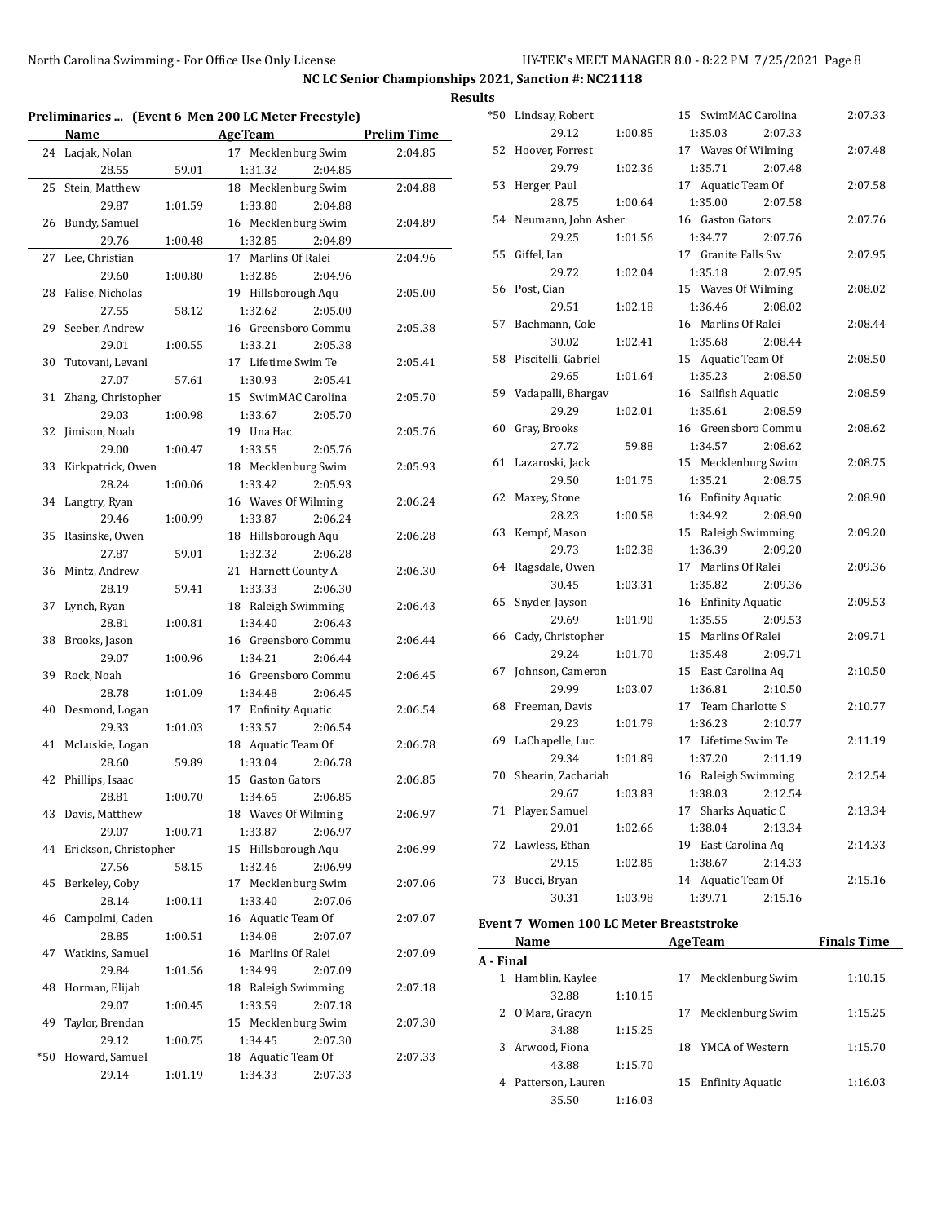|                          |         |                                                     |             | <b>Results</b> |                                                |         |                     |                    |
|--------------------------|---------|-----------------------------------------------------|-------------|----------------|------------------------------------------------|---------|---------------------|--------------------|
|                          |         | Preliminaries  (Event 6 Men 200 LC Meter Freestyle) |             |                | *50 Lindsay, Robert                            |         | 15 SwimMAC Carolina | 2:07.33            |
| Name                     |         | <b>AgeTeam</b>                                      | Prelim Time |                | 29.12                                          | 1:00.85 | 1:35.03<br>2:07.33  |                    |
| 24 Lacjak, Nolan         |         | 17 Mecklenburg Swim                                 | 2:04.85     |                | 52 Hoover, Forrest                             |         | 17 Waves Of Wilming | 2:07.48            |
| 28.55                    | 59.01   | 1:31.32<br>2:04.85                                  |             |                | 29.79                                          | 1:02.36 | 1:35.71<br>2:07.48  |                    |
| 25 Stein, Matthew        |         | 18 Mecklenburg Swim                                 | 2:04.88     |                | 53 Herger, Paul                                |         | 17 Aquatic Team Of  | 2:07.58            |
| 29.87                    | 1:01.59 | 1:33.80<br>2:04.88                                  |             |                | 28.75                                          | 1:00.64 | 1:35.00<br>2:07.58  |                    |
| 26 Bundy, Samuel         |         | 16 Mecklenburg Swim                                 | 2:04.89     |                | 54 Neumann, John Asher                         |         | 16 Gaston Gators    | 2:07.76            |
| 29.76                    | 1:00.48 | 1:32.85<br>2:04.89                                  |             |                | 29.25                                          | 1:01.56 | 1:34.77<br>2:07.76  |                    |
| 27 Lee, Christian        |         | 17 Marlins Of Ralei                                 | 2:04.96     |                | 55 Giffel, Ian                                 |         | 17 Granite Falls Sw | 2:07.95            |
| 29.60                    | 1:00.80 | 1:32.86<br>2:04.96                                  |             |                | 29.72                                          | 1:02.04 | 1:35.18<br>2:07.95  |                    |
| 28 Falise, Nicholas      |         | 19 Hillsborough Aqu                                 | 2:05.00     |                | 56 Post, Cian                                  |         | 15 Waves Of Wilming | 2:08.02            |
| 27.55                    | 58.12   | 1:32.62<br>2:05.00                                  |             |                | 29.51                                          | 1:02.18 | 2:08.02<br>1:36.46  |                    |
| 29 Seeber, Andrew        |         | 16 Greensboro Commu                                 | 2:05.38     |                | 57 Bachmann, Cole                              |         | 16 Marlins Of Ralei | 2:08.44            |
| 29.01                    | 1:00.55 | 1:33.21<br>2:05.38                                  |             |                | 30.02                                          | 1:02.41 | 1:35.68<br>2:08.44  |                    |
| 30 Tutovani, Levani      |         | 17 Lifetime Swim Te                                 | 2:05.41     |                | 58 Piscitelli, Gabriel                         |         | 15 Aquatic Team Of  | 2:08.50            |
| 27.07                    | 57.61   | 1:30.93<br>2:05.41                                  |             |                | 29.65                                          | 1:01.64 | 1:35.23<br>2:08.50  |                    |
| 31 Zhang, Christopher    |         | 15 SwimMAC Carolina                                 | 2:05.70     |                | 59 Vadapalli, Bhargav                          |         | 16 Sailfish Aquatic | 2:08.59            |
|                          |         |                                                     |             |                | 29.29                                          | 1:02.01 | 1:35.61<br>2:08.59  |                    |
| 29.03                    | 1:00.98 | 1:33.67<br>2:05.70                                  |             |                | 60 Gray, Brooks                                |         | 16 Greensboro Commu | 2:08.62            |
| 32 Jimison, Noah         |         | 19 Una Hac                                          | 2:05.76     |                | 27.72                                          | 59.88   | 1:34.57<br>2:08.62  |                    |
| 29.00                    | 1:00.47 | 1:33.55<br>2:05.76                                  |             |                | 61 Lazaroski, Jack                             |         | 15 Mecklenburg Swim | 2:08.75            |
| 33 Kirkpatrick, Owen     |         | 18 Mecklenburg Swim                                 | 2:05.93     |                | 29.50                                          | 1:01.75 | 1:35.21<br>2:08.75  |                    |
| 28.24                    | 1:00.06 | 1:33.42<br>2:05.93                                  |             |                | 62 Maxey, Stone                                |         | 16 Enfinity Aquatic | 2:08.90            |
| 34 Langtry, Ryan         |         | 16 Waves Of Wilming                                 | 2:06.24     |                | 28.23                                          | 1:00.58 | 1:34.92<br>2:08.90  |                    |
| 29.46                    | 1:00.99 | 1:33.87<br>2:06.24                                  |             |                |                                                |         |                     | 2:09.20            |
| 35 Rasinske, Owen        |         | 18 Hillsborough Aqu                                 | 2:06.28     |                | 63 Kempf, Mason                                |         | 15 Raleigh Swimming |                    |
| 27.87                    | 59.01   | 1:32.32<br>2:06.28                                  |             |                | 29.73                                          | 1:02.38 | 2:09.20<br>1:36.39  |                    |
| 36 Mintz, Andrew         |         | 21 Harnett County A                                 | 2:06.30     |                | 64 Ragsdale, Owen                              |         | 17 Marlins Of Ralei | 2:09.36            |
| 28.19                    | 59.41   | 1:33.33<br>2:06.30                                  |             |                | 30.45                                          | 1:03.31 | 1:35.82<br>2:09.36  |                    |
| 37 Lynch, Ryan           |         | 18 Raleigh Swimming                                 | 2:06.43     |                | 65 Snyder, Jayson                              |         | 16 Enfinity Aquatic | 2:09.53            |
| 28.81                    | 1:00.81 | 1:34.40<br>2:06.43                                  |             |                | 29.69                                          | 1:01.90 | 1:35.55<br>2:09.53  |                    |
| 38 Brooks, Jason         |         | 16 Greensboro Commu                                 | 2:06.44     |                | 66 Cady, Christopher                           |         | 15 Marlins Of Ralei | 2:09.71            |
| 29.07                    | 1:00.96 | 1:34.21<br>2:06.44                                  |             |                | 29.24                                          | 1:01.70 | 1:35.48<br>2:09.71  |                    |
| 39 Rock, Noah            |         | 16 Greensboro Commu                                 | 2:06.45     |                | 67 Johnson, Cameron                            |         | 15 East Carolina Aq | 2:10.50            |
| 28.78                    | 1:01.09 | 2:06.45<br>1:34.48                                  |             |                | 29.99                                          | 1:03.07 | 1:36.81<br>2:10.50  |                    |
| 40 Desmond, Logan        |         | 17 Enfinity Aquatic                                 | 2:06.54     |                | 68 Freeman, Davis                              |         | 17 Team Charlotte S | 2:10.77            |
| 29.33                    | 1:01.03 | 1:33.57<br>2:06.54                                  |             |                | 29.23                                          | 1:01.79 | 1:36.23<br>2:10.77  |                    |
| 41 McLuskie, Logan       |         | 18 Aquatic Team Of                                  | 2:06.78     |                | 69 LaChapelle, Luc                             |         | 17 Lifetime Swim Te | 2:11.19            |
| 28.60                    | 59.89   | 1:33.04<br>2:06.78                                  |             |                | 29.34                                          | 1:01.89 | 1:37.20<br>2:11.19  |                    |
| 42 Phillips, Isaac       |         | 15 Gaston Gators                                    | 2:06.85     |                | 70 Shearin, Zachariah                          |         | 16 Raleigh Swimming | 2:12.54            |
| 28.81                    | 1:00.70 | 1:34.65<br>2:06.85                                  |             |                | 29.67                                          | 1:03.83 | 1:38.03<br>2:12.54  |                    |
| 43 Davis, Matthew        |         | 18 Waves Of Wilming                                 | 2:06.97     |                | 71 Player, Samuel                              |         | 17 Sharks Aquatic C | 2:13.34            |
| 29.07                    | 1:00.71 | 1:33.87<br>2:06.97                                  |             |                | 29.01                                          | 1:02.66 | 1:38.04<br>2:13.34  |                    |
| 44 Erickson, Christopher |         | 15 Hillsborough Aqu                                 | 2:06.99     |                | 72 Lawless, Ethan                              |         | 19 East Carolina Aq | 2:14.33            |
| 27.56                    | 58.15   | 1:32.46<br>2:06.99                                  |             |                | 29.15                                          | 1:02.85 | 1:38.67<br>2:14.33  |                    |
| 45 Berkeley, Coby        |         | 17 Mecklenburg Swim                                 | 2:07.06     |                | 73 Bucci, Bryan                                |         | 14 Aquatic Team Of  | 2:15.16            |
| 28.14                    | 1:00.11 | 1:33.40<br>2:07.06                                  |             |                | 30.31                                          | 1:03.98 | 1:39.71<br>2:15.16  |                    |
| 46 Campolmi, Caden       |         | 16 Aquatic Team Of                                  | 2:07.07     |                |                                                |         |                     |                    |
| 28.85                    | 1:00.51 | 1:34.08<br>2:07.07                                  |             |                | <b>Event 7 Women 100 LC Meter Breaststroke</b> |         |                     |                    |
| 47 Watkins, Samuel       |         | 16 Marlins Of Ralei                                 | 2:07.09     |                | Name                                           |         | <b>AgeTeam</b>      | <b>Finals Time</b> |
| 29.84                    | 1:01.56 | 1:34.99<br>2:07.09                                  |             | A - Final      |                                                |         |                     |                    |
| 48 Horman, Elijah        |         | 18 Raleigh Swimming                                 | 2:07.18     |                | 1 Hamblin, Kaylee                              |         | 17 Mecklenburg Swim | 1:10.15            |
| 29.07                    | 1:00.45 | 1:33.59<br>2:07.18                                  |             |                | 32.88                                          | 1:10.15 |                     |                    |
| 49 Taylor, Brendan       |         | 15 Mecklenburg Swim                                 | 2:07.30     |                | 2 O'Mara, Gracyn                               |         | 17 Mecklenburg Swim | 1:15.25            |
| 29.12                    | 1:00.75 | 1:34.45<br>2:07.30                                  |             |                | 34.88                                          | 1:15.25 |                     |                    |
| *50 Howard, Samuel       |         |                                                     | 2:07.33     |                | 3 Arwood, Fiona                                |         | 18 YMCA of Western  | 1:15.70            |
|                          |         | 18 Aquatic Team Of                                  |             |                | 43.88                                          | 1:15.70 |                     |                    |
| 29.14                    | 1:01.19 | 2:07.33<br>1:34.33                                  |             |                | 4 Patterson, Lauren                            |         | 15 Enfinity Aquatic | 1:16.03            |
|                          |         |                                                     |             |                | 35.50                                          | 1:16.03 |                     |                    |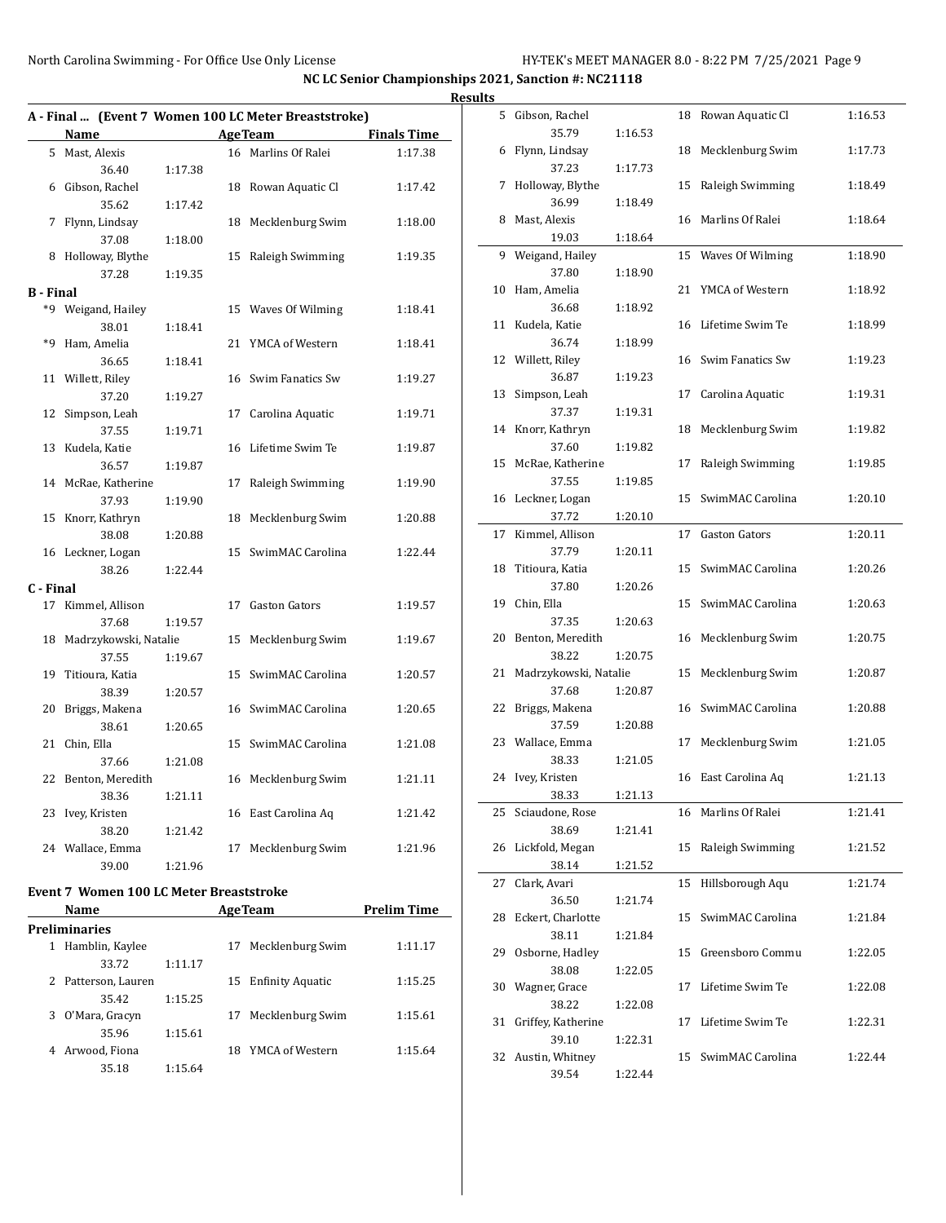|           |                       |         |    | A - Final  (Event 7 Women 100 LC Meter Breaststroke) |                    |
|-----------|-----------------------|---------|----|------------------------------------------------------|--------------------|
|           | Name                  |         |    | <b>Age Team</b>                                      | <b>Finals Time</b> |
| 5         | Mast, Alexis          |         | 16 | Marlins Of Ralei                                     | 1:17.38            |
|           | 36.40                 | 1:17.38 |    |                                                      |                    |
| 6         | Gibson, Rachel        |         | 18 | Rowan Aquatic Cl                                     | 1:17.42            |
|           | 35.62                 | 1:17.42 |    |                                                      |                    |
| 7         | Flynn, Lindsay        |         | 18 | Mecklenburg Swim                                     | 1:18.00            |
|           | 37.08                 | 1:18.00 |    |                                                      |                    |
| 8         | Holloway, Blythe      |         | 15 | Raleigh Swimming                                     | 1:19.35            |
|           | 37.28                 | 1:19.35 |    |                                                      |                    |
| B - Final |                       |         |    |                                                      |                    |
|           | *9 Weigand, Hailey    |         |    | 15 Waves Of Wilming                                  | 1:18.41            |
|           | 38.01                 | 1:18.41 |    |                                                      |                    |
| *q        | Ham, Amelia           |         | 21 | YMCA of Western                                      | 1:18.41            |
|           | 36.65                 | 1:18.41 |    |                                                      |                    |
| 11        | Willett, Riley        |         |    | 16 Swim Fanatics Sw                                  | 1:19.27            |
|           | 37.20                 | 1:19.27 |    |                                                      |                    |
| 12        | Simpson, Leah         |         | 17 | Carolina Aquatic                                     | 1:19.71            |
|           | 37.55                 | 1:19.71 |    |                                                      |                    |
| 13        | Kudela, Katie         |         | 16 | Lifetime Swim Te                                     | 1:19.87            |
|           | 36.57                 | 1:19.87 |    |                                                      |                    |
|           | 14 McRae, Katherine   |         | 17 | Raleigh Swimming                                     | 1:19.90            |
|           | 37.93                 | 1:19.90 |    |                                                      |                    |
| 15        | Knorr, Kathryn        |         | 18 | Mecklenburg Swim                                     | 1:20.88            |
|           | 38.08                 | 1:20.88 |    |                                                      |                    |
|           | 16 Leckner, Logan     |         | 15 | SwimMAC Carolina                                     | 1:22.44            |
|           | 38.26                 | 1:22.44 |    |                                                      |                    |
| C - Final |                       |         |    |                                                      |                    |
|           | 17 Kimmel, Allison    |         | 17 | <b>Gaston Gators</b>                                 | 1:19.57            |
|           | 37.68                 | 1:19.57 |    |                                                      |                    |
| 18        | Madrzykowski, Natalie |         | 15 | Mecklenburg Swim                                     | 1:19.67            |
|           | 37.55                 | 1:19.67 |    |                                                      |                    |
| 19        | Titioura, Katia       |         | 15 | SwimMAC Carolina                                     | 1:20.57            |
|           | 38.39                 | 1:20.57 |    |                                                      |                    |
| 20        | Briggs, Makena        |         |    | 16 SwimMAC Carolina                                  | 1:20.65            |
|           | 38.61                 | 1:20.65 |    |                                                      |                    |
| 21        | Chin, Ella            |         |    | 15 SwimMAC Carolina                                  | 1:21.08            |
|           | 37.66                 | 1:21.08 |    |                                                      |                    |
| 22        | Benton, Meredith      |         |    | 16 Mecklenburg Swim                                  | 1:21.11            |
|           | 38.36                 | 1:21.11 |    |                                                      |                    |
| 23        | Ivey, Kristen         |         |    | 16 East Carolina Aq                                  | 1:21.42            |
|           | 38.20                 | 1:21.42 |    |                                                      |                    |
|           | 24 Wallace, Emma      |         | 17 | Mecklenburg Swim                                     | 1:21.96            |
|           | 39.00                 | 1:21.96 |    |                                                      |                    |
|           |                       |         |    |                                                      |                    |

#### **Event 7 Women 100 LC Meter Breaststroke**

 $\overline{a}$ 

|   | Name                |         |     | <b>AgeTeam</b>          | <b>Prelim Time</b> |
|---|---------------------|---------|-----|-------------------------|--------------------|
|   | Preliminaries       |         |     |                         |                    |
| 1 | Hamblin, Kaylee     |         | 17  | Mecklenburg Swim        | 1:11.17            |
|   | 33.72               | 1:11.17 |     |                         |                    |
|   | 2 Patterson, Lauren |         | 15  | <b>Enfinity Aquatic</b> | 1:15.25            |
|   | 35.42               | 1:15.25 |     |                         |                    |
| 3 | O'Mara, Gracyn      |         | 17  | Mecklenburg Swim        | 1:15.61            |
|   | 35.96               | 1:15.61 |     |                         |                    |
| 4 | Arwood, Fiona       |         | 18. | YMCA of Western         | 1:15.64            |
|   | 35.18               | 1:15.64 |     |                         |                    |

| <b>Results</b> |                          |         |    |                      |         |
|----------------|--------------------------|---------|----|----------------------|---------|
|                | 5 Gibson, Rachel         |         |    | 18 Rowan Aquatic Cl  | 1:16.53 |
|                | 35.79                    | 1:16.53 |    |                      |         |
|                | 6 Flynn, Lindsay         |         |    | 18 Mecklenburg Swim  | 1:17.73 |
|                | 37.23                    | 1:17.73 |    |                      |         |
|                | 7 Holloway, Blythe       |         | 15 | Raleigh Swimming     | 1:18.49 |
|                | 36.99                    | 1:18.49 |    |                      |         |
|                | 8 Mast, Alexis           |         |    | 16 Marlins Of Ralei  | 1:18.64 |
|                | 19.03                    | 1:18.64 |    |                      |         |
|                | 9 Weigand, Hailey        |         | 15 | Waves Of Wilming     | 1:18.90 |
|                | 37.80                    | 1:18.90 |    |                      |         |
|                | 10 Ham, Amelia           |         |    | 21 YMCA of Western   | 1:18.92 |
|                | 36.68                    | 1:18.92 |    |                      |         |
|                | 11 Kudela, Katie         |         | 16 | Lifetime Swim Te     | 1:18.99 |
|                | 36.74                    | 1:18.99 |    |                      |         |
|                | 12 Willett, Riley        |         |    | 16 Swim Fanatics Sw  | 1:19.23 |
|                | 36.87                    | 1:19.23 |    |                      |         |
|                | 13 Simpson, Leah         |         |    | 17 Carolina Aquatic  | 1:19.31 |
|                | 37.37                    | 1:19.31 |    |                      |         |
|                | 14 Knorr, Kathryn        |         |    | 18 Mecklenburg Swim  | 1:19.82 |
|                | 37.60                    | 1:19.82 |    |                      |         |
|                | 15 McRae, Katherine      |         | 17 | Raleigh Swimming     | 1:19.85 |
|                | 37.55                    | 1:19.85 |    |                      |         |
|                | 16 Leckner, Logan        |         |    | 15 SwimMAC Carolina  | 1:20.10 |
|                | 37.72                    | 1:20.10 |    |                      |         |
|                | 17 Kimmel, Allison       |         | 17 | <b>Gaston Gators</b> | 1:20.11 |
|                | 37.79                    | 1:20.11 |    |                      |         |
|                | 18 Titioura, Katia       |         | 15 | SwimMAC Carolina     | 1:20.26 |
|                | 37.80                    | 1:20.26 |    |                      |         |
|                | 19 Chin, Ella            |         | 15 | SwimMAC Carolina     | 1:20.63 |
|                | 37.35                    | 1:20.63 |    |                      |         |
|                | 20 Benton, Meredith      |         |    | 16 Mecklenburg Swim  | 1:20.75 |
|                | 38.22                    | 1:20.75 |    |                      |         |
|                | 21 Madrzykowski, Natalie |         |    | 15 Mecklenburg Swim  | 1:20.87 |
|                | 37.68                    | 1:20.87 |    |                      |         |
|                | 22 Briggs, Makena        |         |    | 16 SwimMAC Carolina  | 1:20.88 |
|                | 37.59                    | 1:20.88 |    |                      |         |
|                | 23 Wallace, Emma         |         | 17 | Mecklenburg Swim     | 1:21.05 |
|                | 38.33                    | 1:21.05 |    |                      |         |
| 24             | Ivey, Kristen            |         |    | 16 East Carolina Aq  | 1:21.13 |
|                | 38.33                    | 1:21.13 |    |                      |         |
| 25             | Sciaudone, Rose          |         |    | 16 Marlins Of Ralei  | 1:21.41 |
|                | 38.69                    | 1:21.41 |    |                      |         |
|                | 26 Lickfold, Megan       |         | 15 | Raleigh Swimming     | 1:21.52 |
|                | 38.14                    | 1:21.52 |    |                      |         |
| 27             | Clark, Avari             |         | 15 | Hillsborough Aqu     | 1:21.74 |
|                | 36.50                    | 1:21.74 |    |                      |         |
| 28             | Eckert, Charlotte        |         | 15 | SwimMAC Carolina     | 1:21.84 |
|                | 38.11                    | 1:21.84 |    |                      |         |
|                | 29 Osborne, Hadley       |         |    | 15 Greensboro Commu  | 1:22.05 |
|                | 38.08                    | 1:22.05 |    |                      |         |
| 30             | Wagner, Grace            |         | 17 | Lifetime Swim Te     | 1:22.08 |
|                | 38.22                    | 1:22.08 |    |                      |         |
| 31             | Griffey, Katherine       |         | 17 | Lifetime Swim Te     | 1:22.31 |
|                | 39.10                    | 1:22.31 |    |                      |         |
|                | 32 Austin, Whitney       |         | 15 | SwimMAC Carolina     | 1:22.44 |
|                | 39.54                    | 1:22.44 |    |                      |         |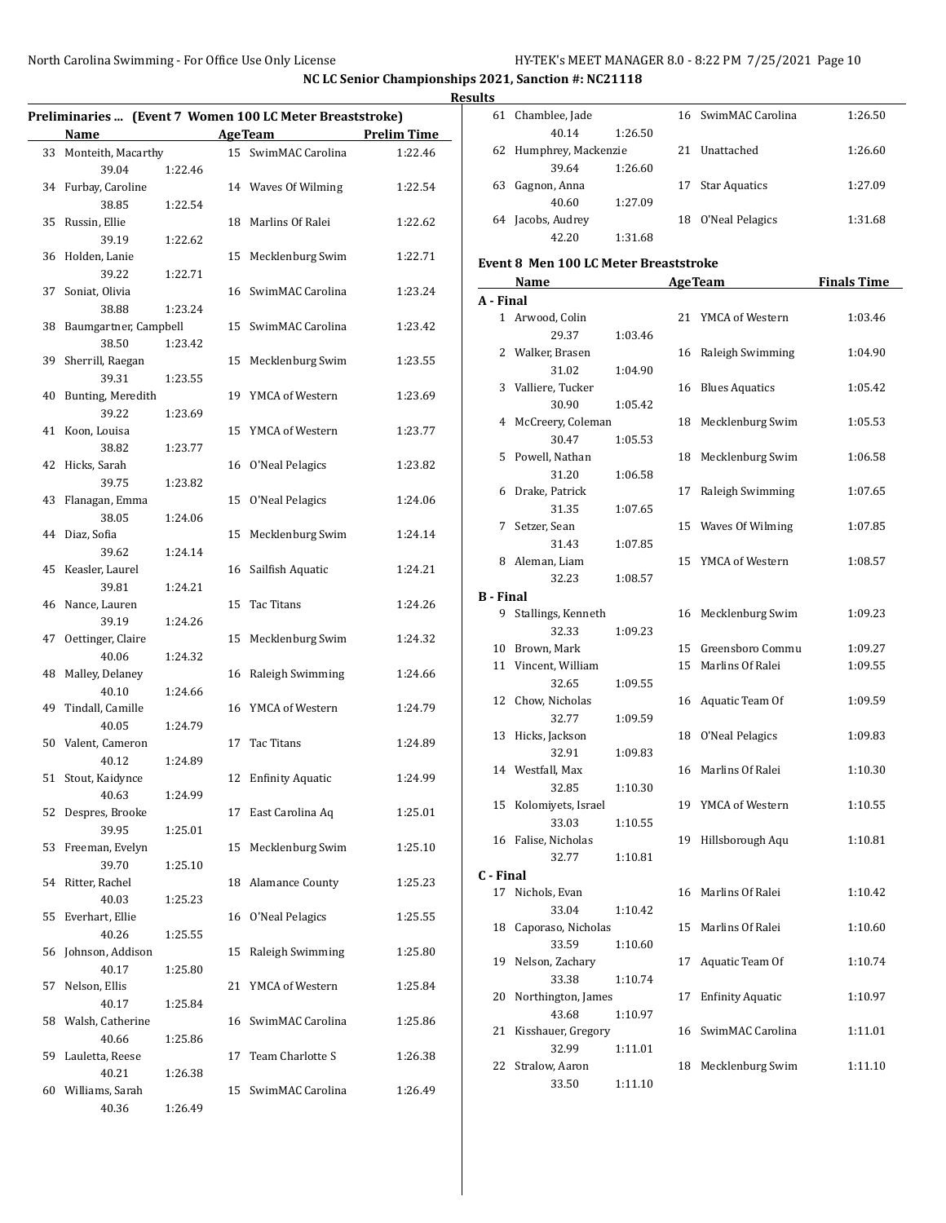$\overline{\phantom{0}}$ 

|    |                          |         |    |                                                          |                    | <b>Results</b>               |
|----|--------------------------|---------|----|----------------------------------------------------------|--------------------|------------------------------|
|    |                          |         |    | Preliminaries  (Event 7 Women 100 LC Meter Breaststroke) |                    | 6                            |
|    | Name                     |         |    | <b>Age Team</b>                                          | <b>Prelim Time</b> |                              |
|    | 33 Monteith, Macarthy    |         |    | 15 SwimMAC Carolina                                      | 1:22.46            | 6                            |
|    | 39.04                    | 1:22.46 |    |                                                          |                    |                              |
|    | 34 Furbay, Caroline      |         |    | 14 Waves Of Wilming                                      | 1:22.54            | 6                            |
|    | 38.85                    | 1:22.54 |    |                                                          |                    |                              |
|    | 35 Russin, Ellie         |         |    | 18 Marlins Of Ralei                                      | 1:22.62            | 6                            |
|    | 39.19                    | 1:22.62 |    |                                                          |                    |                              |
|    | 36 Holden, Lanie         |         |    | 15 Mecklenburg Swim                                      | 1:22.71            | Eve                          |
|    | 39.22                    | 1:22.71 |    |                                                          |                    |                              |
| 37 | Soniat, Olivia           |         |    | 16 SwimMAC Carolina                                      | 1:23.24            | $A -$                        |
|    | 38.88                    | 1:23.24 |    |                                                          |                    |                              |
|    | 38 Baumgartner, Campbell |         |    | 15 SwimMAC Carolina                                      | 1:23.42            |                              |
|    | 38.50                    | 1:23.42 |    |                                                          |                    |                              |
|    | 39 Sherrill, Raegan      |         |    | 15 Mecklenburg Swim                                      | 1:23.55            |                              |
|    | 39.31                    | 1:23.55 |    |                                                          |                    |                              |
|    | 40 Bunting, Meredith     |         |    | 19 YMCA of Western                                       | 1:23.69            |                              |
|    | 39.22                    | 1:23.69 |    |                                                          |                    |                              |
|    | 41 Koon, Louisa          |         |    | 15 YMCA of Western                                       | 1:23.77            |                              |
|    | 38.82                    | 1:23.77 |    |                                                          |                    |                              |
|    | 42 Hicks, Sarah          |         |    | 16 O'Neal Pelagics                                       | 1:23.82            |                              |
|    | 39.75                    | 1:23.82 |    |                                                          |                    |                              |
|    | 43 Flanagan, Emma        |         |    | 15 O'Neal Pelagics                                       | 1:24.06            |                              |
|    | 38.05                    | 1:24.06 |    |                                                          |                    |                              |
|    | 44 Diaz, Sofia           |         |    | 15 Mecklenburg Swim                                      | 1:24.14            |                              |
|    | 39.62                    | 1:24.14 |    |                                                          |                    |                              |
|    | 45 Keasler, Laurel       |         |    | 16 Sailfish Aquatic                                      | 1:24.21            |                              |
|    | 39.81                    | 1:24.21 |    |                                                          |                    | $B -$                        |
|    | 46 Nance, Lauren         |         |    | 15 Tac Titans                                            | 1:24.26            |                              |
|    | 39.19                    | 1:24.26 |    |                                                          |                    |                              |
| 47 | Oettinger, Claire        |         |    | 15 Mecklenburg Swim                                      | 1:24.32            |                              |
|    | 40.06                    | 1:24.32 |    |                                                          |                    | 1                            |
|    | 48 Malley, Delaney       |         |    | 16 Raleigh Swimming                                      | 1:24.66            | $\mathbf{1}$                 |
|    | 40.10                    | 1:24.66 |    |                                                          |                    | 1                            |
|    | 49 Tindall, Camille      |         |    | 16 YMCA of Western                                       | 1:24.79            |                              |
|    | 40.05                    | 1:24.79 |    |                                                          |                    | 1                            |
|    | 50 Valent, Cameron       |         |    | 17 Tac Titans                                            | 1:24.89            |                              |
|    | 40.12                    | 1:24.89 |    |                                                          |                    | 1                            |
|    | 51 Stout, Kaidynce       |         |    | 12 Enfinity Aquatic                                      | 1:24.99            |                              |
|    | 40.63                    | 1:24.99 |    |                                                          |                    |                              |
|    | 52 Despres, Brooke       |         |    | 17 East Carolina Aq                                      | 1:25.01            | 1                            |
|    | 39.95                    | 1:25.01 |    |                                                          |                    | 1                            |
| 53 | Freeman, Evelyn          |         |    | 15 Mecklenburg Swim                                      | 1:25.10            |                              |
|    | 39.70                    | 1:25.10 |    |                                                          |                    |                              |
|    | 54 Ritter, Rachel        |         |    | 18 Alamance County                                       | 1:25.23            | $\mathsf{C}\cdot \mathsf{I}$ |
|    | 40.03                    | 1:25.23 |    |                                                          |                    | 1                            |
|    | 55 Everhart, Ellie       |         |    | 16 O'Neal Pelagics                                       | 1:25.55            |                              |
|    | 40.26                    | 1:25.55 |    |                                                          |                    | 1                            |
|    | 56 Johnson, Addison      |         |    | 15 Raleigh Swimming                                      | 1:25.80            |                              |
|    | 40.17                    | 1:25.80 |    |                                                          |                    | 1                            |
| 57 | Nelson, Ellis            |         |    | 21 YMCA of Western                                       | 1:25.84            |                              |
|    | 40.17                    | 1:25.84 |    |                                                          |                    | 2                            |
|    | 58 Walsh, Catherine      |         |    | 16 SwimMAC Carolina                                      | 1:25.86            |                              |
|    | 40.66                    | 1:25.86 |    |                                                          |                    | 2                            |
| 59 | Lauletta, Reese          |         | 17 | Team Charlotte S                                         | 1:26.38            |                              |
|    | 40.21                    | 1:26.38 |    |                                                          |                    | 2                            |
|    | 60 Williams, Sarah       |         |    | 15 SwimMAC Carolina                                      | 1:26.49            |                              |
|    | 40.36                    | 1:26.49 |    |                                                          |                    |                              |

| uits             |                                              |           |    |                         |                    |
|------------------|----------------------------------------------|-----------|----|-------------------------|--------------------|
|                  | 61 Chamblee, Jade                            |           |    | 16 SwimMAC Carolina     | 1:26.50            |
|                  | 40.14                                        | 1:26.50   |    |                         |                    |
|                  | 62 Humphrey, Mackenzie                       |           |    | 21 Unattached           | 1:26.60            |
|                  | 39.64                                        | 1:26.60   |    |                         |                    |
|                  | 63 Gagnon, Anna                              |           | 17 | <b>Star Aquatics</b>    | 1:27.09            |
|                  | 40.60                                        | 1:27.09   |    |                         |                    |
|                  | 64 Jacobs, Audrey                            |           |    | 18 O'Neal Pelagics      | 1:31.68            |
|                  | 42.20                                        | 1:31.68   |    |                         |                    |
|                  | <b>Event 8 Men 100 LC Meter Breaststroke</b> |           |    |                         |                    |
|                  | Name                                         |           |    | <b>AgeTeam</b>          | <b>Finals Time</b> |
| A - Final        |                                              |           |    |                         |                    |
|                  | 1 Arwood, Colin                              |           |    | 21 YMCA of Western      | 1:03.46            |
|                  | 29.37                                        | 1:03.46   |    |                         |                    |
|                  | 2 Walker, Brasen                             |           | 16 | Raleigh Swimming        | 1:04.90            |
|                  | 31.02                                        | 1:04.90   |    |                         |                    |
|                  | 3 Valliere, Tucker                           |           |    | 16 Blues Aquatics       | 1:05.42            |
|                  | 30.90                                        | 1:05.42   |    |                         |                    |
|                  | 4 McCreery, Coleman                          |           |    | 18 Mecklenburg Swim     | 1:05.53            |
|                  | 30.47                                        | 1:05.53   |    |                         |                    |
|                  | 5 Powell, Nathan                             |           |    | 18 Mecklenburg Swim     | 1:06.58            |
|                  | 31.20                                        | 1:06.58   |    |                         |                    |
|                  | 6 Drake, Patrick                             |           | 17 | Raleigh Swimming        | 1:07.65            |
|                  | 31.35                                        | 1:07.65   |    |                         |                    |
|                  | 7 Setzer, Sean                               |           | 15 | Waves Of Wilming        | 1:07.85            |
|                  | 31.43                                        | 1:07.85   |    |                         |                    |
|                  | 8 Aleman, Liam                               |           |    | 15 YMCA of Western      | 1:08.57            |
|                  | 32.23                                        |           |    |                         |                    |
| <b>B</b> - Final |                                              | 1:08.57   |    |                         |                    |
|                  | 9 Stallings, Kenneth                         |           |    | Mecklenburg Swim        |                    |
|                  | 32.33                                        |           | 16 |                         | 1:09.23            |
|                  |                                              | 1:09.23   |    |                         |                    |
|                  | 10 Brown, Mark                               |           |    | 15 Greensboro Commu     | 1:09.27            |
|                  | 11 Vincent, William                          |           |    | 15 Marlins Of Ralei     | 1:09.55            |
|                  | 32.65                                        | 1:09.55   |    |                         |                    |
|                  | 12 Chow, Nicholas                            |           |    | 16 Aquatic Team Of      | 1:09.59            |
|                  | 32.77                                        | 1:09.59   |    |                         |                    |
|                  | 13 Hicks, Jackson                            |           |    | 18 O'Neal Pelagics      | 1:09.83            |
|                  | 32.91                                        | 1:09.83   |    |                         |                    |
|                  | 14 Westfall, Max                             |           |    | 16 Marlins Of Ralei     | 1:10.30            |
|                  | 32.85                                        | $1:10.30$ |    |                         |                    |
| 15               | Kolomiyets, Israel                           |           |    | 19 YMCA of Western      | 1:10.55            |
|                  | 33.03                                        | 1:10.55   |    |                         |                    |
|                  | 16 Falise, Nicholas                          |           | 19 | Hillsborough Aqu        | 1:10.81            |
|                  | 32.77                                        | 1:10.81   |    |                         |                    |
| C - Final        |                                              |           |    |                         |                    |
|                  | 17 Nichols, Evan                             |           | 16 | Marlins Of Ralei        | 1:10.42            |
|                  | 33.04                                        | 1:10.42   |    |                         |                    |
| 18               | Caporaso, Nicholas                           |           | 15 | Marlins Of Ralei        | 1:10.60            |
|                  | 33.59                                        | 1:10.60   |    |                         |                    |
| 19               | Nelson, Zachary                              |           | 17 | Aquatic Team Of         | 1:10.74            |
|                  | 33.38                                        | 1:10.74   |    |                         |                    |
| 20               | Northington, James                           |           | 17 | <b>Enfinity Aquatic</b> | 1:10.97            |
|                  | 43.68                                        | 1:10.97   |    |                         |                    |
| 21               | Kisshauer, Gregory                           |           | 16 | SwimMAC Carolina        | 1:11.01            |
|                  | 32.99                                        | 1:11.01   |    |                         |                    |
| 22               | Stralow, Aaron                               |           | 18 | Mecklenburg Swim        | 1:11.10            |
|                  | 33.50                                        | 1:11.10   |    |                         |                    |
|                  |                                              |           |    |                         |                    |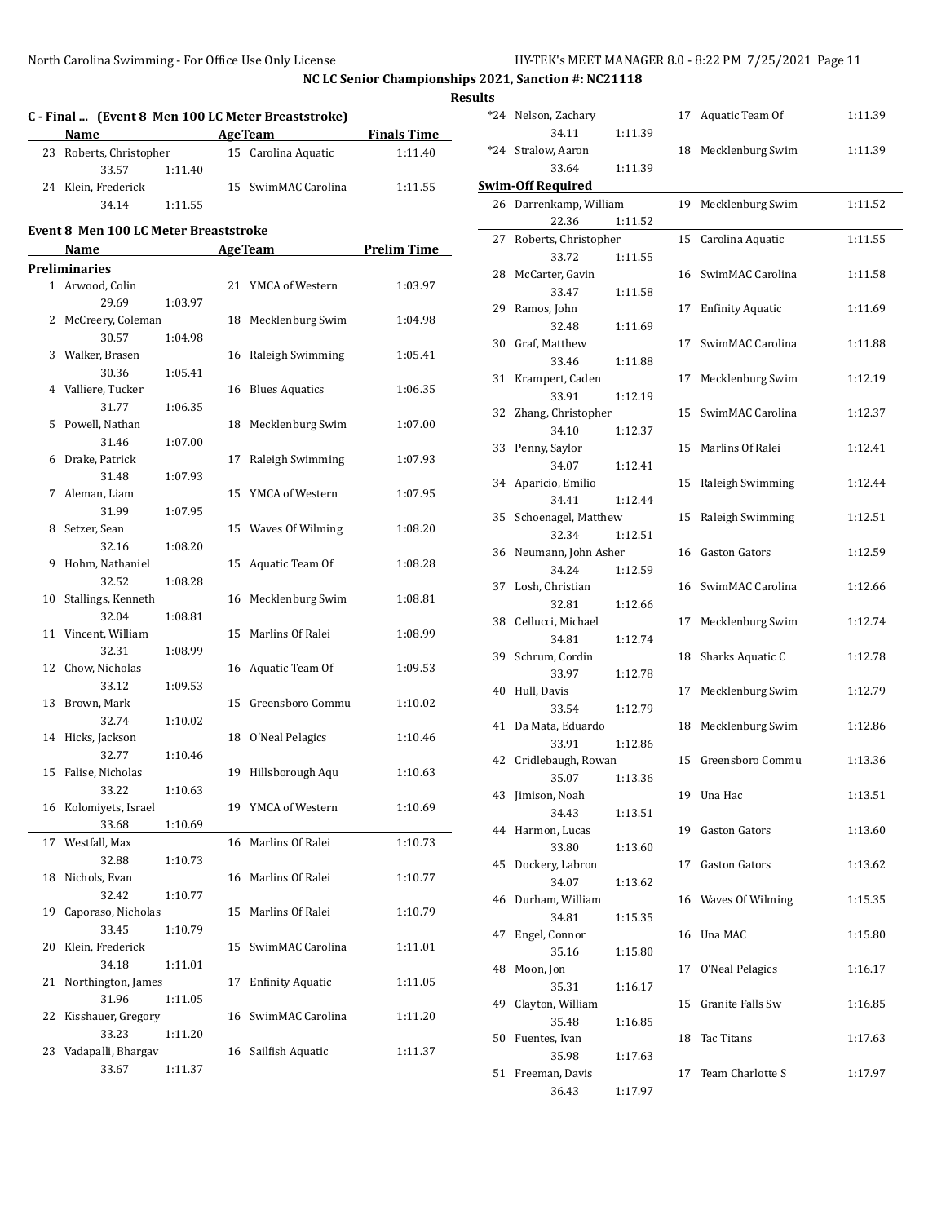|    |                                              |         |    |                                                    |                    | <b>Results</b> |
|----|----------------------------------------------|---------|----|----------------------------------------------------|--------------------|----------------|
|    |                                              |         |    | C - Final  (Event 8 Men 100 LC Meter Breaststroke) |                    | *2             |
|    | <b>Name</b>                                  |         |    | <b>AgeTeam</b>                                     | <b>Finals Time</b> |                |
|    | 23 Roberts, Christopher                      |         |    | 15 Carolina Aquatic                                | 1:11.40            | *2             |
|    | 33.57                                        | 1:11.40 |    |                                                    |                    |                |
|    | 24 Klein, Frederick                          |         |    | 15 SwimMAC Carolina                                | 1:11.55            | Swii           |
|    | 34.14                                        | 1:11.55 |    |                                                    |                    | $\overline{2}$ |
|    | <b>Event 8 Men 100 LC Meter Breaststroke</b> |         |    |                                                    |                    |                |
|    | Name                                         |         |    | <b>AgeTeam</b>                                     | <b>Prelim Time</b> | $2^{\prime}$   |
|    | <b>Preliminaries</b>                         |         |    |                                                    |                    |                |
|    | 1 Arwood, Colin                              |         |    | 21 YMCA of Western                                 | 1:03.97            | 2i             |
|    | 29.69                                        | 1:03.97 |    |                                                    |                    |                |
|    | 2 McCreery, Coleman                          |         |    | 18 Mecklenburg Swim                                | 1:04.98            | 2 <sup>0</sup> |
|    | 30.57                                        | 1:04.98 |    |                                                    |                    |                |
|    | 3 Walker, Brasen                             |         |    | 16 Raleigh Swimming                                | 1:05.41            | 3              |
|    | 30.36                                        | 1:05.41 |    |                                                    |                    |                |
|    | 4 Valliere, Tucker                           |         |    | 16 Blues Aquatics                                  | 1:06.35            | $3^{\circ}$    |
|    | 31.77                                        | 1:06.35 |    |                                                    |                    |                |
|    | 5 Powell, Nathan                             |         |    | 18 Mecklenburg Swim                                | 1:07.00            | 3              |
|    | 31.46                                        | 1:07.00 |    |                                                    |                    |                |
|    | 6 Drake, Patrick                             |         |    | 17 Raleigh Swimming                                | 1:07.93            | 3.             |
|    | 31.48                                        | 1:07.93 |    |                                                    |                    | 3 <sup>4</sup> |
|    | 7 Aleman, Liam                               |         |    | 15 YMCA of Western                                 | 1:07.95            |                |
|    | 31.99                                        | 1:07.95 |    |                                                    |                    | 3!             |
|    | 8 Setzer, Sean                               |         |    | 15 Waves Of Wilming                                | 1:08.20            |                |
|    | 32.16                                        | 1:08.20 |    |                                                    |                    | 3              |
|    | 9 Hohm, Nathaniel                            |         |    | 15 Aquatic Team Of                                 | 1:08.28            |                |
|    | 32.52                                        | 1:08.28 |    |                                                    |                    | 3'             |
|    | 10 Stallings, Kenneth                        |         |    | 16 Mecklenburg Swim                                | 1:08.81            |                |
|    | 32.04                                        | 1:08.81 |    |                                                    |                    | 31             |
|    | 11 Vincent, William                          |         |    | 15 Marlins Of Ralei                                | 1:08.99            |                |
|    | 32.31                                        | 1:08.99 |    |                                                    |                    | 3 <sup>0</sup> |
|    | 12 Chow, Nicholas                            |         |    | 16 Aquatic Team Of                                 | 1:09.53            |                |
|    | 33.12                                        | 1:09.53 |    |                                                    |                    | 4 <sub>1</sub> |
|    | 13 Brown, Mark                               |         |    | 15 Greensboro Commu                                | 1:10.02            |                |
|    | 32.74                                        | 1:10.02 |    |                                                    |                    | $\overline{4}$ |
|    | 14 Hicks, Jackson                            |         |    | 18 O'Neal Pelagics                                 | 1:10.46            |                |
|    | 32.77                                        | 1:10.46 |    |                                                    |                    | $4^{\circ}$    |
|    | 15 Falise, Nicholas                          |         |    | 19 Hillsborough Aqu                                | 1:10.63            |                |
|    | 33.22                                        | 1:10.63 |    |                                                    |                    | 4.             |
|    | 16 Kolomiyets, Israel                        |         |    | 19 YMCA of Western                                 | 1:10.69            |                |
|    | 33.68                                        | 1:10.69 |    |                                                    |                    | 4 <sup>1</sup> |
| 17 | Westfall, Max                                |         |    | 16 Marlins Of Ralei                                | 1:10.73            |                |
|    | 32.88                                        | 1:10.73 |    |                                                    |                    | 4.             |
| 18 | Nichols, Evan                                |         |    | 16 Marlins Of Ralei                                | 1:10.77            |                |
|    | 32.42                                        | 1:10.77 |    |                                                    |                    | 41             |
|    | 19 Caporaso, Nicholas                        |         |    | 15 Marlins Of Ralei                                | 1:10.79            |                |
|    | 33.45                                        | 1:10.79 |    |                                                    |                    | $4^{\prime}$   |
| 20 | Klein, Frederick                             |         | 15 | SwimMAC Carolina                                   | 1:11.01            |                |
|    | 34.18                                        | 1:11.01 |    |                                                    |                    | 41             |
| 21 | Northington, James                           |         | 17 | <b>Enfinity Aquatic</b>                            | 1:11.05            |                |
|    | 31.96                                        | 1:11.05 |    |                                                    |                    | 4 <sup>0</sup> |
| 22 | Kisshauer, Gregory                           |         |    | 16 SwimMAC Carolina                                | 1:11.20            |                |
|    | 33.23                                        | 1:11.20 |    |                                                    |                    | 5              |
| 23 | Vadapalli, Bhargav                           |         |    | 16 Sailfish Aquatic                                | 1:11.37            |                |
|    | 33.67                                        | 1:11.37 |    |                                                    |                    | 51             |

| ults |                             |         |    |                         |         |
|------|-----------------------------|---------|----|-------------------------|---------|
|      | *24 Nelson, Zachary         |         | 17 | Aquatic Team Of         | 1:11.39 |
|      | 34.11<br>*24 Stralow, Aaron | 1:11.39 |    | 18 Mecklenburg Swim     | 1:11.39 |
|      | 33.64                       | 1:11.39 |    |                         |         |
|      | <b>Swim-Off Required</b>    |         |    |                         |         |
|      | 26 Darrenkamp, William      |         | 19 | Mecklenburg Swim        | 1:11.52 |
|      | 22.36                       | 1:11.52 |    |                         |         |
| 27   | Roberts, Christopher        |         | 15 | Carolina Aquatic        | 1:11.55 |
|      | 33.72                       | 1:11.55 |    |                         |         |
|      |                             |         | 16 | SwimMAC Carolina        | 1:11.58 |
|      | 28 McCarter, Gavin          |         |    |                         |         |
|      | 33.47                       | 1:11.58 |    |                         |         |
|      | 29 Ramos, John              |         | 17 | <b>Enfinity Aquatic</b> | 1:11.69 |
|      | 32.48                       | 1:11.69 |    |                         |         |
| 30   | Graf, Matthew               |         | 17 | SwimMAC Carolina        | 1:11.88 |
|      | 33.46                       | 1:11.88 |    |                         |         |
|      | 31 Krampert, Caden          |         | 17 | Mecklenburg Swim        | 1:12.19 |
|      | 33.91                       | 1:12.19 |    |                         |         |
| 32   | Zhang, Christopher          |         | 15 | SwimMAC Carolina        | 1:12.37 |
|      | 34.10                       | 1:12.37 |    |                         |         |
| 33   | Penny, Saylor               |         |    | 15 Marlins Of Ralei     | 1:12.41 |
|      | 34.07                       | 1:12.41 |    |                         |         |
|      | 34 Aparicio, Emilio         |         | 15 | Raleigh Swimming        | 1:12.44 |
|      | 34.41                       | 1:12.44 |    |                         |         |
| 35   | Schoenagel, Matthew         |         | 15 | Raleigh Swimming        | 1:12.51 |
|      | 32.34                       | 1:12.51 |    |                         |         |
|      |                             |         |    |                         |         |
|      | 36 Neumann, John Asher      |         | 16 | <b>Gaston Gators</b>    | 1:12.59 |
|      | 34.24                       | 1:12.59 |    |                         |         |
|      | 37 Losh, Christian          |         |    | 16 SwimMAC Carolina     | 1:12.66 |
|      | 32.81                       | 1:12.66 |    |                         |         |
|      | 38 Cellucci, Michael        |         | 17 | Mecklenburg Swim        | 1:12.74 |
|      | 34.81                       | 1:12.74 |    |                         |         |
|      | 39 Schrum, Cordin           |         | 18 | Sharks Aquatic C        | 1:12.78 |
|      | 33.97                       | 1:12.78 |    |                         |         |
| 40   | Hull, Davis                 |         | 17 | Mecklenburg Swim        | 1:12.79 |
|      | 33.54                       | 1:12.79 |    |                         |         |
| 41   | Da Mata, Eduardo            |         | 18 | Mecklenburg Swim        | 1:12.86 |
|      | 33.91                       | 1:12.86 |    |                         |         |
|      | 42 Cridlebaugh, Rowan       |         |    | 15 Greensboro Commu     | 1:13.36 |
|      | 35.07                       | 1:13.36 |    |                         |         |
|      | 43 Jimison, Noah            |         |    | 19 Una Hac              | 1:13.51 |
|      | 34.43                       | 1:13.51 |    |                         |         |
|      | 44 Harmon, Lucas            |         |    | <b>Gaston Gators</b>    |         |
|      |                             |         | 19 |                         | 1:13.60 |
|      | 33.80                       | 1:13.60 |    |                         |         |
| 45   | Dockery, Labron             |         | 17 | Gaston Gators           | 1:13.62 |
|      | 34.07                       | 1:13.62 |    |                         |         |
| 46   | Durham, William             |         |    | 16 Waves Of Wilming     | 1:15.35 |
|      | 34.81                       | 1:15.35 |    |                         |         |
| 47   | Engel, Connor               |         | 16 | Una MAC                 | 1:15.80 |
|      | 35.16                       | 1:15.80 |    |                         |         |
| 48   | Moon, Jon                   |         | 17 | O'Neal Pelagics         | 1:16.17 |
|      | 35.31                       | 1:16.17 |    |                         |         |
| 49   | Clayton, William            |         | 15 | Granite Falls Sw        | 1:16.85 |
|      | 35.48                       | 1:16.85 |    |                         |         |
| 50   | Fuentes, Ivan               |         | 18 | Tac Titans              | 1:17.63 |
|      | 35.98                       | 1:17.63 |    |                         |         |
| 51   | Freeman, Davis              |         | 17 | Team Charlotte S        | 1:17.97 |
|      | 36.43                       | 1:17.97 |    |                         |         |
|      |                             |         |    |                         |         |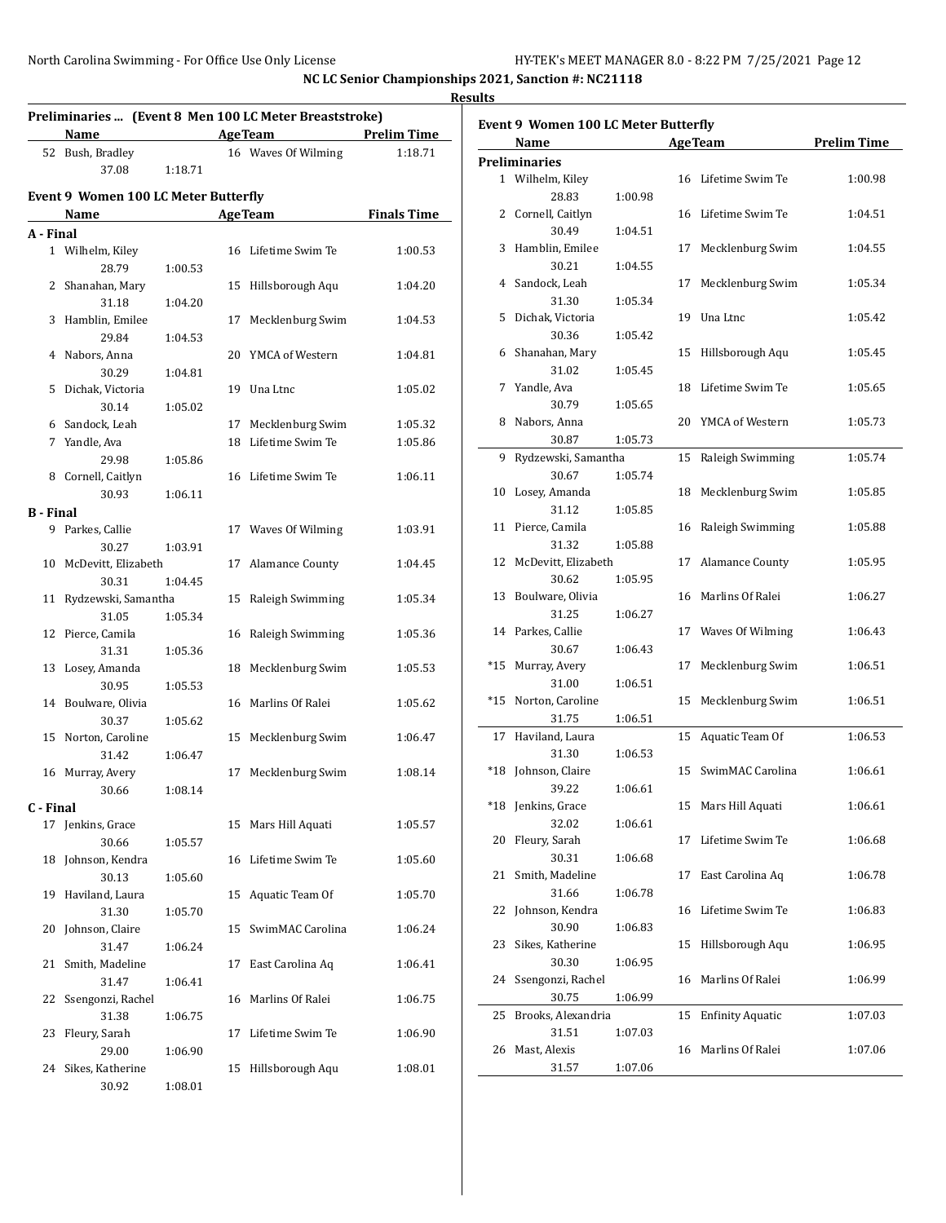| Preliminaries  (Event 8 Men 100 LC Meter Breaststroke)<br>Age Team Prelim Time<br>Name |                                      |                                         |    |                     |                    |  |  |  |  |
|----------------------------------------------------------------------------------------|--------------------------------------|-----------------------------------------|----|---------------------|--------------------|--|--|--|--|
|                                                                                        | 52 Bush, Bradley<br>37.08            |                                         |    | 16 Waves Of Wilming | 1:18.71            |  |  |  |  |
|                                                                                        |                                      | 1:18.71                                 |    |                     |                    |  |  |  |  |
|                                                                                        | Event 9 Women 100 LC Meter Butterfly |                                         |    |                     |                    |  |  |  |  |
|                                                                                        | Name                                 | <u> 1990 - Johann Barbara, martin a</u> |    | Age Team            | <b>Finals Time</b> |  |  |  |  |
| A - Final                                                                              |                                      |                                         |    |                     |                    |  |  |  |  |
|                                                                                        | 1 Wilhelm, Kiley                     |                                         |    | 16 Lifetime Swim Te | 1:00.53            |  |  |  |  |
|                                                                                        | 28.79                                | 1:00.53                                 |    |                     |                    |  |  |  |  |
|                                                                                        | 2 Shanahan, Mary                     |                                         |    | 15 Hillsborough Aqu | 1:04.20            |  |  |  |  |
|                                                                                        | 31.18                                | 1:04.20                                 |    |                     |                    |  |  |  |  |
|                                                                                        | 3 Hamblin, Emilee                    |                                         |    | 17 Mecklenburg Swim | 1:04.53            |  |  |  |  |
|                                                                                        | 29.84                                | 1:04.53                                 |    |                     |                    |  |  |  |  |
|                                                                                        | 4 Nabors, Anna                       |                                         |    | 20 YMCA of Western  | 1:04.81            |  |  |  |  |
|                                                                                        | 30.29                                | 1:04.81                                 |    |                     |                    |  |  |  |  |
|                                                                                        | 5 Dichak, Victoria                   |                                         |    | 19 Una Ltnc         | 1:05.02            |  |  |  |  |
|                                                                                        | 30.14<br>6 Sandock, Leah             | 1:05.02                                 |    | 17 Mecklenburg Swim | 1:05.32            |  |  |  |  |
|                                                                                        | 7 Yandle, Ava                        |                                         |    | 18 Lifetime Swim Te | 1:05.86            |  |  |  |  |
|                                                                                        | 29.98                                | 1:05.86                                 |    |                     |                    |  |  |  |  |
|                                                                                        | 8 Cornell, Caitlyn                   |                                         |    | 16 Lifetime Swim Te | 1:06.11            |  |  |  |  |
|                                                                                        | 30.93                                | 1:06.11                                 |    |                     |                    |  |  |  |  |
| <b>B</b> - Final                                                                       |                                      |                                         |    |                     |                    |  |  |  |  |
|                                                                                        | 9 Parkes, Callie                     |                                         |    | 17 Waves Of Wilming | 1:03.91            |  |  |  |  |
|                                                                                        | 30.27                                | 1:03.91                                 |    |                     |                    |  |  |  |  |
|                                                                                        | 10 McDevitt, Elizabeth               |                                         |    | 17 Alamance County  | 1:04.45            |  |  |  |  |
|                                                                                        | 30.31                                | 1:04.45                                 |    |                     |                    |  |  |  |  |
|                                                                                        | 11 Rydzewski, Samantha               |                                         |    | 15 Raleigh Swimming | 1:05.34            |  |  |  |  |
|                                                                                        | 31.05                                | 1:05.34                                 |    |                     |                    |  |  |  |  |
|                                                                                        | 12 Pierce, Camila                    |                                         |    | 16 Raleigh Swimming | 1:05.36            |  |  |  |  |
|                                                                                        | 31.31                                | 1:05.36                                 |    |                     |                    |  |  |  |  |
|                                                                                        | 13 Losey, Amanda                     |                                         |    | 18 Mecklenburg Swim | 1:05.53            |  |  |  |  |
|                                                                                        | 30.95                                | 1:05.53                                 |    |                     |                    |  |  |  |  |
|                                                                                        | 14 Boulware, Olivia                  |                                         |    | 16 Marlins Of Ralei | 1:05.62            |  |  |  |  |
|                                                                                        | 30.37                                | 1:05.62                                 |    |                     |                    |  |  |  |  |
|                                                                                        | 15 Norton, Caroline                  |                                         |    | 15 Mecklenburg Swim | 1:06.47            |  |  |  |  |
|                                                                                        | 31.42                                | 1:06.47                                 |    |                     |                    |  |  |  |  |
|                                                                                        | 16 Murray, Avery                     |                                         |    | 17 Mecklenburg Swim | 1:08.14            |  |  |  |  |
|                                                                                        | 30.66                                | 1:08.14                                 |    |                     |                    |  |  |  |  |
| C - Final                                                                              |                                      |                                         |    |                     |                    |  |  |  |  |
|                                                                                        | 17 Jenkins, Grace                    |                                         | 15 | Mars Hill Aquati    | 1:05.57            |  |  |  |  |
|                                                                                        | 30.66                                | 1:05.57                                 |    |                     |                    |  |  |  |  |
|                                                                                        | 18 Johnson, Kendra                   |                                         |    | 16 Lifetime Swim Te | 1:05.60            |  |  |  |  |
|                                                                                        | 30.13                                | 1:05.60                                 |    |                     |                    |  |  |  |  |
|                                                                                        | 19 Haviland, Laura                   |                                         |    | 15 Aquatic Team Of  | 1:05.70            |  |  |  |  |
|                                                                                        | 31.30                                | 1:05.70                                 |    |                     |                    |  |  |  |  |
| 20                                                                                     | Johnson, Claire                      |                                         | 15 | SwimMAC Carolina    | 1:06.24            |  |  |  |  |
| 21                                                                                     | 31.47<br>Smith, Madeline             | 1:06.24                                 | 17 | East Carolina Aq    | 1:06.41            |  |  |  |  |
|                                                                                        | 31.47                                | 1:06.41                                 |    |                     |                    |  |  |  |  |
| 22                                                                                     | Ssengonzi, Rachel                    |                                         |    | 16 Marlins Of Ralei | 1:06.75            |  |  |  |  |
|                                                                                        | 31.38                                | 1:06.75                                 |    |                     |                    |  |  |  |  |
| 23                                                                                     | Fleury, Sarah                        |                                         | 17 | Lifetime Swim Te    | 1:06.90            |  |  |  |  |
|                                                                                        | 29.00                                | 1:06.90                                 |    |                     |                    |  |  |  |  |
| 24                                                                                     | Sikes, Katherine                     |                                         |    | 15 Hillsborough Aqu | 1:08.01            |  |  |  |  |
|                                                                                        | 30.92                                | 1:08.01                                 |    |                     |                    |  |  |  |  |
|                                                                                        |                                      |                                         |    |                     |                    |  |  |  |  |

|       | Name                 |         |    | <b>AgeTeam</b>          | <b>Prelim Time</b> |
|-------|----------------------|---------|----|-------------------------|--------------------|
|       | <b>Preliminaries</b> |         |    |                         |                    |
|       | 1 Wilhelm, Kiley     |         | 16 | Lifetime Swim Te        | 1:00.98            |
|       | 28.83                | 1:00.98 |    |                         |                    |
|       | 2 Cornell, Caitlyn   |         |    | 16 Lifetime Swim Te     | 1:04.51            |
|       | 30.49                | 1:04.51 |    |                         |                    |
| 3     | Hamblin, Emilee      |         | 17 | Mecklenburg Swim        | 1:04.55            |
|       | 30.21                | 1:04.55 |    |                         |                    |
| 4     | Sandock, Leah        |         | 17 | Mecklenburg Swim        | 1:05.34            |
|       | 31.30                | 1:05.34 |    |                         |                    |
| 5     | Dichak, Victoria     |         |    | 19 Una Ltnc             | 1:05.42            |
|       | 30.36                | 1:05.42 |    |                         |                    |
|       | 6 Shanahan, Mary     |         | 15 | Hillsborough Aqu        | 1:05.45            |
|       | 31.02                | 1:05.45 |    |                         |                    |
| 7     | Yandle, Ava          |         |    | 18 Lifetime Swim Te     | 1:05.65            |
|       | 30.79                | 1:05.65 |    |                         |                    |
| 8     | Nabors, Anna         |         |    | 20 YMCA of Western      | 1:05.73            |
|       | 30.87                | 1:05.73 |    |                         |                    |
| 9.    | Rydzewski, Samantha  |         | 15 | Raleigh Swimming        | 1:05.74            |
|       | 30.67                | 1:05.74 |    |                         |                    |
| 10    | Losey, Amanda        |         | 18 | Mecklenburg Swim        | 1:05.85            |
|       | 31.12                | 1:05.85 |    |                         |                    |
| 11    | Pierce, Camila       |         | 16 | Raleigh Swimming        | 1:05.88            |
|       | 31.32                | 1:05.88 |    |                         |                    |
| 12    | McDevitt, Elizabeth  |         | 17 | <b>Alamance County</b>  | 1:05.95            |
|       | 30.62                | 1:05.95 |    |                         |                    |
| 13    | Boulware, Olivia     |         |    | 16 Marlins Of Ralei     | 1:06.27            |
|       |                      |         |    |                         |                    |
|       | 31.25                | 1:06.27 |    |                         |                    |
|       | 14 Parkes, Callie    |         |    | 17 Waves Of Wilming     | 1:06.43            |
|       | 30.67                | 1:06.43 |    |                         |                    |
| $*15$ | Murray, Avery        |         | 17 | Mecklenburg Swim        | 1:06.51            |
|       | 31.00                | 1:06.51 |    |                         |                    |
|       | *15 Norton, Caroline |         |    | 15 Mecklenburg Swim     | 1:06.51            |
|       | 31.75                | 1:06.51 |    |                         |                    |
| 17    | Haviland, Laura      |         |    | 15 Aquatic Team Of      | 1:06.53            |
|       | 31.30                | 1:06.53 |    |                         |                    |
|       | *18 Johnson, Claire  |         | 15 | SwimMAC Carolina        | 1:06.61            |
|       | 39.22                | 1:06.61 |    |                         |                    |
| $*18$ | Jenkins, Grace       |         | 15 | Mars Hill Aquati        | 1:06.61            |
|       | 32.02                | 1:06.61 |    |                         |                    |
| 20    | Fleury, Sarah        |         | 17 | Lifetime Swim Te        | 1:06.68            |
|       | 30.31                | 1:06.68 |    |                         |                    |
| 21    | Smith, Madeline      |         | 17 | East Carolina Aq        | 1:06.78            |
|       | 31.66                | 1:06.78 |    |                         |                    |
| 22    | Johnson, Kendra      |         | 16 | Lifetime Swim Te        | 1:06.83            |
|       | 30.90                | 1:06.83 |    |                         |                    |
| 23    | Sikes, Katherine     |         | 15 | Hillsborough Aqu        | 1:06.95            |
|       | 30.30                | 1:06.95 |    |                         |                    |
| 24    | Ssengonzi, Rachel    |         | 16 | Marlins Of Ralei        | 1:06.99            |
|       | 30.75                | 1:06.99 |    |                         |                    |
| 25    | Brooks, Alexandria   |         | 15 | <b>Enfinity Aquatic</b> | 1:07.03            |
|       | 31.51                | 1:07.03 |    |                         |                    |
| 26    | Mast, Alexis         |         | 16 | Marlins Of Ralei        | 1:07.06            |
|       | 31.57                | 1:07.06 |    |                         |                    |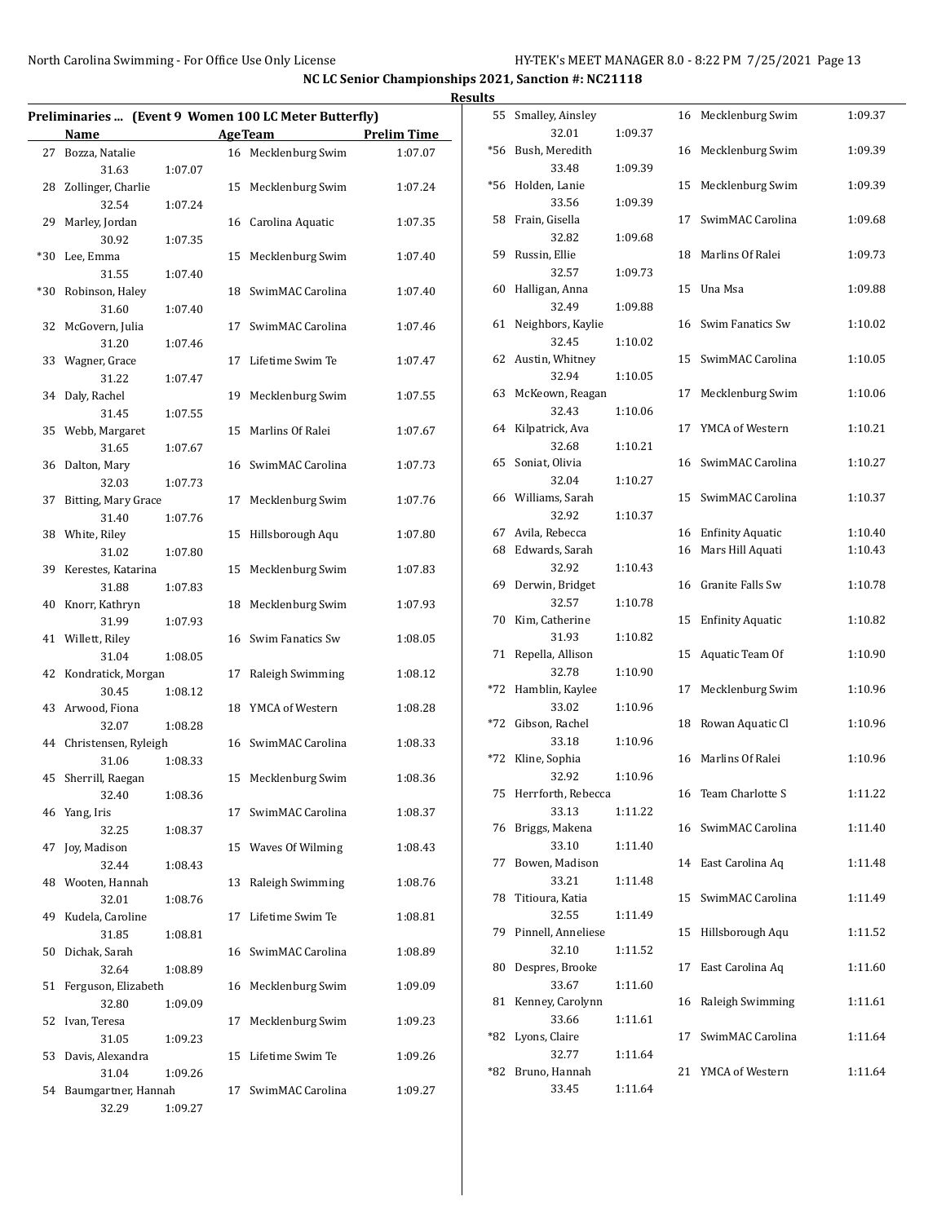|    |                                  |         |                |                                                       |                    | <b>Results</b> |                              |         |                     |         |
|----|----------------------------------|---------|----------------|-------------------------------------------------------|--------------------|----------------|------------------------------|---------|---------------------|---------|
|    |                                  |         |                | Preliminaries  (Event 9 Women 100 LC Meter Butterfly) |                    |                | 55 Smalley, Ainsley          |         | 16 Mecklenburg Swim | 1:09.37 |
|    | Name                             |         | <b>AgeTeam</b> |                                                       | <b>Prelim Time</b> |                | 32.01                        | 1:09.37 |                     |         |
|    | 27 Bozza, Natalie                |         |                | 16 Mecklenburg Swim                                   | 1:07.07            |                | *56 Bush, Meredith           |         | 16 Mecklenburg Swim | 1:09.39 |
|    | 31.63                            | 1:07.07 |                |                                                       |                    |                | 33.48                        | 1:09.39 |                     |         |
|    | 28 Zollinger, Charlie            |         |                | 15 Mecklenburg Swim                                   | 1:07.24            |                | *56 Holden, Lanie            |         | 15 Mecklenburg Swim | 1:09.39 |
|    | 32.54                            | 1:07.24 |                |                                                       |                    |                | 33.56                        | 1:09.39 |                     |         |
|    | 29 Marley, Jordan                |         |                | 16 Carolina Aquatic                                   | 1:07.35            |                | 58 Frain, Gisella            |         | 17 SwimMAC Carolina | 1:09.68 |
|    | 30.92                            | 1:07.35 |                |                                                       |                    |                | 32.82                        | 1:09.68 |                     |         |
|    | *30 Lee, Emma                    |         |                | 15 Mecklenburg Swim                                   | 1:07.40            |                | 59 Russin, Ellie<br>32.57    | 1:09.73 | 18 Marlins Of Ralei | 1:09.73 |
|    | 31.55                            | 1:07.40 |                |                                                       |                    |                | 60 Halligan, Anna            |         | 15 Una Msa          | 1:09.88 |
|    | *30 Robinson, Haley              |         |                | 18 SwimMAC Carolina                                   | 1:07.40            |                | 32.49                        | 1:09.88 |                     |         |
|    | 31.60                            | 1:07.40 |                |                                                       |                    |                | 61 Neighbors, Kaylie         |         | 16 Swim Fanatics Sw | 1:10.02 |
|    | 32 McGovern, Julia<br>31.20      | 1:07.46 |                | 17 SwimMAC Carolina                                   | 1:07.46            |                | 32.45                        | 1:10.02 |                     |         |
|    | 33 Wagner, Grace                 |         |                | 17 Lifetime Swim Te                                   | 1:07.47            |                | 62 Austin, Whitney           |         | 15 SwimMAC Carolina | 1:10.05 |
|    | 31.22                            | 1:07.47 |                |                                                       |                    |                | 32.94                        | 1:10.05 |                     |         |
|    | 34 Daly, Rachel                  |         |                | 19 Mecklenburg Swim                                   | 1:07.55            |                | 63 McKeown, Reagan           |         | 17 Mecklenburg Swim | 1:10.06 |
|    | 31.45                            | 1:07.55 |                |                                                       |                    |                | 32.43                        | 1:10.06 |                     |         |
|    | 35 Webb, Margaret                |         |                | 15 Marlins Of Ralei                                   | 1:07.67            |                | 64 Kilpatrick, Ava           |         | 17 YMCA of Western  | 1:10.21 |
|    | 31.65                            | 1:07.67 |                |                                                       |                    |                | 32.68                        | 1:10.21 |                     |         |
|    | 36 Dalton, Mary                  |         |                | 16 SwimMAC Carolina                                   | 1:07.73            |                | 65 Soniat, Olivia            |         | 16 SwimMAC Carolina | 1:10.27 |
|    | 32.03                            | 1:07.73 |                |                                                       |                    |                | 32.04                        | 1:10.27 |                     |         |
|    | 37 Bitting, Mary Grace           |         |                | 17 Mecklenburg Swim                                   | 1:07.76            |                | 66 Williams, Sarah           |         | 15 SwimMAC Carolina | 1:10.37 |
|    | 31.40                            | 1:07.76 |                |                                                       |                    |                | 32.92                        | 1:10.37 |                     |         |
|    | 38 White, Riley                  |         |                | 15 Hillsborough Aqu                                   | 1:07.80            |                | 67 Avila, Rebecca            |         | 16 Enfinity Aquatic | 1:10.40 |
|    | 31.02                            | 1:07.80 |                |                                                       |                    |                | 68 Edwards, Sarah            |         | 16 Mars Hill Aquati | 1:10.43 |
|    | 39 Kerestes, Katarina            |         |                | 15 Mecklenburg Swim                                   | 1:07.83            |                | 32.92                        | 1:10.43 |                     |         |
|    | 31.88                            | 1:07.83 |                |                                                       |                    |                | 69 Derwin, Bridget           |         | 16 Granite Falls Sw | 1:10.78 |
|    | 40 Knorr, Kathryn                |         |                | 18 Mecklenburg Swim                                   | 1:07.93            |                | 32.57                        | 1:10.78 |                     |         |
|    | 31.99                            | 1:07.93 |                |                                                       |                    |                | 70 Kim, Catherine            |         | 15 Enfinity Aquatic | 1:10.82 |
|    | 41 Willett, Riley                |         |                | 16 Swim Fanatics Sw                                   | 1:08.05            |                | 31.93                        | 1:10.82 |                     |         |
|    | 31.04                            | 1:08.05 |                |                                                       |                    |                | 71 Repella, Allison          |         | 15 Aquatic Team Of  | 1:10.90 |
|    | 42 Kondratick, Morgan            |         |                | 17 Raleigh Swimming                                   | 1:08.12            |                | 32.78                        | 1:10.90 | 17 Mecklenburg Swim |         |
|    | 30.45                            | 1:08.12 |                |                                                       |                    |                | *72 Hamblin, Kaylee<br>33.02 | 1:10.96 |                     | 1:10.96 |
|    | 43 Arwood, Fiona                 |         |                | 18 YMCA of Western                                    | 1:08.28            |                | *72 Gibson, Rachel           |         | 18 Rowan Aquatic Cl | 1:10.96 |
|    | 32.07                            | 1:08.28 |                |                                                       | 1:08.33            |                | 33.18                        | 1:10.96 |                     |         |
|    | 44 Christensen, Ryleigh<br>31.06 | 1:08.33 |                | 16 SwimMAC Carolina                                   |                    |                | *72 Kline, Sophia            |         | 16 Marlins Of Ralei | 1:10.96 |
|    | 45 Sherrill, Raegan              |         |                | 15 Mecklenburg Swim                                   | 1:08.36            |                | 32.92                        | 1:10.96 |                     |         |
|    | 32.40                            | 1:08.36 |                |                                                       |                    |                | 75 Herrforth, Rebecca        |         | 16 Team Charlotte S | 1:11.22 |
|    | 46 Yang, Iris                    |         |                | 17 SwimMAC Carolina                                   | 1:08.37            |                | 33.13                        | 1:11.22 |                     |         |
|    | 32.25                            | 1:08.37 |                |                                                       |                    |                | 76 Briggs, Makena            |         | 16 SwimMAC Carolina | 1:11.40 |
|    | 47 Joy, Madison                  |         |                | 15 Waves Of Wilming                                   | 1:08.43            |                | 33.10                        | 1:11.40 |                     |         |
|    | 32.44                            | 1:08.43 |                |                                                       |                    |                | 77 Bowen, Madison            |         | 14 East Carolina Aq | 1:11.48 |
|    | 48 Wooten, Hannah                |         |                | 13 Raleigh Swimming                                   | 1:08.76            |                | 33.21                        | 1:11.48 |                     |         |
|    | 32.01                            | 1:08.76 |                |                                                       |                    |                | 78 Titioura, Katia           |         | 15 SwimMAC Carolina | 1:11.49 |
| 49 | Kudela, Caroline                 |         |                | 17 Lifetime Swim Te                                   | 1:08.81            |                | 32.55                        | 1:11.49 |                     |         |
|    | 31.85                            | 1:08.81 |                |                                                       |                    |                | 79 Pinnell, Anneliese        |         | 15 Hillsborough Aqu | 1:11.52 |
|    | 50 Dichak, Sarah                 |         |                | 16 SwimMAC Carolina                                   | 1:08.89            |                | 32.10                        | 1:11.52 |                     |         |
|    | 32.64                            | 1:08.89 |                |                                                       |                    |                | 80 Despres, Brooke           |         | 17 East Carolina Aq | 1:11.60 |
|    | 51 Ferguson, Elizabeth           |         |                | 16 Mecklenburg Swim                                   | 1:09.09            |                | 33.67                        | 1:11.60 |                     |         |
|    | 32.80                            | 1:09.09 |                |                                                       |                    |                | 81 Kenney, Carolynn          |         | 16 Raleigh Swimming | 1:11.61 |
|    | 52 Ivan, Teresa                  |         |                | 17 Mecklenburg Swim                                   | 1:09.23            |                | 33.66                        | 1:11.61 |                     |         |
|    | 31.05                            | 1:09.23 |                |                                                       |                    |                | *82 Lyons, Claire            |         | 17 SwimMAC Carolina | 1:11.64 |
|    | 53 Davis, Alexandra              |         |                | 15 Lifetime Swim Te                                   | 1:09.26            |                | 32.77                        | 1:11.64 |                     |         |
|    | 31.04                            | 1:09.26 |                |                                                       |                    |                | *82 Bruno, Hannah            |         | 21 YMCA of Western  | 1:11.64 |
|    | 54 Baumgartner, Hannah           |         |                | 17 SwimMAC Carolina                                   | 1:09.27            |                | 33.45                        | 1:11.64 |                     |         |
|    | 32.29                            | 1:09.27 |                |                                                       |                    |                |                              |         |                     |         |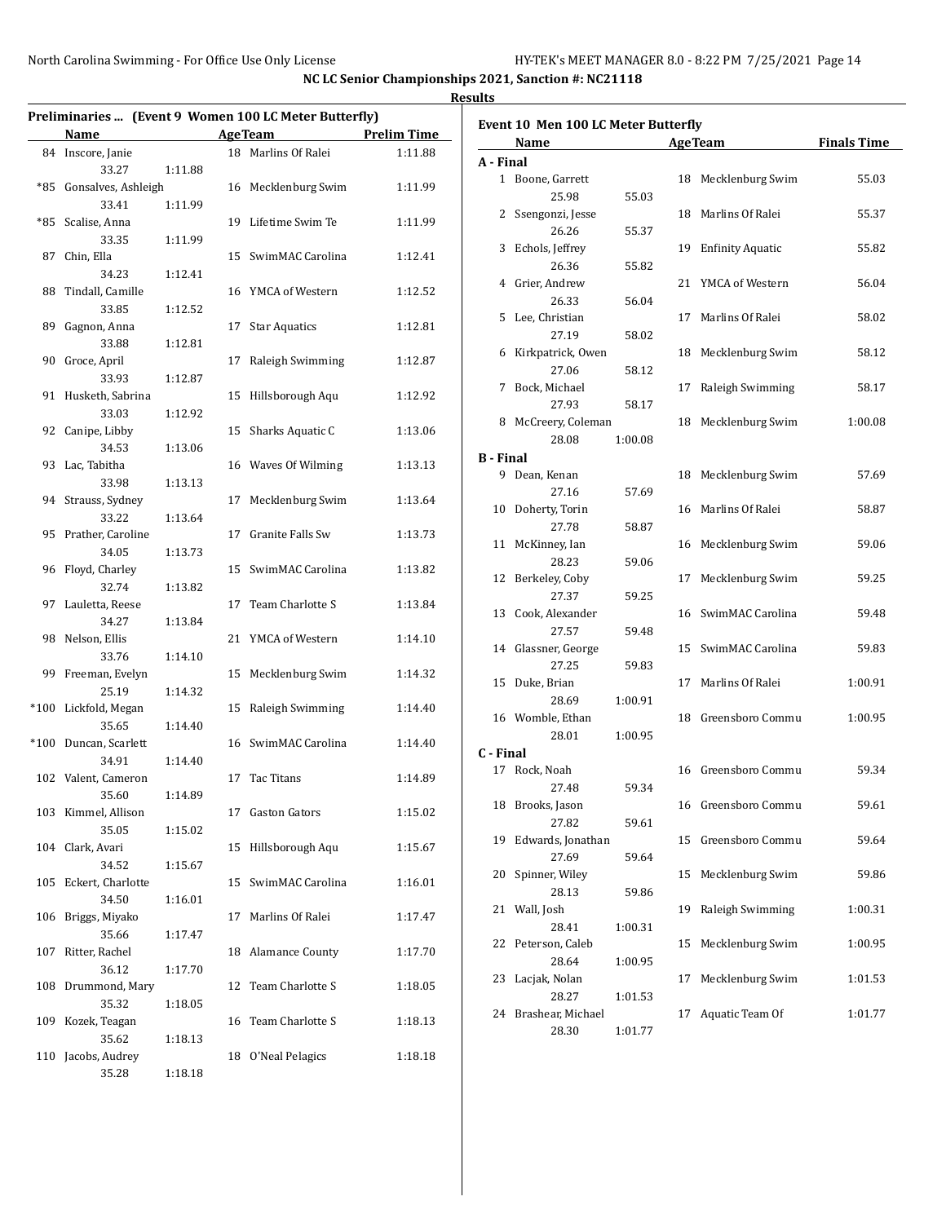|     |                         |         |    | Preliminaries  (Event 9 Women 100 LC Meter Butterfly) |                    |
|-----|-------------------------|---------|----|-------------------------------------------------------|--------------------|
|     | Name                    |         |    | <b>Age Team</b>                                       | <b>Prelim Time</b> |
|     | 84 Inscore, Janie       |         |    | 18 Marlins Of Ralei                                   | 1:11.88            |
|     | 33.27                   | 1:11.88 |    |                                                       |                    |
|     | *85 Gonsalves, Ashleigh |         |    | 16 Mecklenburg Swim                                   | 1:11.99            |
|     | 33.41                   | 1:11.99 |    |                                                       |                    |
|     | *85 Scalise, Anna       |         |    | 19 Lifetime Swim Te                                   | 1:11.99            |
|     | 33.35                   | 1:11.99 |    |                                                       |                    |
| 87  | Chin, Ella              |         |    | 15 SwimMAC Carolina                                   | 1:12.41            |
|     | 34.23                   | 1:12.41 |    |                                                       |                    |
|     | 88 Tindall, Camille     |         |    | 16 YMCA of Western                                    | 1:12.52            |
|     | 33.85                   | 1:12.52 |    |                                                       |                    |
| 89  | Gagnon, Anna            |         | 17 | <b>Star Aquatics</b>                                  | 1:12.81            |
|     | 33.88                   | 1:12.81 |    |                                                       |                    |
|     | 90 Groce, April         |         | 17 | Raleigh Swimming                                      | 1:12.87            |
|     | 33.93                   | 1:12.87 |    |                                                       |                    |
|     | 91 Husketh, Sabrina     |         |    | 15 Hillsborough Aqu                                   | 1:12.92            |
|     | 33.03                   | 1:12.92 |    |                                                       |                    |
|     | 92 Canipe, Libby        |         |    | 15 Sharks Aquatic C                                   | 1:13.06            |
|     | 34.53                   | 1:13.06 |    |                                                       |                    |
|     | 93 Lac, Tabitha         |         |    | 16 Waves Of Wilming                                   | 1:13.13            |
|     | 33.98                   | 1:13.13 |    |                                                       |                    |
|     | 94 Strauss, Sydney      |         | 17 | Mecklenburg Swim                                      | 1:13.64            |
|     | 33.22                   | 1:13.64 |    |                                                       |                    |
|     | 95 Prather, Caroline    |         |    | 17 Granite Falls Sw                                   | 1:13.73            |
|     | 34.05                   | 1:13.73 |    |                                                       |                    |
|     | 96 Floyd, Charley       |         |    | 15 SwimMAC Carolina                                   | 1:13.82            |
|     | 32.74                   | 1:13.82 |    |                                                       |                    |
|     | 97 Lauletta, Reese      |         |    | 17 Team Charlotte S                                   | 1:13.84            |
|     | 34.27                   | 1:13.84 |    |                                                       |                    |
|     | 98 Nelson, Ellis        |         |    | 21 YMCA of Western                                    | 1:14.10            |
|     | 33.76                   | 1:14.10 |    |                                                       |                    |
|     | 99 Freeman, Evelyn      |         |    | 15 Mecklenburg Swim                                   | 1:14.32            |
|     | 25.19                   | 1:14.32 |    |                                                       |                    |
|     | *100 Lickfold, Megan    |         |    | 15 Raleigh Swimming                                   | 1:14.40            |
|     | 35.65                   | 1:14.40 |    |                                                       |                    |
|     | *100 Duncan, Scarlett   |         |    | 16 SwimMAC Carolina                                   | 1:14.40            |
|     | 34.91                   | 1:14.40 |    |                                                       |                    |
|     | 102 Valent, Cameron     |         |    | 17 Tac Titans                                         | 1:14.89            |
|     | 35.60                   | 1:14.89 |    |                                                       |                    |
|     | 103 Kimmel, Allison     |         | 17 | Gaston Gators                                         | 1:15.02            |
|     | 35.05                   | 1:15.02 |    |                                                       |                    |
|     | 104 Clark, Avari        |         |    | 15 Hillsborough Aqu                                   | 1:15.67            |
|     | 34.52                   | 1:15.67 |    |                                                       |                    |
| 105 | Eckert, Charlotte       |         | 15 | SwimMAC Carolina                                      | 1:16.01            |
|     | 34.50                   | 1:16.01 |    |                                                       |                    |
| 106 | Briggs, Miyako          |         | 17 | Marlins Of Ralei                                      | 1:17.47            |
|     | 35.66                   | 1:17.47 |    |                                                       |                    |
| 107 | Ritter, Rachel          |         | 18 | <b>Alamance County</b>                                | 1:17.70            |
|     | 36.12                   | 1:17.70 |    |                                                       |                    |
| 108 | Drummond, Mary          |         | 12 | Team Charlotte S                                      | 1:18.05            |
|     | 35.32                   | 1:18.05 |    |                                                       |                    |
| 109 | Kozek, Teagan           |         | 16 | Team Charlotte S                                      | 1:18.13            |
|     | 35.62                   | 1:18.13 |    |                                                       |                    |
| 110 | Jacobs, Audrey          |         | 18 | O'Neal Pelagics                                       | 1:18.18            |
|     | 35.28                   | 1:18.18 |    |                                                       |                    |

| <b>AgeTeam</b><br>Name<br>A - Final<br>1 Boone, Garrett<br>Mecklenburg Swim<br>18<br>25.98<br>55.03<br>18 Marlins Of Ralei<br>2 Ssengonzi, Jesse<br>26.26<br>55.37<br>Echols, Jeffrey<br>19 Enfinity Aquatic<br>3<br>26.36<br>55.82 | <b>Finals Time</b><br>55.03<br>55.37<br>55.82<br>56.04<br>58.02<br>58.12 |
|-------------------------------------------------------------------------------------------------------------------------------------------------------------------------------------------------------------------------------------|--------------------------------------------------------------------------|
|                                                                                                                                                                                                                                     |                                                                          |
|                                                                                                                                                                                                                                     |                                                                          |
|                                                                                                                                                                                                                                     |                                                                          |
|                                                                                                                                                                                                                                     |                                                                          |
|                                                                                                                                                                                                                                     |                                                                          |
|                                                                                                                                                                                                                                     |                                                                          |
|                                                                                                                                                                                                                                     |                                                                          |
|                                                                                                                                                                                                                                     |                                                                          |
| 4 Grier, Andrew<br>YMCA of Western<br>21                                                                                                                                                                                            |                                                                          |
| 26.33<br>56.04                                                                                                                                                                                                                      |                                                                          |
| Lee, Christian<br>Marlins Of Ralei<br>5<br>17                                                                                                                                                                                       |                                                                          |
| 27.19<br>58.02                                                                                                                                                                                                                      |                                                                          |
| Kirkpatrick, Owen<br>Mecklenburg Swim<br>18<br>6                                                                                                                                                                                    |                                                                          |
| 27.06<br>58.12                                                                                                                                                                                                                      |                                                                          |
| Bock, Michael<br>7<br>17<br>Raleigh Swimming                                                                                                                                                                                        | 58.17                                                                    |
| 27.93<br>58.17                                                                                                                                                                                                                      |                                                                          |
| 8 McCreery, Coleman<br>Mecklenburg Swim<br>18                                                                                                                                                                                       | 1:00.08                                                                  |
| 28.08<br>1:00.08                                                                                                                                                                                                                    |                                                                          |
| <b>B</b> - Final                                                                                                                                                                                                                    |                                                                          |
| 9 Dean, Kenan<br>Mecklenburg Swim<br>18                                                                                                                                                                                             | 57.69                                                                    |
| 27.16<br>57.69                                                                                                                                                                                                                      |                                                                          |
| 16 Marlins Of Ralei<br>10 Doherty, Torin                                                                                                                                                                                            | 58.87                                                                    |
| 27.78<br>58.87                                                                                                                                                                                                                      |                                                                          |
| 16 Mecklenburg Swim<br>11 McKinney, Ian                                                                                                                                                                                             | 59.06                                                                    |
| 28.23<br>59.06                                                                                                                                                                                                                      |                                                                          |
| 12 Berkeley, Coby<br>Mecklenburg Swim<br>17                                                                                                                                                                                         | 59.25                                                                    |
| 27.37<br>59.25                                                                                                                                                                                                                      |                                                                          |
| 13 Cook, Alexander<br>16 SwimMAC Carolina                                                                                                                                                                                           | 59.48                                                                    |
| 27.57<br>59.48                                                                                                                                                                                                                      |                                                                          |
| 15 SwimMAC Carolina<br>14 Glassner, George                                                                                                                                                                                          | 59.83                                                                    |
| 27.25<br>59.83                                                                                                                                                                                                                      |                                                                          |
| 15 Duke, Brian<br>Marlins Of Ralei<br>17                                                                                                                                                                                            | 1:00.91                                                                  |
| 28.69<br>1:00.91                                                                                                                                                                                                                    |                                                                          |
| 16 Womble, Ethan<br>18 Greensboro Commu                                                                                                                                                                                             | 1:00.95                                                                  |
| 28.01<br>1:00.95                                                                                                                                                                                                                    |                                                                          |
| C - Final                                                                                                                                                                                                                           |                                                                          |
| 17 Rock, Noah<br>16 Greensboro Commu                                                                                                                                                                                                | 59.34                                                                    |
| 27.48<br>59.34                                                                                                                                                                                                                      |                                                                          |
| 18 Brooks, Jason<br>16 Greensboro Commu                                                                                                                                                                                             | 59.61                                                                    |
| 27.82                                                                                                                                                                                                                               |                                                                          |
| 59.61<br>19<br>Edwards, Jonathan<br>15<br>Greensboro Commu                                                                                                                                                                          | 59.64                                                                    |
| 27.69                                                                                                                                                                                                                               |                                                                          |
| 59.64<br>20<br>Spinner, Wiley<br>15<br>Mecklenburg Swim                                                                                                                                                                             |                                                                          |
|                                                                                                                                                                                                                                     | 59.86                                                                    |
| 28.13<br>59.86<br>Wall, Josh                                                                                                                                                                                                        |                                                                          |
| Raleigh Swimming<br>21<br>19                                                                                                                                                                                                        | 1:00.31                                                                  |
| 28.41<br>1:00.31                                                                                                                                                                                                                    |                                                                          |
| Mecklenburg Swim<br>22<br>Peterson, Caleb<br>15                                                                                                                                                                                     | 1:00.95                                                                  |
| 28.64<br>1:00.95                                                                                                                                                                                                                    |                                                                          |
| Mecklenburg Swim<br>23<br>Lacjak, Nolan<br>17                                                                                                                                                                                       | 1:01.53                                                                  |
| 28.27<br>1:01.53                                                                                                                                                                                                                    |                                                                          |
| Brashear, Michael<br>17<br>Aquatic Team Of<br>24                                                                                                                                                                                    | 1:01.77                                                                  |
| 28.30<br>1:01.77                                                                                                                                                                                                                    |                                                                          |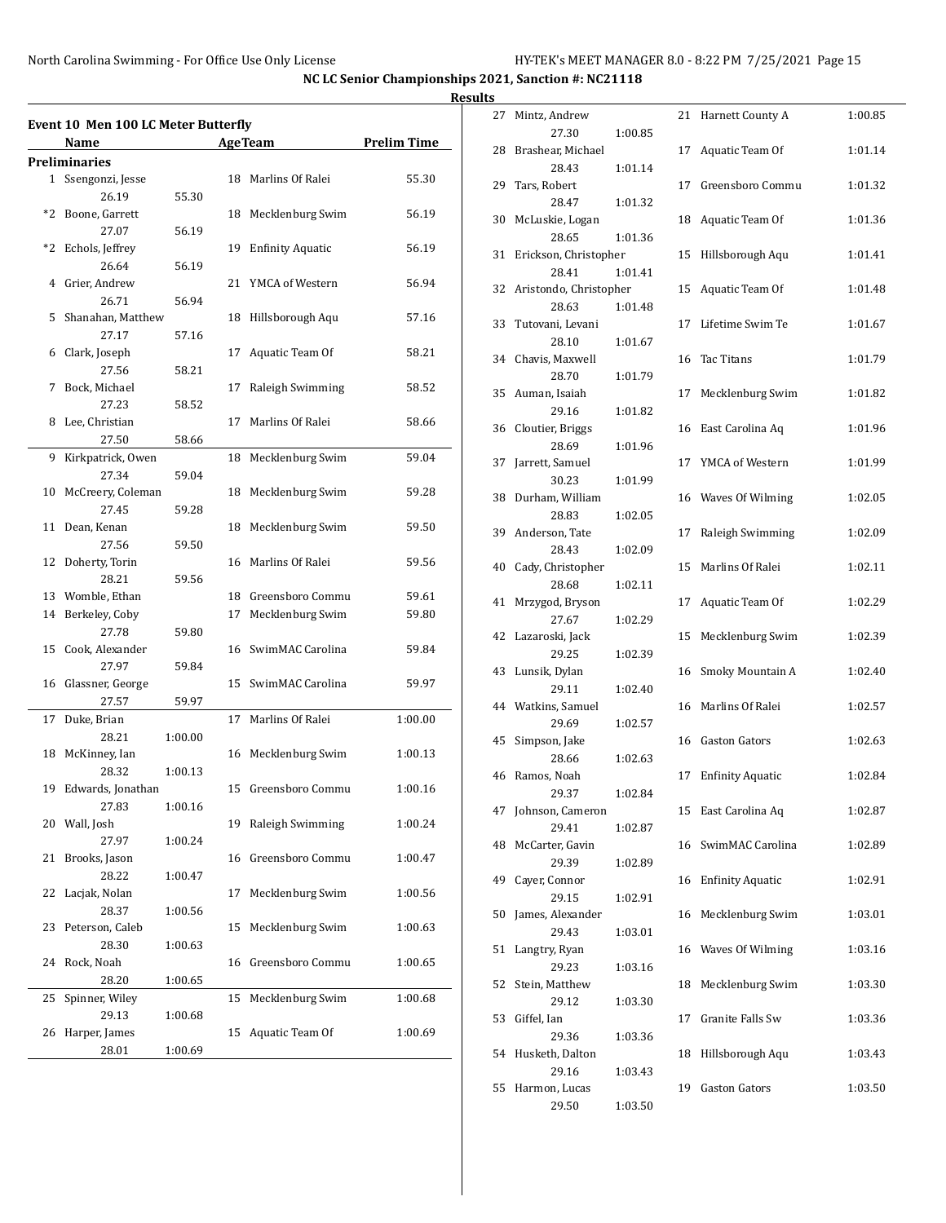|    | Event 10 Men 100 LC Meter Butterfly |         |    |                     |                    |
|----|-------------------------------------|---------|----|---------------------|--------------------|
|    | Name                                |         |    | <b>Age Team</b>     | <b>Prelim Time</b> |
|    | <b>Preliminaries</b>                |         |    |                     |                    |
|    | 1 Ssengonzi, Jesse                  |         |    | 18 Marlins Of Ralei | 55.30              |
|    | 26.19                               | 55.30   |    |                     |                    |
|    | *2 Boone, Garrett                   |         | 18 | Mecklenburg Swim    | 56.19              |
|    | 27.07                               | 56.19   |    |                     |                    |
|    | *2 Echols, Jeffrey                  |         |    | 19 Enfinity Aquatic | 56.19              |
|    | 26.64                               | 56.19   |    |                     |                    |
|    | 4 Grier, Andrew                     |         |    | 21 YMCA of Western  | 56.94              |
|    | 26.71                               | 56.94   |    |                     |                    |
| 5  | Shanahan, Matthew                   |         |    | 18 Hillsborough Aqu | 57.16              |
|    | 27.17                               | 57.16   |    |                     |                    |
|    | 6 Clark, Joseph                     |         | 17 | Aquatic Team Of     | 58.21              |
|    | 27.56                               | 58.21   |    |                     |                    |
| 7  | Bock, Michael                       |         | 17 | Raleigh Swimming    | 58.52              |
|    | 27.23                               | 58.52   |    |                     |                    |
|    | 8 Lee, Christian                    |         | 17 | Marlins Of Ralei    | 58.66              |
|    | 27.50                               | 58.66   |    |                     |                    |
|    | 9 Kirkpatrick, Owen                 |         |    | 18 Mecklenburg Swim | 59.04              |
|    | 27.34                               | 59.04   |    |                     |                    |
|    | 10 McCreery, Coleman                |         |    | 18 Mecklenburg Swim | 59.28              |
|    | 27.45                               | 59.28   |    |                     |                    |
|    | 11 Dean, Kenan                      |         |    | 18 Mecklenburg Swim | 59.50              |
|    | 27.56                               | 59.50   |    |                     |                    |
|    | 12 Doherty, Torin                   |         |    | 16 Marlins Of Ralei | 59.56              |
|    | 28.21                               | 59.56   |    |                     |                    |
|    | 13 Womble, Ethan                    |         |    | 18 Greensboro Commu | 59.61              |
|    | 14 Berkeley, Coby                   |         | 17 | Mecklenburg Swim    | 59.80              |
|    | 27.78                               | 59.80   |    |                     |                    |
|    | 15 Cook, Alexander                  |         |    | 16 SwimMAC Carolina | 59.84              |
|    | 27.97                               | 59.84   |    |                     |                    |
|    | 16 Glassner, George                 |         |    | 15 SwimMAC Carolina | 59.97              |
|    | 27.57                               | 59.97   |    |                     |                    |
| 17 | Duke, Brian                         |         | 17 | Marlins Of Ralei    | 1:00.00            |
|    | 28.21                               | 1:00.00 |    |                     |                    |
|    | 18 McKinney, Ian                    |         |    | 16 Mecklenburg Swim | 1:00.13            |
|    | 28.32                               | 1:00.13 |    |                     |                    |
|    | 19 Edwards, Jonathan                |         | 15 | Greensboro Commu    | 1:00.16            |
|    | 27.83                               | 1:00.16 |    |                     |                    |
|    | 20 Wall, Josh                       |         | 19 | Raleigh Swimming    | 1:00.24            |
|    | 27.97                               | 1:00.24 |    |                     |                    |
| 21 | Brooks, Jason                       |         |    | 16 Greensboro Commu | 1:00.47            |
|    | 28.22                               | 1:00.47 |    |                     |                    |
| 22 | Lacjak, Nolan                       |         | 17 | Mecklenburg Swim    | 1:00.56            |
|    | 28.37                               | 1:00.56 |    |                     |                    |
| 23 | Peterson, Caleb                     |         | 15 | Mecklenburg Swim    | 1:00.63            |
|    | 28.30                               | 1:00.63 |    |                     |                    |
| 24 | Rock, Noah                          |         |    | 16 Greensboro Commu | 1:00.65            |
|    | 28.20                               | 1:00.65 |    |                     |                    |
| 25 | Spinner, Wiley                      |         | 15 | Mecklenburg Swim    | 1:00.68            |
|    | 29.13                               | 1:00.68 |    |                     |                    |
|    |                                     |         |    |                     |                    |
| 26 | Harper, James                       |         | 15 | Aquatic Team Of     | 1:00.69            |

| 27 | Mintz, Andrew                   |         | 21 | Harnett County A        | 1:00.85 |
|----|---------------------------------|---------|----|-------------------------|---------|
| 28 | 27.30<br>Brashear, Michael      | 1:00.85 | 17 | Aquatic Team Of         | 1:01.14 |
| 29 | 28.43<br>Tars, Robert           | 1:01.14 | 17 | Greensboro Commu        | 1:01.32 |
|    | 28.47                           | 1:01.32 |    |                         |         |
| 30 | McLuskie, Logan<br>28.65        | 1:01.36 | 18 | Aquatic Team Of         | 1:01.36 |
| 31 | Erickson, Christopher           |         | 15 | Hillsborough Aqu        | 1:01.41 |
|    | 28.41                           | 1:01.41 |    |                         |         |
| 32 | Aristondo, Christopher<br>28.63 | 1:01.48 | 15 | Aquatic Team Of         | 1:01.48 |
| 33 | Tutovani, Levani                |         | 17 | Lifetime Swim Te        | 1:01.67 |
|    | 28.10                           | 1:01.67 |    |                         |         |
| 34 | Chavis, Maxwell<br>28.70        | 1:01.79 | 16 | <b>Tac Titans</b>       | 1:01.79 |
| 35 | Auman, Isaiah                   |         | 17 | Mecklenburg Swim        | 1:01.82 |
|    | 29.16                           | 1:01.82 |    |                         |         |
| 36 | Cloutier, Briggs                |         | 16 | East Carolina Aq        | 1:01.96 |
|    | 28.69                           | 1:01.96 |    |                         |         |
| 37 | Jarrett, Samuel<br>30.23        | 1:01.99 | 17 | YMCA of Western         | 1:01.99 |
| 38 | Durham, William                 |         | 16 | Waves Of Wilming        | 1:02.05 |
|    | 28.83                           | 1:02.05 |    |                         |         |
| 39 | Anderson, Tate<br>28.43         |         | 17 | Raleigh Swimming        | 1:02.09 |
| 40 | Cady, Christopher               | 1:02.09 | 15 | Marlins Of Ralei        | 1:02.11 |
|    | 28.68                           | 1:02.11 |    |                         |         |
| 41 | Mrzygod, Bryson                 |         | 17 | Aquatic Team Of         | 1:02.29 |
|    | 27.67                           | 1:02.29 |    |                         |         |
| 42 | Lazaroski, Jack<br>29.25        |         | 15 | Mecklenburg Swim        | 1:02.39 |
| 43 | Lunsik, Dylan                   | 1:02.39 | 16 | Smoky Mountain A        | 1:02.40 |
|    | 29.11                           | 1:02.40 |    |                         |         |
| 44 | Watkins, Samuel                 |         | 16 | Marlins Of Ralei        | 1:02.57 |
|    | 29.69                           | 1:02.57 |    |                         |         |
| 45 | Simpson, Jake<br>28.66          | 1:02.63 | 16 | <b>Gaston Gators</b>    | 1:02.63 |
| 46 | Ramos, Noah                     |         | 17 | <b>Enfinity Aquatic</b> | 1:02.84 |
|    | 29.37                           | 1:02.84 |    |                         |         |
| 47 | Johnson, Cameron                |         | 15 | East Carolina Aq        | 1:02.87 |
| 48 | 29.41<br>McCarter, Gavin        | 1:02.87 | 16 | SwimMAC Carolina        | 1:02.89 |
|    | 29.39                           | 1:02.89 |    |                         |         |
| 49 | Cayer, Connor                   |         | 16 | <b>Enfinity Aquatic</b> | 1:02.91 |
|    | 29.15                           | 1:02.91 |    |                         |         |
| 50 | James, Alexander<br>29.43       | 1:03.01 | 16 | Mecklenburg Swim        | 1:03.01 |
| 51 | Langtry, Ryan                   |         | 16 | Waves Of Wilming        | 1:03.16 |
|    | 29.23                           | 1:03.16 |    |                         |         |
| 52 | Stein, Matthew                  |         | 18 | Mecklenburg Swim        | 1:03.30 |
|    | 29.12                           | 1:03.30 |    |                         |         |
| 53 | Giffel, Ian<br>29.36            | 1:03.36 | 17 | Granite Falls Sw        | 1:03.36 |
| 54 | Husketh, Dalton                 |         | 18 | Hillsborough Aqu        | 1:03.43 |
|    | 29.16                           | 1:03.43 |    |                         |         |
| 55 | Harmon, Lucas                   |         | 19 | <b>Gaston Gators</b>    | 1:03.50 |
|    | 29.50                           | 1:03.50 |    |                         |         |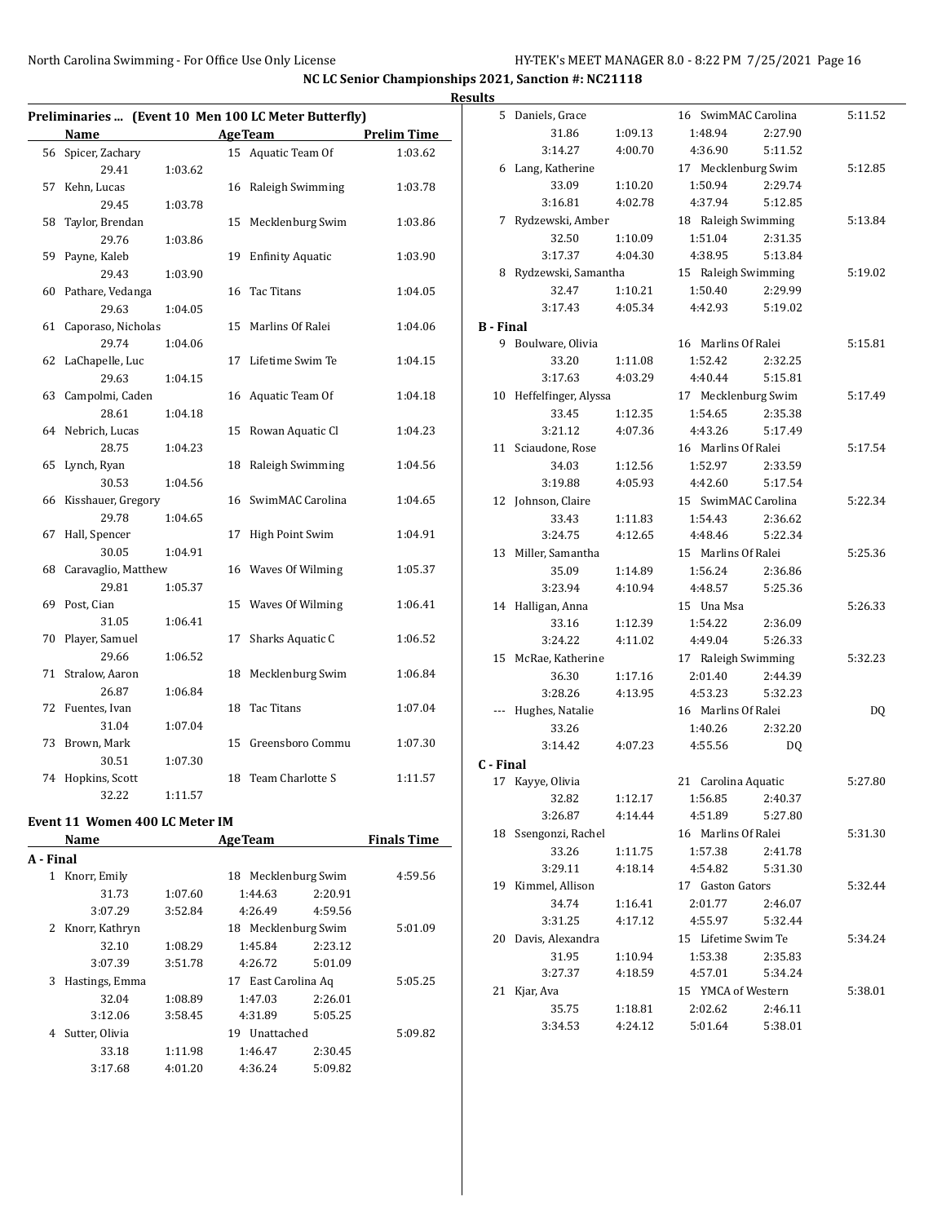|    |                     |         |    | Preliminaries  (Event 10 Men 100 LC Meter Butterfly) |                    |
|----|---------------------|---------|----|------------------------------------------------------|--------------------|
|    | <b>Name</b>         |         |    | <b>AgeTeam</b>                                       | <b>Prelim Time</b> |
| 56 | Spicer, Zachary     |         |    | 15 Aquatic Team Of                                   | 1:03.62            |
|    | 29.41               | 1:03.62 |    |                                                      |                    |
| 57 | Kehn, Lucas         |         | 16 | Raleigh Swimming                                     | 1:03.78            |
|    | 29.45               | 1:03.78 |    |                                                      |                    |
| 58 | Taylor, Brendan     |         | 15 | Mecklenburg Swim                                     | 1:03.86            |
|    | 29.76               | 1:03.86 |    |                                                      |                    |
| 59 | Payne, Kaleb        |         | 19 | <b>Enfinity Aquatic</b>                              | 1:03.90            |
|    | 29.43               | 1:03.90 |    |                                                      |                    |
| 60 | Pathare, Vedanga    |         | 16 | Tac Titans                                           | 1:04.05            |
|    | 29.63               | 1:04.05 |    |                                                      |                    |
| 61 | Caporaso, Nicholas  |         | 15 | Marlins Of Ralei                                     | 1:04.06            |
|    | 29.74               | 1:04.06 |    |                                                      |                    |
| 62 | LaChapelle, Luc     |         | 17 | Lifetime Swim Te                                     | 1:04.15            |
|    | 29.63               | 1:04.15 |    |                                                      |                    |
| 63 | Campolmi, Caden     |         | 16 | Aquatic Team Of                                      | 1:04.18            |
|    | 28.61               | 1:04.18 |    |                                                      |                    |
| 64 | Nebrich, Lucas      |         | 15 | Rowan Aquatic Cl                                     | 1:04.23            |
|    | 28.75               | 1:04.23 |    |                                                      |                    |
| 65 | Lynch, Ryan         |         | 18 | Raleigh Swimming                                     | 1:04.56            |
|    | 30.53               | 1:04.56 |    |                                                      |                    |
| 66 | Kisshauer, Gregory  |         |    | 16 SwimMAC Carolina                                  | 1:04.65            |
|    | 29.78               | 1:04.65 |    |                                                      |                    |
| 67 | Hall, Spencer       |         | 17 | <b>High Point Swim</b>                               | 1:04.91            |
|    | 30.05               | 1:04.91 |    |                                                      |                    |
| 68 | Caravaglio, Matthew |         |    | 16 Waves Of Wilming                                  | 1:05.37            |
|    | 29.81               | 1:05.37 |    |                                                      |                    |
| 69 | Post, Cian          |         | 15 | Waves Of Wilming                                     | 1:06.41            |
|    | 31.05               | 1:06.41 |    |                                                      |                    |
| 70 | Player, Samuel      |         | 17 | Sharks Aquatic C                                     | 1:06.52            |
|    | 29.66               | 1:06.52 |    |                                                      |                    |
| 71 | Stralow, Aaron      |         | 18 | Mecklenburg Swim                                     | 1:06.84            |
|    | 26.87               | 1:06.84 |    |                                                      |                    |
| 72 | Fuentes, Ivan       |         | 18 | Tac Titans                                           | 1:07.04            |
|    | 31.04               | 1:07.04 |    |                                                      |                    |
| 73 | Brown, Mark         |         | 15 | Greensboro Commu                                     | 1:07.30            |
|    | 30.51               | 1:07.30 |    |                                                      |                    |
| 74 | Hopkins, Scott      |         | 18 | Team Charlotte S                                     | 1:11.57            |
|    | 32.22               | 1:11.57 |    |                                                      |                    |

#### **Event 11 Women 400 LC Meter IM**

|           | втенет и мощен тоо ве месе нч |         |                     |         |                    |
|-----------|-------------------------------|---------|---------------------|---------|--------------------|
|           | Name                          |         | <b>AgeTeam</b>      |         | <b>Finals Time</b> |
| A - Final |                               |         |                     |         |                    |
| 1         | Knorr, Emily                  |         | 18 Mecklenburg Swim |         | 4:59.56            |
|           | 31.73                         | 1:07.60 | 1:44.63             | 2:20.91 |                    |
|           | 3:07.29                       | 3:52.84 | 4:26.49             | 4:59.56 |                    |
| 2         | Knorr, Kathryn                |         | 18 Mecklenburg Swim |         | 5:01.09            |
|           | 32.10                         | 1:08.29 | 1:45.84             | 2:23.12 |                    |
|           | 3:07.39                       | 3:51.78 | 4:26.72             | 5:01.09 |                    |
| 3         | Hastings, Emma                |         | 17 East Carolina Aq |         | 5:05.25            |
|           | 32.04                         | 1:08.89 | 1:47.03             | 2:26.01 |                    |
|           | 3:12.06                       | 3:58.45 | 4:31.89             | 5:05.25 |                    |
| 4         | Sutter, Olivia                |         | Unattached<br>19    |         | 5:09.82            |
|           | 33.18                         | 1:11.98 | 1:46.47             | 2:30.45 |                    |
|           | 3:17.68                       | 4:01.20 | 4:36.24             | 5:09.82 |                    |
|           |                               |         |                     |         |                    |

| <b>Results</b>   |                         |         |                     |         |         |
|------------------|-------------------------|---------|---------------------|---------|---------|
|                  | 5 Daniels, Grace        |         | 16 SwimMAC Carolina |         | 5:11.52 |
|                  | 31.86                   | 1:09.13 | 1:48.94             | 2:27.90 |         |
|                  | 3:14.27                 | 4:00.70 | 4:36.90             | 5:11.52 |         |
|                  | 6 Lang, Katherine       |         | 17 Mecklenburg Swim |         | 5:12.85 |
|                  | 33.09                   | 1:10.20 | 1:50.94             | 2:29.74 |         |
|                  | 3:16.81                 | 4:02.78 | 4:37.94             | 5:12.85 |         |
|                  | 7 Rydzewski, Amber      |         | 18 Raleigh Swimming |         | 5:13.84 |
|                  | 32.50                   | 1:10.09 | 1:51.04             | 2:31.35 |         |
|                  | 3:17.37                 | 4:04.30 | 4:38.95             | 5:13.84 |         |
|                  | 8 Rydzewski, Samantha   |         | 15 Raleigh Swimming |         | 5:19.02 |
|                  | 32.47                   | 1:10.21 | 1:50.40             | 2:29.99 |         |
|                  | 3:17.43                 | 4:05.34 | 4:42.93             | 5:19.02 |         |
| <b>B</b> - Final |                         |         |                     |         |         |
|                  | 9 Boulware, Olivia      |         | 16 Marlins Of Ralei |         | 5:15.81 |
|                  | 33.20                   | 1:11.08 | 1:52.42             | 2:32.25 |         |
|                  | 3:17.63                 | 4:03.29 | 4:40.44             | 5:15.81 |         |
|                  | 10 Heffelfinger, Alyssa |         | 17 Mecklenburg Swim |         | 5:17.49 |
|                  | 33.45                   | 1:12.35 | 1:54.65             | 2:35.38 |         |
|                  | 3:21.12                 | 4:07.36 | 4:43.26             | 5:17.49 |         |
|                  | 11 Sciaudone, Rose      |         | 16 Marlins Of Ralei |         | 5:17.54 |
|                  | 34.03                   | 1:12.56 | 1:52.97             | 2:33.59 |         |
|                  | 3:19.88                 | 4:05.93 | 4:42.60             | 5:17.54 |         |
|                  | 12 Johnson, Claire      |         | 15 SwimMAC Carolina |         | 5:22.34 |
|                  | 33.43                   | 1:11.83 | 1:54.43             | 2:36.62 |         |
|                  | 3:24.75                 | 4:12.65 | 4:48.46             | 5:22.34 |         |
|                  | 13 Miller, Samantha     |         | 15 Marlins Of Ralei |         | 5:25.36 |
|                  | 35.09                   | 1:14.89 | 1:56.24             | 2:36.86 |         |
|                  | 3:23.94                 | 4:10.94 | 4:48.57             | 5:25.36 |         |
|                  | 14 Halligan, Anna       |         | 15 Una Msa          |         | 5:26.33 |
|                  | 33.16                   | 1:12.39 | 1:54.22             | 2:36.09 |         |
|                  | 3:24.22                 | 4:11.02 | 4:49.04             | 5:26.33 |         |
|                  | 15 McRae, Katherine     |         | 17 Raleigh Swimming |         | 5:32.23 |
|                  | 36.30                   | 1:17.16 | 2:01.40             | 2:44.39 |         |
|                  | 3:28.26                 | 4:13.95 | 4:53.23             | 5:32.23 |         |
|                  | --- Hughes, Natalie     |         | 16 Marlins Of Ralei |         | DQ      |
|                  | 33.26                   |         | 1:40.26             | 2:32.20 |         |
|                  | 3:14.42                 | 4:07.23 | 4:55.56             | DQ      |         |
| C - Final        |                         |         |                     |         |         |
|                  | 17 Kayye, Olivia        |         | 21 Carolina Aquatic |         | 5:27.80 |
|                  | 32.82                   | 1:12.17 | 1:56.85             | 2:40.37 |         |
|                  | 3:26.87                 | 4:14.44 | 4:51.89             | 5:27.80 |         |
|                  | 18 Ssengonzi, Rachel    |         | 16 Marlins Of Ralei |         | 5:31.30 |
|                  | 33.26                   | 1:11.75 | 1:57.38             | 2:41.78 |         |
|                  | 3:29.11                 | 4:18.14 | 4:54.82             | 5:31.30 |         |
|                  | 19 Kimmel, Allison      |         | 17 Gaston Gators    |         | 5:32.44 |
|                  | 34.74                   | 1:16.41 | 2:01.77             | 2:46.07 |         |
|                  | 3:31.25                 | 4:17.12 | 4:55.97             | 5:32.44 |         |
|                  | 20 Davis, Alexandra     |         | 15 Lifetime Swim Te |         | 5:34.24 |
|                  | 31.95                   | 1:10.94 | 1:53.38             | 2:35.83 |         |
|                  | 3:27.37                 | 4:18.59 | 4:57.01             | 5:34.24 |         |
|                  | 21 Kjar, Ava            |         | 15 YMCA of Western  |         | 5:38.01 |
|                  | 35.75                   | 1:18.81 | 2:02.62             | 2:46.11 |         |
|                  | 3:34.53                 | 4:24.12 | 5:01.64             | 5:38.01 |         |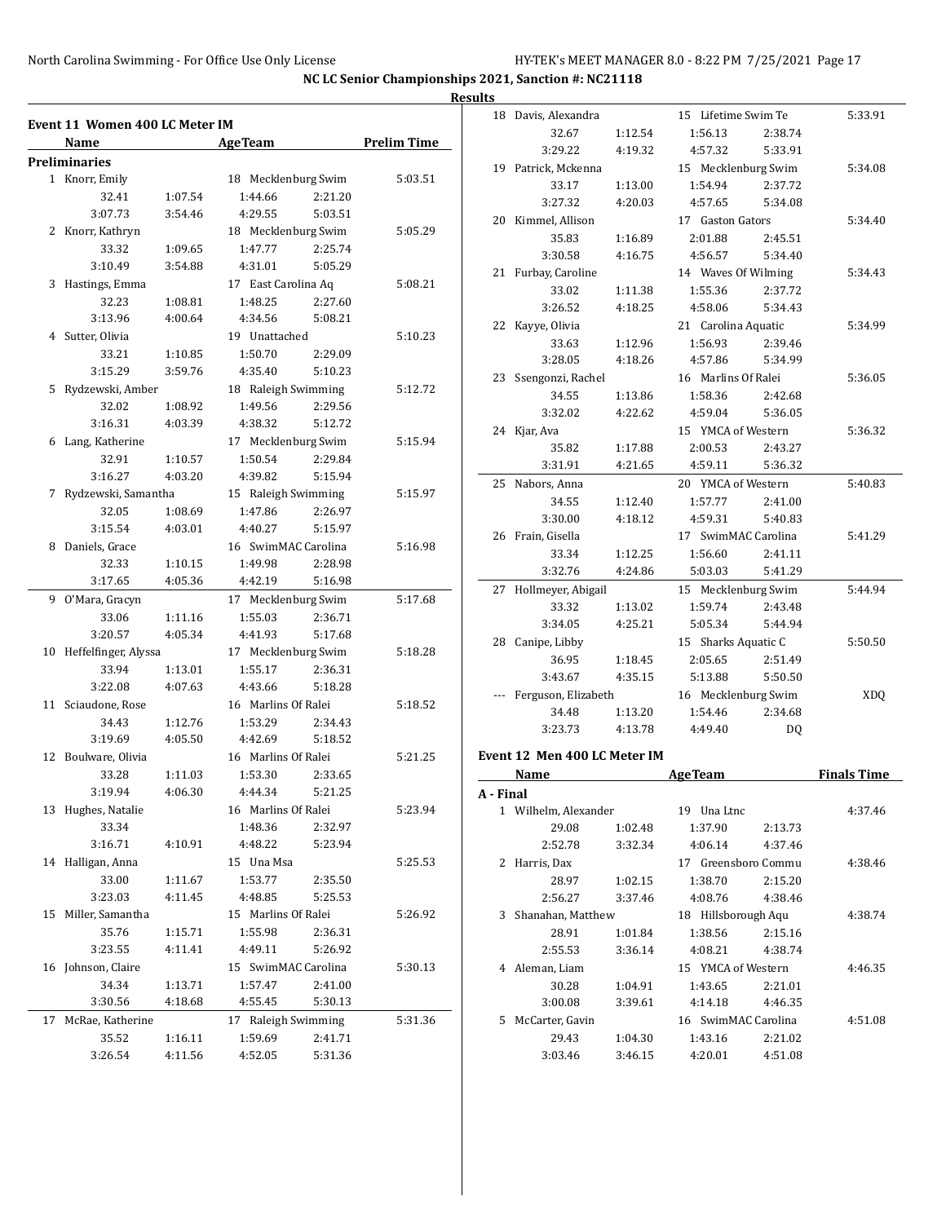|    | Event 11  Women 400 LC Meter IM<br>Name |                    | <b>AgeTeam</b>      |                  | <b>Prelim Time</b> |
|----|-----------------------------------------|--------------------|---------------------|------------------|--------------------|
|    | <b>Preliminaries</b>                    |                    |                     |                  |                    |
|    | 1 Knorr, Emily                          |                    | 18 Mecklenburg Swim |                  | 5:03.51            |
|    | 32.41                                   | 1:07.54            | 1:44.66             | 2:21.20          |                    |
|    | 3:07.73                                 | 3:54.46            | 4:29.55             | 5:03.51          |                    |
| 2  | Knorr, Kathryn                          |                    | 18 Mecklenburg Swim |                  | 5:05.29            |
|    | 33.32                                   | 1:09.65            | 1:47.77             | 2:25.74          |                    |
|    | 3:10.49                                 | 3:54.88            | 4:31.01             | 5:05.29          |                    |
| 3  | Hastings, Emma                          |                    | 17 East Carolina Aq |                  | 5:08.21            |
|    | 32.23                                   | 1:08.81            | 1:48.25             | 2:27.60          |                    |
|    | 3:13.96                                 | 4:00.64            | 4:34.56             | 5:08.21          |                    |
|    | 4 Sutter, Olivia                        |                    | 19 Unattached       |                  | 5:10.23            |
|    | 33.21                                   | 1:10.85            | 1:50.70             | 2:29.09          |                    |
|    | 3:15.29                                 | 3:59.76            | 4:35.40             | 5:10.23          |                    |
| 5  | Rydzewski, Amber                        |                    | 18 Raleigh Swimming |                  | 5:12.72            |
|    | 32.02                                   | 1:08.92            | 1:49.56             | 2:29.56          |                    |
|    | 3:16.31                                 | 4:03.39            | 4:38.32             | 5:12.72          |                    |
| 6  | Lang, Katherine                         |                    | 17 Mecklenburg Swim |                  | 5:15.94            |
|    | 32.91                                   |                    | 1:50.54             | 2:29.84          |                    |
|    | 3:16.27                                 | 1:10.57<br>4:03.20 | 4:39.82             | 5:15.94          |                    |
|    |                                         |                    |                     |                  |                    |
| 7  | Rydzewski, Samantha                     |                    | 15 Raleigh Swimming |                  | 5:15.97            |
|    | 32.05                                   | 1:08.69            | 1:47.86             | 2:26.97          |                    |
|    | 3:15.54                                 | 4:03.01            | 4:40.27             | 5:15.97          |                    |
| 8  | Daniels, Grace                          |                    | 16 SwimMAC Carolina |                  | 5:16.98            |
|    | 32.33                                   | 1:10.15            | 1:49.98             | 2:28.98          |                    |
|    | 3:17.65                                 | 4:05.36            | 4:42.19             | 5:16.98          |                    |
| 9  | O'Mara, Gracyn                          |                    | 17 Mecklenburg Swim |                  | 5:17.68            |
|    | 33.06                                   | 1:11.16            | 1:55.03             | 2:36.71          |                    |
|    | 3:20.57                                 | 4:05.34            | 4:41.93             | 5:17.68          |                    |
| 10 | Heffelfinger, Alyssa                    |                    | 17 Mecklenburg Swim |                  | 5:18.28            |
|    | 33.94                                   | 1:13.01            | 1:55.17             | 2:36.31          |                    |
|    | 3:22.08                                 | 4:07.63            | 4:43.66             | 5:18.28          |                    |
| 11 | Sciaudone, Rose                         |                    | 16 Marlins Of Ralei |                  | 5:18.52            |
|    | 34.43                                   | 1:12.76            | 1:53.29             | 2:34.43          |                    |
|    | 3:19.69                                 | 4:05.50            | 4:42.69             | 5:18.52          |                    |
| 12 | Boulware, Olivia                        |                    | 16 Marlins Of Ralei |                  | 5:21.25            |
|    | 33.28                                   | 1:11.03            | 1:53.30             | 2:33.65          |                    |
|    | 3:19.94                                 | 4:06.30            | 4:44.34             | 5:21.25          |                    |
|    | 13 Hughes, Natalie                      |                    | 16 Marlins Of Ralei |                  | 5:23.94            |
|    | 33.34                                   |                    | 1:48.36             | 2:32.97          |                    |
|    | 3:16.71                                 | 4:10.91            | 4:48.22             | 5:23.94          |                    |
| 14 | Halligan, Anna                          |                    | 15 Una Msa          |                  | 5:25.53            |
|    | 33.00                                   | 1:11.67            | 1:53.77             | 2:35.50          |                    |
|    | 3:23.03                                 | 4:11.45            | 4:48.85             | 5:25.53          |                    |
| 15 | Miller, Samantha                        |                    | 15 Marlins Of Ralei |                  | 5:26.92            |
|    | 35.76                                   | 1:15.71            | 1:55.98             | 2:36.31          |                    |
|    | 3:23.55                                 | 4:11.41            | 4:49.11             | 5:26.92          |                    |
| 16 | Johnson, Claire                         |                    | 15 SwimMAC Carolina |                  | 5:30.13            |
|    | 34.34                                   | 1:13.71            | 1:57.47             | 2:41.00          |                    |
|    | 3:30.56                                 | 4:18.68            | 4:55.45             | 5:30.13          |                    |
| 17 | McRae, Katherine                        |                    | 17                  | Raleigh Swimming | 5:31.36            |
|    | 35.52                                   | 1:16.11            | 1:59.69             | 2:41.71          |                    |
|    | 3:26.54                                 | 4:11.56            | 4:52.05             | 5:31.36          |                    |
|    |                                         |                    |                     |                  |                    |

| <b>Results</b> |           |                               |         |                        |         |                    |
|----------------|-----------|-------------------------------|---------|------------------------|---------|--------------------|
|                |           | 18 Davis, Alexandra           |         | 15 Lifetime Swim Te    |         | 5:33.91            |
|                |           | 32.67                         | 1:12.54 | 1:56.13                | 2:38.74 |                    |
|                |           | 3:29.22                       | 4:19.32 | 4:57.32                | 5:33.91 |                    |
|                |           | 19 Patrick, Mckenna           |         | 15 Mecklenburg Swim    |         | 5:34.08            |
|                |           | 33.17                         | 1:13.00 | 1:54.94                | 2:37.72 |                    |
|                |           | 3:27.32                       | 4:20.03 | 4:57.65                | 5:34.08 |                    |
|                |           | 20 Kimmel, Allison            |         | 17 Gaston Gators       |         | 5:34.40            |
|                |           | 35.83                         | 1:16.89 | 2:01.88                | 2:45.51 |                    |
|                |           | 3:30.58                       | 4:16.75 | 4:56.57                | 5:34.40 |                    |
|                |           | 21 Furbay, Caroline           |         | 14 Waves Of Wilming    |         | 5:34.43            |
|                |           | 33.02                         | 1:11.38 | 1:55.36                | 2:37.72 |                    |
|                |           | 3:26.52                       | 4:18.25 | 4:58.06                | 5:34.43 |                    |
|                |           | 22 Kayye, Olivia              |         | 21 Carolina Aquatic    |         | 5:34.99            |
|                |           | 33.63                         | 1:12.96 | 1:56.93                | 2:39.46 |                    |
|                |           | 3:28.05                       | 4:18.26 | 4:57.86                | 5:34.99 |                    |
|                |           | 23 Ssengonzi, Rachel          |         | 16 Marlins Of Ralei    |         | 5:36.05            |
|                |           | 34.55                         | 1:13.86 | 1:58.36                | 2:42.68 |                    |
|                |           | 3:32.02                       | 4:22.62 | 4:59.04                | 5:36.05 |                    |
|                |           | 24 Kjar, Ava                  |         | 15 YMCA of Western     |         | 5:36.32            |
|                |           | 35.82                         | 1:17.88 | 2:00.53                | 2:43.27 |                    |
|                |           | 3:31.91                       | 4:21.65 | 4:59.11                | 5:36.32 |                    |
|                |           | 25 Nabors, Anna               |         | 20 YMCA of Western     |         | 5:40.83            |
|                |           | 34.55                         | 1:12.40 | 1:57.77                | 2:41.00 |                    |
|                |           | 3:30.00                       | 4:18.12 | 4:59.31                | 5:40.83 |                    |
|                |           | 26 Frain, Gisella             |         | 17 SwimMAC Carolina    |         | 5:41.29            |
|                |           | 33.34                         | 1:12.25 | 1:56.60                | 2:41.11 |                    |
|                |           | 3:32.76                       | 4:24.86 | 5:03.03                | 5:41.29 |                    |
|                |           | 27 Hollmeyer, Abigail         |         | 15 Mecklenburg Swim    |         | 5:44.94            |
|                |           | 33.32                         | 1:13.02 | 1:59.74                | 2:43.48 |                    |
|                |           | 3:34.05                       | 4:25.21 | 5:05.34                | 5:44.94 |                    |
|                |           | 28 Canipe, Libby              |         | 15 Sharks Aquatic C    |         | 5:50.50            |
|                |           | 36.95                         | 1:18.45 | 2:05.65                | 2:51.49 |                    |
|                |           | 3:43.67                       | 4:35.15 | 5:13.88                | 5:50.50 |                    |
|                |           | Ferguson, Elizabeth           |         | 16 Mecklenburg Swim    |         | <b>XDQ</b>         |
|                |           | 34.48                         | 1:13.20 | 1:54.46                | 2:34.68 |                    |
|                |           | 3:23.73                       | 4:13.78 | 4:49.40                | DQ      |                    |
|                |           | Event 12 Men 400 LC Meter IM  |         |                        |         |                    |
|                |           |                               |         |                        |         |                    |
|                |           | Name                          |         | <b>AgeTeam</b>         |         | <b>Finals Time</b> |
|                | A - Final |                               |         |                        |         |                    |
|                |           | 1 Wilhelm, Alexander<br>29.08 | 1:02.48 | 19 Una Ltnc<br>1:37.90 | 2:13.73 | 4:37.46            |
|                |           | 2:52.78                       | 3:32.34 | 4:06.14                | 4:37.46 |                    |
|                |           |                               |         |                        |         |                    |
|                |           | 2 Harris, Dax                 |         | 17 Greensboro Commu    |         | 4:38.46            |

| 2  | Harris, Dax       |         | 17 Greensboro Commu    |         | 4:38.46 |
|----|-------------------|---------|------------------------|---------|---------|
|    | 28.97             | 1:02.15 | 1:38.70                | 2:15.20 |         |
|    | 2:56.27           | 3:37.46 | 4:08.76                | 4:38.46 |         |
| 3  | Shanahan, Matthew |         | Hillsborough Agu<br>18 |         | 4:38.74 |
|    | 28.91             | 1:01.84 | 1:38.56                | 2:15.16 |         |
|    | 2:55.53           | 3:36.14 | 4:08.21                | 4:38.74 |         |
| 4  | Aleman, Liam      |         | 15 YMCA of Western     |         | 4:46.35 |
|    | 30.28             | 1:04.91 | 1:43.65                | 2:21.01 |         |
|    | 3:00.08           | 3:39.61 | 4:14.18                | 4:46.35 |         |
| 5. | McCarter, Gavin   |         | 16 SwimMAC Carolina    |         | 4:51.08 |
|    | 29.43             | 1:04.30 | 1:43.16                | 2:21.02 |         |
|    | 3:03.46           | 3:46.15 | 4:20.01                | 4:51.08 |         |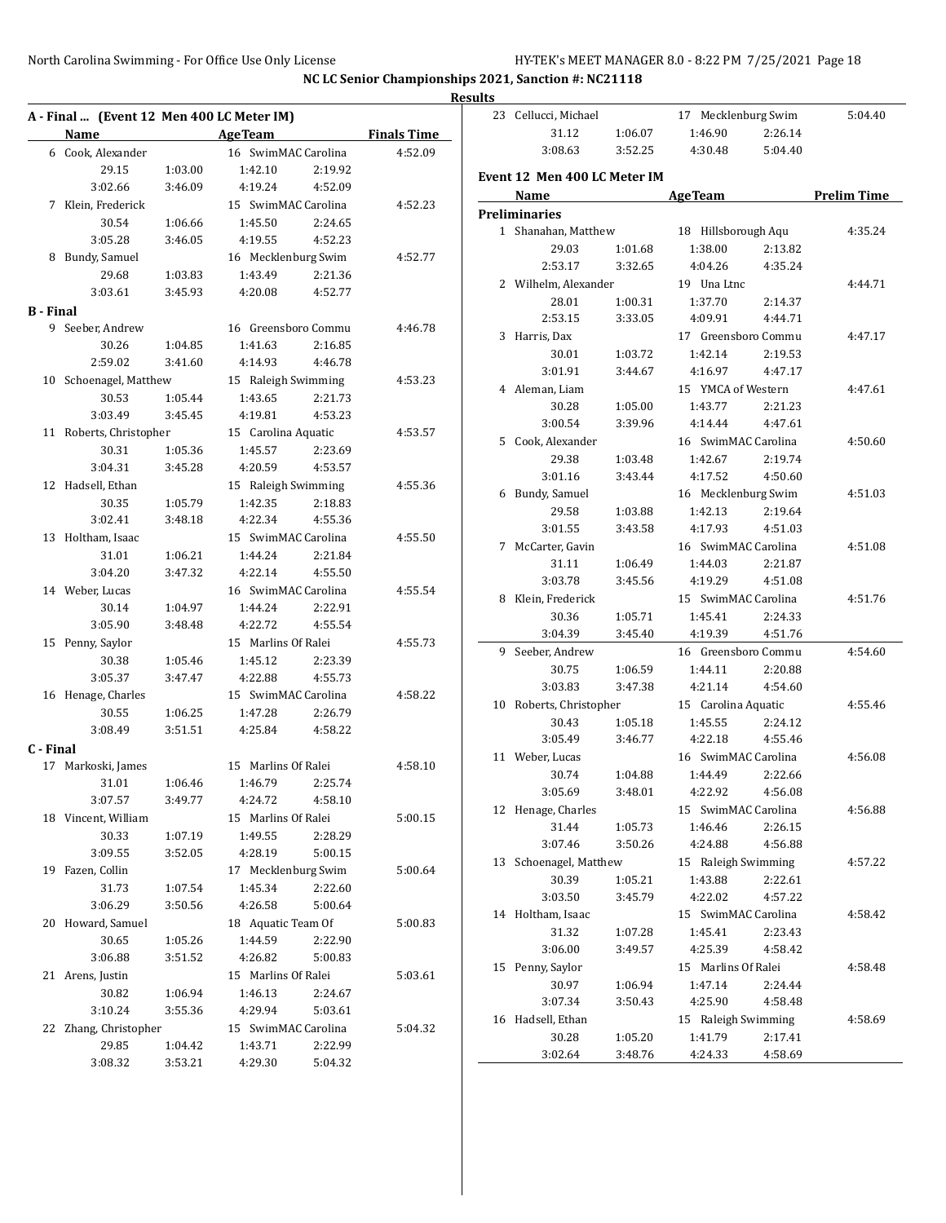|                  |                                           |                    |                     |                    |                    | <b>Results</b> |
|------------------|-------------------------------------------|--------------------|---------------------|--------------------|--------------------|----------------|
|                  | A - Final  (Event 12 Men 400 LC Meter IM) |                    |                     |                    |                    | 2              |
|                  | Name                                      |                    | Age Team            |                    | <b>Finals Time</b> |                |
|                  | 6 Cook, Alexander                         |                    | 16 SwimMAC Carolina |                    | 4:52.09            |                |
|                  | 29.15                                     | 1:03.00            | 1:42.10             | 2:19.92            |                    | Eve            |
|                  | 3:02.66                                   | 3:46.09            | 4:19.24             | 4:52.09            |                    |                |
|                  | 7 Klein, Frederick                        |                    | 15 SwimMAC Carolina |                    | 4:52.23            | Pre            |
|                  | 30.54                                     | 1:06.66            | 1:45.50             | 2:24.65            |                    |                |
|                  | 3:05.28                                   | 3:46.05            | 4:19.55             | 4:52.23            |                    |                |
|                  | 8 Bundy, Samuel                           |                    | 16 Mecklenburg Swim |                    | 4:52.77            |                |
|                  | 29.68                                     | 1:03.83            | 1:43.49             | 2:21.36            |                    |                |
|                  | 3:03.61                                   | 3:45.93            | 4:20.08             | 4:52.77            |                    |                |
| <b>B</b> - Final |                                           |                    |                     |                    |                    |                |
|                  | 9 Seeber, Andrew                          |                    | 16 Greensboro Commu |                    | 4:46.78            |                |
|                  | 30.26                                     | 1:04.85            | 1:41.63             | 2:16.85            |                    |                |
|                  | 2:59.02                                   | 3:41.60            | 4:14.93             | 4:46.78            |                    |                |
|                  | 10 Schoenagel, Matthew                    |                    | 15 Raleigh Swimming |                    | 4:53.23            |                |
|                  | 30.53                                     | 1:05.44            | 1:43.65             | 2:21.73            |                    |                |
|                  | 3:03.49                                   | 3:45.45            | 4:19.81             | 4:53.23            |                    |                |
|                  | 11 Roberts, Christopher                   |                    | 15 Carolina Aquatic |                    | 4:53.57            |                |
|                  | 30.31                                     | 1:05.36            | 1:45.57             | 2:23.69            |                    |                |
|                  | 3:04.31                                   | 3:45.28            | 4:20.59             | 4:53.57            |                    |                |
|                  | 12 Hadsell, Ethan                         |                    | 15 Raleigh Swimming |                    | 4:55.36            |                |
|                  | 30.35                                     | 1:05.79            | 1:42.35             | 2:18.83            |                    |                |
|                  | 3:02.41                                   | 3:48.18            | 4:22.34             | 4:55.36            |                    |                |
|                  |                                           |                    | 15 SwimMAC Carolina |                    |                    |                |
|                  | 13 Holtham, Isaac                         |                    |                     |                    | 4:55.50            |                |
|                  | 31.01                                     | 1:06.21            | 1:44.24             | 2:21.84            |                    |                |
|                  | 3:04.20                                   | 3:47.32            | 4:22.14             | 4:55.50            |                    |                |
|                  | 14 Weber, Lucas                           |                    | 16 SwimMAC Carolina |                    | 4:55.54            |                |
|                  | 30.14                                     | 1:04.97            | 1:44.24             | 2:22.91            |                    |                |
|                  | 3:05.90                                   | 3:48.48            | 4:22.72             | 4:55.54            |                    |                |
|                  | 15 Penny, Saylor                          |                    | 15 Marlins Of Ralei |                    | 4:55.73            |                |
|                  | 30.38                                     | 1:05.46            | 1:45.12             | 2:23.39            |                    |                |
|                  | 3:05.37                                   | 3:47.47            | 4:22.88             | 4:55.73            |                    |                |
|                  | 16 Henage, Charles                        |                    | 15 SwimMAC Carolina |                    | 4:58.22            | $\mathbf{1}$   |
|                  | 30.55                                     | 1:06.25            | 1:47.28             | 2:26.79            |                    |                |
|                  | 3:08.49                                   | 3:51.51            | 4:25.84             | 4:58.22            |                    |                |
| C - Final        |                                           |                    |                     |                    |                    | $\mathbf{1}$   |
|                  | 17 Markoski, James                        |                    | 15 Marlins Of Ralei |                    | 4:58.10            |                |
|                  | 31.01 1:06.46                             |                    | 1:46.79 2:25.74     |                    |                    |                |
|                  | 3:07.57                                   | 3:49.77            | 4:24.72             | 4:58.10            |                    |                |
|                  | 18 Vincent, William                       |                    | 15 Marlins Of Ralei |                    | 5:00.15            | 1              |
|                  | 30.33                                     | 1:07.19            | 1:49.55             | 2:28.29            |                    |                |
|                  | 3:09.55                                   | 3:52.05            | 4:28.19             | 5:00.15            |                    |                |
|                  | 19 Fazen, Collin                          |                    | 17 Mecklenburg Swim |                    | 5:00.64            | 1              |
|                  | 31.73                                     | 1:07.54            | 1:45.34             | 2:22.60            |                    |                |
|                  | 3:06.29                                   | 3:50.56            | 4:26.58             | 5:00.64            |                    |                |
|                  | 20 Howard, Samuel                         |                    | 18 Aquatic Team Of  |                    | 5:00.83            | $\mathbf{1}$   |
|                  | 30.65                                     | 1:05.26            | 1:44.59             | 2:22.90            |                    |                |
|                  | 3:06.88                                   | 3:51.52            | 4:26.82             | 5:00.83            |                    |                |
|                  |                                           |                    | 15 Marlins Of Ralei |                    |                    | 1              |
|                  | 21 Arens, Justin                          |                    | 1:46.13             |                    | 5:03.61            |                |
|                  | 30.82<br>3:10.24                          | 1:06.94<br>3:55.36 | 4:29.94             | 2:24.67<br>5:03.61 |                    |                |
|                  |                                           |                    |                     |                    |                    | 1              |
|                  | 22 Zhang, Christopher                     |                    | 15 SwimMAC Carolina |                    | 5:04.32            |                |
|                  | 29.85                                     | 1:04.42            | 1:43.71             | 2:22.99            |                    |                |
|                  | 3:08.32                                   | 3:53.21            | 4:29.30             | 5:04.32            |                    |                |

|    | 23 Cellucci, Michael         |         | 17 Mecklenburg Swim |         | 5:04.40            |
|----|------------------------------|---------|---------------------|---------|--------------------|
|    | 31.12                        | 1:06.07 | 1:46.90             | 2:26.14 |                    |
|    | 3:08.63                      | 3:52.25 | 4:30.48             | 5:04.40 |                    |
|    | Event 12 Men 400 LC Meter IM |         |                     |         |                    |
|    | Name                         |         | <b>AgeTeam</b>      |         | <b>Prelim Time</b> |
|    | <b>Preliminaries</b>         |         |                     |         |                    |
|    | 1 Shanahan, Matthew          |         | 18 Hillsborough Aqu |         | 4:35.24            |
|    | 29.03                        | 1:01.68 | 1:38.00             | 2:13.82 |                    |
|    | 2:53.17                      | 3:32.65 | 4:04.26             | 4:35.24 |                    |
|    | 2 Wilhelm, Alexander         |         | 19 Una Ltnc         |         | 4:44.71            |
|    | 28.01                        | 1:00.31 | 1:37.70             | 2:14.37 |                    |
|    | 2:53.15                      | 3:33.05 | 4:09.91             | 4:44.71 |                    |
|    | 3 Harris, Dax                |         | 17 Greensboro Commu |         | 4:47.17            |
|    | 30.01                        | 1:03.72 | 1:42.14             | 2:19.53 |                    |
|    | 3:01.91                      | 3:44.67 | 4:16.97             | 4:47.17 |                    |
|    | 4 Aleman, Liam               |         | 15 YMCA of Western  |         | 4:47.61            |
|    | 30.28                        | 1:05.00 | 1:43.77             | 2:21.23 |                    |
|    | 3:00.54                      | 3:39.96 | 4:14.44             | 4:47.61 |                    |
|    | 5 Cook, Alexander            |         | 16 SwimMAC Carolina |         | 4:50.60            |
|    | 29.38                        | 1:03.48 | 1:42.67             | 2:19.74 |                    |
|    | 3:01.16                      | 3:43.44 | 4:17.52             | 4:50.60 |                    |
|    | 6 Bundy, Samuel              |         | 16 Mecklenburg Swim |         | 4:51.03            |
|    | 29.58                        | 1:03.88 | 1:42.13             | 2:19.64 |                    |
|    | 3:01.55                      | 3:43.58 | 4:17.93             | 4:51.03 |                    |
| 7  | McCarter, Gavin              |         | 16 SwimMAC Carolina |         | 4:51.08            |
|    | 31.11                        | 1:06.49 | 1:44.03             | 2:21.87 |                    |
|    | 3:03.78                      | 3:45.56 | 4:19.29             | 4:51.08 |                    |
|    | 8 Klein, Frederick           |         | 15 SwimMAC Carolina |         | 4:51.76            |
|    | 30.36                        | 1:05.71 | 1:45.41             | 2:24.33 |                    |
|    | 3:04.39                      | 3:45.40 | 4:19.39             | 4:51.76 |                    |
|    | 9 Seeber, Andrew             |         | 16 Greensboro Commu |         | 4:54.60            |
|    | 30.75                        | 1:06.59 | 1:44.11             | 2:20.88 |                    |
|    | 3:03.83                      | 3:47.38 | 4:21.14             | 4:54.60 |                    |
|    | 10 Roberts, Christopher      |         | 15 Carolina Aquatic |         | 4:55.46            |
|    | 30.43                        | 1:05.18 | 1:45.55             | 2:24.12 |                    |
|    | 3:05.49                      | 3:46.77 | 4:22.18             | 4:55.46 |                    |
|    | 11 Weber, Lucas              |         | 16 SwimMAC Carolina |         | 4:56.08            |
|    | 30.74                        | 1:04.88 | 1:44.49             | 2:22.66 |                    |
|    | 3:05.69                      | 3:48.01 | 4:22.92             | 4:56.08 |                    |
|    | 12 Henage, Charles           |         | 15 SwimMAC Carolina |         | 4:56.88            |
|    | 31.44                        | 1:05.73 | 1:46.46             | 2:26.15 |                    |
|    | 3:07.46                      | 3:50.26 | 4:24.88             | 4:56.88 |                    |
| 13 | Schoenagel, Matthew          |         | 15 Raleigh Swimming |         | 4:57.22            |
|    | 30.39                        | 1:05.21 | 1:43.88             | 2:22.61 |                    |
|    | 3:03.50                      | 3:45.79 | 4:22.02             | 4:57.22 |                    |
|    | 14 Holtham, Isaac            |         | 15 SwimMAC Carolina |         | 4:58.42            |
|    | 31.32                        | 1:07.28 | 1:45.41             | 2:23.43 |                    |
|    | 3:06.00                      | 3:49.57 | 4:25.39             | 4:58.42 |                    |
| 15 | Penny, Saylor                |         | 15 Marlins Of Ralei |         | 4:58.48            |
|    | 30.97                        | 1:06.94 | 1:47.14             | 2:24.44 |                    |
|    | 3:07.34                      | 3:50.43 | 4:25.90             | 4:58.48 |                    |
|    | 16 Hadsell, Ethan            |         | 15 Raleigh Swimming |         | 4:58.69            |
|    | 30.28                        | 1:05.20 | 1:41.79             | 2:17.41 |                    |
|    | 3:02.64                      | 3:48.76 | 4:24.33             | 4:58.69 |                    |
|    |                              |         |                     |         |                    |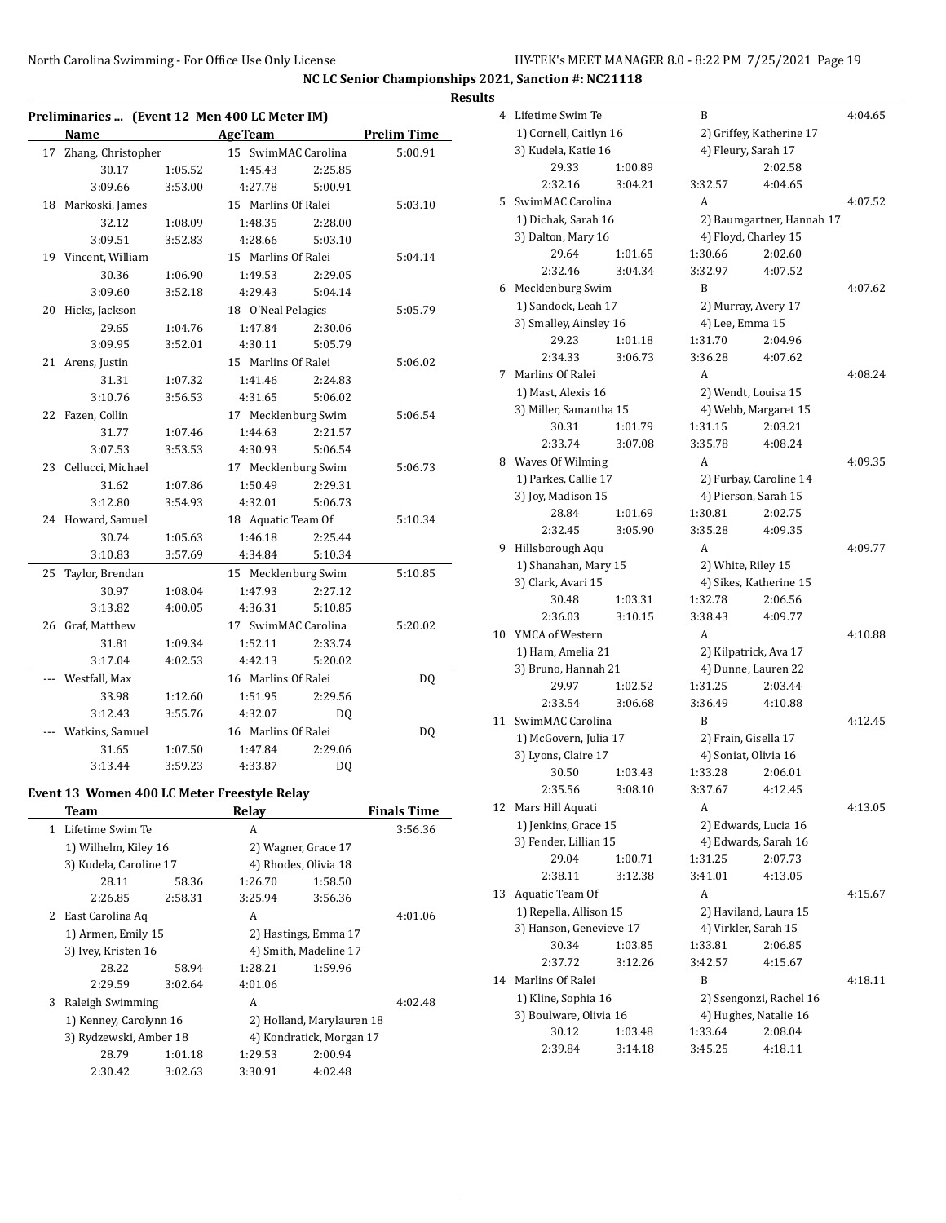**NC LC Senior Championships 2021, Sanction #: NC21118**

|              |                                                       |         |                     |                           |                    | <b>Results</b> |
|--------------|-------------------------------------------------------|---------|---------------------|---------------------------|--------------------|----------------|
|              | Preliminaries  (Event 12 Men 400 LC Meter IM)<br>Name |         |                     |                           |                    |                |
|              |                                                       |         | <b>AgeTeam</b>      |                           | <b>Prelim Time</b> |                |
|              | 17 Zhang, Christopher                                 |         | 15 SwimMAC Carolina |                           | 5:00.91            |                |
|              | 30.17                                                 | 1:05.52 | 1:45.43             | 2:25.85                   |                    |                |
|              | 3:09.66                                               | 3:53.00 | 4:27.78             | 5:00.91                   |                    |                |
|              | 18 Markoski, James                                    |         | 15 Marlins Of Ralei |                           | 5:03.10            |                |
|              | 32.12                                                 | 1:08.09 | 1:48.35             | 2:28.00                   |                    |                |
|              | 3:09.51                                               | 3:52.83 | 4:28.66             | 5:03.10                   |                    |                |
|              | 19 Vincent, William                                   |         | 15 Marlins Of Ralei |                           | 5:04.14            |                |
|              | 30.36                                                 | 1:06.90 | 1:49.53             | 2:29.05                   |                    |                |
|              | 3:09.60                                               | 3:52.18 | 4:29.43             | 5:04.14                   |                    |                |
|              | 20 Hicks, Jackson                                     |         | 18 O'Neal Pelagics  |                           | 5:05.79            |                |
|              | 29.65                                                 | 1:04.76 | 1:47.84             | 2:30.06                   |                    |                |
|              | 3:09.95                                               | 3:52.01 | 4:30.11             | 5:05.79                   |                    |                |
|              | 21 Arens, Justin                                      |         | 15 Marlins Of Ralei |                           | 5:06.02            |                |
|              | 31.31                                                 | 1:07.32 | 1:41.46             | 2:24.83                   |                    |                |
|              | 3:10.76                                               | 3:56.53 | 4:31.65             | 5:06.02                   |                    |                |
|              | 22 Fazen, Collin                                      |         | 17 Mecklenburg Swim |                           | 5:06.54            |                |
|              | 31.77                                                 | 1:07.46 | 1:44.63             | 2:21.57                   |                    |                |
|              | 3:07.53                                               | 3:53.53 | 4:30.93             | 5:06.54                   |                    |                |
|              | 23 Cellucci, Michael                                  |         | 17 Mecklenburg Swim |                           | 5:06.73            |                |
|              | 31.62                                                 | 1:07.86 | 1:50.49             | 2:29.31                   |                    |                |
|              | 3:12.80                                               | 3:54.93 | 4:32.01             | 5:06.73                   |                    |                |
|              | 24 Howard, Samuel                                     |         | 18 Aquatic Team Of  |                           | 5:10.34            |                |
|              | 30.74                                                 | 1:05.63 | 1:46.18             | 2:25.44                   |                    |                |
|              | 3:10.83                                               | 3:57.69 | 4:34.84             | 5:10.34                   |                    |                |
| 25           |                                                       |         |                     |                           | 5:10.85            |                |
|              | Taylor, Brendan                                       |         | 15 Mecklenburg Swim |                           |                    |                |
|              | 30.97                                                 | 1:08.04 | 1:47.93             | 2:27.12                   |                    |                |
|              | 3:13.82                                               | 4:00.05 | 4:36.31             | 5:10.85                   |                    |                |
|              | 26 Graf, Matthew                                      |         | 17 SwimMAC Carolina |                           | 5:20.02            |                |
|              | 31.81                                                 | 1:09.34 | 1:52.11             | 2:33.74                   |                    |                |
|              | 3:17.04                                               | 4:02.53 | 4:42.13             | 5:20.02                   |                    |                |
|              | Westfall, Max                                         |         | 16 Marlins Of Ralei |                           | DQ                 |                |
|              | 33.98                                                 | 1:12.60 | 1:51.95             | 2:29.56                   |                    |                |
|              | 3:12.43                                               | 3:55.76 | 4:32.07             | DQ                        |                    |                |
|              | Watkins, Samuel                                       |         | 16 Marlins Of Ralei |                           | DQ                 |                |
|              | 31.65                                                 | 1:07.50 | 1:47.84             | 2:29.06                   |                    |                |
|              | 3:13.44                                               | 3:59.23 | 4:33.87             | DQ                        |                    |                |
|              | Event 13 Women 400 LC Meter Freestyle Relay           |         |                     |                           |                    |                |
|              | <b>Team</b>                                           |         | Relay               |                           | <b>Finals Time</b> |                |
| $\mathbf{1}$ | Lifetime Swim Te                                      |         | A                   |                           | 3:56.36            |                |
|              | 1) Wilhelm, Kiley 16                                  |         |                     | 2) Wagner, Grace 17       |                    |                |
|              | 3) Kudela, Caroline 17                                |         |                     | 4) Rhodes, Olivia 18      |                    |                |
|              | 28.11                                                 | 58.36   | 1:26.70             | 1:58.50                   |                    |                |
|              | 2:26.85                                               | 2:58.31 | 3:25.94             | 3:56.36                   |                    |                |
|              | 2 East Carolina Aq                                    |         | A                   |                           | 4:01.06            |                |
|              | 1) Armen, Emily 15                                    |         |                     | 2) Hastings, Emma 17      |                    |                |
|              |                                                       |         |                     |                           |                    |                |
|              | 3) Ivey, Kristen 16                                   |         |                     | 4) Smith, Madeline 17     |                    |                |
|              | 28.22                                                 | 58.94   | 1:28.21             | 1:59.96                   |                    |                |
|              | 2:29.59                                               | 3:02.64 | 4:01.06             |                           |                    |                |
| 3            | Raleigh Swimming                                      |         | A                   |                           | 4:02.48            |                |
|              | 1) Kenney, Carolynn 16                                |         |                     | 2) Holland, Marylauren 18 |                    |                |
|              | 3) Rydzewski, Amber 18                                |         |                     | 4) Kondratick, Morgan 17  |                    |                |

28.79 1:01.18 1:29.53 2:00.94 2:30.42 3:02.63 3:30.91 4:02.48

| 4  | Lifetime Swim Te        |         | B                   |                          |                           | 4:04.65 |
|----|-------------------------|---------|---------------------|--------------------------|---------------------------|---------|
|    | 1) Cornell, Caitlyn 16  |         |                     | 2) Griffey, Katherine 17 |                           |         |
|    | 3) Kudela, Katie 16     |         | 4) Fleury, Sarah 17 |                          |                           |         |
|    | 29.33                   | 1:00.89 |                     |                          | 2:02.58                   |         |
|    | 2:32.16                 | 3:04.21 |                     | 3:32.57                  | 4:04.65                   |         |
| 5  | SwimMAC Carolina        |         | A                   |                          |                           | 4:07.52 |
|    | 1) Dichak, Sarah 16     |         |                     |                          | 2) Baumgartner, Hannah 17 |         |
|    | 3) Dalton, Mary 16      |         |                     | 4) Floyd, Charley 15     |                           |         |
|    | 29.64                   | 1:01.65 |                     | 1:30.66                  | 2:02.60                   |         |
|    | 2:32.46                 | 3:04.34 |                     | 3:32.97                  | 4:07.52                   |         |
| 6  | Mecklenburg Swim        |         | B                   |                          |                           | 4:07.62 |
|    | 1) Sandock, Leah 17     |         |                     | 2) Murray, Avery 17      |                           |         |
|    | 3) Smalley, Ainsley 16  |         |                     | 4) Lee, Emma 15          |                           |         |
|    | 29.23                   | 1:01.18 |                     | 1:31.70                  | 2:04.96                   |         |
|    | 2:34.33                 | 3:06.73 |                     | 3:36.28                  | 4:07.62                   |         |
| 7  | Marlins Of Ralei        |         | A                   |                          |                           | 4:08.24 |
|    | 1) Mast, Alexis 16      |         |                     | 2) Wendt, Louisa 15      |                           |         |
|    | 3) Miller, Samantha 15  |         |                     | 4) Webb, Margaret 15     |                           |         |
|    | 30.31                   | 1:01.79 |                     | 1:31.15                  | 2:03.21                   |         |
|    | 2:33.74                 | 3:07.08 |                     | 3:35.78                  | 4:08.24                   |         |
| 8  | Waves Of Wilming        |         | A                   |                          |                           | 4:09.35 |
|    | 1) Parkes, Callie 17    |         |                     | 2) Furbay, Caroline 14   |                           |         |
|    | 3) Joy, Madison 15      |         |                     | 4) Pierson, Sarah 15     |                           |         |
|    | 28.84                   | 1:01.69 |                     | 1:30.81                  | 2:02.75                   |         |
|    | 2:32.45                 | 3:05.90 |                     | 3:35.28                  | 4:09.35                   |         |
| 9  | Hillsborough Aqu        |         | A                   |                          |                           | 4:09.77 |
|    | 1) Shanahan, Mary 15    |         |                     | 2) White, Riley 15       |                           |         |
|    | 3) Clark, Avari 15      |         |                     | 4) Sikes, Katherine 15   |                           |         |
|    | 30.48                   | 1:03.31 |                     | 1:32.78                  | 2:06.56                   |         |
|    | 2:36.03                 | 3:10.15 |                     | 3:38.43                  | 4:09.77                   |         |
| 10 | YMCA of Western         |         | A                   |                          |                           | 4:10.88 |
|    | 1) Ham, Amelia 21       |         |                     | 2) Kilpatrick, Ava 17    |                           |         |
|    | 3) Bruno, Hannah 21     |         |                     | 4) Dunne, Lauren 22      |                           |         |
|    | 29.97                   | 1:02.52 |                     | 1:31.25                  | 2:03.44                   |         |
|    | 2:33.54                 | 3:06.68 |                     | 3:36.49                  | 4:10.88                   |         |
| 11 | SwimMAC Carolina        |         | B                   |                          |                           | 4:12.45 |
|    | 1) McGovern, Julia 17   |         |                     | 2) Frain, Gisella 17     |                           |         |
|    | 3) Lyons, Claire 17     |         |                     | 4) Soniat, Olivia 16     |                           |         |
|    | 30.50                   | 1:03.43 |                     | 1:33.28                  | 2:06.01                   |         |
|    | 2:35.56                 | 3:08.10 |                     | 3:37.67 4:12.45          |                           |         |
| 12 | Mars Hill Aquati        |         | A                   |                          |                           | 4:13.05 |
|    | 1) Jenkins, Grace 15    |         |                     | 2) Edwards, Lucia 16     |                           |         |
|    | 3) Fender, Lillian 15   |         |                     | 4) Edwards, Sarah 16     |                           |         |
|    | 29.04                   | 1:00.71 |                     | 1:31.25                  | 2:07.73                   |         |
|    | 2:38.11                 | 3:12.38 |                     | 3:41.01                  | 4:13.05                   |         |
| 13 | Aquatic Team Of         |         |                     | A                        |                           | 4:15.67 |
|    | 1) Repella, Allison 15  |         |                     | 2) Haviland, Laura 15    |                           |         |
|    | 3) Hanson, Genevieve 17 |         |                     | 4) Virkler, Sarah 15     |                           |         |
|    | 30.34                   | 1:03.85 |                     | 1:33.81                  | 2:06.85                   |         |
|    | 2:37.72                 | 3:12.26 |                     | 3:42.57                  | 4:15.67                   |         |
| 14 | Marlins Of Ralei        |         | B                   |                          |                           | 4:18.11 |
|    | 1) Kline, Sophia 16     |         |                     |                          | 2) Ssengonzi, Rachel 16   |         |
|    | 3) Boulware, Olivia 16  |         |                     | 4) Hughes, Natalie 16    |                           |         |
|    | 30.12                   | 1:03.48 |                     | 1:33.64                  | 2:08.04                   |         |
|    | 2:39.84                 | 3:14.18 |                     | 3:45.25                  | 4:18.11                   |         |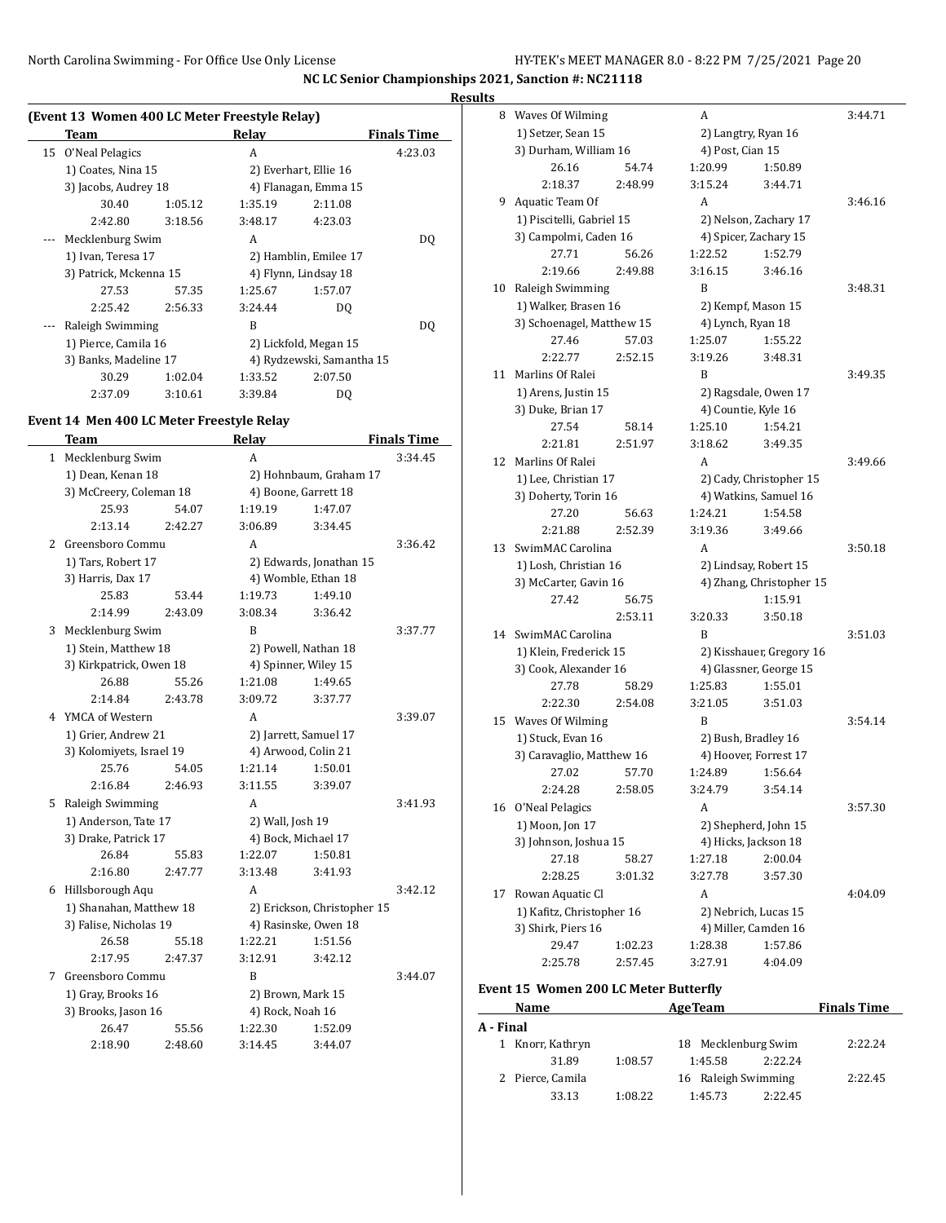#### **Results**

| (Event 13 Women 400 LC Meter Freestyle Relay) |                        |         |                       |                           |                    |  |  |
|-----------------------------------------------|------------------------|---------|-----------------------|---------------------------|--------------------|--|--|
|                                               | Team                   |         | Relay                 |                           | <b>Finals Time</b> |  |  |
|                                               | 15 O'Neal Pelagics     |         | A                     |                           | 4:23.03            |  |  |
|                                               | 1) Coates, Nina 15     |         |                       | 2) Everhart, Ellie 16     |                    |  |  |
|                                               | 3) Jacobs, Audrey 18   |         |                       | 4) Flanagan, Emma 15      |                    |  |  |
|                                               | 30.40                  | 1:05.12 | 1:35.19               | 2:11.08                   |                    |  |  |
|                                               | 2:42.80                | 3:18.56 | 3:48.17               | 4:23.03                   |                    |  |  |
|                                               | Mecklenburg Swim       |         | A                     |                           | DO.                |  |  |
|                                               | 1) Ivan, Teresa 17     |         | 2) Hamblin, Emilee 17 |                           |                    |  |  |
|                                               | 3) Patrick, Mckenna 15 |         |                       | 4) Flynn, Lindsay 18      |                    |  |  |
|                                               | 27.53                  | 57.35   | 1:25.67               | 1:57.07                   |                    |  |  |
|                                               | 2:25.42                | 2:56.33 | 3:24.44               | DQ                        |                    |  |  |
|                                               | Raleigh Swimming       |         | B                     |                           | DO.                |  |  |
|                                               | 1) Pierce, Camila 16   |         |                       | 2) Lickfold, Megan 15     |                    |  |  |
|                                               | 3) Banks, Madeline 17  |         |                       | 4) Rydzewski, Samantha 15 |                    |  |  |
|                                               | 30.29                  | 1:02.04 | 1:33.52               | 2:07.50                   |                    |  |  |
|                                               | 2:37.09                | 3:10.61 | 3:39.84               | DO                        |                    |  |  |

#### **Event 14 Men 400 LC Meter Freestyle Relay**

|              | <b>Team</b>              |         | Relay                |                             | <b>Finals Time</b> |
|--------------|--------------------------|---------|----------------------|-----------------------------|--------------------|
| $\mathbf{1}$ | Mecklenburg Swim         |         | A                    |                             | 3:34.45            |
|              | 1) Dean, Kenan 18        |         |                      | 2) Hohnbaum, Graham 17      |                    |
|              | 3) McCreery, Coleman 18  |         |                      | 4) Boone, Garrett 18        |                    |
|              | 25.93                    | 54.07   | 1:19.19              | 1:47.07                     |                    |
|              | 2:13.14                  | 2:42.27 | 3:06.89              | 3:34.45                     |                    |
| 2            | Greensboro Commu         |         | A                    |                             | 3:36.42            |
|              | 1) Tars, Robert 17       |         |                      | 2) Edwards, Jonathan 15     |                    |
|              | 3) Harris, Dax 17        |         |                      | 4) Womble, Ethan 18         |                    |
|              | 25.83                    | 53.44   | 1:19.73              | 1:49.10                     |                    |
|              | 2:14.99                  | 2:43.09 | 3:08.34              | 3:36.42                     |                    |
| 3            | Mecklenburg Swim         |         | B                    |                             | 3:37.77            |
|              | 1) Stein, Matthew 18     |         |                      | 2) Powell, Nathan 18        |                    |
|              | 3) Kirkpatrick, Owen 18  |         | 4) Spinner, Wiley 15 |                             |                    |
|              | 26.88                    | 55.26   | 1:21.08              | 1:49.65                     |                    |
|              | 2:14.84                  | 2:43.78 | 3:09.72              | 3:37.77                     |                    |
| 4            | YMCA of Western          |         | A                    |                             | 3:39.07            |
|              | 1) Grier, Andrew 21      |         |                      | 2) Jarrett, Samuel 17       |                    |
|              | 3) Kolomiyets, Israel 19 |         | 4) Arwood, Colin 21  |                             |                    |
|              | 25.76                    | 54.05   | 1:21.14              | 1:50.01                     |                    |
|              | 2:16.84                  | 2:46.93 | 3:11.55              | 3:39.07                     |                    |
| 5            | Raleigh Swimming         |         | A                    |                             | 3:41.93            |
|              | 1) Anderson, Tate 17     |         | 2) Wall, Josh 19     |                             |                    |
|              | 3) Drake, Patrick 17     |         | 4) Bock, Michael 17  |                             |                    |
|              | 26.84                    | 55.83   | 1:22.07              | 1:50.81                     |                    |
|              | 2:16.80                  | 2:47.77 | 3:13.48              | 3:41.93                     |                    |
| 6            | Hillsborough Aqu         |         | A                    |                             | 3:42.12            |
|              | 1) Shanahan, Matthew 18  |         |                      | 2) Erickson, Christopher 15 |                    |
|              | 3) Falise, Nicholas 19   |         |                      | 4) Rasinske, Owen 18        |                    |
|              | 26.58                    | 55.18   | 1:22.21              | 1:51.56                     |                    |
|              | 2:17.95                  | 2:47.37 | 3:12.91              | 3:42.12                     |                    |
| 7            | Greensboro Commu         |         | B                    |                             | 3:44.07            |
|              | 1) Gray, Brooks 16       |         | 2) Brown, Mark 15    |                             |                    |
|              | 3) Brooks, Jason 16      |         | 4) Rock, Noah 16     |                             |                    |
|              | 26.47                    | 55.56   | 1:22.30              | 1:52.09                     |                    |
|              | 2:18.90                  | 2:48.60 | 3:14.45              | 3:44.07                     |                    |

| 8  | Waves Of Wilming                    |         | A                   |                          | 3:44.71 |
|----|-------------------------------------|---------|---------------------|--------------------------|---------|
|    | 1) Setzer, Sean 15                  |         |                     | 2) Langtry, Ryan 16      |         |
|    | 3) Durham, William 16               |         | 4) Post, Cian 15    |                          |         |
|    | 26.16                               | 54.74   | 1:20.99             | 1:50.89                  |         |
|    | 2:18.37                             | 2:48.99 | 3:15.24             | 3:44.71                  |         |
| 9  | Aquatic Team Of                     |         | A                   |                          | 3:46.16 |
|    | 1) Piscitelli, Gabriel 15           |         |                     | 2) Nelson, Zachary 17    |         |
|    | 3) Campolmi, Caden 16               |         |                     | 4) Spicer, Zachary 15    |         |
|    | 27.71                               | 56.26   | 1:22.52             | 1:52.79                  |         |
|    | 2:19.66                             | 2:49.88 | 3:16.15             | 3:46.16                  |         |
| 10 | Raleigh Swimming                    |         | B                   |                          | 3:48.31 |
|    | 1) Walker, Brasen 16                |         |                     | 2) Kempf, Mason 15       |         |
|    | 3) Schoenagel, Matthew 15           |         | 4) Lynch, Ryan 18   |                          |         |
|    | 27.46                               | 57.03   | 1:25.07             | 1:55.22                  |         |
|    | 2:22.77                             | 2:52.15 | 3:19.26             | 3:48.31                  |         |
| 11 | Marlins Of Ralei                    |         | B                   |                          | 3:49.35 |
|    | 1) Arens, Justin 15                 |         |                     | 2) Ragsdale, Owen 17     |         |
|    | 3) Duke, Brian 17                   |         | 4) Countie, Kyle 16 |                          |         |
|    | 27.54                               | 58.14   | 1:25.10             | 1:54.21                  |         |
|    | 2:21.81                             | 2:51.97 | 3:18.62             | 3:49.35                  |         |
| 12 | Marlins Of Ralei                    |         | A                   |                          | 3:49.66 |
|    | 1) Lee, Christian 17                |         |                     | 2) Cady, Christopher 15  |         |
|    | 3) Doherty, Torin 16                |         |                     | 4) Watkins, Samuel 16    |         |
|    | 27.20                               | 56.63   | 1:24.21             | 1:54.58                  |         |
|    | 2:21.88                             | 2:52.39 | 3:19.36             | 3:49.66                  |         |
| 13 | SwimMAC Carolina                    |         | A                   |                          | 3:50.18 |
|    | 1) Losh, Christian 16               |         |                     | 2) Lindsay, Robert 15    |         |
|    | 3) McCarter, Gavin 16               |         |                     | 4) Zhang, Christopher 15 |         |
|    | 27.42                               | 56.75   |                     | 1:15.91                  |         |
|    |                                     | 2:53.11 | 3:20.33             | 3:50.18                  |         |
| 14 | SwimMAC Carolina                    |         | B                   |                          | 3:51.03 |
|    | 1) Klein, Frederick 15              |         |                     | 2) Kisshauer, Gregory 16 |         |
|    | 3) Cook, Alexander 16               |         |                     | 4) Glassner, George 15   |         |
|    | 27.78                               | 58.29   | 1:25.83             | 1:55.01                  |         |
|    | 2:22.30                             | 2:54.08 | 3:21.05             | 3:51.03                  |         |
| 15 | Waves Of Wilming                    |         | B                   |                          | 3:54.14 |
|    | 1) Stuck, Evan 16                   |         | 2) Bush, Bradley 16 |                          |         |
|    | 3) Caravaglio, Matthew 16           |         |                     | 4) Hoover, Forrest 17    |         |
|    | 27.02                               | 57.70   | 1:24.89             | 1:56.64                  |         |
|    | 2:24.28                             | 2:58.05 | 3:24.79             | 3:54.14                  |         |
| 16 | O'Neal Pelagics                     |         | A                   |                          | 3:57.30 |
|    | 1) Moon, Jon 17                     |         |                     | 2) Shepherd, John 15     |         |
|    | 3) Johnson, Joshua 15               |         |                     | 4) Hicks, Jackson 18     |         |
|    | 27.18                               | 58.27   | 1:27.18             | 2:00.04                  |         |
|    | 2:28.25                             | 3:01.32 | 3:27.78             | 3:57.30                  |         |
| 17 | Rowan Aquatic Cl                    |         | A                   |                          | 4:04.09 |
|    | 1) Kafitz, Christopher 16           |         |                     | 2) Nebrich, Lucas 15     |         |
|    | 3) Shirk, Piers 16                  |         |                     | 4) Miller, Camden 16     |         |
|    | 29.47                               | 1:02.23 | 1:28.38             | 1:57.86                  |         |
|    | 2:25.78                             | 2:57.45 | 3:27.91             | 4:04.09                  |         |
|    | ant 15 Waman 200 LC Mater Rutterfly |         |                     |                          |         |
|    |                                     |         |                     |                          |         |

#### **Event 15 Women 200 LC Meter Butterfly**

| prent to women goo be meter butterny |                  |         |                     |         |                    |  |  |  |
|--------------------------------------|------------------|---------|---------------------|---------|--------------------|--|--|--|
|                                      | <b>Name</b>      |         | <b>AgeTeam</b>      |         | <b>Finals Time</b> |  |  |  |
| A - Final                            |                  |         |                     |         |                    |  |  |  |
| 1                                    | Knorr, Kathryn   |         | 18 Mecklenburg Swim |         | 2:22.24            |  |  |  |
|                                      | 31.89            | 1:08.57 | 1:45.58             | 2:22.24 |                    |  |  |  |
|                                      | 2 Pierce, Camila |         | 16 Raleigh Swimming |         | 2:22.45            |  |  |  |
|                                      | 33.13            | 1:08.22 | 1:45.73             | 2:22.45 |                    |  |  |  |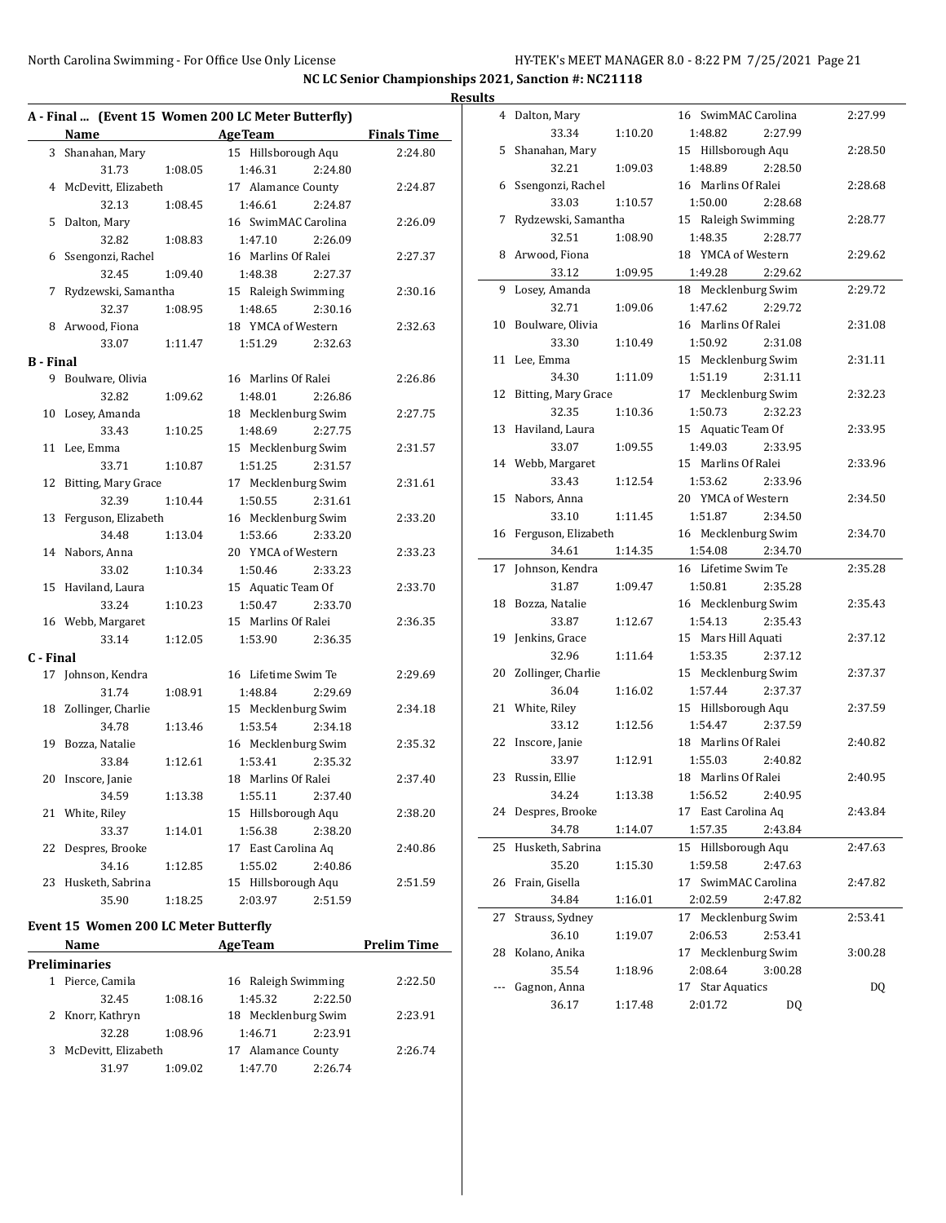35.54 1:18.96 2:08.64 3:00.28 --- Gagnon, Anna 17 Star Aquatics DQ 36.17 1:17.48 2:01.72 DQ

**NC LC Senior Championships 2021, Sanction #: NC21118 Results**

|           |                                                                                                                                                                                                                               | A - Final  (Event 15 Women 200 LC Meter Butterfly) |                    | 4 Dalton, Mary         |         | 16 SwimMAC Carolina | 2:27.99 |
|-----------|-------------------------------------------------------------------------------------------------------------------------------------------------------------------------------------------------------------------------------|----------------------------------------------------|--------------------|------------------------|---------|---------------------|---------|
|           | Name and the same state of the state of the state of the state of the state of the state of the state of the state of the state of the state of the state of the state of the state of the state of the state of the state of | <b>Age Team</b>                                    | <b>Finals Time</b> | 33.34                  | 1:10.20 | 1:48.82<br>2:27.99  |         |
|           | 3 Shanahan, Mary                                                                                                                                                                                                              | 15 Hillsborough Aqu                                | 2:24.80            | 5 Shanahan, Mary       |         | 15 Hillsborough Aqu | 2:28.50 |
|           | 31.73                                                                                                                                                                                                                         | 1:46.31<br>1:08.05<br>2:24.80                      |                    | 32.21                  | 1:09.03 | 1:48.89<br>2:28.50  |         |
|           | 4 McDevitt, Elizabeth                                                                                                                                                                                                         | 17 Alamance County                                 | 2:24.87            | 6 Ssengonzi, Rachel    |         | 16 Marlins Of Ralei | 2:28.68 |
|           | 32.13                                                                                                                                                                                                                         | 1:08.45<br>1:46.61<br>2:24.87                      |                    | 33.03                  | 1:10.57 | 1:50.00<br>2:28.68  |         |
|           | 5 Dalton, Mary                                                                                                                                                                                                                | 16 SwimMAC Carolina                                | 2:26.09            | 7 Rydzewski, Samantha  |         | 15 Raleigh Swimming | 2:28.77 |
|           | 32.82                                                                                                                                                                                                                         | 1:08.83<br>1:47.10<br>2:26.09                      |                    | 32.51                  | 1:08.90 | 1:48.35<br>2:28.77  |         |
|           | 6 Ssengonzi, Rachel                                                                                                                                                                                                           | 16 Marlins Of Ralei                                | 2:27.37            | 8 Arwood, Fiona        |         | 18 YMCA of Western  | 2:29.62 |
|           | 32.45                                                                                                                                                                                                                         | 1:09.40<br>1:48.38<br>2:27.37                      |                    | 33.12                  | 1:09.95 | 2:29.62<br>1:49.28  |         |
|           | 7 Rydzewski, Samantha                                                                                                                                                                                                         | 15 Raleigh Swimming                                | 2:30.16            | 9 Losey, Amanda        |         | 18 Mecklenburg Swim | 2:29.72 |
|           | 32.37                                                                                                                                                                                                                         | 1:08.95<br>1:48.65<br>2:30.16                      |                    | 32.71                  | 1:09.06 | 1:47.62<br>2:29.72  |         |
|           | 8 Arwood, Fiona                                                                                                                                                                                                               | 18 YMCA of Western                                 | 2:32.63            | 10 Boulware, Olivia    |         | 16 Marlins Of Ralei | 2:31.08 |
|           | 33.07                                                                                                                                                                                                                         | 1:11.47<br>1:51.29<br>2:32.63                      |                    | 33.30                  | 1:10.49 | 1:50.92<br>2:31.08  |         |
| B - Final |                                                                                                                                                                                                                               |                                                    |                    | 11 Lee, Emma           |         | 15 Mecklenburg Swim | 2:31.11 |
|           | 9 Boulware, Olivia                                                                                                                                                                                                            | 16 Marlins Of Ralei                                | 2:26.86            | 34.30                  | 1:11.09 | 1:51.19<br>2:31.11  |         |
|           | 32.82                                                                                                                                                                                                                         | 1:48.01<br>1:09.62<br>2:26.86                      |                    | 12 Bitting, Mary Grace |         | 17 Mecklenburg Swim | 2:32.23 |
|           | 10 Losey, Amanda                                                                                                                                                                                                              | 18 Mecklenburg Swim                                | 2:27.75            | 32.35                  | 1:10.36 | 1:50.73<br>2:32.23  |         |
|           | 33.43                                                                                                                                                                                                                         | 1:48.69<br>2:27.75<br>1:10.25                      |                    | 13 Haviland, Laura     |         | 15 Aquatic Team Of  | 2:33.95 |
|           | 11 Lee, Emma                                                                                                                                                                                                                  | 15 Mecklenburg Swim                                | 2:31.57            | 33.07                  | 1:09.55 | 1:49.03<br>2:33.95  |         |
|           | 33.71                                                                                                                                                                                                                         | 1:10.87<br>2:31.57<br>1:51.25                      |                    | 14 Webb, Margaret      |         | 15 Marlins Of Ralei | 2:33.96 |
|           | 12 Bitting, Mary Grace                                                                                                                                                                                                        | 17 Mecklenburg Swim                                | 2:31.61            | 33.43                  | 1:12.54 | 1:53.62<br>2:33.96  |         |
|           | 32.39                                                                                                                                                                                                                         | 2:31.61<br>1:10.44<br>1:50.55                      |                    | 15 Nabors, Anna        |         | 20 YMCA of Western  | 2:34.50 |
|           | 13 Ferguson, Elizabeth                                                                                                                                                                                                        | 16 Mecklenburg Swim                                | 2:33.20            | 33.10                  | 1:11.45 | 1:51.87<br>2:34.50  |         |
|           | 34.48                                                                                                                                                                                                                         | 1:13.04<br>1:53.66<br>2:33.20                      |                    | 16 Ferguson, Elizabeth |         | 16 Mecklenburg Swim | 2:34.70 |
|           | 14 Nabors, Anna                                                                                                                                                                                                               | 20 YMCA of Western                                 | 2:33.23            | 34.61                  | 1:14.35 | 2:34.70<br>1:54.08  |         |
|           | 33.02                                                                                                                                                                                                                         | 1:10.34<br>1:50.46<br>2:33.23                      |                    | 17 Johnson, Kendra     |         | 16 Lifetime Swim Te | 2:35.28 |
|           | 15 Haviland, Laura                                                                                                                                                                                                            | 15 Aquatic Team Of                                 | 2:33.70            | 31.87                  | 1:09.47 | 1:50.81<br>2:35.28  |         |
|           | 33.24                                                                                                                                                                                                                         | 1:10.23<br>1:50.47<br>2:33.70                      |                    | 18 Bozza, Natalie      |         | 16 Mecklenburg Swim | 2:35.43 |
|           | 16 Webb, Margaret                                                                                                                                                                                                             | 15 Marlins Of Ralei                                | 2:36.35            | 33.87                  | 1:12.67 | 1:54.13<br>2:35.43  |         |
|           | 33.14                                                                                                                                                                                                                         | 1:12.05<br>1:53.90<br>2:36.35                      |                    | 19 Jenkins, Grace      |         | 15 Mars Hill Aquati | 2:37.12 |
| C - Final |                                                                                                                                                                                                                               |                                                    |                    | 32.96                  | 1:11.64 | 1:53.35<br>2:37.12  |         |
|           | 17 Johnson, Kendra                                                                                                                                                                                                            | 16 Lifetime Swim Te                                | 2:29.69            | 20 Zollinger, Charlie  |         | 15 Mecklenburg Swim | 2:37.37 |
|           | 31.74                                                                                                                                                                                                                         | 1:48.84<br>1:08.91<br>2:29.69                      |                    | 36.04                  | 1:16.02 | 1:57.44<br>2:37.37  |         |
|           | 18 Zollinger, Charlie                                                                                                                                                                                                         | 15 Mecklenburg Swim                                | 2:34.18            | 21 White, Riley        |         | 15 Hillsborough Aqu | 2:37.59 |
|           | 34.78                                                                                                                                                                                                                         | 1:53.54<br>1:13.46<br>2:34.18                      |                    | 33.12                  | 1:12.56 | 1:54.47<br>2:37.59  |         |
|           | 19 Bozza, Natalie                                                                                                                                                                                                             | 16 Mecklenburg Swim                                | 2:35.32            | 22 Inscore, Janie      |         | 18 Marlins Of Ralei | 2:40.82 |
|           | 33.84                                                                                                                                                                                                                         | 1:12.61<br>1:53.41<br>2:35.32                      |                    | 33.97                  | 1:12.91 | 1:55.03<br>2:40.82  |         |
|           | 20 Inscore, Janie                                                                                                                                                                                                             | 18 Marlins Of Ralei                                | 2:37.40            | 23 Russin, Ellie       |         | 18 Marlins Of Ralei | 2:40.95 |
|           | 34.59                                                                                                                                                                                                                         | 1:13.38<br>1:55.11<br>2:37.40                      |                    | 34.24                  | 1:13.38 | 1:56.52<br>2:40.95  |         |
|           | 21 White, Riley                                                                                                                                                                                                               | 15 Hillsborough Aqu                                | 2:38.20            | 24 Despres, Brooke     |         | 17 East Carolina Aq | 2:43.84 |
|           | 33.37                                                                                                                                                                                                                         | 1:56.38<br>1:14.01<br>2:38.20                      |                    | 34.78                  | 1:14.07 | 1:57.35<br>2:43.84  |         |
|           | 22 Despres, Brooke                                                                                                                                                                                                            | 17 East Carolina Aq                                | 2:40.86            | 25 Husketh, Sabrina    |         | 15 Hillsborough Aqu | 2:47.63 |
|           | 34.16                                                                                                                                                                                                                         | 1:12.85<br>1:55.02<br>2:40.86                      |                    | 35.20                  | 1:15.30 | 1:59.58<br>2:47.63  |         |
|           | 23 Husketh, Sabrina                                                                                                                                                                                                           | 15 Hillsborough Aqu                                | 2:51.59            | 26 Frain, Gisella      |         | 17 SwimMAC Carolina | 2:47.82 |
|           | 35.90                                                                                                                                                                                                                         | 1:18.25<br>2:03.97<br>2:51.59                      |                    | 34.84                  | 1:16.01 | 2:02.59<br>2:47.82  |         |
|           |                                                                                                                                                                                                                               |                                                    |                    | 27 Strauss, Sydney     |         | 17 Mecklenburg Swim | 2:53.41 |
|           | Event 15 Women 200 LC Meter Butterfly                                                                                                                                                                                         |                                                    |                    | 36.10                  | 1:19.07 | 2:06.53<br>2:53.41  |         |
|           | Name                                                                                                                                                                                                                          | <b>AgeTeam</b>                                     | <b>Prelim Time</b> | 28 Kolano, Anika       |         | 17 Mecklenburg Swim | 3:00.28 |

| Preliminaries |                     |         |                     |         |         |  |  |
|---------------|---------------------|---------|---------------------|---------|---------|--|--|
|               | Pierce, Camila      |         | 16 Raleigh Swimming |         | 2:22.50 |  |  |
|               | 32.45               | 1:08.16 | 1:45.32             | 2:22.50 |         |  |  |
|               | 2 Knorr, Kathryn    |         | 18 Mecklenburg Swim |         | 2:23.91 |  |  |
|               | 32.28               | 1:08.96 | 1:46.71             | 2:23.91 |         |  |  |
| 3             | McDevitt, Elizabeth |         | 17 Alamance County  |         | 2:26.74 |  |  |
|               | 31.97               | 1:09.02 | 1:47.70             | 2:26.74 |         |  |  |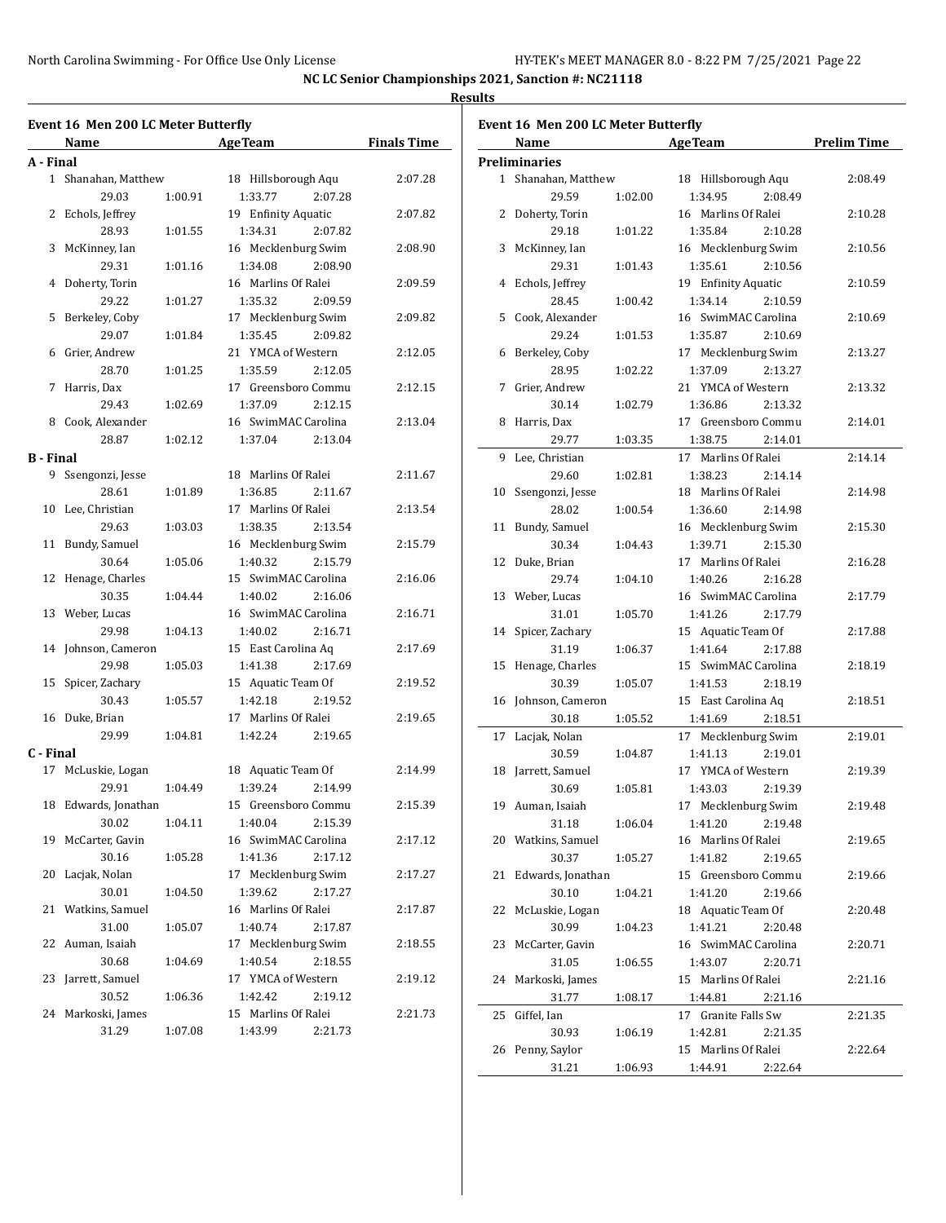**NC LC Senior Championships 2021, Sanction #: NC21118**

|                  | Event 16 Men 200 LC Meter Butterfly<br>Name |         | <b>Age Team</b>     | <b>Finals Time</b> |
|------------------|---------------------------------------------|---------|---------------------|--------------------|
|                  |                                             |         |                     |                    |
| A - Final        | 1 Shanahan, Matthew                         |         | 18 Hillsborough Aqu | 2:07.28            |
|                  | 29.03                                       | 1:00.91 | 1:33.77<br>2:07.28  |                    |
|                  | 2 Echols, Jeffrey                           |         | 19 Enfinity Aquatic | 2:07.82            |
|                  | 28.93                                       | 1:01.55 | 1:34.31<br>2:07.82  |                    |
|                  | 3 McKinney, Ian                             |         | 16 Mecklenburg Swim | 2:08.90            |
|                  | 29.31                                       | 1:01.16 | 1:34.08<br>2:08.90  |                    |
|                  | 4 Doherty, Torin                            |         | 16 Marlins Of Ralei | 2:09.59            |
|                  | 29.22                                       | 1:01.27 | 2:09.59             |                    |
|                  |                                             |         | 1:35.32             | 2:09.82            |
|                  | 5 Berkeley, Coby                            |         | 17 Mecklenburg Swim |                    |
|                  | 29.07                                       | 1:01.84 | 1:35.45<br>2:09.82  |                    |
|                  | 6 Grier, Andrew                             |         | 21 YMCA of Western  | 2:12.05            |
|                  | 28.70                                       | 1:01.25 | 1:35.59<br>2:12.05  |                    |
|                  | 7 Harris, Dax                               |         | 17 Greensboro Commu | 2:12.15            |
|                  | 29.43                                       | 1:02.69 | 1:37.09<br>2:12.15  |                    |
|                  | 8 Cook, Alexander                           |         | 16 SwimMAC Carolina | 2:13.04            |
|                  | 28.87                                       | 1:02.12 | 1:37.04<br>2:13.04  |                    |
| <b>B</b> - Final |                                             |         |                     |                    |
|                  | 9 Ssengonzi, Jesse                          |         | 18 Marlins Of Ralei | 2:11.67            |
|                  | 28.61                                       | 1:01.89 | 1:36.85<br>2:11.67  |                    |
|                  | 10 Lee, Christian                           |         | 17 Marlins Of Ralei | 2:13.54            |
|                  | 29.63                                       | 1:03.03 | 1:38.35<br>2:13.54  |                    |
|                  | 11 Bundy, Samuel                            |         | 16 Mecklenburg Swim | 2:15.79            |
|                  | 30.64                                       | 1:05.06 | 1:40.32<br>2:15.79  |                    |
|                  | 12 Henage, Charles                          |         | 15 SwimMAC Carolina | 2:16.06            |
|                  | 30.35                                       | 1:04.44 | 1:40.02<br>2:16.06  |                    |
|                  | 13 Weber, Lucas                             |         | 16 SwimMAC Carolina | 2:16.71            |
|                  | 29.98                                       | 1:04.13 | 1:40.02<br>2:16.71  |                    |
|                  | 14 Johnson, Cameron                         |         | 15 East Carolina Aq | 2:17.69            |
|                  | 29.98                                       | 1:05.03 | 2:17.69<br>1:41.38  |                    |
|                  | 15 Spicer, Zachary                          |         | 15 Aquatic Team Of  | 2:19.52            |
|                  | 30.43                                       | 1:05.57 | 1:42.18<br>2:19.52  |                    |
|                  | 16 Duke, Brian                              |         | 17 Marlins Of Ralei | 2:19.65            |
|                  | 29.99                                       | 1:04.81 | 1:42.24<br>2:19.65  |                    |
| C - Final        |                                             |         |                     |                    |
|                  | 17 McLuskie, Logan                          |         | 18 Aquatic Team Of  | 2:14.99            |
|                  | 29.91                                       | 1:04.49 | 1:39.24<br>2:14.99  |                    |
|                  | 18 Edwards, Jonathan                        |         | 15 Greensboro Commu | 2:15.39            |
|                  | 30.02                                       | 1:04.11 | 1:40.04<br>2:15.39  |                    |
| 19               | McCarter, Gavin                             |         | 16 SwimMAC Carolina | 2:17.12            |
|                  | 30.16                                       | 1:05.28 | 1:41.36<br>2:17.12  |                    |
| 20               | Lacjak, Nolan                               |         | 17 Mecklenburg Swim | 2:17.27            |
|                  | 30.01                                       | 1:04.50 | 1:39.62<br>2:17.27  |                    |
| 21               | Watkins, Samuel                             |         | 16 Marlins Of Ralei | 2:17.87            |
|                  | 31.00                                       | 1:05.07 | 1:40.74<br>2:17.87  |                    |
| 22               | Auman, Isaiah                               |         | 17 Mecklenburg Swim | 2:18.55            |
|                  | 30.68                                       | 1:04.69 | 1:40.54<br>2:18.55  |                    |
| 23               | Jarrett, Samuel                             |         | 17 YMCA of Western  | 2:19.12            |
|                  | 30.52                                       | 1:06.36 | 1:42.42<br>2:19.12  |                    |
| 24               | Markoski, James                             |         | 15 Marlins Of Ralei | 2:21.73            |
|                  | 31.29                                       | 1:07.08 | 1:43.99<br>2:21.73  |                    |
|                  |                                             |         |                     |                    |

|    | Name                |         | <b>AgeTeam</b>      | <b>Prelim Time</b> |
|----|---------------------|---------|---------------------|--------------------|
|    | Preliminaries       |         |                     |                    |
|    | 1 Shanahan, Matthew |         | 18 Hillsborough Aqu | 2:08.49            |
|    | 29.59               | 1:02.00 | 1:34.95<br>2:08.49  |                    |
| 2  | Doherty, Torin      |         | 16 Marlins Of Ralei | 2:10.28            |
|    | 29.18               | 1:01.22 | 1:35.84<br>2:10.28  |                    |
| 3  | McKinney, Ian       |         | 16 Mecklenburg Swim | 2:10.56            |
|    | 29.31               | 1:01.43 | 1:35.61<br>2:10.56  |                    |
| 4  | Echols, Jeffrey     |         | 19 Enfinity Aquatic | 2:10.59            |
|    | 28.45               | 1:00.42 | 1:34.14<br>2:10.59  |                    |
| 5  | Cook, Alexander     |         | 16 SwimMAC Carolina | 2:10.69            |
|    | 29.24               | 1:01.53 | 1:35.87<br>2:10.69  |                    |
| 6  | Berkeley, Coby      |         | 17 Mecklenburg Swim | 2:13.27            |
|    | 28.95               | 1:02.22 | 1:37.09<br>2:13.27  |                    |
| 7  | Grier, Andrew       |         | 21 YMCA of Western  | 2:13.32            |
|    | 30.14               | 1:02.79 | 1:36.86<br>2:13.32  |                    |
| 8  | Harris, Dax         |         | 17 Greensboro Commu | 2:14.01            |
|    | 29.77               | 1:03.35 | 1:38.75<br>2:14.01  |                    |
| 9  | Lee, Christian      |         | 17 Marlins Of Ralei | 2:14.14            |
|    | 29.60               | 1:02.81 | 1:38.23<br>2:14.14  |                    |
| 10 | Ssengonzi, Jesse    |         | 18 Marlins Of Ralei | 2:14.98            |
|    | 28.02               | 1:00.54 | 1:36.60<br>2:14.98  |                    |
| 11 | Bundy, Samuel       |         | 16 Mecklenburg Swim | 2:15.30            |
|    | 30.34               | 1:04.43 | 1:39.71<br>2:15.30  |                    |
| 12 | Duke, Brian         |         | 17 Marlins Of Ralei | 2:16.28            |
|    | 29.74               | 1:04.10 | 1:40.26<br>2:16.28  |                    |
| 13 | Weber, Lucas        |         | 16 SwimMAC Carolina | 2:17.79            |
|    | 31.01               | 1:05.70 | 1:41.26<br>2:17.79  |                    |
| 14 | Spicer, Zachary     |         | 15 Aquatic Team Of  | 2:17.88            |
|    | 31.19               | 1:06.37 | 1:41.64<br>2:17.88  |                    |
| 15 | Henage, Charles     |         | 15 SwimMAC Carolina | 2:18.19            |
|    | 30.39               | 1:05.07 | 1:41.53<br>2:18.19  |                    |
|    | 16 Johnson, Cameron |         | 15 East Carolina Aq | 2:18.51            |
|    | 30.18               | 1:05.52 | 1:41.69<br>2:18.51  |                    |
| 17 | Lacjak, Nolan       |         | 17 Mecklenburg Swim | 2:19.01            |
|    | 30.59               | 1:04.87 | 1:41.13<br>2:19.01  |                    |
| 18 | Jarrett, Samuel     |         | 17 YMCA of Western  | 2:19.39            |
|    | 30.69               | 1:05.81 | 1:43.03<br>2:19.39  |                    |
|    | 19 Auman, Isaiah    |         | 17 Mecklenburg Swim | 2:19.48            |
|    | 31.18               | 1:06.04 | 1:41.20<br>2:19.48  |                    |
|    | 20 Watkins, Samuel  |         | 16 Marlins Of Ralei | 2:19.65            |
|    | 30.37               | 1:05.27 | 1:41.82<br>2:19.65  |                    |
| 21 | Edwards, Jonathan   |         | 15 Greensboro Commu | 2:19.66            |
|    | 30.10               | 1:04.21 | 1:41.20<br>2:19.66  |                    |
| 22 | McLuskie, Logan     |         | 18 Aquatic Team Of  | 2:20.48            |
|    | 30.99               | 1:04.23 | 1:41.21<br>2:20.48  |                    |
| 23 | McCarter, Gavin     |         | 16 SwimMAC Carolina | 2:20.71            |
|    | 31.05               | 1:06.55 | 1:43.07<br>2:20.71  |                    |
| 24 | Markoski, James     |         | 15 Marlins Of Ralei | 2:21.16            |
|    | 31.77               | 1:08.17 | 1:44.81<br>2:21.16  |                    |
| 25 | Giffel, Ian         |         | 17 Granite Falls Sw | 2:21.35            |
|    | 30.93               | 1:06.19 | 1:42.81<br>2:21.35  |                    |
| 26 | Penny, Saylor       |         | 15 Marlins Of Ralei | 2:22.64            |
|    |                     |         |                     |                    |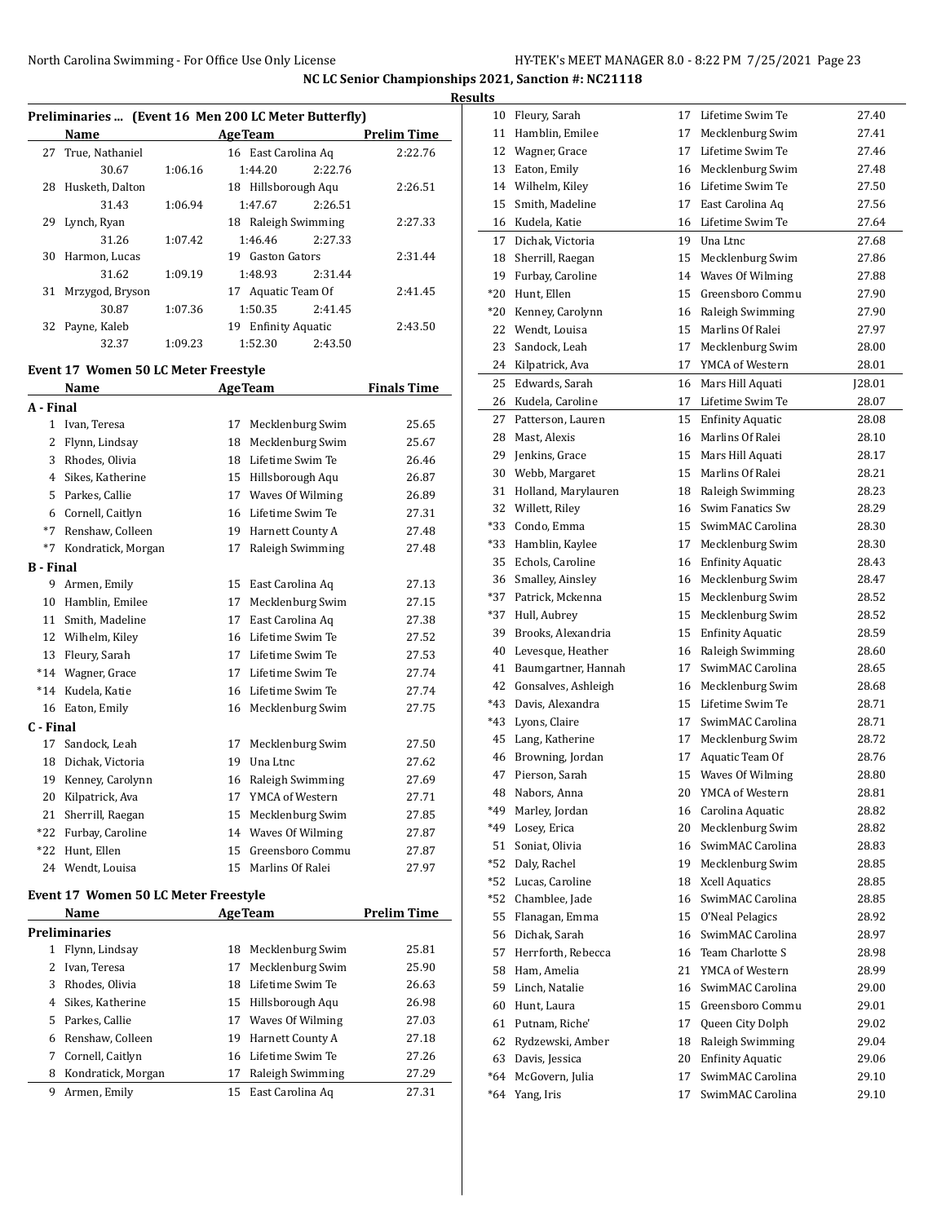#### **Results**

 $\overline{\phantom{a}}$ 

 $\overline{a}$ 

 $\overline{\phantom{a}}$ 

| Preliminaries  (Event 16 Men 200 LC Meter Butterfly) |                    |         |                     |         |                    |  |  |  |
|------------------------------------------------------|--------------------|---------|---------------------|---------|--------------------|--|--|--|
|                                                      | Name               |         | <b>AgeTeam</b>      |         | <b>Prelim Time</b> |  |  |  |
|                                                      | 27 True, Nathaniel |         | 16 East Carolina Ag |         | 2:22.76            |  |  |  |
|                                                      | 30.67              | 1:06.16 | 1:44.20             | 2:22.76 |                    |  |  |  |
| 28                                                   | Husketh, Dalton    |         | 18 Hillsborough Aqu |         | 2:26.51            |  |  |  |
|                                                      | 31.43              | 1:06.94 | 1:47.67             | 2.26.51 |                    |  |  |  |
| 29                                                   | Lynch, Ryan        |         | 18 Raleigh Swimming |         | 2:27.33            |  |  |  |
|                                                      | 31.26              | 1:07.42 | 1:46.46             | 2:27.33 |                    |  |  |  |
| 30                                                   | Harmon, Lucas      |         | 19 Gaston Gators    |         | 2:31.44            |  |  |  |
|                                                      | 31.62              | 1:09.19 | 1:48.93             | 2:31.44 |                    |  |  |  |
| 31                                                   | Mrzygod, Bryson    |         | 17 Aquatic Team Of  |         | 2:41.45            |  |  |  |
|                                                      | 30.87              | 1:07.36 | 1:50.35             | 2:41.45 |                    |  |  |  |
| 32                                                   | Payne, Kaleb       |         | 19 Enfinity Aquatic |         | 2:43.50            |  |  |  |
|                                                      | 32.37              | 1:09.23 | 1:52.30             | 2:43.50 |                    |  |  |  |

#### **Event 17 Women 50 LC Meter Freestyle**

|                  | <b>Name</b>        |    | <b>AgeTeam</b>   | <b>Finals Time</b> |
|------------------|--------------------|----|------------------|--------------------|
| A - Final        |                    |    |                  |                    |
| 1                | Ivan, Teresa       | 17 | Mecklenburg Swim | 25.65              |
| 2                | Flynn, Lindsay     | 18 | Mecklenburg Swim | 25.67              |
| 3                | Rhodes, Olivia     | 18 | Lifetime Swim Te | 26.46              |
| 4                | Sikes, Katherine   | 15 | Hillsborough Aqu | 26.87              |
| 5                | Parkes, Callie     | 17 | Waves Of Wilming | 26.89              |
| 6                | Cornell, Caitlyn   | 16 | Lifetime Swim Te | 27.31              |
| $*7$             | Renshaw, Colleen   | 19 | Harnett County A | 27.48              |
| $*7$             | Kondratick, Morgan | 17 | Raleigh Swimming | 27.48              |
| <b>B</b> - Final |                    |    |                  |                    |
| 9                | Armen, Emily       | 15 | East Carolina Aq | 27.13              |
| 10               | Hamblin, Emilee    | 17 | Mecklenburg Swim | 27.15              |
| 11               | Smith, Madeline    | 17 | East Carolina Aq | 27.38              |
| 12               | Wilhelm, Kiley     | 16 | Lifetime Swim Te | 27.52              |
| 13               | Fleury, Sarah      | 17 | Lifetime Swim Te | 27.53              |
| $*14$            | Wagner, Grace      | 17 | Lifetime Swim Te | 27.74              |
| $*14$            | Kudela, Katie      | 16 | Lifetime Swim Te | 27.74              |
| 16               | Eaton, Emily       | 16 | Mecklenburg Swim | 27.75              |
| C - Final        |                    |    |                  |                    |
| 17               | Sandock, Leah      | 17 | Mecklenburg Swim | 27.50              |
| 18               | Dichak, Victoria   | 19 | Una Ltnc         | 27.62              |
| 19               | Kenney, Carolynn   | 16 | Raleigh Swimming | 27.69              |
| 20               | Kilpatrick, Ava    | 17 | YMCA of Western  | 27.71              |
| 21               | Sherrill, Raegan   | 15 | Mecklenburg Swim | 27.85              |
| $*22$            | Furbay, Caroline   | 14 | Waves Of Wilming | 27.87              |
| $*22$            | Hunt, Ellen        | 15 | Greensboro Commu | 27.87              |
| 24               | Wendt, Louisa      | 15 | Marlins Of Ralei | 27.97              |
|                  |                    |    |                  |                    |

### **Event 17 Women 50 LC Meter Freestyle**

|   | Name                 |     | <b>AgeTeam</b>      | <b>Prelim Time</b> |
|---|----------------------|-----|---------------------|--------------------|
|   | <b>Preliminaries</b> |     |                     |                    |
| 1 | Flynn, Lindsay       | 18  | Mecklenburg Swim    | 25.81              |
|   | Ivan, Teresa         | 17  | Mecklenburg Swim    | 25.90              |
| 3 | Rhodes, Olivia       | 18. | Lifetime Swim Te    | 26.63              |
| 4 | Sikes, Katherine     |     | 15 Hillsborough Aqu | 26.98              |
| 5 | Parkes. Callie       | 17  | Waves Of Wilming    | 27.03              |
| 6 | Renshaw, Colleen     | 19  | Harnett County A    | 27.18              |
| 7 | Cornell, Caitlyn     |     | 16 Lifetime Swim Te | 27.26              |
| 8 | Kondratick, Morgan   | 17  | Raleigh Swimming    | 27.29              |
| 9 | Armen, Emily         | 15  | East Carolina Ag    | 27.31              |

| 10    | Fleury, Sarah       | 17 | Lifetime Swim Te        | 27.40  |
|-------|---------------------|----|-------------------------|--------|
| 11    | Hamblin, Emilee     | 17 | Mecklenburg Swim        | 27.41  |
| 12    | Wagner, Grace       | 17 | Lifetime Swim Te        | 27.46  |
| 13    | Eaton, Emily        | 16 | Mecklenburg Swim        | 27.48  |
| 14    | Wilhelm, Kiley      | 16 | Lifetime Swim Te        | 27.50  |
| 15    | Smith, Madeline     | 17 | East Carolina Ag        | 27.56  |
| 16    | Kudela, Katie       | 16 | Lifetime Swim Te        | 27.64  |
| 17    | Dichak, Victoria    | 19 | Una Ltnc                | 27.68  |
| 18    | Sherrill, Raegan    | 15 | Mecklenburg Swim        | 27.86  |
| 19    | Furbay, Caroline    | 14 | Waves Of Wilming        | 27.88  |
| *20   | Hunt, Ellen         | 15 | Greensboro Commu        | 27.90  |
| *20   | Kenney, Carolynn    | 16 | Raleigh Swimming        | 27.90  |
| 22    | Wendt, Louisa       | 15 | Marlins Of Ralei        | 27.97  |
| 23    | Sandock, Leah       | 17 | Mecklenburg Swim        | 28.00  |
| 24    | Kilpatrick, Ava     | 17 | YMCA of Western         | 28.01  |
| 25    | Edwards, Sarah      | 16 | Mars Hill Aquati        | J28.01 |
| 26    | Kudela, Caroline    | 17 | Lifetime Swim Te        | 28.07  |
| 27    | Patterson, Lauren   | 15 | <b>Enfinity Aquatic</b> | 28.08  |
| 28    | Mast, Alexis        | 16 | Marlins Of Ralei        | 28.10  |
| 29    | Jenkins, Grace      | 15 | Mars Hill Aquati        | 28.17  |
| 30    | Webb, Margaret      | 15 | Marlins Of Ralei        | 28.21  |
| 31    | Holland, Marylauren | 18 | Raleigh Swimming        | 28.23  |
| 32    | Willett, Riley      | 16 | Swim Fanatics Sw        | 28.29  |
| *33   | Condo, Emma         | 15 | SwimMAC Carolina        | 28.30  |
| *33   | Hamblin, Kaylee     | 17 | Mecklenburg Swim        | 28.30  |
| 35    | Echols, Caroline    | 16 | <b>Enfinity Aquatic</b> | 28.43  |
| 36    | Smalley, Ainsley    | 16 | Mecklenburg Swim        | 28.47  |
| $*37$ | Patrick, Mckenna    | 15 | Mecklenburg Swim        | 28.52  |
| $*37$ | Hull, Aubrey        | 15 | Mecklenburg Swim        | 28.52  |
| 39    | Brooks, Alexandria  | 15 | <b>Enfinity Aquatic</b> | 28.59  |
| 40    | Levesque, Heather   | 16 | Raleigh Swimming        | 28.60  |
| 41    | Baumgartner, Hannah | 17 | SwimMAC Carolina        | 28.65  |
| 42    | Gonsalves, Ashleigh | 16 | Mecklenburg Swim        | 28.68  |
| $*43$ | Davis, Alexandra    | 15 | Lifetime Swim Te        | 28.71  |
| $*43$ | Lyons, Claire       | 17 | SwimMAC Carolina        | 28.71  |
| 45    | Lang, Katherine     | 17 | Mecklenburg Swim        | 28.72  |
| 46    | Browning, Jordan    | 17 | Aquatic Team Of         | 28.76  |
| 47    | Pierson, Sarah      | 15 | Waves Of Wilming        | 28.80  |
| 48    | Nabors, Anna        | 20 | YMCA of Western         | 28.81  |
| *49   | Marley, Jordan      | 16 | Carolina Aquatic        | 28.82  |
| *49   | Losey, Erica        | 20 | Mecklenburg Swim        | 28.82  |
| 51    | Soniat, Olivia      | 16 | SwimMAC Carolina        | 28.83  |
| $*52$ | Daly, Rachel        | 19 | Mecklenburg Swim        | 28.85  |
| $*52$ | Lucas, Caroline     | 18 | <b>Xcell Aquatics</b>   | 28.85  |
| $*52$ | Chamblee, Jade      | 16 | SwimMAC Carolina        | 28.85  |
| 55    | Flanagan, Emma      | 15 | O'Neal Pelagics         | 28.92  |
| 56    | Dichak. Sarah       | 16 | SwimMAC Carolina        | 28.97  |
| 57    | Herrforth, Rebecca  | 16 | Team Charlotte S        | 28.98  |
| 58    | Ham, Amelia         | 21 | YMCA of Western         | 28.99  |
| 59    | Linch, Natalie      | 16 | SwimMAC Carolina        | 29.00  |
| 60    | Hunt, Laura         | 15 | Greensboro Commu        | 29.01  |
| 61    | Putnam, Riche'      | 17 | Queen City Dolph        | 29.02  |
| 62    | Rydzewski, Amber    | 18 | Raleigh Swimming        | 29.04  |
| 63    | Davis, Jessica      | 20 | <b>Enfinity Aquatic</b> | 29.06  |
| $*64$ | McGovern, Julia     | 17 | SwimMAC Carolina        | 29.10  |
| *64   | Yang, Iris          | 17 | SwimMAC Carolina        | 29.10  |
|       |                     |    |                         |        |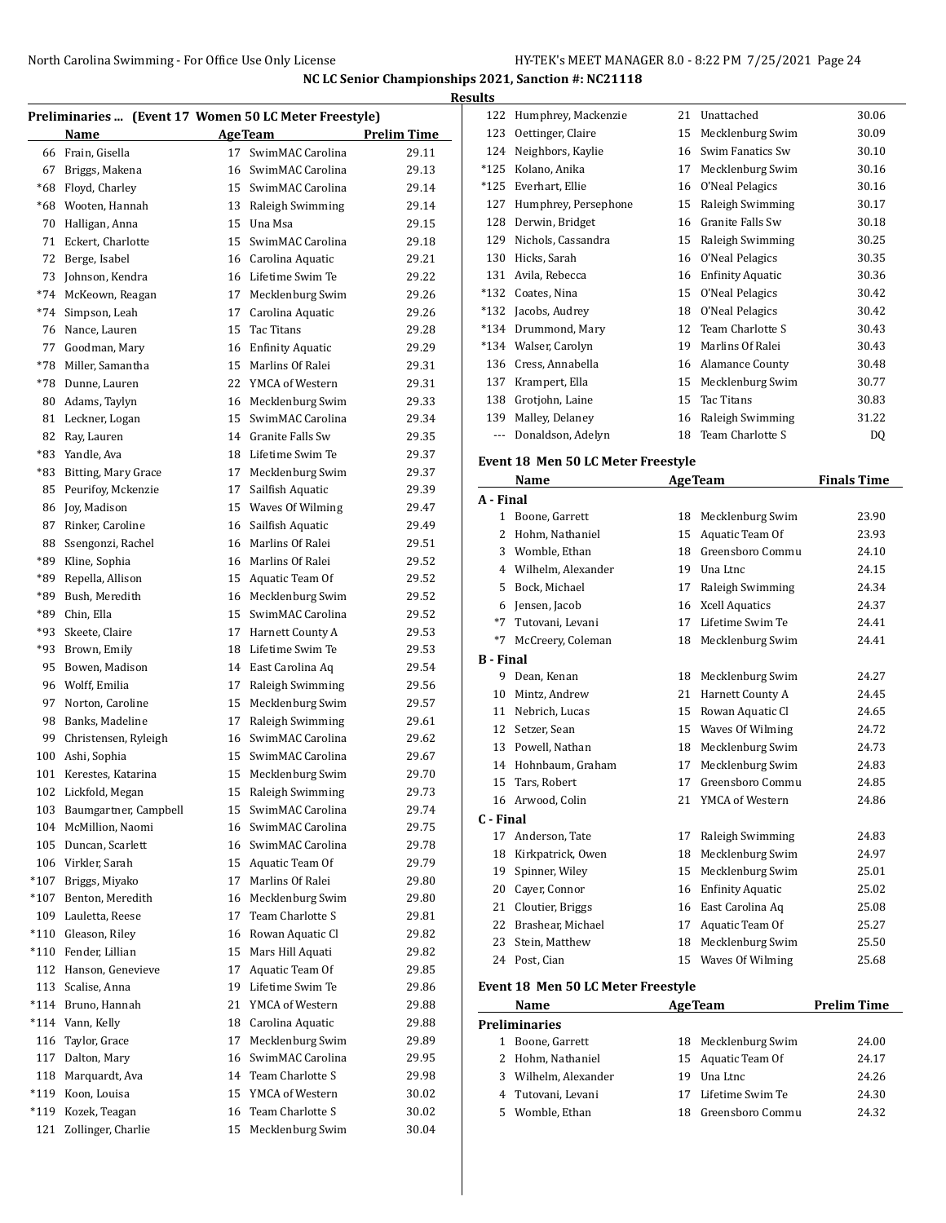| Preliminaries  (Event 17 Women 50 LC Meter Freestyle) |                                     |    |                                      |                    |  |
|-------------------------------------------------------|-------------------------------------|----|--------------------------------------|--------------------|--|
|                                                       | Name                                |    | <b>AgeTeam</b>                       | <b>Prelim Time</b> |  |
| 66                                                    | Frain, Gisella                      | 17 | SwimMAC Carolina                     | 29.11              |  |
| 67                                                    | Briggs, Makena                      | 16 | SwimMAC Carolina                     | 29.13              |  |
| $*68$                                                 | Floyd, Charley                      | 15 | SwimMAC Carolina                     | 29.14              |  |
| $*68$                                                 | Wooten. Hannah                      | 13 | Raleigh Swimming                     | 29.14              |  |
| 70                                                    | Halligan, Anna                      | 15 | Una Msa                              | 29.15              |  |
| 71                                                    | Eckert, Charlotte                   | 15 | SwimMAC Carolina                     | 29.18              |  |
| 72                                                    | Berge, Isabel                       |    | 16 Carolina Aquatic                  | 29.21              |  |
| 73                                                    | Johnson, Kendra                     |    | 16 Lifetime Swim Te                  | 29.22              |  |
| $*74$                                                 | McKeown, Reagan                     | 17 | Mecklenburg Swim                     | 29.26              |  |
| $*74$                                                 | Simpson, Leah                       | 17 | Carolina Aquatic                     | 29.26              |  |
| 76                                                    | Nance, Lauren                       | 15 | Tac Titans                           | 29.28              |  |
| 77                                                    | Goodman, Mary                       | 16 | <b>Enfinity Aquatic</b>              | 29.29              |  |
| $*78$                                                 | Miller, Samantha                    | 15 | Marlins Of Ralei                     | 29.31              |  |
| $*78$                                                 | Dunne, Lauren                       |    | 22 YMCA of Western                   | 29.31              |  |
| 80                                                    | Adams, Taylyn                       | 16 | Mecklenburg Swim                     | 29.33              |  |
| 81                                                    | Leckner, Logan                      | 15 | SwimMAC Carolina                     | 29.34              |  |
| 82                                                    | Ray, Lauren                         |    | 14 Granite Falls Sw                  | 29.35              |  |
| *83                                                   | Yandle, Ava                         | 18 | Lifetime Swim Te                     | 29.37              |  |
| *83                                                   | <b>Bitting, Mary Grace</b>          | 17 | Mecklenburg Swim                     | 29.37              |  |
| 85                                                    | Peurifoy, Mckenzie                  | 17 | Sailfish Aquatic                     | 29.39              |  |
| 86                                                    | Joy, Madison                        | 15 | Waves Of Wilming                     | 29.47              |  |
| 87                                                    | Rinker, Caroline                    | 16 | Sailfish Aquatic                     | 29.49              |  |
| 88                                                    | Ssengonzi, Rachel                   |    | 16 Marlins Of Ralei                  | 29.51              |  |
| *89                                                   | Kline, Sophia                       |    | 16 Marlins Of Ralei                  | 29.52              |  |
| *89                                                   | Repella, Allison                    | 15 | Aquatic Team Of                      | 29.52              |  |
| $*89$                                                 | Bush, Meredith                      | 16 | Mecklenburg Swim                     | 29.52              |  |
| *89                                                   | Chin, Ella                          | 15 | SwimMAC Carolina                     | 29.52              |  |
| $*93$                                                 | Skeete, Claire                      | 17 | Harnett County A                     | 29.53              |  |
| $*93$                                                 | Brown, Emily                        | 18 | Lifetime Swim Te                     | 29.53              |  |
| 95                                                    | Bowen, Madison                      | 14 | East Carolina Aq                     | 29.54              |  |
| 96                                                    | Wolff, Emilia                       | 17 | Raleigh Swimming                     | 29.56              |  |
| 97                                                    | Norton, Caroline                    | 15 | Mecklenburg Swim                     | 29.57              |  |
| 98                                                    | Banks, Madeline                     | 17 | Raleigh Swimming                     | 29.61              |  |
| 99                                                    | Christensen, Ryleigh                | 16 | SwimMAC Carolina                     | 29.62              |  |
| 100                                                   | Ashi, Sophia                        |    | 15 SwimMAC Carolina                  | 29.67              |  |
| 101                                                   | Kerestes, Katarina                  | 15 | Mecklenburg Swim                     | 29.70              |  |
|                                                       | 102 Lickfold, Megan                 |    | 15 Raleigh Swimming                  | 29.73              |  |
| 103                                                   | Baumgartner, Campbell               | 15 | SwimMAC Carolina                     | 29.74              |  |
| 104                                                   | McMillion, Naomi                    | 16 | SwimMAC Carolina                     | 29.75              |  |
| 105                                                   | Duncan, Scarlett                    | 16 | SwimMAC Carolina                     | 29.78              |  |
| 106                                                   | Virkler, Sarah                      | 15 | Aquatic Team Of                      | 29.79              |  |
| $*107$                                                | Briggs, Miyako                      | 17 | Marlins Of Ralei                     | 29.80              |  |
| $*107$                                                | Benton, Meredith                    | 16 | Mecklenburg Swim                     | 29.80              |  |
| 109                                                   | Lauletta, Reese                     | 17 | Team Charlotte S                     | 29.81              |  |
| $*110$                                                | Gleason, Riley                      | 16 | Rowan Aquatic Cl                     | 29.82              |  |
| $*110$                                                | Fender, Lillian                     | 15 | Mars Hill Aquati                     | 29.82              |  |
| 112                                                   | Hanson, Genevieve                   | 17 | Aquatic Team Of                      | 29.85              |  |
| 113                                                   | Scalise, Anna                       | 19 | Lifetime Swim Te                     | 29.86              |  |
| $*114$                                                | Bruno, Hannah                       | 21 | YMCA of Western                      | 29.88              |  |
| $*114$                                                | Vann, Kelly                         | 18 | Carolina Aquatic                     | 29.88              |  |
| 116                                                   | Taylor, Grace                       | 17 | Mecklenburg Swim                     | 29.89              |  |
| 117                                                   | Dalton, Mary                        | 16 | SwimMAC Carolina                     |                    |  |
| 118                                                   | Marquardt, Ava                      | 14 | Team Charlotte S                     | 29.95              |  |
|                                                       |                                     | 15 |                                      | 29.98              |  |
| $*119$                                                | Koon, Louisa                        |    | YMCA of Western                      | 30.02              |  |
| $*119$<br>121                                         | Kozek, Teagan<br>Zollinger, Charlie | 16 | Team Charlotte S<br>Mecklenburg Swim | 30.02              |  |
|                                                       |                                     | 15 |                                      | 30.04              |  |

| <b>Results</b>                     |                      |    |                         |                    |  |  |
|------------------------------------|----------------------|----|-------------------------|--------------------|--|--|
| 122                                | Humphrey, Mackenzie  | 21 | Unattached              | 30.06              |  |  |
| 123                                | Oettinger, Claire    | 15 | Mecklenburg Swim        | 30.09              |  |  |
| 124                                | Neighbors, Kaylie    | 16 | Swim Fanatics Sw        | 30.10              |  |  |
| $*125$                             | Kolano, Anika        | 17 | Mecklenburg Swim        | 30.16              |  |  |
| $*125$                             | Everhart. Ellie      | 16 | O'Neal Pelagics         | 30.16              |  |  |
| 127                                | Humphrey, Persephone | 15 | Raleigh Swimming        | 30.17              |  |  |
| 128                                | Derwin, Bridget      | 16 | Granite Falls Sw        | 30.18              |  |  |
| 129                                | Nichols, Cassandra   | 15 | Raleigh Swimming        | 30.25              |  |  |
| 130                                | Hicks, Sarah         | 16 | O'Neal Pelagics         | 30.35              |  |  |
| 131                                | Avila. Rebecca       | 16 | <b>Enfinity Aquatic</b> | 30.36              |  |  |
| $*132$                             | Coates, Nina         | 15 | O'Neal Pelagics         | 30.42              |  |  |
|                                    | *132 Jacobs, Audrey  | 18 | O'Neal Pelagics         | 30.42              |  |  |
| $*134$                             | Drummond, Mary       | 12 | Team Charlotte S        | 30.43              |  |  |
|                                    | *134 Walser, Carolyn | 19 | Marlins Of Ralei        | 30.43              |  |  |
|                                    | 136 Cress, Annabella | 16 | Alamance County         | 30.48              |  |  |
| 137                                | Krampert, Ella       | 15 | Mecklenburg Swim        | 30.77              |  |  |
| 138                                | Grotjohn, Laine      | 15 | Tac Titans              | 30.83              |  |  |
| 139                                | Malley, Delaney      | 16 | Raleigh Swimming        | 31.22              |  |  |
| ---                                | Donaldson, Adelyn    | 18 | <b>Team Charlotte S</b> | D <sub>0</sub>     |  |  |
| Event 18 Men 50 LC Meter Freestyle |                      |    |                         |                    |  |  |
|                                    | Name                 |    | <b>AgeTeam</b>          | <b>Finals Time</b> |  |  |
| A - Final                          |                      |    |                         |                    |  |  |
| 1                                  | Boone, Garrett       | 18 | Mecklenburg Swim        | 23.90              |  |  |
| $\overline{2}$                     | Hohm, Nathaniel      | 15 | Aquatic Team Of         | 23.93              |  |  |
| 3                                  | Womble, Ethan        | 18 | Greensboro Commu        | 24.10              |  |  |

| 4         | Wilhelm, Alexander                 | 19 | Una Ltnc            | 24.15              |
|-----------|------------------------------------|----|---------------------|--------------------|
| 5         | Bock, Michael                      | 17 | Raleigh Swimming    | 24.34              |
| 6         | Jensen, Jacob                      |    | 16 Xcell Aquatics   | 24.37              |
| $*7$      | Tutovani. Levani                   | 17 | Lifetime Swim Te    | 24.41              |
| $*7$      | McCreery, Coleman                  | 18 | Mecklenburg Swim    | 24.41              |
| B - Final |                                    |    |                     |                    |
| 9         | Dean, Kenan                        |    | 18 Mecklenburg Swim | 24.27              |
| 10        | Mintz, Andrew                      | 21 | Harnett County A    | 24.45              |
| 11        | Nebrich, Lucas                     |    | 15 Rowan Aquatic Cl | 24.65              |
| 12        | Setzer, Sean                       |    | 15 Waves Of Wilming | 24.72              |
| 13        | Powell, Nathan                     | 18 | Mecklenburg Swim    | 24.73              |
| 14        | Hohnbaum, Graham                   | 17 | Mecklenburg Swim    | 24.83              |
| 15        | Tars, Robert                       | 17 | Greensboro Commu    | 24.85              |
| 16        | Arwood, Colin                      | 21 | YMCA of Western     | 24.86              |
| C - Final |                                    |    |                     |                    |
| 17        | Anderson, Tate                     |    | 17 Raleigh Swimming | 24.83              |
| 18        | Kirkpatrick, Owen                  |    | 18 Mecklenburg Swim | 24.97              |
| 19        | Spinner, Wiley                     | 15 | Mecklenburg Swim    | 25.01              |
| 20        | Caver, Connor                      |    | 16 Enfinity Aquatic | 25.02              |
| 21        | Cloutier, Briggs                   |    | 16 East Carolina Aq | 25.08              |
| 22        | Brashear, Michael                  | 17 | Aquatic Team Of     | 25.27              |
| 23        | Stein, Matthew                     |    | 18 Mecklenburg Swim | 25.50              |
| 24        | Post, Cian                         |    | 15 Waves Of Wilming | 25.68              |
|           | Event 18 Men 50 LC Meter Freestyle |    |                     |                    |
|           | Name                               |    | <b>AgeTeam</b>      | <b>Prelim Time</b> |
|           | Preliminaries                      |    |                     |                    |
| 1         | Boone, Garrett                     |    | 18 Mecklenburg Swim | 24.00              |
|           | 2 Hohm. Nathaniel                  |    | 15 Aquatic Team Of  | 24.17              |

| 2 Hohm, Nathaniel    | 15 Aquatic Team Of  | 24.17 |
|----------------------|---------------------|-------|
| 3 Wilhelm, Alexander | 19 Una Ltnc         | 24.26 |
| 4 Tutovani, Levani   | 17 Lifetime Swim Te | 24.30 |
| 5 Womble, Ethan      | 18 Greensboro Commu | 24.32 |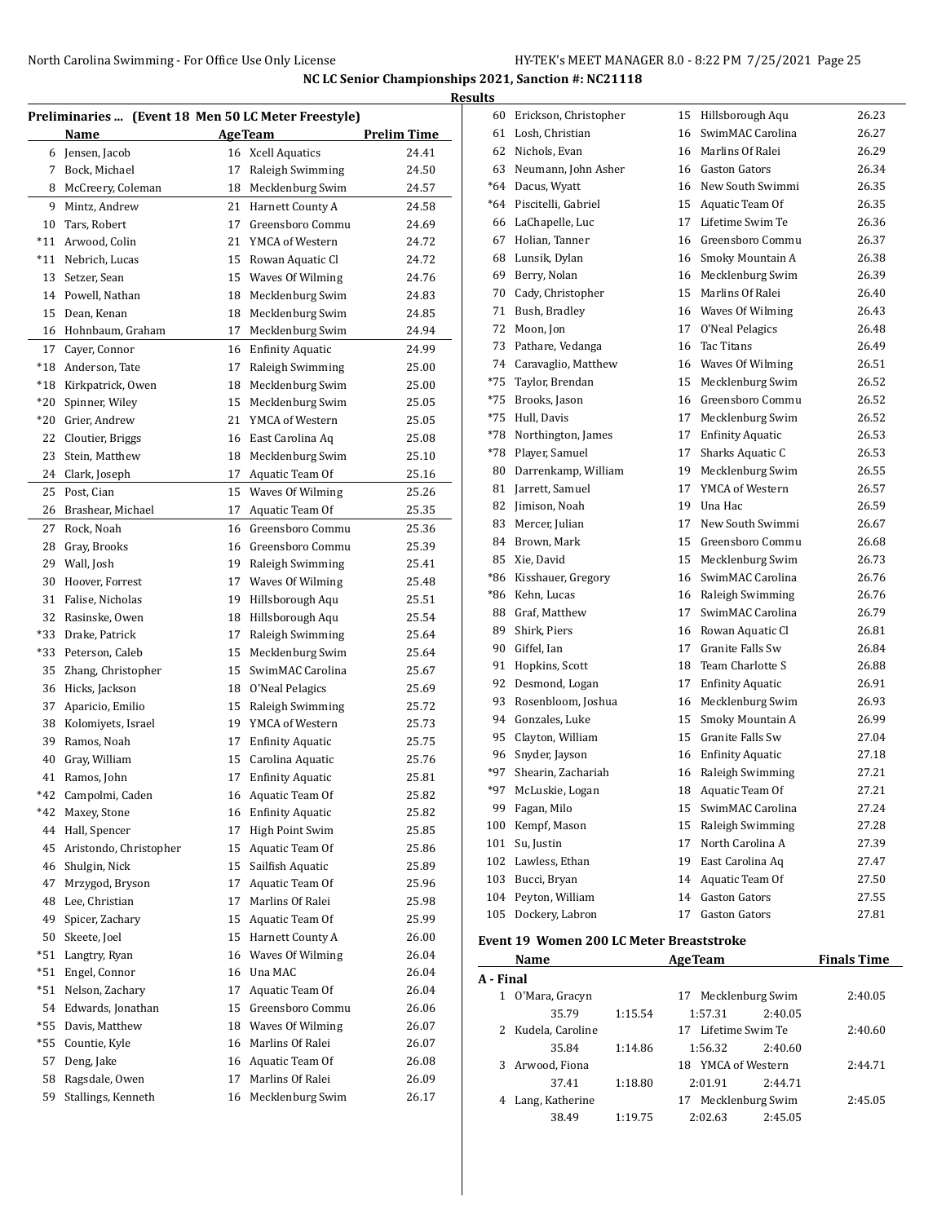|             |                                                     |    |                                        |                    | <b>Results</b>  |
|-------------|-----------------------------------------------------|----|----------------------------------------|--------------------|-----------------|
|             | Preliminaries  (Event 18 Men 50 LC Meter Freestyle) |    |                                        |                    | 61              |
|             | Name                                                |    | <b>AgeTeam</b>                         | <b>Prelim Time</b> | 6 <sup>2</sup>  |
|             | 6 Jensen, Jacob                                     |    | 16 Xcell Aquatics                      | 24.41              | 6.<br>6.        |
| $7^{\circ}$ | Bock, Michael                                       | 17 | Raleigh Swimming                       | 24.50              | *6              |
| 8           | McCreery, Coleman                                   | 18 | Mecklenburg Swim                       | 24.57              | *6              |
| 9           | Mintz, Andrew                                       |    | 21 Harnett County A                    | 24.58              | 6               |
| 10          | Tars, Robert                                        | 17 | Greensboro Commu<br>21 YMCA of Western | 24.69<br>24.72     | $6^{\prime}$    |
| $*11$       | *11 Arwood, Colin<br>Nebrich, Lucas                 |    | 15 Rowan Aquatic Cl                    | 24.72              | 61              |
| 13          | Setzer, Sean                                        | 15 | Waves Of Wilming                       | 24.76              | 6 <sup>0</sup>  |
|             | 14 Powell, Nathan                                   | 18 | Mecklenburg Swim                       | 24.83              | 71              |
| 15          | Dean, Kenan                                         | 18 | Mecklenburg Swim                       | 24.85              | $7^{\circ}$     |
|             | 16 Hohnbaum, Graham                                 | 17 | Mecklenburg Swim                       | 24.94              | 7:              |
| 17          | Cayer, Connor                                       |    | 16 Enfinity Aquatic                    | 24.99              | 7:              |
| $^*18$      | Anderson, Tate                                      | 17 | Raleigh Swimming                       | 25.00              | 7.              |
|             | *18 Kirkpatrick, Owen                               | 18 | Mecklenburg Swim                       | 25.00              | *7.             |
| $*20$       | Spinner, Wiley                                      | 15 | Mecklenburg Swim                       | 25.05              | *7.             |
| $*20$       | Grier, Andrew                                       |    | 21 YMCA of Western                     | 25.05              | $*7!$           |
| 22          | Cloutier, Briggs                                    |    | 16 East Carolina Aq                    | 25.08              | $*75$           |
| 23          | Stein, Matthew                                      |    | 18 Mecklenburg Swim                    | 25.10              | $*75$           |
| 24          | Clark, Joseph                                       | 17 | Aquatic Team Of                        | 25.16              | 8               |
| 25          | Post, Cian                                          | 15 | Waves Of Wilming                       | 25.26              | 8               |
| 26          | Brashear, Michael                                   | 17 | Aquatic Team Of                        | 25.35              | 8               |
| 27          | Rock, Noah                                          | 16 | Greensboro Commu                       | 25.36              | 8.              |
| 28          | Gray, Brooks                                        |    | 16 Greensboro Commu                    | 25.39              | 8               |
| 29          | Wall, Josh                                          | 19 | Raleigh Swimming                       | 25.41              | 8.              |
| 30          | Hoover, Forrest                                     | 17 | Waves Of Wilming                       | 25.48              | *8              |
| 31          | Falise, Nicholas                                    | 19 | Hillsborough Aqu                       | 25.51              | 8۱*             |
|             | 32 Rasinske, Owen                                   |    | 18 Hillsborough Aqu                    | 25.54              | 8               |
|             | *33 Drake, Patrick                                  | 17 | Raleigh Swimming                       | 25.64              | 8               |
|             | *33 Peterson, Caleb                                 | 15 | Mecklenburg Swim                       | 25.64              | 9               |
| 35          | Zhang, Christopher                                  | 15 | SwimMAC Carolina                       | 25.67              | 9               |
|             | 36 Hicks, Jackson                                   |    | 18 O'Neal Pelagics                     | 25.69              | 9.              |
| 37          | Aparicio, Emilio                                    |    | 15 Raleigh Swimming                    | 25.72              | 9.              |
| 38          | Kolomiyets, Israel                                  | 19 | YMCA of Western                        | 25.73              | 9,              |
| 39          | Ramos, Noah                                         | 17 | <b>Enfinity Aquatic</b>                | 25.75              | 9               |
| 40          | Gray, William                                       | 15 | Carolina Aquatic                       | 25.76              | 9               |
| 41          | Ramos, John                                         |    | 17 Enfinity Aquatic                    | 25.81              | *9'             |
| *42         | Campolmi, Caden                                     | 16 | Aquatic Team Of                        | 25.82              | *9'             |
| $*42$       | Maxey, Stone                                        | 16 | <b>Enfinity Aquatic</b>                | 25.82              | 9               |
| 44          | Hall, Spencer                                       | 17 | High Point Swim                        | 25.85              | 10              |
| 45          | Aristondo, Christopher                              | 15 | Aquatic Team Of                        | 25.86              | $10^{\circ}$    |
| 46          | Shulgin, Nick                                       | 15 | Sailfish Aquatic                       | 25.89              | 10 <sub>i</sub> |
| 47          | Mrzygod, Bryson                                     | 17 | Aquatic Team Of                        | 25.96              | 10 <sub>i</sub> |
| 48          | Lee, Christian                                      | 17 | Marlins Of Ralei                       | 25.98              | 10 <sup>1</sup> |
| 49          | Spicer, Zachary                                     | 15 | Aquatic Team Of                        | 25.99              | 10.             |
| 50          | Skeete, Joel                                        | 15 | Harnett County A                       | 26.00              | Ever            |
| *51         | Langtry, Ryan                                       | 16 | Waves Of Wilming                       | 26.04              |                 |
| $*51$       | Engel, Connor                                       | 16 | Una MAC                                | 26.04              | A - I           |
| $*51$       | Nelson, Zachary                                     | 17 | Aquatic Team Of                        | 26.04              |                 |
| 54          | Edwards, Jonathan                                   | 15 | Greensboro Commu                       | 26.06              |                 |
| $*55$       | Davis, Matthew                                      | 18 | Waves Of Wilming                       | 26.07              |                 |
| $*55$       | Countie, Kyle                                       | 16 | Marlins Of Ralei                       | 26.07              |                 |
| 57          | Deng, Jake                                          | 16 | Aquatic Team Of                        | 26.08              |                 |
| 58          | Ragsdale, Owen                                      | 17 | Marlins Of Ralei                       | 26.09              |                 |
| 59          | Stallings, Kenneth                                  | 16 | Mecklenburg Swim                       | 26.17              |                 |
|             |                                                     |    |                                        |                    |                 |

| 60    | Erickson, Christopher                    | 15 | Hillsborough Aqu        | 26.23              |  |  |  |
|-------|------------------------------------------|----|-------------------------|--------------------|--|--|--|
| 61    | Losh, Christian                          | 16 | SwimMAC Carolina        | 26.27              |  |  |  |
| 62    | Nichols, Evan                            | 16 | Marlins Of Ralei        | 26.29              |  |  |  |
| 63    | Neumann, John Asher                      |    | 16 Gaston Gators        | 26.34              |  |  |  |
| *64   | Dacus, Wyatt                             |    | 16 New South Swimmi     | 26.35              |  |  |  |
| *64   | Piscitelli, Gabriel                      |    | 15 Aquatic Team Of      | 26.35              |  |  |  |
| 66    | LaChapelle, Luc                          | 17 | Lifetime Swim Te        | 26.36              |  |  |  |
| 67    | Holian, Tanner                           | 16 | Greensboro Commu        | 26.37              |  |  |  |
| 68    | Lunsik, Dylan                            | 16 | Smoky Mountain A        | 26.38              |  |  |  |
| 69    | Berry, Nolan                             | 16 | Mecklenburg Swim        | 26.39              |  |  |  |
| 70    | Cady, Christopher                        | 15 | Marlins Of Ralei        | 26.40              |  |  |  |
| 71    | Bush, Bradley                            |    | 16 Waves Of Wilming     | 26.43              |  |  |  |
| 72    | Moon, Jon                                | 17 | O'Neal Pelagics         | 26.48              |  |  |  |
| 73    | Pathare, Vedanga                         | 16 | Tac Titans              | 26.49              |  |  |  |
| 74    | Caravaglio, Matthew                      |    | 16 Waves Of Wilming     | 26.51              |  |  |  |
| $*75$ | Taylor, Brendan                          | 15 | Mecklenburg Swim        | 26.52              |  |  |  |
| *75   | Brooks, Jason                            | 16 | Greensboro Commu        | 26.52              |  |  |  |
| $*75$ | Hull, Davis                              | 17 | Mecklenburg Swim        | 26.52              |  |  |  |
| *78   | Northington, James                       | 17 | <b>Enfinity Aquatic</b> | 26.53              |  |  |  |
| *78   | Player, Samuel                           | 17 | Sharks Aquatic C        | 26.53              |  |  |  |
| 80    | Darrenkamp, William                      | 19 | Mecklenburg Swim        | 26.55              |  |  |  |
| 81    | Jarrett, Samuel                          | 17 | YMCA of Western         | 26.57              |  |  |  |
| 82    | Jimison, Noah                            | 19 | Una Hac                 | 26.59              |  |  |  |
| 83    | Mercer, Julian                           | 17 | New South Swimmi        | 26.67              |  |  |  |
| 84    | Brown. Mark                              | 15 | Greensboro Commu        | 26.68              |  |  |  |
| 85    | Xie, David                               | 15 | Mecklenburg Swim        | 26.73              |  |  |  |
| *86   | Kisshauer, Gregory                       | 16 | SwimMAC Carolina        | 26.76              |  |  |  |
| *86   | Kehn, Lucas                              |    | 16 Raleigh Swimming     | 26.76              |  |  |  |
| 88    | Graf, Matthew                            | 17 | SwimMAC Carolina        | 26.79              |  |  |  |
| 89    | Shirk, Piers                             |    | 16 Rowan Aquatic Cl     | 26.81              |  |  |  |
| 90    | Giffel, Ian                              | 17 | Granite Falls Sw        | 26.84              |  |  |  |
| 91    | Hopkins, Scott                           | 18 | Team Charlotte S        | 26.88              |  |  |  |
| 92    | Desmond, Logan                           | 17 | <b>Enfinity Aquatic</b> | 26.91              |  |  |  |
| 93    | Rosenbloom, Joshua                       | 16 | Mecklenburg Swim        | 26.93              |  |  |  |
| 94    | Gonzales, Luke                           | 15 | Smoky Mountain A        | 26.99              |  |  |  |
| 95    | Clayton, William                         | 15 | Granite Falls Sw        | 27.04              |  |  |  |
| 96    | Snyder, Jayson                           | 16 | <b>Enfinity Aquatic</b> | 27.18              |  |  |  |
| $*97$ | Shearin, Zachariah                       | 16 | Raleigh Swimming        | 27.21              |  |  |  |
| $*97$ | McLuskie, Logan                          | 18 | Aquatic Team Of         | 27.21              |  |  |  |
| 99    | Fagan, Milo                              | 15 | SwimMAC Carolina        | 27.24              |  |  |  |
| 100   | Kempf, Mason                             | 15 | Raleigh Swimming        | 27.28              |  |  |  |
| 101   | Su, Justin                               | 17 | North Carolina A        | 27.39              |  |  |  |
| 102   | Lawless, Ethan                           | 19 | East Carolina Aq        | 27.47              |  |  |  |
| 103   | Bucci, Bryan                             | 14 | Aquatic Team Of         | 27.50              |  |  |  |
| 104   | Peyton, William                          | 14 | <b>Gaston Gators</b>    | 27.55              |  |  |  |
| 105   | Dockery, Labron                          | 17 | <b>Gaston Gators</b>    | 27.81              |  |  |  |
|       | Event 19 Women 200 LC Meter Breaststroke |    |                         |                    |  |  |  |
|       | Name                                     |    | <b>AgeTeam</b>          | <b>Finals Time</b> |  |  |  |

|           | name               |         | Age Italii             |         | .       |
|-----------|--------------------|---------|------------------------|---------|---------|
| A - Final |                    |         |                        |         |         |
|           | O'Mara, Gracyn     |         | 17 Mecklenburg Swim    |         | 2:40.05 |
|           | 35.79              | 1:15.54 | 1:57.31                | 2:40.05 |         |
|           | 2 Kudela, Caroline |         | 17 Lifetime Swim Te    |         | 2:40.60 |
|           | 35.84              | 1:14.86 | 1:56.32                | 2:40.60 |         |
| 3         | Arwood, Fiona      |         | YMCA of Western<br>18. |         | 2:44.71 |
|           | 37.41              | 1:18.80 | 2:01.91                | 2.44.71 |         |
|           | Lang, Katherine    |         | 17 Mecklenburg Swim    |         | 2:45.05 |
|           | 38.49              | 1:19.75 | 2:02.63                | 2:45.05 |         |
|           |                    |         |                        |         |         |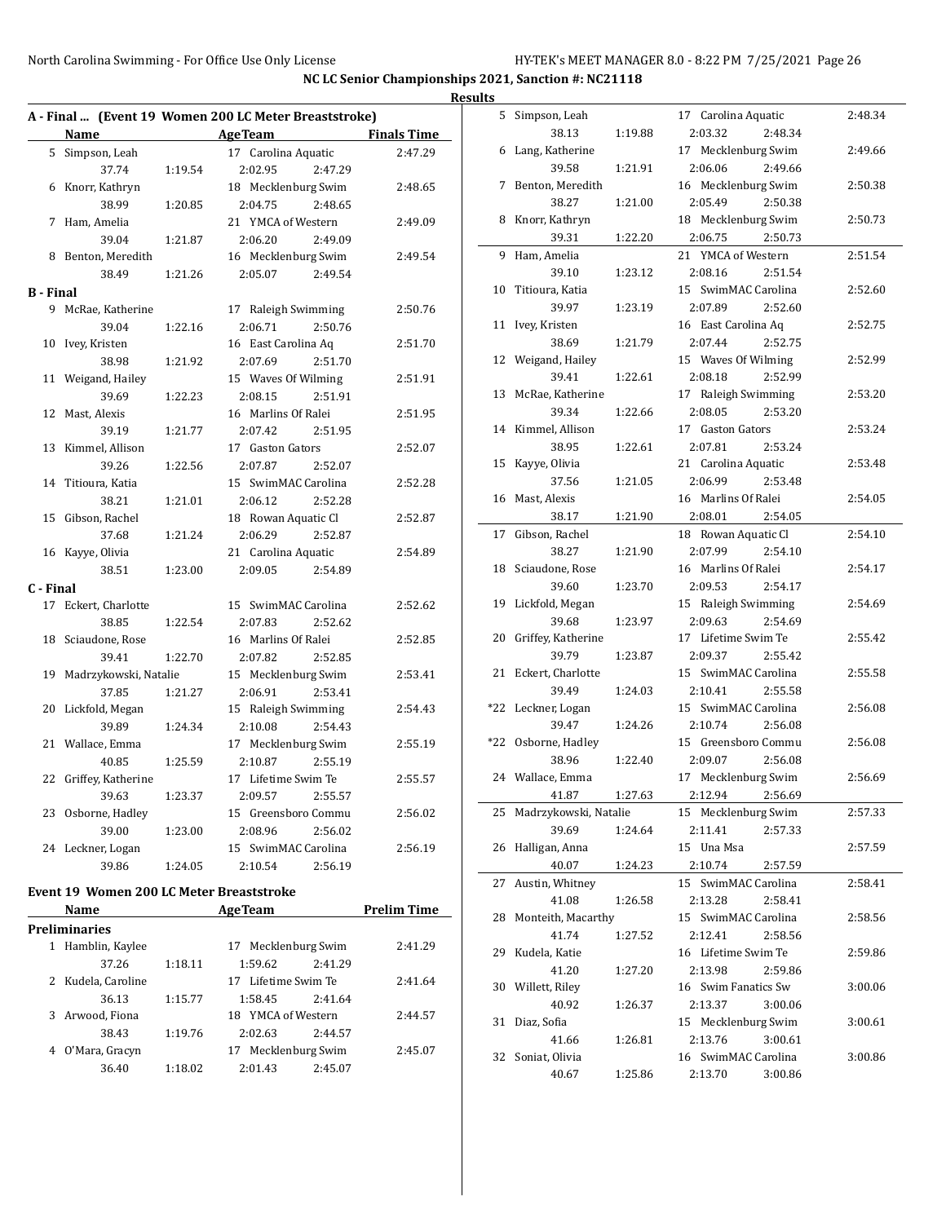| A - Final  (Event 19 Women 200 LC Meter Breaststroke) |                       |         |                     |                    |  |
|-------------------------------------------------------|-----------------------|---------|---------------------|--------------------|--|
|                                                       | Name                  |         | <b>AgeTeam</b>      | <b>Finals Time</b> |  |
| 5                                                     | Simpson, Leah         |         | 17 Carolina Aquatic | 2:47.29            |  |
|                                                       | 37.74                 | 1:19.54 | 2:02.95<br>2:47.29  |                    |  |
| 6                                                     | Knorr, Kathryn        |         | 18 Mecklenburg Swim | 2:48.65            |  |
|                                                       | 38.99                 | 1:20.85 | 2:04.75<br>2:48.65  |                    |  |
| 7                                                     | Ham, Amelia           |         | 21 YMCA of Western  | 2:49.09            |  |
|                                                       | 39.04                 | 1:21.87 | 2:06.20<br>2:49.09  |                    |  |
| 8                                                     | Benton, Meredith      |         | 16 Mecklenburg Swim | 2:49.54            |  |
|                                                       | 38.49                 | 1:21.26 | 2:05.07<br>2:49.54  |                    |  |
| B - Final                                             |                       |         |                     |                    |  |
|                                                       | 9 McRae, Katherine    |         | 17 Raleigh Swimming | 2:50.76            |  |
|                                                       | 39.04                 | 1:22.16 | 2:06.71<br>2:50.76  |                    |  |
| 10                                                    | Ivey, Kristen         |         | 16 East Carolina Aq | 2:51.70            |  |
|                                                       | 38.98                 | 1:21.92 | 2:07.69<br>2:51.70  |                    |  |
| 11                                                    | Weigand, Hailey       |         | 15 Waves Of Wilming | 2:51.91            |  |
|                                                       | 39.69                 | 1:22.23 | 2:08.15<br>2:51.91  |                    |  |
| 12                                                    | Mast, Alexis          |         | 16 Marlins Of Ralei | 2:51.95            |  |
|                                                       | 39.19                 | 1:21.77 | 2:07.42<br>2:51.95  |                    |  |
| 13                                                    | Kimmel, Allison       |         | 17 Gaston Gators    | 2:52.07            |  |
|                                                       | 39.26                 | 1:22.56 | 2:07.87<br>2:52.07  |                    |  |
| 14                                                    | Titioura, Katia       |         | 15 SwimMAC Carolina | 2:52.28            |  |
|                                                       | 38.21                 | 1:21.01 | 2:06.12<br>2:52.28  |                    |  |
| 15                                                    | Gibson, Rachel        |         | 18 Rowan Aquatic Cl | 2:52.87            |  |
|                                                       | 37.68                 | 1:21.24 | 2:06.29<br>2:52.87  |                    |  |
| 16                                                    | Kayye, Olivia         |         | 21 Carolina Aquatic | 2:54.89            |  |
|                                                       | 38.51                 | 1:23.00 | 2:09.05<br>2:54.89  |                    |  |
| C - Final                                             |                       |         |                     |                    |  |
|                                                       | 17 Eckert, Charlotte  |         | 15 SwimMAC Carolina | 2:52.62            |  |
|                                                       | 38.85                 | 1:22.54 | 2:07.83<br>2:52.62  |                    |  |
| 18                                                    | Sciaudone, Rose       |         | 16 Marlins Of Ralei | 2:52.85            |  |
|                                                       | 39.41                 | 1:22.70 | 2:07.82<br>2:52.85  |                    |  |
| 19                                                    | Madrzykowski, Natalie |         | 15 Mecklenburg Swim | 2:53.41            |  |
|                                                       | 37.85                 | 1:21.27 | 2:06.91<br>2:53.41  |                    |  |
| 20                                                    | Lickfold, Megan       |         | 15 Raleigh Swimming | 2:54.43            |  |
|                                                       | 39.89                 | 1:24.34 | 2:10.08<br>2:54.43  |                    |  |
| 21                                                    | Wallace, Emma         |         | 17 Mecklenburg Swim | 2:55.19            |  |
|                                                       | 40.85                 | 1:25.59 | 2:10.87<br>2:55.19  |                    |  |
| 22                                                    | Griffey, Katherine    |         | 17 Lifetime Swim Te | 2:55.57            |  |
|                                                       | 39.63                 | 1:23.37 | 2:09.57<br>2:55.57  |                    |  |
| 23                                                    | Osborne, Hadley       |         | 15 Greensboro Commu | 2:56.02            |  |
|                                                       | 39.00                 | 1:23.00 | 2:08.96<br>2:56.02  |                    |  |
|                                                       | 24 Leckner, Logan     |         | 15 SwimMAC Carolina | 2:56.19            |  |
|                                                       | 39.86                 | 1:24.05 | 2:10.54<br>2:56.19  |                    |  |
|                                                       |                       |         |                     |                    |  |

# **Event 19 Women 200 LC Meter Breaststroke**

|   | <b>Name</b>          |         | <b>AgeTeam</b>        |                  | <b>Prelim Time</b> |
|---|----------------------|---------|-----------------------|------------------|--------------------|
|   | <b>Preliminaries</b> |         |                       |                  |                    |
| 1 | Hamblin, Kaylee      |         | 17 Mecklenburg Swim   |                  | 2:41.29            |
|   | 37.26                | 1:18.11 | 1:59.62               | 2:41.29          |                    |
|   | 2 Kudela, Caroline   |         | 17 Lifetime Swim Te   |                  | 2:41.64            |
|   | 36.13                | 1:15.77 | 1:58.45               | 2:41.64          |                    |
| 3 | Arwood, Fiona        |         | YMCA of Western<br>18 |                  | 2:44.57            |
|   | 38.43                | 1:19.76 | 2:02.63               | 2:44.57          |                    |
| 4 | O'Mara, Gracyn       |         | 17                    | Mecklenburg Swim | 2:45.07            |
|   | 36.40                | 1:18.02 | 2:01.43               | 2:45.07          |                    |

| <b>Results</b> |                                |         |                                |         |
|----------------|--------------------------------|---------|--------------------------------|---------|
|                | 5 Simpson, Leah                |         | 17 Carolina Aquatic            | 2:48.34 |
|                | 38.13                          | 1:19.88 | 2:03.32<br>2:48.34             |         |
|                | 6 Lang, Katherine              |         | 17 Mecklenburg Swim            | 2:49.66 |
|                | 39.58                          | 1:21.91 | 2:06.06<br>2:49.66             |         |
|                | 7 Benton, Meredith             |         | 16 Mecklenburg Swim            | 2:50.38 |
|                | 38.27                          | 1:21.00 | 2:05.49<br>2:50.38             |         |
|                | 8 Knorr, Kathryn               |         | 18 Mecklenburg Swim            | 2:50.73 |
|                | 39.31                          | 1:22.20 | 2:06.75<br>2:50.73             |         |
| 9              | Ham, Amelia                    |         | 21 YMCA of Western             | 2:51.54 |
|                | 39.10                          | 1:23.12 | 2:51.54<br>2:08.16             |         |
|                | 10 Titioura, Katia             |         | 15 SwimMAC Carolina            | 2:52.60 |
|                | 39.97                          | 1:23.19 | 2:07.89<br>2:52.60             |         |
|                | 11 Ivey, Kristen               |         | 16 East Carolina Aq            | 2:52.75 |
|                | 38.69                          | 1:21.79 | 2:07.44<br>2:52.75             |         |
|                | 12 Weigand, Hailey             |         | 15 Waves Of Wilming            | 2:52.99 |
|                | 39.41                          | 1:22.61 | 2:08.18<br>2:52.99             |         |
|                | 13 McRae, Katherine            |         | 17 Raleigh Swimming            | 2:53.20 |
|                | 39.34                          | 1:22.66 | 2:08.05<br>2:53.20             |         |
|                | 14 Kimmel, Allison             |         | 17 Gaston Gators               | 2:53.24 |
|                | 38.95                          | 1:22.61 | 2:07.81<br>2:53.24             |         |
|                | 15 Kayye, Olivia               |         | 21 Carolina Aquatic            | 2:53.48 |
|                | 37.56                          | 1:21.05 | 2:06.99<br>2:53.48             |         |
|                | 16 Mast, Alexis                |         | 16 Marlins Of Ralei            | 2:54.05 |
|                | 38.17                          | 1:21.90 | 2:08.01<br>2:54.05             |         |
| 17             | Gibson, Rachel                 |         | 18 Rowan Aquatic Cl            | 2:54.10 |
|                | 38.27                          | 1:21.90 | 2:07.99<br>2:54.10             |         |
|                | 18 Sciaudone, Rose             |         | 16 Marlins Of Ralei            | 2:54.17 |
|                | 39.60                          | 1:23.70 | 2:09.53<br>2:54.17             |         |
|                | 19 Lickfold, Megan             |         | 15 Raleigh Swimming            | 2:54.69 |
|                | 39.68                          | 1:23.97 | 2:09.63<br>2:54.69             |         |
|                | 20 Griffey, Katherine          |         | 17 Lifetime Swim Te            | 2:55.42 |
|                | 39.79                          | 1:23.87 | 2:09.37<br>2:55.42             |         |
|                | 21 Eckert, Charlotte           |         | 15 SwimMAC Carolina            | 2:55.58 |
|                | 39.49                          | 1:24.03 | 2:10.41<br>2:55.58             |         |
|                | *22 Leckner, Logan             |         | 15 SwimMAC Carolina            | 2:56.08 |
|                | 39.47                          | 1:24.26 | 2:10.74<br>2:56.08             |         |
|                | *22 Osborne, Hadley            |         | 15 Greensboro Commu            | 2:56.08 |
|                | 38.96                          | 1:22.40 | 2:09.07<br>2:56.08             |         |
|                | 24 Wallace, Emma               |         | 17 Mecklenburg Swim            | 2:56.69 |
|                | 41.87                          | 1:27.63 | 2:12.94<br>2:56.69             |         |
| 25             | Madrzykowski, Natalie          |         | 15 Mecklenburg Swim            | 2:57.33 |
|                | 39.69                          | 1:24.64 | 2:11.41<br>2:57.33             |         |
| 26             | Halligan, Anna                 |         | 15 Una Msa                     | 2:57.59 |
|                | 40.07                          | 1:24.23 | 2:10.74<br>2:57.59             |         |
| 27             | Austin, Whitney                |         | 15 SwimMAC Carolina<br>2:13.28 | 2:58.41 |
|                | 41.08<br>28 Monteith, Macarthy | 1:26.58 | 2:58.41<br>15 SwimMAC Carolina | 2:58.56 |
|                | 41.74                          |         | 2:12.41<br>2:58.56             |         |
|                | 29 Kudela, Katie               | 1:27.52 | 16 Lifetime Swim Te            | 2:59.86 |
|                | 41.20                          | 1:27.20 | 2:13.98<br>2:59.86             |         |
| 30             | Willett, Riley                 |         | 16 Swim Fanatics Sw            | 3:00.06 |
|                | 40.92                          | 1:26.37 | 2:13.37<br>3:00.06             |         |
| 31             | Diaz, Sofia                    |         | 15 Mecklenburg Swim            | 3:00.61 |
|                | 41.66                          | 1:26.81 | 2:13.76<br>3:00.61             |         |
| 32             | Soniat, Olivia                 |         | 16 SwimMAC Carolina            | 3:00.86 |
|                | 40.67                          | 1:25.86 | 2:13.70<br>3:00.86             |         |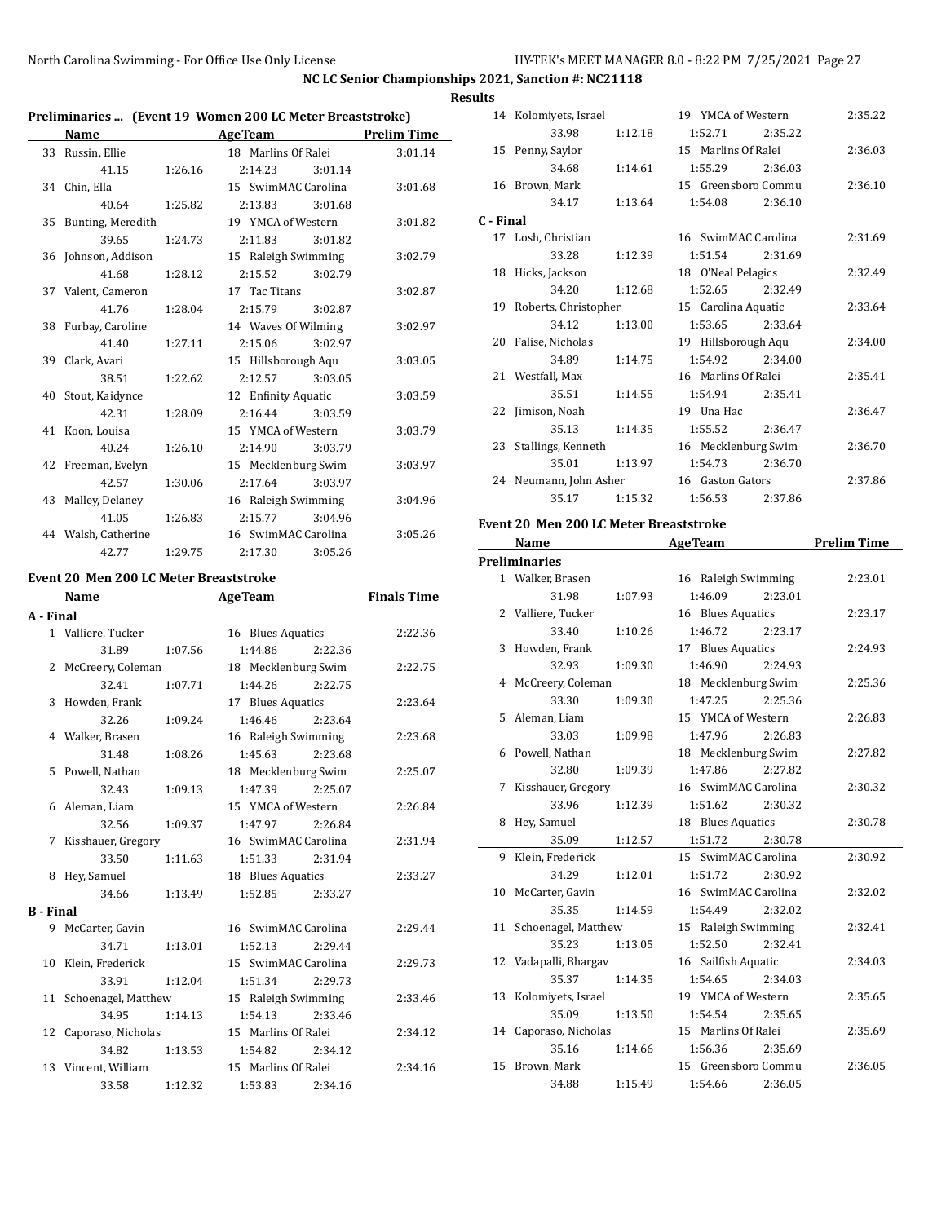$\overline{a}$ 

**NC LC Senior Championships 2021, Sanction #: NC21118 Results**

| Preliminaries  (Event 19 Women 200 LC Meter Breaststroke) |                     |         |                     |                    |  |
|-----------------------------------------------------------|---------------------|---------|---------------------|--------------------|--|
|                                                           | Name                |         | Age Team            | <b>Prelim Time</b> |  |
|                                                           | 33 Russin, Ellie    |         | 18 Marlins Of Ralei | 3:01.14            |  |
|                                                           | 41.15               | 1:26.16 | 2:14.23             | 3:01.14            |  |
|                                                           | 34 Chin, Ella       |         | 15 SwimMAC Carolina | 3:01.68            |  |
|                                                           | 40.64               | 1:25.82 | 2:13.83             | 3:01.68            |  |
| 35                                                        | Bunting, Meredith   |         | 19 YMCA of Western  | 3:01.82            |  |
|                                                           | 39.65               | 1:24.73 | 2:11.83             | 3:01.82            |  |
| 36                                                        | Johnson, Addison    |         | 15 Raleigh Swimming | 3:02.79            |  |
|                                                           | 41.68               | 1:28.12 | 2:15.52             | 3:02.79            |  |
|                                                           | 37 Valent, Cameron  |         | 17 Tac Titans       | 3:02.87            |  |
|                                                           | 41.76               | 1:28.04 | 2:15.79             | 3:02.87            |  |
|                                                           | 38 Furbay, Caroline |         | 14 Waves Of Wilming | 3:02.97            |  |
|                                                           | 41.40               | 1:27.11 | 2:15.06             | 3:02.97            |  |
|                                                           | 39 Clark, Avari     |         | 15 Hillsborough Aqu | 3:03.05            |  |
|                                                           | 38.51               | 1:22.62 | 2:12.57             | 3:03.05            |  |
|                                                           | 40 Stout, Kaidynce  |         | 12 Enfinity Aquatic | 3:03.59            |  |
|                                                           | 42.31               | 1:28.09 | 2:16.44             | 3:03.59            |  |
|                                                           | 41 Koon, Louisa     |         | 15 YMCA of Western  | 3:03.79            |  |
|                                                           | 40.24               | 1:26.10 | 2:14.90             | 3:03.79            |  |
|                                                           | 42 Freeman, Evelyn  |         | 15 Mecklenburg Swim | 3:03.97            |  |
|                                                           | 42.57               | 1:30.06 | 2:17.64             | 3:03.97            |  |
|                                                           | 43 Malley, Delaney  |         | 16 Raleigh Swimming | 3:04.96            |  |
|                                                           | 41.05               | 1:26.83 | 2:15.77             | 3:04.96            |  |
|                                                           | 44 Walsh, Catherine |         | 16 SwimMAC Carolina | 3:05.26            |  |
|                                                           | 42.77               | 1:29.75 | 2:17.30             | 3:05.26            |  |

#### **Event 20 Men 200 LC Meter Breaststroke**

|                  | Name                   |         | <b>AgeTeam</b>      | <b>Finals Time</b> |
|------------------|------------------------|---------|---------------------|--------------------|
| A - Final        |                        |         |                     |                    |
|                  | 1 Valliere, Tucker     |         | 16 Blues Aquatics   | 2:22.36            |
|                  | 31.89                  | 1:07.56 | 1:44.86<br>2:22.36  |                    |
|                  | 2 McCreery, Coleman    |         | 18 Mecklenburg Swim | 2:22.75            |
|                  | 32.41                  | 1:07.71 | 1:44.26<br>2:22.75  |                    |
|                  | 3 Howden, Frank        |         | 17 Blues Aquatics   | 2:23.64            |
|                  | 32.26                  | 1:09.24 | 1:46.46<br>2:23.64  |                    |
|                  | 4 Walker, Brasen       |         | 16 Raleigh Swimming | 2:23.68            |
|                  | 31.48                  | 1:08.26 | 1:45.63<br>2:23.68  |                    |
|                  | 5 Powell, Nathan       |         | 18 Mecklenburg Swim | 2:25.07            |
|                  | 32.43                  | 1:09.13 | 1:47.39<br>2:25.07  |                    |
|                  | 6 Aleman, Liam         |         | 15 YMCA of Western  | 2:26.84            |
|                  | 32.56                  | 1:09.37 | 1:47.97<br>2:26.84  |                    |
| 7                | Kisshauer, Gregory     |         | 16 SwimMAC Carolina | 2:31.94            |
|                  | 33.50                  | 1:11.63 | 1:51.33<br>2:31.94  |                    |
|                  | 8 Hey, Samuel          |         | 18 Blues Aquatics   | 2:33.27            |
|                  | 34.66                  | 1:13.49 | 1:52.85<br>2:33.27  |                    |
| <b>B</b> - Final |                        |         |                     |                    |
| 9                | McCarter, Gavin        |         | 16 SwimMAC Carolina | 2:29.44            |
|                  | 34.71                  | 1:13.01 | 1:52.13<br>2:29.44  |                    |
|                  | 10 Klein, Frederick    |         | 15 SwimMAC Carolina | 2:29.73            |
|                  | 33.91                  | 1:12.04 | 1:51.34 2:29.73     |                    |
|                  | 11 Schoenagel, Matthew |         | 15 Raleigh Swimming | 2:33.46            |
|                  | 34.95                  | 1:14.13 | 1:54.13<br>2:33.46  |                    |
|                  | 12 Caporaso, Nicholas  |         | 15 Marlins Of Ralei | 2:34.12            |
|                  | 34.82                  | 1:13.53 | 1:54.82<br>2:34.12  |                    |
|                  | 13 Vincent, William    |         | 15 Marlins Of Ralei | 2:34.16            |
|                  | 33.58                  | 1:12.32 | 1:53.83<br>2:34.16  |                    |
|                  |                        |         |                     |                    |

|           | 14 Kolomiyets, Israel   |         | 19 YMCA of Western  |         | 2:35.22 |
|-----------|-------------------------|---------|---------------------|---------|---------|
|           | 33.98                   | 1:12.18 | 1:52.71             | 2:35.22 |         |
|           | 15 Penny, Saylor        |         | 15 Marlins Of Ralei |         | 2:36.03 |
|           | 34.68                   | 1:14.61 | 1:55.29             | 2:36.03 |         |
| 16        | Brown, Mark             |         | 15 Greensboro Commu |         | 2:36.10 |
|           | 34.17                   | 1:13.64 | 1:54.08             | 2:36.10 |         |
| C - Final |                         |         |                     |         |         |
|           | 17 Losh, Christian      |         | 16 SwimMAC Carolina |         | 2:31.69 |
|           | 33.28                   | 1:12.39 | 1:51.54             | 2:31.69 |         |
| 18        | Hicks, Jackson          |         | 18 O'Neal Pelagics  |         | 2:32.49 |
|           | 34.20                   | 1:12.68 | 1:52.65             | 2:32.49 |         |
|           | 19 Roberts, Christopher |         | 15 Carolina Aquatic |         | 2:33.64 |
|           | 34.12                   | 1:13.00 | 1:53.65             | 2:33.64 |         |
| 20        | Falise, Nicholas        |         | 19 Hillsborough Aqu |         | 2:34.00 |
|           | 34.89                   | 1:14.75 | 1:54.92             | 2:34.00 |         |
|           | 21 Westfall, Max        |         | 16 Marlins Of Ralei |         | 2:35.41 |
|           | 35.51                   | 1:14.55 | 1:54.94             | 2:35.41 |         |
| 22        | Jimison, Noah           |         | 19 Una Hac          |         | 2:36.47 |
|           | 35.13                   | 1:14.35 | 1:55.52             | 2:36.47 |         |
|           | 23 Stallings, Kenneth   |         | 16 Mecklenburg Swim |         | 2:36.70 |
|           | 35.01                   | 1:13.97 | 1:54.73             | 2:36.70 |         |
|           | 24 Neumann, John Asher  |         | 16 Gaston Gators    |         | 2:37.86 |
|           | 35.17                   | 1:15.32 | 1:56.53             | 2:37.86 |         |
|           |                         |         |                     |         |         |

#### **Event 20 Men 200 LC Meter Breaststroke**

|    | Name                   |         | <b>AgeTeam</b>      |         | <b>Prelim Time</b> |
|----|------------------------|---------|---------------------|---------|--------------------|
|    | <b>Preliminaries</b>   |         |                     |         |                    |
|    | 1 Walker, Brasen       |         | 16 Raleigh Swimming |         | 2:23.01            |
|    | 31.98                  | 1:07.93 | 1:46.09             | 2:23.01 |                    |
|    | 2 Valliere, Tucker     |         | 16 Blues Aquatics   |         | 2:23.17            |
|    | 33.40                  | 1:10.26 | 1:46.72             | 2:23.17 |                    |
|    | 3 Howden, Frank        |         | 17 Blues Aquatics   |         | 2:24.93            |
|    | 32.93                  | 1:09.30 | 1:46.90             | 2:24.93 |                    |
|    | 4 McCreery, Coleman    |         | 18 Mecklenburg Swim |         | 2:25.36            |
|    | 33.30                  | 1:09.30 | 1:47.25             | 2:25.36 |                    |
| 5  | Aleman, Liam           |         | 15 YMCA of Western  |         | 2:26.83            |
|    | 33.03                  | 1:09.98 | 1:47.96             | 2:26.83 |                    |
|    | 6 Powell, Nathan       |         | 18 Mecklenburg Swim |         | 2:27.82            |
|    | 32.80                  | 1:09.39 | 1:47.86             | 2:27.82 |                    |
| 7  | Kisshauer, Gregory     |         | 16 SwimMAC Carolina |         | 2:30.32            |
|    | 33.96                  | 1:12.39 | 1:51.62             | 2:30.32 |                    |
| 8  | Hey, Samuel            |         | 18 Blues Aquatics   |         | 2:30.78            |
|    | 35.09                  | 1:12.57 | 1:51.72             | 2:30.78 |                    |
| 9  | Klein, Frederick       |         | 15 SwimMAC Carolina |         | 2:30.92            |
|    | 34.29                  | 1:12.01 | 1:51.72             | 2:30.92 |                    |
| 10 | McCarter, Gavin        |         | 16 SwimMAC Carolina |         | 2:32.02            |
|    | 35.35                  | 1:14.59 | 1:54.49             | 2:32.02 |                    |
|    | 11 Schoenagel, Matthew |         | 15 Raleigh Swimming |         | 2:32.41            |
|    | 35.23                  | 1:13.05 | 1:52.50             | 2:32.41 |                    |
|    | 12 Vadapalli, Bhargav  |         | 16 Sailfish Aquatic |         | 2:34.03            |
|    | 35.37                  | 1:14.35 | 1:54.65             | 2:34.03 |                    |
|    | 13 Kolomiyets, Israel  |         | 19 YMCA of Western  |         | 2:35.65            |
|    | 35.09                  | 1:13.50 | 1:54.54             | 2:35.65 |                    |
|    | 14 Caporaso, Nicholas  |         | 15 Marlins Of Ralei |         | 2:35.69            |
|    | 35.16                  | 1:14.66 | 1:56.36             | 2:35.69 |                    |
| 15 | Brown, Mark            |         | 15 Greensboro Commu |         | 2:36.05            |
|    | 34.88                  | 1:15.49 | 1:54.66             | 2:36.05 |                    |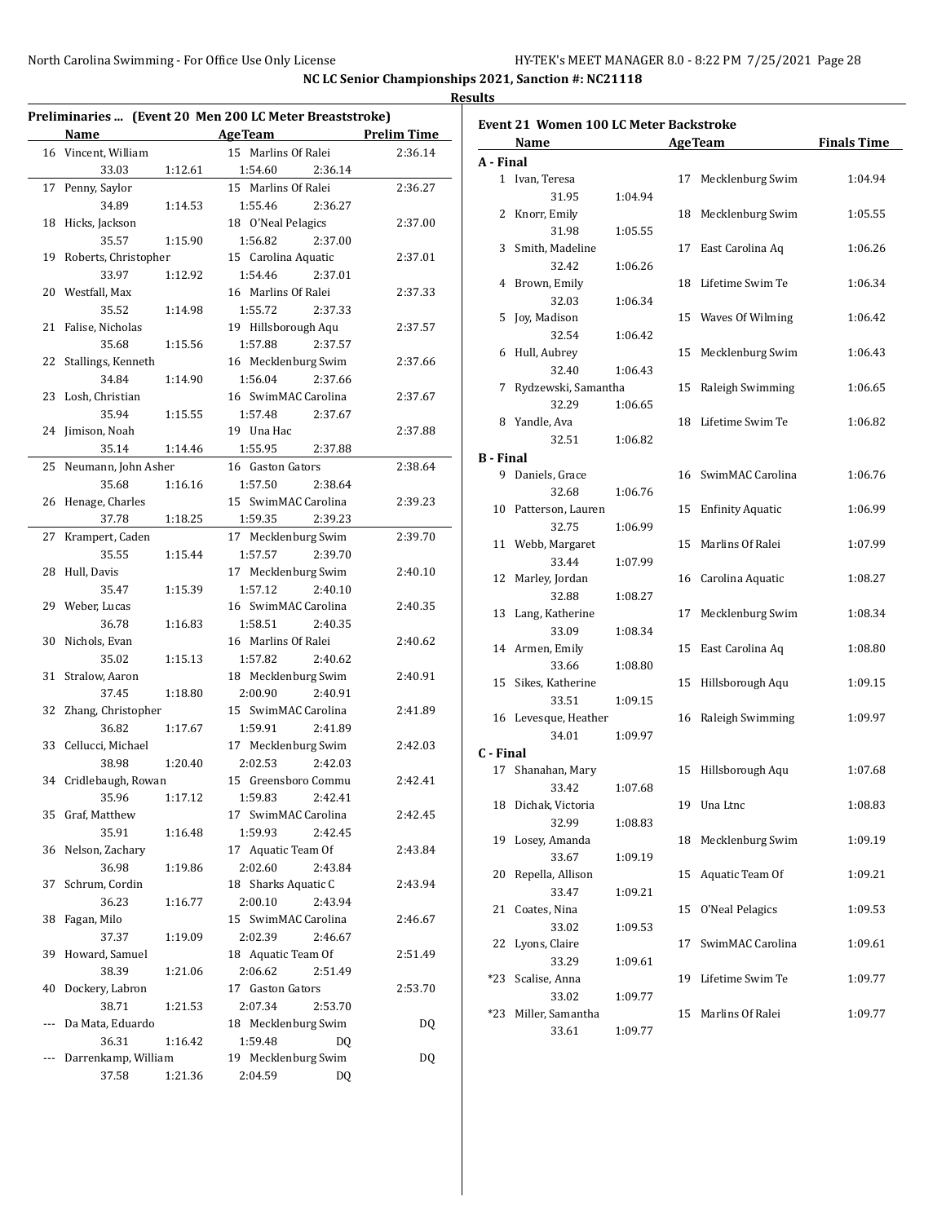|    | Name                    | Preliminaries  (Event 20 Men 200 LC Meter Breaststroke)<br><b>AgeTeam</b> | <b>Prelim Time</b> |
|----|-------------------------|---------------------------------------------------------------------------|--------------------|
|    | 16 Vincent, William     | 15 Marlins Of Ralei                                                       | 2:36.14            |
|    | 33.03<br>1:12.61        | 1:54.60<br>2:36.14                                                        |                    |
| 17 | Penny, Saylor           | 15 Marlins Of Ralei                                                       | 2:36.27            |
|    | 34.89<br>1:14.53        | 1:55.46<br>2:36.27                                                        |                    |
|    | 18 Hicks, Jackson       | 18 O'Neal Pelagics                                                        | 2:37.00            |
|    | 35.57<br>1:15.90        | 1:56.82<br>2:37.00                                                        |                    |
|    | 19 Roberts, Christopher | 15 Carolina Aquatic                                                       | 2:37.01            |
|    | 33.97<br>1:12.92        | 1:54.46<br>2:37.01                                                        |                    |
|    | 20 Westfall, Max        | 16 Marlins Of Ralei                                                       | 2:37.33            |
|    | 35.52<br>1:14.98        | 1:55.72<br>2:37.33                                                        |                    |
|    | 21 Falise, Nicholas     | 19 Hillsborough Aqu                                                       | 2:37.57            |
|    | 35.68<br>1:15.56        | 1:57.88<br>2:37.57                                                        |                    |
| 22 | Stallings, Kenneth      | 16 Mecklenburg Swim                                                       | 2:37.66            |
|    | 34.84<br>1:14.90        | 1:56.04<br>2:37.66                                                        |                    |
|    | 23 Losh, Christian      | 16 SwimMAC Carolina                                                       | 2:37.67            |
|    | 35.94<br>1:15.55        | 1:57.48<br>2:37.67                                                        |                    |
|    | 24 Jimison, Noah        | 19 Una Hac                                                                | 2:37.88            |
|    | 35.14<br>1:14.46        | 1:55.95<br>2:37.88                                                        |                    |
|    | 25 Neumann, John Asher  | 16 Gaston Gators                                                          | 2:38.64            |
|    | 35.68<br>1:16.16        | 1:57.50<br>2:38.64                                                        |                    |
|    | 26 Henage, Charles      | 15 SwimMAC Carolina                                                       | 2:39.23            |
|    | 37.78<br>1:18.25        | 1:59.35<br>2:39.23                                                        |                    |
| 27 | Krampert, Caden         | 17 Mecklenburg Swim                                                       | 2:39.70            |
|    | 35.55<br>1:15.44        | 1:57.57<br>2:39.70                                                        |                    |
|    | 28 Hull, Davis          | 17 Mecklenburg Swim                                                       | 2:40.10            |
|    | 35.47<br>1:15.39        | 1:57.12<br>2:40.10                                                        |                    |
|    | 29 Weber, Lucas         | 16 SwimMAC Carolina                                                       | 2:40.35            |
|    | 36.78<br>1:16.83        | 1:58.51<br>2:40.35                                                        |                    |
|    | 30 Nichols, Evan        | 16 Marlins Of Ralei                                                       | 2:40.62            |
|    | 35.02<br>1:15.13        | 1:57.82<br>2:40.62                                                        |                    |
|    | 31 Stralow, Aaron       | 18 Mecklenburg Swim                                                       | 2:40.91            |
|    | 37.45<br>1:18.80        | 2:40.91<br>2:00.90                                                        |                    |
|    | 32 Zhang, Christopher   | 15 SwimMAC Carolina                                                       | 2:41.89            |
|    | 36.82<br>1:17.67        | 1:59.91<br>2:41.89                                                        |                    |
|    | 33 Cellucci, Michael    | 17 Mecklenburg Swim                                                       | 2:42.03            |
|    | 38.98<br>1:20.40        | 2:02.53<br>2:42.03                                                        |                    |
|    | 34 Cridlebaugh, Rowan   | 15 Greensboro Commu                                                       | 2:42.41            |
|    | 35.96<br>1:17.12        | 1:59.83<br>2:42.41                                                        |                    |
|    | 35 Graf, Matthew        | 17 SwimMAC Carolina                                                       | 2:42.45            |
|    | 35.91<br>1:16.48        | 1:59.93<br>2:42.45                                                        |                    |
| 36 | Nelson, Zachary         | 17 Aquatic Team Of                                                        | 2:43.84            |
|    | 36.98<br>1:19.86        | 2:02.60<br>2:43.84                                                        |                    |
| 37 | Schrum, Cordin          | 18 Sharks Aquatic C                                                       | 2:43.94            |
|    | 36.23<br>1:16.77        | 2:00.10<br>2:43.94                                                        |                    |
|    | 38 Fagan, Milo          | 15 SwimMAC Carolina                                                       | 2:46.67            |
|    | 37.37<br>1:19.09        | 2:02.39<br>2:46.67                                                        |                    |
|    | 39 Howard, Samuel       | 18 Aquatic Team Of                                                        | 2:51.49            |
|    | 38.39<br>1:21.06        | 2:06.62<br>2:51.49                                                        |                    |
|    | 40 Dockery, Labron      | 17 Gaston Gators                                                          | 2:53.70            |
|    | 38.71<br>1:21.53        | 2:07.34<br>2:53.70                                                        |                    |
|    | Da Mata, Eduardo        | 18 Mecklenburg Swim                                                       | DQ                 |
|    | 36.31<br>1:16.42        | 1:59.48<br>DQ                                                             |                    |
|    | Darrenkamp, William     | 19 Mecklenburg Swim                                                       | <b>DQ</b>          |
|    | 37.58<br>1:21.36        | 2:04.59<br>DQ                                                             |                    |

|                | Event 21 Women 100 LC Meter Backstroke |         |    |                     | <b>Finals Time</b> |
|----------------|----------------------------------------|---------|----|---------------------|--------------------|
|                | Name                                   |         |    | <b>AgeTeam</b>      |                    |
| A - Final<br>1 |                                        |         | 17 |                     |                    |
|                | Ivan, Teresa<br>31.95                  | 1:04.94 |    | Mecklenburg Swim    | 1:04.94            |
| 2              | Knorr, Emily                           |         |    | 18 Mecklenburg Swim | 1:05.55            |
|                | 31.98                                  |         |    |                     |                    |
| 3              | Smith, Madeline                        | 1:05.55 |    | 17 East Carolina Aq | 1:06.26            |
|                |                                        |         |    |                     |                    |
| 4              | 32.42<br>Brown, Emily                  | 1:06.26 | 18 | Lifetime Swim Te    | 1:06.34            |
|                | 32.03                                  |         |    |                     |                    |
| 5              | Joy, Madison                           | 1:06.34 | 15 | Waves Of Wilming    | 1:06.42            |
|                | 32.54                                  | 1:06.42 |    |                     |                    |
| 6              | Hull, Aubrey                           |         | 15 | Mecklenburg Swim    |                    |
|                |                                        |         |    |                     | 1:06.43            |
| 7              | 32.40                                  | 1:06.43 |    |                     |                    |
|                | Rydzewski, Samantha                    |         | 15 | Raleigh Swimming    | 1:06.65            |
|                | 32.29                                  | 1:06.65 |    |                     | 1:06.82            |
|                | 8 Yandle, Ava                          |         | 18 | Lifetime Swim Te    |                    |
|                | 32.51                                  | 1:06.82 |    |                     |                    |
| B - Final      |                                        |         |    |                     |                    |
|                | 9 Daniels, Grace                       |         |    | 16 SwimMAC Carolina | 1:06.76            |
|                | 32.68                                  | 1:06.76 |    |                     |                    |
| 10             | Patterson, Lauren                      |         |    | 15 Enfinity Aquatic | 1:06.99            |
|                | 32.75                                  | 1:06.99 |    |                     |                    |
| 11             | Webb, Margaret                         |         |    | 15 Marlins Of Ralei | 1:07.99            |
|                | 33.44                                  | 1:07.99 |    |                     |                    |
| 12             | Marley, Jordan                         |         |    | 16 Carolina Aquatic | 1:08.27            |
|                | 32.88                                  | 1:08.27 |    |                     |                    |
| 13             | Lang, Katherine                        |         | 17 | Mecklenburg Swim    | 1:08.34            |
|                | 33.09                                  | 1:08.34 |    |                     |                    |
| 14             | Armen, Emily                           |         | 15 | East Carolina Aq    | 1:08.80            |
|                | 33.66                                  | 1:08.80 |    |                     |                    |
| 15             | Sikes, Katherine<br>33.51              |         | 15 | Hillsborough Aqu    | 1:09.15            |
|                |                                        | 1:09.15 |    |                     |                    |
|                | 16 Levesque, Heather<br>34.01          |         | 16 | Raleigh Swimming    | 1:09.97            |
| C - Final      |                                        | 1:09.97 |    |                     |                    |
|                | 17 Shanahan, Mary                      |         |    | 15 Hillsborough Aqu | 1:07.68            |
|                | 33.42                                  | 1:07.68 |    |                     |                    |
|                | 18 Dichak, Victoria                    |         |    | 19 Una Ltnc         | 1:08.83            |
|                | 32.99                                  | 1:08.83 |    |                     |                    |
| 19             | Losey, Amanda                          |         | 18 | Mecklenburg Swim    | 1:09.19            |
|                | 33.67                                  | 1:09.19 |    |                     |                    |
| 20             | Repella, Allison                       |         | 15 | Aquatic Team Of     | 1:09.21            |
|                | 33.47                                  | 1:09.21 |    |                     |                    |
| 21             | Coates, Nina                           |         | 15 | O'Neal Pelagics     | 1:09.53            |
|                | 33.02                                  | 1:09.53 |    |                     |                    |
| 22             | Lyons, Claire                          |         | 17 | SwimMAC Carolina    | 1:09.61            |
|                | 33.29                                  | 1:09.61 |    |                     |                    |
| *23            | Scalise, Anna                          |         | 19 | Lifetime Swim Te    | 1:09.77            |
|                | 33.02                                  | 1:09.77 |    |                     |                    |
| *23            | Miller, Samantha                       |         | 15 | Marlins Of Ralei    | 1:09.77            |
|                | 33.61                                  | 1:09.77 |    |                     |                    |
|                |                                        |         |    |                     |                    |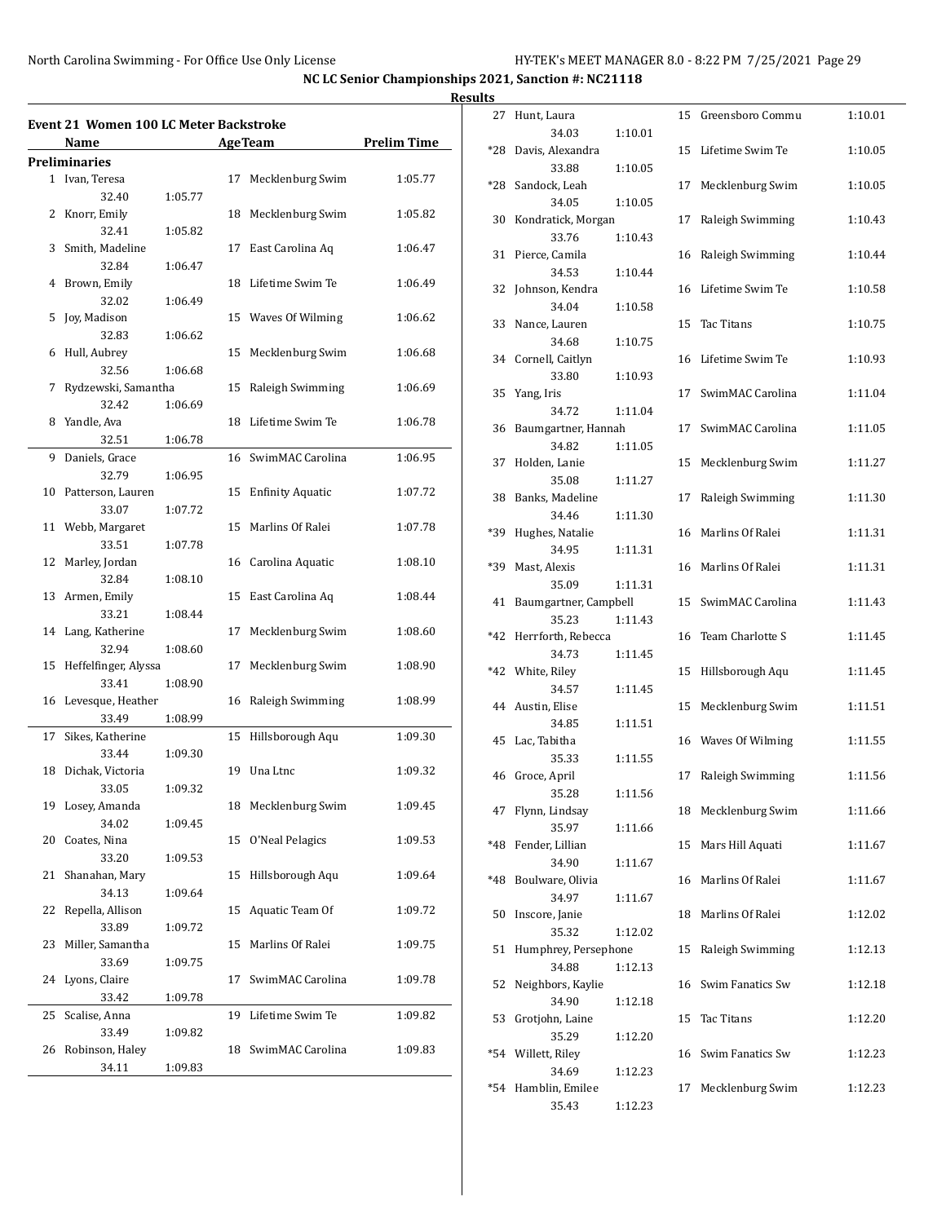|    |                                        |         |    |                         |                    | <b>Results</b> |
|----|----------------------------------------|---------|----|-------------------------|--------------------|----------------|
|    | Event 21 Women 100 LC Meter Backstroke |         |    |                         |                    |                |
|    | Name                                   |         |    | <b>Age Team</b>         | <b>Prelim Time</b> |                |
|    | Preliminaries                          |         |    |                         |                    |                |
|    | 1 Ivan, Teresa                         |         |    | 17 Mecklenburg Swim     | 1:05.77            |                |
|    | 32.40                                  | 1:05.77 |    |                         |                    |                |
| 2  | Knorr, Emily                           |         |    | 18 Mecklenburg Swim     | 1:05.82            |                |
|    | 32.41                                  | 1:05.82 |    |                         |                    |                |
| 3  | Smith, Madeline                        |         |    | 17 East Carolina Aq     | 1:06.47            |                |
|    | 32.84                                  | 1:06.47 |    |                         |                    |                |
|    | 4 Brown, Emily                         |         |    | 18 Lifetime Swim Te     | 1:06.49            |                |
|    | 32.02                                  | 1:06.49 |    |                         |                    |                |
| 5  | Joy, Madison                           |         |    | 15 Waves Of Wilming     | 1:06.62            |                |
|    | 32.83                                  | 1:06.62 |    |                         |                    |                |
| 6  | Hull, Aubrey                           |         |    | 15 Mecklenburg Swim     | 1:06.68            |                |
|    | 32.56                                  | 1:06.68 |    |                         |                    |                |
| 7  | Rydzewski, Samantha                    |         |    | 15 Raleigh Swimming     | 1:06.69            |                |
|    | 32.42                                  | 1:06.69 |    |                         |                    |                |
|    | 8 Yandle, Ava                          |         |    | 18 Lifetime Swim Te     | 1:06.78            |                |
|    | 32.51                                  | 1:06.78 |    |                         |                    |                |
|    | 9 Daniels, Grace                       |         |    | 16 SwimMAC Carolina     | 1:06.95            |                |
|    | 32.79                                  | 1:06.95 |    |                         |                    |                |
|    | 10 Patterson, Lauren                   |         | 15 | <b>Enfinity Aquatic</b> | 1:07.72            |                |
|    | 33.07                                  | 1:07.72 |    |                         |                    |                |
|    | 11 Webb, Margaret                      |         |    | 15 Marlins Of Ralei     | 1:07.78            |                |
|    | 33.51                                  | 1:07.78 |    |                         |                    |                |
| 12 | Marley, Jordan                         |         |    | 16 Carolina Aquatic     | 1:08.10            |                |
|    | 32.84                                  | 1:08.10 |    |                         |                    |                |
|    | 13 Armen, Emily                        |         |    | 15 East Carolina Aq     | 1:08.44            |                |
|    | 33.21                                  | 1:08.44 |    |                         |                    |                |
|    | 14 Lang, Katherine                     |         |    | 17 Mecklenburg Swim     | 1:08.60            |                |
|    | 32.94                                  | 1:08.60 |    |                         |                    |                |
|    | 15 Heffelfinger, Alyssa                |         | 17 | Mecklenburg Swim        | 1:08.90            |                |
|    | 33.41                                  | 1:08.90 |    |                         |                    |                |
|    | 16 Levesque, Heather                   |         |    | 16 Raleigh Swimming     | 1:08.99            |                |
|    |                                        |         |    |                         |                    |                |
|    | 33.49                                  | 1:08.99 |    |                         |                    |                |
| 17 | Sikes, Katherine                       |         |    | 15 Hillsborough Aqu     | 1:09.30            |                |
|    | 33.44                                  | 1:09.30 |    |                         |                    |                |
|    | 18 Dichak, Victoria                    |         |    | 19 Una Ltnc             | 1:09.32            |                |
|    | 33.05                                  | 1:09.32 |    |                         |                    |                |
| 19 | Losey, Amanda                          |         | 18 | Mecklenburg Swim        | 1:09.45            |                |
|    | 34.02                                  | 1:09.45 |    |                         |                    |                |
| 20 | Coates, Nina                           |         | 15 | O'Neal Pelagics         | 1:09.53            |                |
|    | 33.20                                  | 1:09.53 |    |                         |                    |                |
| 21 | Shanahan, Mary                         |         | 15 | Hillsborough Aqu        | 1:09.64            |                |
|    | 34.13                                  | 1:09.64 |    |                         |                    |                |
| 22 | Repella, Allison                       |         | 15 | Aquatic Team Of         | 1:09.72            |                |
|    | 33.89                                  | 1:09.72 |    |                         |                    |                |
| 23 | Miller, Samantha                       |         | 15 | Marlins Of Ralei        | 1:09.75            |                |
|    | 33.69                                  | 1:09.75 |    |                         |                    |                |
| 24 | Lyons, Claire                          |         | 17 | SwimMAC Carolina        | 1:09.78            |                |
|    | 33.42                                  | 1:09.78 |    |                         |                    |                |
| 25 | Scalise, Anna                          |         |    | 19 Lifetime Swim Te     | 1:09.82            |                |
|    | 33.49                                  | 1:09.82 |    |                         |                    |                |
| 26 | Robinson, Haley                        |         | 18 | SwimMAC Carolina        | 1:09.83            |                |
|    | 34.11                                  | 1:09.83 |    |                         |                    |                |
|    |                                        |         |    |                         |                    |                |

| เร    |                           |         |    |                     |         |
|-------|---------------------------|---------|----|---------------------|---------|
| 27    | Hunt, Laura               |         | 15 | Greensboro Commu    | 1:10.01 |
|       | 34.03                     | 1:10.01 |    |                     |         |
| *28   | Davis, Alexandra          |         |    | 15 Lifetime Swim Te | 1:10.05 |
| *28   | 33.88<br>Sandock, Leah    | 1:10.05 | 17 | Mecklenburg Swim    |         |
|       | 34.05                     | 1:10.05 |    |                     | 1:10.05 |
| 30    | Kondratick, Morgan        |         | 17 | Raleigh Swimming    | 1:10.43 |
|       | 33.76                     | 1:10.43 |    |                     |         |
| 31    | Pierce, Camila            |         |    | 16 Raleigh Swimming | 1:10.44 |
|       | 34.53                     | 1:10.44 |    |                     |         |
| 32    | Johnson, Kendra           |         |    | 16 Lifetime Swim Te | 1:10.58 |
|       | 34.04                     | 1:10.58 |    |                     |         |
| 33    | Nance, Lauren             |         | 15 | Tac Titans          | 1:10.75 |
|       | 34.68                     | 1:10.75 |    |                     |         |
| 34    | Cornell, Caitlyn<br>33.80 | 1:10.93 |    | 16 Lifetime Swim Te | 1:10.93 |
| 35    | Yang, Iris                |         | 17 | SwimMAC Carolina    | 1:11.04 |
|       | 34.72                     | 1:11.04 |    |                     |         |
| 36    | Baumgartner, Hannah       |         | 17 | SwimMAC Carolina    | 1:11.05 |
|       | 34.82                     | 1:11.05 |    |                     |         |
| 37    | Holden, Lanie             |         | 15 | Mecklenburg Swim    | 1:11.27 |
|       | 35.08                     | 1:11.27 |    |                     |         |
| 38    | Banks, Madeline           |         | 17 | Raleigh Swimming    | 1:11.30 |
|       | 34.46                     | 1:11.30 |    |                     |         |
| *39   | Hughes, Natalie<br>34.95  | 1:11.31 |    | 16 Marlins Of Ralei | 1:11.31 |
| *39   | Mast, Alexis              |         |    | 16 Marlins Of Ralei | 1:11.31 |
|       | 35.09                     | 1:11.31 |    |                     |         |
| 41    | Baumgartner, Campbell     |         | 15 | SwimMAC Carolina    | 1:11.43 |
|       | 35.23                     | 1:11.43 |    |                     |         |
| *42   | Herrforth, Rebecca        |         | 16 | Team Charlotte S    | 1:11.45 |
|       | 34.73                     | 1:11.45 |    |                     |         |
| $*42$ | White, Riley              |         | 15 | Hillsborough Aqu    | 1:11.45 |
| 44    | 34.57<br>Austin, Elise    | 1:11.45 | 15 | Mecklenburg Swim    | 1:11.51 |
|       | 34.85                     | 1:11.51 |    |                     |         |
| 45    | Lac, Tabitha              |         |    | 16 Waves Of Wilming | 1:11.55 |
|       | 35.33                     | 1:11.55 |    |                     |         |
| 46    | Groce, April              |         | 17 | Raleigh Swimming    | 1:11.56 |
|       | 35.28                     | 1:11.56 |    |                     |         |
| 47    | Flynn, Lindsay            |         |    | 18 Mecklenburg Swim | 1:11.66 |
|       | 35.97                     | 1:11.66 |    |                     |         |
| *48   | Fender, Lillian           |         | 15 | Mars Hill Aquati    | 1:11.67 |
| *48   | 34.90<br>Boulware, Olivia | 1:11.67 | 16 | Marlins Of Ralei    | 1:11.67 |
|       | 34.97                     | 1:11.67 |    |                     |         |
| 50    | Inscore, Janie            |         | 18 | Marlins Of Ralei    | 1:12.02 |
|       | 35.32                     | 1:12.02 |    |                     |         |
| 51    | Humphrey, Persephone      |         | 15 | Raleigh Swimming    | 1:12.13 |
|       | 34.88                     | 1:12.13 |    |                     |         |
| 52    | Neighbors, Kaylie         |         | 16 | Swim Fanatics Sw    | 1:12.18 |
|       | 34.90                     | 1:12.18 |    |                     |         |
| 53    | Grotjohn, Laine           |         | 15 | Tac Titans          | 1:12.20 |
| *54   | 35.29<br>Willett, Riley   | 1:12.20 | 16 | Swim Fanatics Sw    | 1:12.23 |
|       | 34.69                     | 1:12.23 |    |                     |         |
| *54   | Hamblin, Emilee           |         | 17 | Mecklenburg Swim    | 1:12.23 |
|       | 35.43                     | 1:12.23 |    |                     |         |
|       |                           |         |    |                     |         |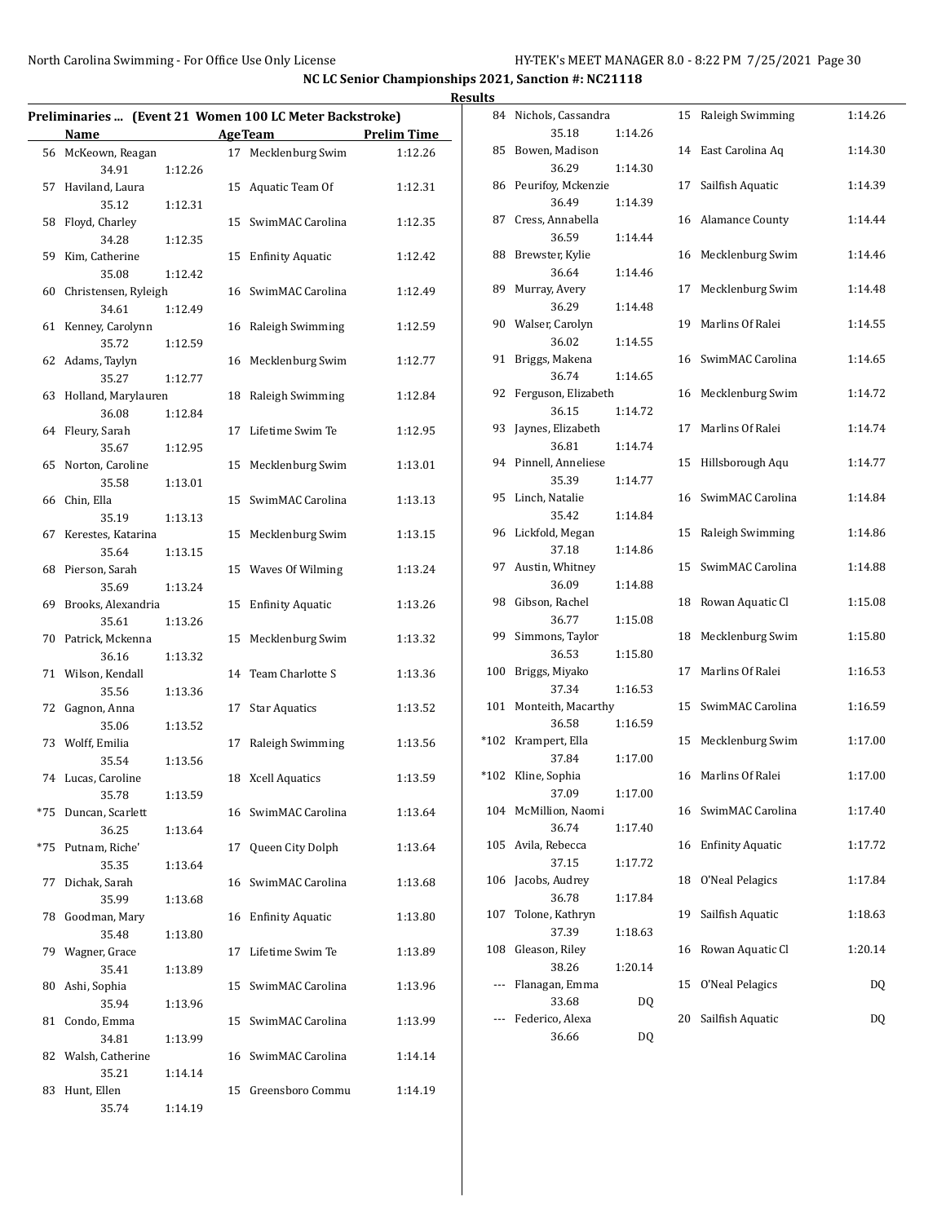|                                  |         |    |                                                         |                    | <b>Results</b> |         |
|----------------------------------|---------|----|---------------------------------------------------------|--------------------|----------------|---------|
|                                  |         |    | Preliminaries  (Event 21 Women 100 LC Meter Backstroke) |                    | 84 Ni          |         |
| Name                             |         |    | <b>AgeTeam</b>                                          | <b>Prelim Time</b> |                |         |
| 56 McKeown, Reagan<br>34.91      | 1:12.26 |    | 17 Mecklenburg Swim                                     | 1:12.26            | 85 Bc          |         |
| 57 Haviland, Laura               |         |    | 15 Aquatic Team Of                                      | 1:12.31            | 86 Pe          |         |
| 35.12<br>58 Floyd, Charley       | 1:12.31 |    | 15 SwimMAC Carolina                                     | 1:12.35            | 87 Cr          |         |
| 34.28<br>59 Kim, Catherine       | 1:12.35 |    | 15 Enfinity Aquatic                                     | 1:12.42            | 88 Br          |         |
| 35.08                            | 1:12.42 |    |                                                         |                    | 89 M           |         |
| 60 Christensen, Ryleigh<br>34.61 | 1:12.49 |    | 16 SwimMAC Carolina                                     | 1:12.49            |                |         |
| 61 Kenney, Carolynn<br>35.72     | 1:12.59 |    | 16 Raleigh Swimming                                     | 1:12.59            | 90 W           |         |
| 62 Adams, Taylyn<br>35.27        | 1:12.77 |    | 16 Mecklenburg Swim                                     | 1:12.77            | 91 Br          |         |
| 63 Holland, Marylauren           |         |    | 18 Raleigh Swimming                                     | 1:12.84            | 92 Fe          |         |
| 36.08<br>64 Fleury, Sarah        | 1:12.84 |    | 17 Lifetime Swim Te                                     | 1:12.95            | 93 Jay         |         |
| 35.67<br>65 Norton, Caroline     | 1:12.95 |    | 15 Mecklenburg Swim                                     | 1:13.01            | 94 Pi          |         |
| 35.58                            | 1:13.01 |    |                                                         |                    |                |         |
| 66 Chin, Ella<br>35.19           | 1:13.13 |    | 15 SwimMAC Carolina                                     | 1:13.13            | 95 Li          |         |
| 67 Kerestes, Katarina<br>35.64   | 1:13.15 |    | 15 Mecklenburg Swim                                     | 1:13.15            | 96 Li          |         |
| 68 Pierson, Sarah                |         |    | 15 Waves Of Wilming                                     | 1:13.24            | 97 Au          |         |
| 35.69<br>69 Brooks, Alexandria   | 1:13.24 |    | 15 Enfinity Aquatic                                     | 1:13.26            | 98 Gi          |         |
| 35.61<br>70 Patrick, Mckenna     | 1:13.26 |    | 15 Mecklenburg Swim                                     | 1:13.32            | 99 Sir         |         |
| 36.16<br>71 Wilson, Kendall      | 1:13.32 |    | 14 Team Charlotte S                                     | 1:13.36            | 100 Br         |         |
| 35.56                            | 1:13.36 |    |                                                         |                    |                |         |
| 72 Gagnon, Anna<br>35.06         | 1:13.52 | 17 | <b>Star Aquatics</b>                                    | 1:13.52            | 101 M          |         |
| 73 Wolff, Emilia<br>35.54        | 1:13.56 |    | 17 Raleigh Swimming                                     | 1:13.56            | *102 Kr        |         |
| 74 Lucas, Caroline               |         |    | 18 Xcell Aquatics                                       | 1:13.59            | *102 Kl        |         |
| 35.78<br>*75 Duncan, Scarlett    | 1:13.59 |    | 16 SwimMAC Carolina                                     | 1:13.64            | 104 M          |         |
| 36.25<br>*75 Putnam, Riche'      | 1:13.64 |    | 17 Queen City Dolph                                     | 1:13.64            | 105 Av         |         |
| 35.35                            | 1:13.64 |    |                                                         |                    | 106 Ja         |         |
| 77 Dichak, Sarah<br>35.99        | 1:13.68 |    | 16 SwimMAC Carolina                                     | 1:13.68            |                |         |
| 78 Goodman, Mary<br>35.48        | 1:13.80 |    | 16 Enfinity Aquatic                                     | 1:13.80            | 107 To         |         |
| 79 Wagner, Grace                 |         |    | 17 Lifetime Swim Te                                     | 1:13.89            | 108 Gl         |         |
| 35.41<br>80 Ashi, Sophia         | 1:13.89 |    | 15 SwimMAC Carolina                                     | 1:13.96            |                | --- Fla |
| 35.94<br>81 Condo, Emma          | 1:13.96 |    | 15 SwimMAC Carolina                                     | 1:13.99            |                | --- Fe  |
| 34.81                            | 1:13.99 |    | 16 SwimMAC Carolina                                     |                    |                |         |
| 82 Walsh, Catherine<br>35.21     | 1:14.14 |    |                                                         | 1:14.14            |                |         |
| 83 Hunt, Ellen<br>35.74          | 1:14.19 |    | 15 Greensboro Commu                                     | 1:14.19            |                |         |

| 84   | Nichols, Cassandra<br>35.18 | 1:14.26 | 15 | Raleigh Swimming        | 1:14.26 |
|------|-----------------------------|---------|----|-------------------------|---------|
| 85   | Bowen, Madison              |         | 14 | East Carolina Aq        | 1:14.30 |
| 86   | 36.29<br>Peurifoy, Mckenzie | 1:14.30 | 17 | Sailfish Aquatic        | 1:14.39 |
|      | 36.49                       | 1:14.39 |    |                         |         |
| 87   | Cress, Annabella            |         | 16 | <b>Alamance County</b>  | 1:14.44 |
|      | 36.59                       | 1:14.44 |    |                         |         |
| 88   | Brewster, Kylie             |         | 16 | Mecklenburg Swim        | 1:14.46 |
|      | 36.64                       | 1:14.46 |    |                         |         |
| 89   | Murray, Avery               |         | 17 | Mecklenburg Swim        | 1:14.48 |
|      | 36.29                       | 1:14.48 |    |                         |         |
|      | 90 Walser, Carolyn          |         | 19 | Marlins Of Ralei        | 1:14.55 |
|      | 36.02                       | 1:14.55 |    |                         |         |
| 91   | Briggs, Makena              |         | 16 | SwimMAC Carolina        | 1:14.65 |
|      | 36.74                       | 1:14.65 |    |                         |         |
| 92   | Ferguson, Elizabeth         |         | 16 | Mecklenburg Swim        | 1:14.72 |
|      | 36.15                       | 1:14.72 |    |                         |         |
| 93   | Jaynes, Elizabeth           |         | 17 | Marlins Of Ralei        | 1:14.74 |
|      | 36.81                       | 1:14.74 |    |                         |         |
| 94   | Pinnell, Anneliese          |         | 15 | Hillsborough Aqu        | 1:14.77 |
|      | 35.39                       | 1:14.77 |    |                         |         |
| 95   | Linch, Natalie              |         | 16 | SwimMAC Carolina        | 1:14.84 |
|      | 35.42                       | 1:14.84 |    |                         |         |
|      | 96 Lickfold, Megan          |         | 15 | Raleigh Swimming        |         |
|      |                             |         |    |                         | 1:14.86 |
|      | 37.18                       | 1:14.86 |    |                         |         |
| 97   | Austin, Whitney             |         | 15 | SwimMAC Carolina        | 1:14.88 |
|      | 36.09                       | 1:14.88 |    |                         |         |
| 98   | Gibson, Rachel              |         | 18 | Rowan Aquatic Cl        | 1:15.08 |
|      | 36.77                       | 1:15.08 |    |                         |         |
| 99   | Simmons, Taylor             |         | 18 | Mecklenburg Swim        | 1:15.80 |
|      | 36.53                       | 1:15.80 |    |                         |         |
| 100  | Briggs, Miyako              |         | 17 | Marlins Of Ralei        | 1:16.53 |
|      | 37.34                       | 1:16.53 |    |                         |         |
| 101  | Monteith, Macarthy          |         | 15 | SwimMAC Carolina        | 1:16.59 |
|      | 36.58                       | 1:16.59 |    |                         |         |
| *102 | Krampert, Ella              |         | 15 | Mecklenburg Swim        | 1:17.00 |
|      | 37.84                       | 1:17.00 |    |                         |         |
| *102 | Kline, Sophia               |         | 16 | Marlins Of Ralei        | 1:17.00 |
|      | 37.09                       | 1:17.00 |    |                         |         |
|      | 104 McMillion, Naomi        |         | 16 | SwimMAC Carolina        | 1:17.40 |
|      | 36.74                       | 1:17.40 |    |                         |         |
| 105  | Avila, Rebecca              |         | 16 | <b>Enfinity Aquatic</b> | 1:17.72 |
|      | 37.15                       | 1:17.72 |    |                         |         |
| 106  | Jacobs, Audrey              |         | 18 | O'Neal Pelagics         | 1:17.84 |
|      | 36.78                       | 1:17.84 |    |                         |         |
| 107  | Tolone, Kathryn             |         | 19 | Sailfish Aquatic        | 1:18.63 |
|      | 37.39                       | 1:18.63 |    |                         |         |
| 108  | Gleason, Riley              |         | 16 | Rowan Aquatic Cl        | 1:20.14 |
|      | 38.26                       | 1:20.14 |    |                         |         |
|      | Flanagan, Emma              |         | 15 | O'Neal Pelagics         | DQ      |
|      | 33.68                       | DQ      |    |                         |         |
|      | Federico, Alexa             |         | 20 | Sailfish Aquatic        | DQ      |
|      | 36.66                       | DQ      |    |                         |         |
|      |                             |         |    |                         |         |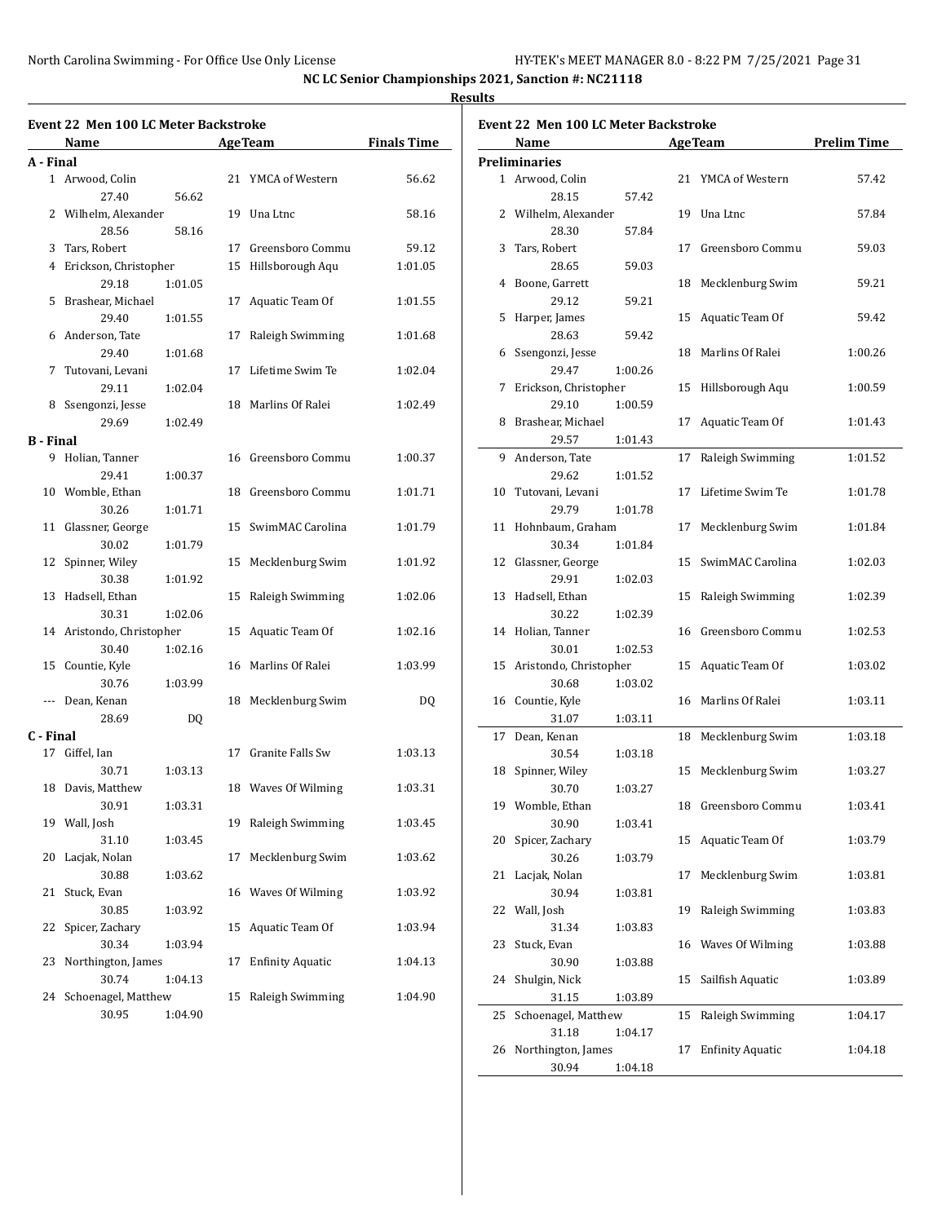|                  | <b>Event 22 Men 100 LC Meter Backstroke</b><br>Name |         |    | <b>Age Team</b>         | <b>Finals Time</b> |
|------------------|-----------------------------------------------------|---------|----|-------------------------|--------------------|
| A - Final        |                                                     |         |    |                         |                    |
|                  | 1 Arwood, Colin                                     |         |    | 21 YMCA of Western      | 56.62              |
|                  | 27.40                                               | 56.62   |    |                         |                    |
|                  | 2 Wilhelm, Alexander                                |         |    | 19 Una Ltnc             | 58.16              |
|                  | 28.56                                               |         |    |                         |                    |
|                  |                                                     | 58.16   |    |                         |                    |
|                  | 3 Tars, Robert                                      |         |    | 17 Greensboro Commu     | 59.12              |
|                  | 4 Erickson, Christopher                             |         |    | 15 Hillsborough Aqu     | 1:01.05            |
|                  | 29.18                                               | 1:01.05 |    |                         |                    |
|                  | 5 Brashear, Michael                                 |         |    | 17 Aquatic Team Of      | 1:01.55            |
|                  | 29.40                                               | 1:01.55 |    |                         |                    |
|                  | 6 Anderson, Tate                                    |         | 17 | Raleigh Swimming        | 1:01.68            |
|                  | 29.40                                               | 1:01.68 |    |                         |                    |
|                  | 7 Tutovani, Levani                                  |         |    | 17 Lifetime Swim Te     | 1:02.04            |
|                  | 29.11                                               | 1:02.04 |    |                         |                    |
|                  | 8 Ssengonzi, Jesse                                  |         |    | 18 Marlins Of Ralei     | 1:02.49            |
|                  | 29.69                                               | 1:02.49 |    |                         |                    |
| <b>B</b> - Final |                                                     |         |    |                         |                    |
|                  | 9 Holian, Tanner                                    |         |    | 16 Greensboro Commu     | 1:00.37            |
|                  | 29.41                                               | 1:00.37 |    |                         |                    |
|                  | 10 Womble, Ethan                                    |         |    | 18 Greensboro Commu     | 1:01.71            |
|                  | 30.26                                               | 1:01.71 |    |                         |                    |
|                  | 11 Glassner, George                                 |         |    | 15 SwimMAC Carolina     | 1:01.79            |
|                  | 30.02                                               | 1:01.79 |    |                         |                    |
|                  | 12 Spinner, Wiley                                   |         |    | 15 Mecklenburg Swim     | 1:01.92            |
|                  | 30.38                                               | 1:01.92 |    |                         |                    |
|                  | 13 Hadsell, Ethan                                   |         |    | 15 Raleigh Swimming     | 1:02.06            |
|                  | 30.31                                               | 1:02.06 |    |                         |                    |
|                  | 14 Aristondo, Christopher                           |         |    | 15 Aquatic Team Of      | 1:02.16            |
|                  |                                                     |         |    |                         |                    |
|                  | 30.40                                               | 1:02.16 |    |                         |                    |
|                  | 15 Countie, Kyle                                    |         |    | 16 Marlins Of Ralei     | 1:03.99            |
|                  | 30.76                                               | 1:03.99 |    |                         |                    |
|                  | --- Dean, Kenan                                     |         |    | 18 Mecklenburg Swim     | DQ                 |
|                  | 28.69                                               | DQ      |    |                         |                    |
| C - Final        |                                                     |         |    |                         |                    |
|                  | 17 Giffel, Ian                                      |         |    | 17 Granite Falls Sw     | 1:03.13            |
|                  | 30.71                                               | 1:03.13 |    |                         |                    |
|                  | 18 Davis, Matthew                                   |         |    | 18 Waves Of Wilming     | 1:03.31            |
|                  | 30.91                                               | 1:03.31 |    |                         |                    |
|                  | 19 Wall, Josh                                       |         | 19 | Raleigh Swimming        | 1:03.45            |
|                  | 31.10                                               | 1:03.45 |    |                         |                    |
| 20               | Lacjak, Nolan                                       |         | 17 | Mecklenburg Swim        | 1:03.62            |
|                  | 30.88                                               | 1:03.62 |    |                         |                    |
| 21               | Stuck, Evan                                         |         |    | 16 Waves Of Wilming     | 1:03.92            |
|                  | 30.85                                               | 1:03.92 |    |                         |                    |
| 22               | Spicer, Zachary                                     |         | 15 | Aquatic Team Of         | 1:03.94            |
|                  | 30.34                                               | 1:03.94 |    |                         |                    |
| 23               | Northington, James                                  |         | 17 | <b>Enfinity Aquatic</b> | 1:04.13            |
|                  | 30.74                                               | 1:04.13 |    |                         |                    |
| 24               | Schoenagel, Matthew                                 |         |    | 15 Raleigh Swimming     | 1:04.90            |
|                  |                                                     |         |    |                         |                    |
|                  | 30.95                                               | 1:04.90 |    |                         |                    |

| <b>Event 22 Men 100 LC Meter Backstroke</b> |                           |         |    |                         |                    |  |  |
|---------------------------------------------|---------------------------|---------|----|-------------------------|--------------------|--|--|
|                                             | Name                      |         |    | <b>AgeTeam</b>          | <b>Prelim Time</b> |  |  |
|                                             | <b>Preliminaries</b>      |         |    |                         |                    |  |  |
|                                             | 1 Arwood, Colin           |         | 21 | YMCA of Western         | 57.42              |  |  |
|                                             | 28.15                     | 57.42   |    |                         |                    |  |  |
|                                             | 2 Wilhelm, Alexander      |         |    | 19 Una Ltnc             | 57.84              |  |  |
|                                             | 28.30                     | 57.84   |    |                         |                    |  |  |
| 3                                           | Tars, Robert              |         | 17 | Greensboro Commu        | 59.03              |  |  |
|                                             | 28.65                     | 59.03   |    |                         |                    |  |  |
| 4                                           | Boone, Garrett            |         | 18 | Mecklenburg Swim        | 59.21              |  |  |
|                                             | 29.12                     | 59.21   |    |                         |                    |  |  |
| 5                                           | Harper, James             |         | 15 | Aquatic Team Of         | 59.42              |  |  |
|                                             | 28.63                     | 59.42   |    |                         |                    |  |  |
|                                             | 6 Ssengonzi, Jesse        |         | 18 | Marlins Of Ralei        | 1:00.26            |  |  |
|                                             | 29.47                     | 1:00.26 |    |                         |                    |  |  |
|                                             | 7 Erickson, Christopher   |         | 15 | Hillsborough Aqu        | 1:00.59            |  |  |
|                                             | 29.10                     | 1:00.59 |    |                         |                    |  |  |
|                                             | 8 Brashear, Michael       |         | 17 | Aquatic Team Of         | 1:01.43            |  |  |
|                                             | 29.57                     | 1:01.43 |    |                         |                    |  |  |
| 9                                           | Anderson, Tate            |         | 17 | Raleigh Swimming        | 1:01.52            |  |  |
|                                             | 29.62                     | 1:01.52 |    |                         |                    |  |  |
| 10                                          | Tutovani, Levani          |         | 17 | Lifetime Swim Te        | 1:01.78            |  |  |
|                                             | 29.79                     | 1:01.78 |    |                         |                    |  |  |
| 11                                          | Hohnbaum, Graham          |         | 17 | Mecklenburg Swim        | 1:01.84            |  |  |
|                                             | 30.34                     | 1:01.84 |    |                         |                    |  |  |
|                                             | 12 Glassner, George       |         | 15 | SwimMAC Carolina        | 1:02.03            |  |  |
|                                             | 29.91                     | 1:02.03 |    |                         |                    |  |  |
| 13                                          | Hadsell, Ethan            |         | 15 | Raleigh Swimming        | 1:02.39            |  |  |
|                                             | 30.22                     | 1:02.39 |    |                         |                    |  |  |
|                                             | 14 Holian, Tanner         |         |    | 16 Greensboro Commu     | 1:02.53            |  |  |
|                                             | 30.01                     | 1:02.53 |    |                         |                    |  |  |
|                                             | 15 Aristondo, Christopher |         | 15 | Aquatic Team Of         | 1:03.02            |  |  |
|                                             | 30.68                     | 1:03.02 |    |                         |                    |  |  |
|                                             |                           |         | 16 | Marlins Of Ralei        | 1:03.11            |  |  |
|                                             | 16 Countie, Kyle          |         |    |                         |                    |  |  |
|                                             | 31.07                     | 1:03.11 |    |                         |                    |  |  |
| 17                                          | Dean, Kenan               |         | 18 | Mecklenburg Swim        | 1:03.18            |  |  |
|                                             | 30.54                     | 1:03.18 |    |                         |                    |  |  |
|                                             | 18 Spinner, Wiley         |         |    | 15 Mecklenburg Swim     | 1:03.27            |  |  |
|                                             | 30.70                     | 1:03.27 |    |                         |                    |  |  |
|                                             | 19 Womble, Ethan          |         |    | 18 Greensboro Commu     | 1:03.41            |  |  |
|                                             | 30.90                     | 1:03.41 |    |                         |                    |  |  |
| 20                                          | Spicer, Zachary           |         | 15 | Aquatic Team Of         | 1:03.79            |  |  |
|                                             | 30.26                     | 1:03.79 |    |                         |                    |  |  |
| 21                                          | Lacjak, Nolan             |         | 17 | Mecklenburg Swim        | 1:03.81            |  |  |
|                                             | 30.94                     | 1:03.81 |    |                         |                    |  |  |
| 22                                          | Wall, Josh                |         | 19 | Raleigh Swimming        | 1:03.83            |  |  |
|                                             | 31.34                     | 1:03.83 |    |                         |                    |  |  |
| 23                                          | Stuck, Evan               |         |    | 16 Waves Of Wilming     | 1:03.88            |  |  |
|                                             | 30.90                     | 1:03.88 |    |                         |                    |  |  |
| 24                                          | Shulgin, Nick             |         | 15 | Sailfish Aquatic        | 1:03.89            |  |  |
|                                             | 31.15                     | 1:03.89 |    |                         |                    |  |  |
| 25                                          | Schoenagel, Matthew       |         | 15 | Raleigh Swimming        | 1:04.17            |  |  |
|                                             | 31.18                     | 1:04.17 |    |                         |                    |  |  |
| 26                                          | Northington, James        |         | 17 | <b>Enfinity Aquatic</b> | 1:04.18            |  |  |
|                                             | 30.94                     | 1:04.18 |    |                         |                    |  |  |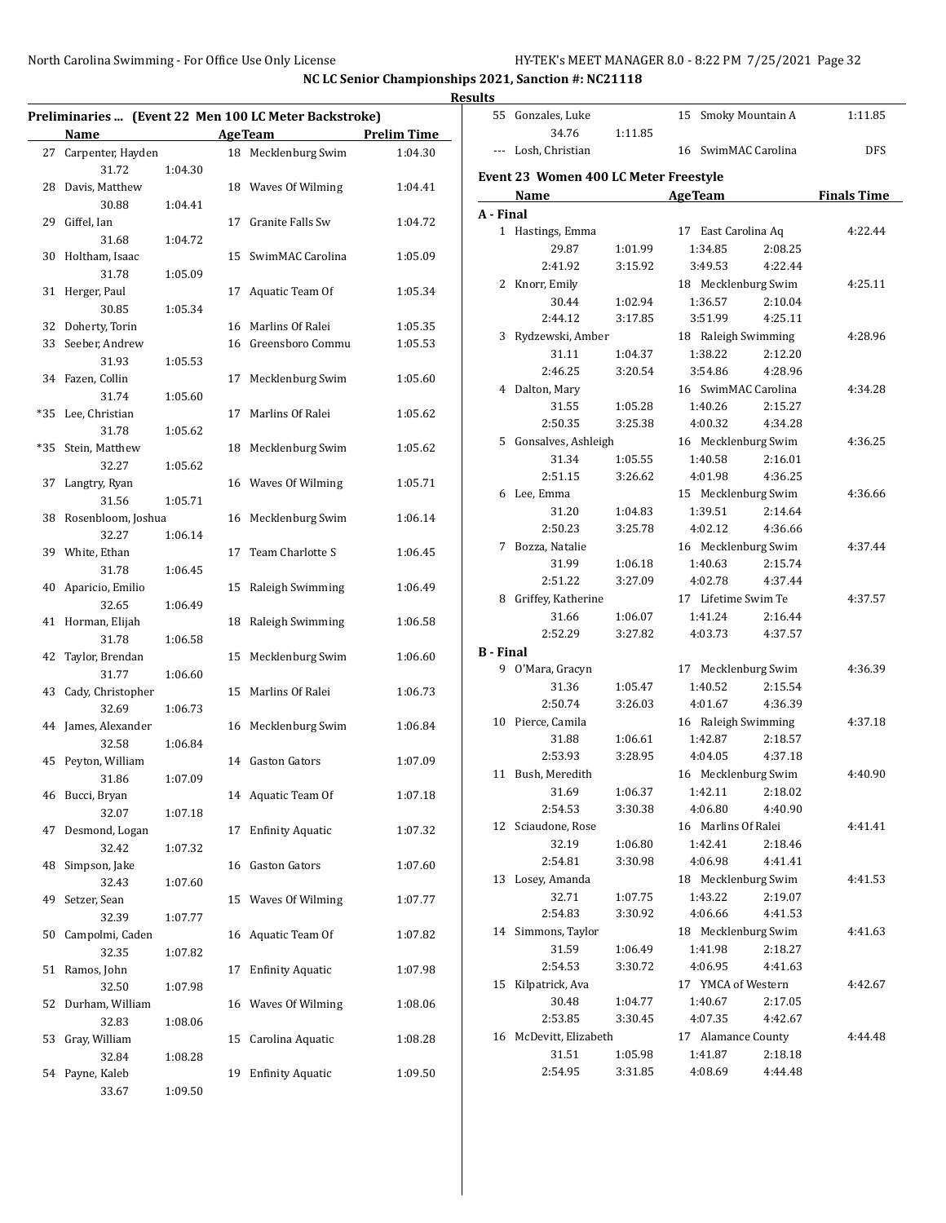**NC LC Senior Championships 2021, Sanction #: NC21118 Results**

|                       |         | Preliminaries  (Event 22 Men 100 LC Meter Backstroke) |                    |                  | 55 Gonzales, Luke                     |         | 15 Smoky Mountain A |         | 1:11.85            |
|-----------------------|---------|-------------------------------------------------------|--------------------|------------------|---------------------------------------|---------|---------------------|---------|--------------------|
| Name                  |         | <b>AgeTeam</b>                                        | <b>Prelim Time</b> |                  | 34.76                                 | 1:11.85 |                     |         |                    |
| 27 Carpenter, Hayden  |         | 18 Mecklenburg Swim                                   | 1:04.30            |                  | --- Losh, Christian                   |         | 16 SwimMAC Carolina |         | <b>DFS</b>         |
| 31.72                 | 1:04.30 |                                                       |                    |                  |                                       |         |                     |         |                    |
| 28 Davis, Matthew     |         | 18 Waves Of Wilming                                   | 1:04.41            |                  | Event 23 Women 400 LC Meter Freestyle |         |                     |         |                    |
| 30.88                 | 1:04.41 |                                                       |                    |                  | Name                                  |         | <b>AgeTeam</b>      |         | <b>Finals Time</b> |
| 29 Giffel, Ian        |         | 17 Granite Falls Sw                                   | 1:04.72            | A - Final        |                                       |         |                     |         |                    |
| 31.68                 | 1:04.72 |                                                       |                    |                  | 1 Hastings, Emma                      |         | 17 East Carolina Aq |         | 4:22.44            |
| 30 Holtham, Isaac     |         | 15 SwimMAC Carolina                                   | 1:05.09            |                  | 29.87                                 | 1:01.99 | 1:34.85             | 2:08.25 |                    |
| 31.78                 | 1:05.09 |                                                       |                    |                  | 2:41.92                               | 3:15.92 | 3:49.53             | 4:22.44 |                    |
| 31 Herger, Paul       |         | 17 Aquatic Team Of                                    | 1:05.34            |                  | 2 Knorr, Emily                        |         | 18 Mecklenburg Swim |         | 4:25.11            |
| 30.85                 | 1:05.34 |                                                       |                    |                  | 30.44                                 | 1:02.94 | 1:36.57             | 2:10.04 |                    |
| 32 Doherty, Torin     |         | 16 Marlins Of Ralei                                   | 1:05.35            |                  | 2:44.12                               | 3:17.85 | 3:51.99             | 4:25.11 |                    |
| 33 Seeber, Andrew     |         | 16 Greensboro Commu                                   | 1:05.53            |                  | 3 Rydzewski, Amber                    |         | 18 Raleigh Swimming |         | 4:28.96            |
| 31.93                 | 1:05.53 |                                                       |                    |                  | 31.11                                 | 1:04.37 | 1:38.22             | 2:12.20 |                    |
| 34 Fazen, Collin      |         | 17 Mecklenburg Swim                                   | 1:05.60            |                  | 2:46.25                               | 3:20.54 | 3:54.86             | 4:28.96 |                    |
| 31.74                 | 1:05.60 |                                                       |                    |                  | 4 Dalton, Mary                        |         | 16 SwimMAC Carolina |         | 4:34.28            |
| *35 Lee, Christian    |         | 17 Marlins Of Ralei                                   | 1:05.62            |                  | 31.55                                 | 1:05.28 | 1:40.26             | 2:15.27 |                    |
| 31.78                 | 1:05.62 |                                                       |                    |                  | 2:50.35                               | 3:25.38 | 4:00.32             | 4:34.28 |                    |
| *35 Stein, Matthew    |         | 18 Mecklenburg Swim                                   | 1:05.62            |                  | 5 Gonsalves, Ashleigh                 |         | 16 Mecklenburg Swim |         | 4:36.25            |
| 32.27                 | 1:05.62 |                                                       |                    |                  | 31.34                                 | 1:05.55 | 1:40.58             | 2:16.01 |                    |
| 37 Langtry, Ryan      |         | 16 Waves Of Wilming                                   | 1:05.71            |                  | 2:51.15                               | 3:26.62 | 4:01.98             | 4:36.25 |                    |
| 31.56                 | 1:05.71 |                                                       |                    |                  | 6 Lee, Emma                           |         | 15 Mecklenburg Swim |         | 4:36.66            |
| 38 Rosenbloom, Joshua |         | 16 Mecklenburg Swim                                   | 1:06.14            |                  | 31.20                                 | 1:04.83 | 1:39.51             | 2:14.64 |                    |
| 32.27                 | 1:06.14 |                                                       |                    |                  | 2:50.23                               | 3:25.78 | 4:02.12             | 4:36.66 |                    |
| 39 White, Ethan       |         | 17 Team Charlotte S                                   | 1:06.45            |                  | 7 Bozza, Natalie                      |         | 16 Mecklenburg Swim |         | 4:37.44            |
| 31.78                 | 1:06.45 |                                                       |                    |                  | 31.99                                 | 1:06.18 | 1:40.63             | 2:15.74 |                    |
| 40 Aparicio, Emilio   |         | 15 Raleigh Swimming                                   | 1:06.49            |                  | 2:51.22                               | 3:27.09 | 4:02.78             | 4:37.44 |                    |
| 32.65                 | 1:06.49 |                                                       |                    |                  | 8 Griffey, Katherine                  |         | 17 Lifetime Swim Te |         | 4:37.57            |
| 41 Horman, Elijah     |         | 18 Raleigh Swimming                                   | 1:06.58            |                  | 31.66                                 | 1:06.07 | 1:41.24             | 2:16.44 |                    |
| 31.78                 | 1:06.58 |                                                       |                    |                  | 2:52.29                               | 3:27.82 | 4:03.73             | 4:37.57 |                    |
| 42 Taylor, Brendan    |         | 15 Mecklenburg Swim                                   | 1:06.60            | <b>B</b> - Final |                                       |         |                     |         |                    |
| 31.77                 | 1:06.60 |                                                       |                    |                  | 9 O'Mara, Gracyn                      |         | 17 Mecklenburg Swim |         | 4:36.39            |
| 43 Cady, Christopher  |         | 15 Marlins Of Ralei                                   | 1:06.73            |                  | 31.36                                 | 1:05.47 | 1:40.52             | 2:15.54 |                    |
| 32.69                 | 1:06.73 |                                                       |                    |                  | 2:50.74                               | 3:26.03 | 4:01.67             | 4:36.39 |                    |
| 44 James, Alexander   |         | 16 Mecklenburg Swim                                   | 1:06.84            |                  | 10 Pierce, Camila                     |         | 16 Raleigh Swimming |         | 4:37.18            |
| 32.58                 | 1:06.84 |                                                       |                    |                  | 31.88                                 | 1:06.61 | 1:42.87             | 2:18.57 |                    |
| 45 Peyton, William    |         | 14 Gaston Gators                                      | 1:07.09            |                  | 2:53.93                               | 3:28.95 | 4:04.05             | 4:37.18 |                    |
| 31.86                 | 1:07.09 |                                                       |                    |                  | 11 Bush, Meredith                     |         | 16 Mecklenburg Swim |         | 4:40.90            |
| 46 Bucci, Bryan       |         | 14 Aquatic Team Of                                    | 1:07.18            |                  | 31.69                                 | 1:06.37 | 1:42.11             | 2:18.02 |                    |
| 32.07                 | 1:07.18 |                                                       |                    |                  | 2:54.53                               | 3:30.38 | 4:06.80             | 4:40.90 |                    |
| 47 Desmond, Logan     |         | 17 Enfinity Aquatic                                   | 1:07.32            |                  | 12 Sciaudone, Rose                    |         | 16 Marlins Of Ralei |         | 4:41.41            |
| 32.42                 | 1:07.32 |                                                       |                    |                  | 32.19                                 | 1:06.80 | 1:42.41             | 2:18.46 |                    |
| 48 Simpson, Jake      |         | 16 Gaston Gators                                      | 1:07.60            |                  | 2:54.81                               | 3:30.98 | 4:06.98             | 4:41.41 |                    |
| 32.43                 | 1:07.60 |                                                       |                    |                  | 13 Losey, Amanda                      |         | 18 Mecklenburg Swim |         | 4:41.53            |
| 49 Setzer, Sean       |         | 15 Waves Of Wilming                                   | 1:07.77            |                  | 32.71                                 | 1:07.75 | 1:43.22             | 2:19.07 |                    |
| 32.39                 | 1:07.77 |                                                       |                    |                  | 2:54.83                               | 3:30.92 | 4:06.66             | 4:41.53 |                    |
| 50 Campolmi, Caden    |         | 16 Aquatic Team Of                                    | 1:07.82            |                  | 14 Simmons, Taylor                    |         | 18 Mecklenburg Swim |         | 4:41.63            |
| 32.35                 | 1:07.82 |                                                       |                    |                  | 31.59                                 | 1:06.49 | 1:41.98             | 2:18.27 |                    |
| 51 Ramos, John        |         | 17 Enfinity Aquatic                                   | 1:07.98            |                  | 2:54.53                               | 3:30.72 | 4:06.95             | 4:41.63 |                    |
| 32.50                 | 1:07.98 |                                                       |                    |                  | 15 Kilpatrick, Ava                    |         | 17 YMCA of Western  |         | 4:42.67            |
| 52 Durham, William    |         | 16 Waves Of Wilming                                   | 1:08.06            |                  | 30.48                                 | 1:04.77 | 1:40.67             | 2:17.05 |                    |
| 32.83                 | 1:08.06 |                                                       |                    |                  | 2:53.85                               | 3:30.45 | 4:07.35             | 4:42.67 |                    |
| 53 Gray, William      |         | 15 Carolina Aquatic                                   | 1:08.28            |                  | 16 McDevitt, Elizabeth                |         | 17 Alamance County  |         | 4:44.48            |
| 32.84                 | 1:08.28 |                                                       |                    |                  | 31.51                                 | 1:05.98 | 1:41.87             | 2:18.18 |                    |
| 54 Payne, Kaleb       |         | 19 Enfinity Aquatic                                   | 1:09.50            |                  | 2:54.95                               | 3:31.85 | 4:08.69             | 4:44.48 |                    |
| 33.67                 | 1:09.50 |                                                       |                    |                  |                                       |         |                     |         |                    |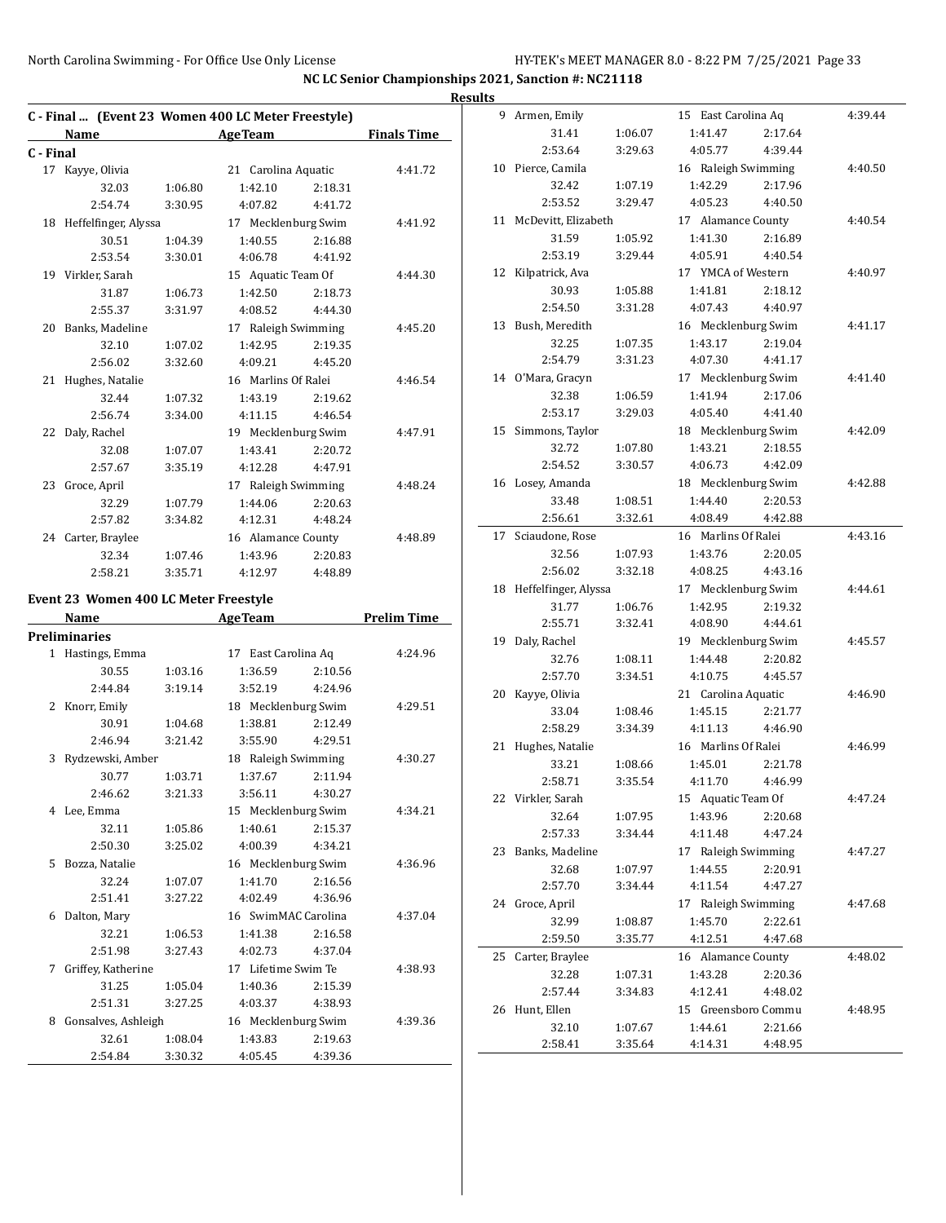|           |                                                    |         |                     |         |                    | <b>Results</b> |                         |         |                     |         |         |
|-----------|----------------------------------------------------|---------|---------------------|---------|--------------------|----------------|-------------------------|---------|---------------------|---------|---------|
|           | C - Final  (Event 23 Women 400 LC Meter Freestyle) |         |                     |         |                    |                | 9 Armen, Emily          |         | 15 East Carolina Aq |         | 4:39.44 |
|           | Name                                               |         | <b>AgeTeam</b>      |         | <b>Finals Time</b> |                | 31.41                   | 1:06.07 | 1:41.47             | 2:17.64 |         |
| C - Final |                                                    |         |                     |         |                    |                | 2:53.64                 | 3:29.63 | 4:05.77             | 4:39.44 |         |
|           | 17 Kayye, Olivia                                   |         | 21 Carolina Aquatic |         | 4:41.72            |                | 10 Pierce, Camila       |         | 16 Raleigh Swimming |         | 4:40.50 |
|           | 32.03                                              | 1:06.80 | 1:42.10             | 2:18.31 |                    |                | 32.42                   | 1:07.19 | 1:42.29             | 2:17.96 |         |
|           | 2:54.74                                            | 3:30.95 | 4:07.82             | 4:41.72 |                    |                | 2:53.52                 | 3:29.47 | 4:05.23             | 4:40.50 |         |
|           | 18 Heffelfinger, Alyssa                            |         | 17 Mecklenburg Swim |         | 4:41.92            |                | 11 McDevitt, Elizabeth  |         | 17 Alamance County  |         | 4:40.54 |
|           | 30.51                                              | 1:04.39 | 1:40.55             | 2:16.88 |                    |                | 31.59                   | 1:05.92 | 1:41.30             | 2:16.89 |         |
|           | 2:53.54                                            | 3:30.01 | 4:06.78             | 4:41.92 |                    |                | 2:53.19                 | 3:29.44 | 4:05.91             | 4:40.54 |         |
|           | 19 Virkler, Sarah                                  |         | 15 Aquatic Team Of  |         | 4:44.30            |                | 12 Kilpatrick, Ava      |         | 17 YMCA of Western  |         | 4:40.97 |
|           | 31.87                                              | 1:06.73 | 1:42.50             | 2:18.73 |                    |                | 30.93                   | 1:05.88 | 1:41.81             | 2:18.12 |         |
|           | 2:55.37                                            | 3:31.97 | 4:08.52             | 4:44.30 |                    |                | 2:54.50                 | 3:31.28 | 4:07.43             | 4:40.97 |         |
|           | 20 Banks, Madeline                                 |         | 17 Raleigh Swimming |         | 4:45.20            |                | 13 Bush, Meredith       |         | 16 Mecklenburg Swim |         | 4:41.17 |
|           | 32.10                                              | 1:07.02 | 1:42.95             | 2:19.35 |                    |                | 32.25                   | 1:07.35 | 1:43.17             | 2:19.04 |         |
|           | 2:56.02                                            | 3:32.60 | 4:09.21             | 4:45.20 |                    |                | 2:54.79                 | 3:31.23 | 4:07.30             | 4:41.17 |         |
|           | 21 Hughes, Natalie                                 |         | 16 Marlins Of Ralei |         | 4:46.54            |                | 14 O'Mara, Gracyn       |         | 17 Mecklenburg Swim |         | 4:41.40 |
|           | 32.44                                              | 1:07.32 | 1:43.19             | 2:19.62 |                    |                | 32.38                   | 1:06.59 | 1:41.94             | 2:17.06 |         |
|           | 2:56.74                                            | 3:34.00 | 4:11.15             | 4:46.54 |                    |                | 2:53.17                 | 3:29.03 | 4:05.40             | 4:41.40 |         |
|           | 22 Daly, Rachel                                    |         | 19 Mecklenburg Swim |         | 4:47.91            |                | 15 Simmons, Taylor      |         | 18 Mecklenburg Swim |         | 4:42.09 |
|           | 32.08                                              | 1:07.07 | 1:43.41             | 2:20.72 |                    |                | 32.72                   | 1:07.80 | 1:43.21             | 2:18.55 |         |
|           | 2:57.67                                            | 3:35.19 | 4:12.28             | 4:47.91 |                    |                | 2:54.52                 | 3:30.57 | 4:06.73             | 4:42.09 |         |
|           | 23 Groce, April                                    |         | 17 Raleigh Swimming |         | 4:48.24            |                | 16 Losey, Amanda        |         | 18 Mecklenburg Swim |         | 4:42.88 |
|           | 32.29                                              | 1:07.79 | 1:44.06             | 2:20.63 |                    |                | 33.48                   | 1:08.51 | 1:44.40             | 2:20.53 |         |
|           | 2:57.82                                            | 3:34.82 | 4:12.31             | 4:48.24 |                    |                | 2:56.61                 | 3:32.61 | 4:08.49             | 4:42.88 |         |
|           | 24 Carter, Braylee                                 |         | 16 Alamance County  |         | 4:48.89            |                | 17 Sciaudone, Rose      |         | 16 Marlins Of Ralei |         | 4:43.16 |
|           | 32.34                                              | 1:07.46 | 1:43.96             | 2:20.83 |                    |                | 32.56                   | 1:07.93 | 1:43.76             | 2:20.05 |         |
|           | 2:58.21                                            | 3:35.71 | 4:12.97             | 4:48.89 |                    |                | 2:56.02                 | 3:32.18 | 4:08.25             | 4:43.16 |         |
|           |                                                    |         |                     |         |                    |                | 18 Heffelfinger, Alyssa |         | 17 Mecklenburg Swim |         | 4:44.61 |
|           | Event 23 Women 400 LC Meter Freestyle              |         |                     |         |                    |                | 31.77                   | 1:06.76 | 1:42.95             | 2:19.32 |         |
|           | Name                                               |         | <b>AgeTeam</b>      |         | <b>Prelim Time</b> |                | 2:55.71                 | 3:32.41 | 4:08.90             | 4:44.61 |         |
|           | Preliminaries                                      |         |                     |         |                    |                | 19 Daly, Rachel         |         | 19 Mecklenburg Swim |         | 4:45.57 |
|           | 1 Hastings, Emma                                   |         | 17 East Carolina Aq |         | 4:24.96            |                | 32.76                   | 1:08.11 | 1:44.48             | 2:20.82 |         |
|           | 30.55                                              | 1:03.16 | 1:36.59             | 2:10.56 |                    |                | 2:57.70                 | 3:34.51 | 4:10.75             | 4:45.57 |         |
|           | 2:44.84                                            | 3:19.14 | 3:52.19             | 4:24.96 |                    |                | 20 Kayye, Olivia        |         | 21 Carolina Aquatic |         | 4:46.90 |
|           | 2 Knorr, Emily                                     |         | 18 Mecklenburg Swim |         | 4:29.51            |                | 33.04                   | 1:08.46 | 1:45.15             | 2:21.77 |         |
|           | 30.91                                              | 1:04.68 | 1:38.81             | 2:12.49 |                    |                | 2:58.29                 | 3:34.39 | 4:11.13             | 4:46.90 |         |
|           | 2:46.94                                            | 3:21.42 | 3:55.90             | 4:29.51 |                    |                | 21 Hughes, Natalie      |         | 16 Marlins Of Ralei |         | 4:46.99 |
|           | 3 Rydzewski, Amber                                 |         | 18 Raleigh Swimming |         | 4:30.27            |                | 33.21                   | 1:08.66 | 1:45.01             | 2:21.78 |         |
|           | 30.77                                              | 1:03.71 | 1:37.67 2:11.94     |         |                    |                | 2:58.71                 | 3:35.54 | 4:11.70             | 4:46.99 |         |
|           | 2:46.62                                            | 3:21.33 | 3:56.11             | 4:30.27 |                    |                | 22 Virkler, Sarah       |         | 15 Aquatic Team Of  |         | 4:47.24 |
|           | 4 Lee, Emma                                        |         | 15 Mecklenburg Swim |         | 4:34.21            |                | 32.64                   | 1:07.95 | 1:43.96             | 2:20.68 |         |
|           | 32.11                                              | 1:05.86 | 1:40.61             | 2:15.37 |                    |                | 2:57.33                 | 3:34.44 | 4:11.48             | 4:47.24 |         |
|           | 2:50.30                                            | 3:25.02 | 4:00.39             | 4:34.21 |                    |                | 23 Banks, Madeline      |         | 17 Raleigh Swimming |         | 4:47.27 |
|           | 5 Bozza, Natalie                                   |         | 16 Mecklenburg Swim |         | 4:36.96            |                | 32.68                   | 1:07.97 | 1:44.55             | 2:20.91 |         |
|           | 32.24                                              | 1:07.07 | 1:41.70             | 2:16.56 |                    |                | 2:57.70                 | 3:34.44 | 4:11.54             | 4:47.27 |         |
|           | 2:51.41                                            | 3:27.22 | 4:02.49             | 4:36.96 |                    |                | 24 Groce, April         |         | 17 Raleigh Swimming |         | 4:47.68 |
|           | 6 Dalton, Mary                                     |         | 16 SwimMAC Carolina |         | 4:37.04            |                | 32.99                   | 1:08.87 | 1:45.70             | 2:22.61 |         |
|           | 32.21                                              | 1:06.53 | 1:41.38             | 2:16.58 |                    |                | 2:59.50                 | 3:35.77 | 4:12.51             | 4:47.68 |         |
|           | 2:51.98                                            | 3:27.43 | 4:02.73             | 4:37.04 |                    |                | 25 Carter, Braylee      |         | 16 Alamance County  |         | 4:48.02 |
|           | 7 Griffey, Katherine                               |         | 17 Lifetime Swim Te |         | 4:38.93            |                | 32.28                   | 1:07.31 | 1:43.28             | 2:20.36 |         |
|           | 31.25                                              | 1:05.04 | 1:40.36             | 2:15.39 |                    |                | 2:57.44                 | 3:34.83 | 4:12.41             | 4:48.02 |         |
|           | 2:51.31                                            | 3:27.25 | 4:03.37             | 4:38.93 |                    |                | 26 Hunt, Ellen          |         | 15 Greensboro Commu |         | 4:48.95 |
|           | 8 Gonsalves, Ashleigh                              |         | 16 Mecklenburg Swim |         | 4:39.36            |                | 32.10                   | 1:07.67 | 1:44.61             | 2:21.66 |         |
|           | 32.61                                              | 1:08.04 | 1:43.83             | 2:19.63 |                    |                | 2:58.41                 | 3:35.64 | 4:14.31             | 4:48.95 |         |
|           | 2:54.84                                            | 3:30.32 | 4:05.45             | 4:39.36 |                    |                |                         |         |                     |         |         |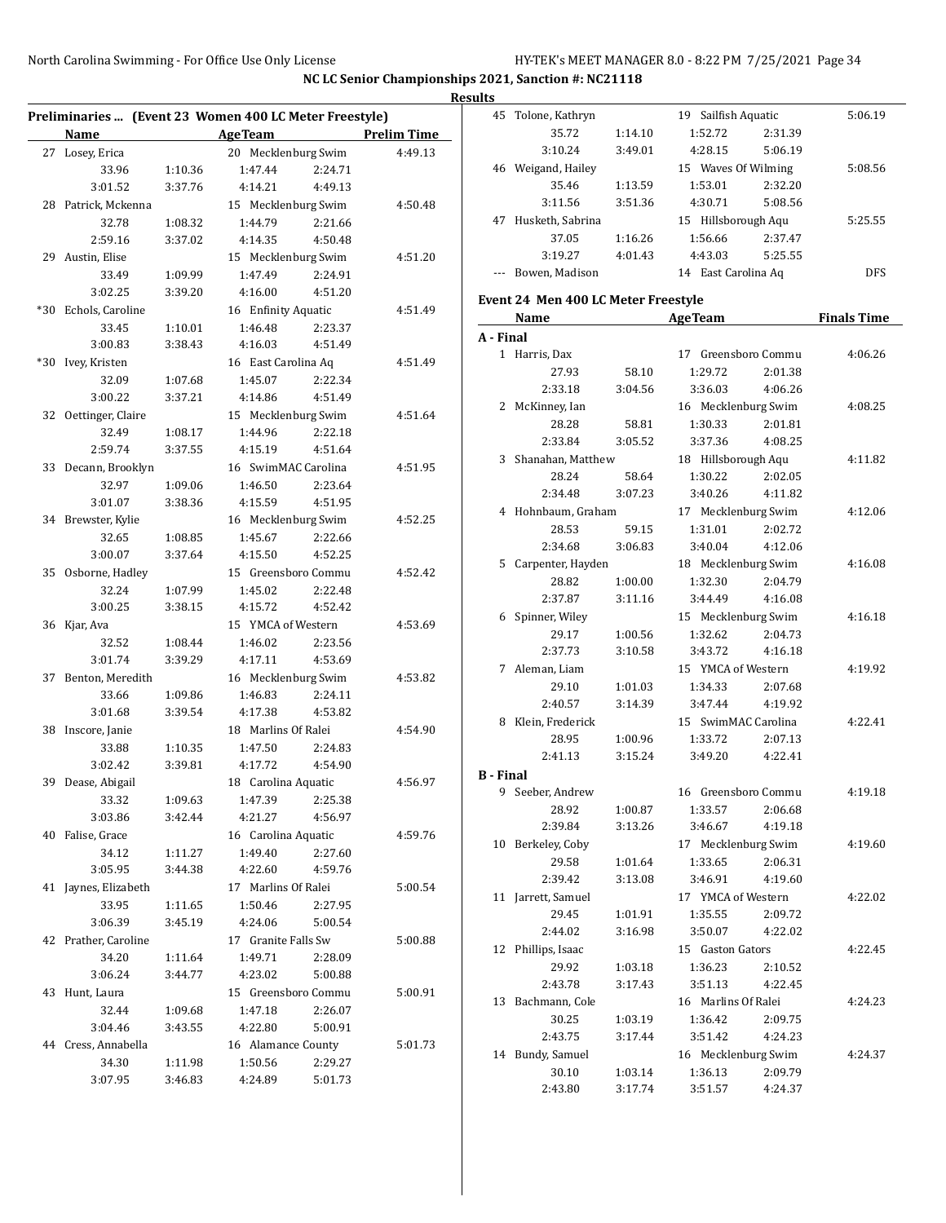l.

|       | Preliminaries  (Event 23 Women 400 LC Meter Freestyle) |                    |                                |         |                      |
|-------|--------------------------------------------------------|--------------------|--------------------------------|---------|----------------------|
|       | Name                                                   |                    |                                |         | Age Team Prelim Time |
|       |                                                        |                    |                                |         |                      |
| 27    | Losey, Erica                                           |                    | 20 Mecklenburg Swim            |         | 4:49.13              |
|       | 33.96                                                  | 1:10.36            | 1:47.44                        | 2:24.71 |                      |
|       | 3:01.52                                                | 3:37.76            | 4:14.21                        | 4:49.13 |                      |
| 28    | Patrick, Mckenna                                       |                    | 15 Mecklenburg Swim            |         | 4:50.48              |
|       | 32.78                                                  | 1:08.32            | 1:44.79                        | 2:21.66 |                      |
|       | 2:59.16                                                | 3:37.02            | 4:14.35                        | 4:50.48 |                      |
| 29    | Austin, Elise                                          |                    | 15 Mecklenburg Swim            |         | 4:51.20              |
|       | 33.49                                                  | 1:09.99            | 1:47.49                        | 2:24.91 |                      |
|       | 3:02.25                                                | 3:39.20            | 4:16.00                        | 4:51.20 |                      |
| $*30$ | Echols, Caroline                                       |                    | 16 Enfinity Aquatic            |         | 4:51.49              |
|       | 33.45                                                  | 1:10.01            | 1:46.48                        | 2:23.37 |                      |
|       | 3:00.83                                                | 3:38.43            | 4:16.03                        | 4:51.49 |                      |
| $*30$ | Ivey, Kristen                                          |                    | 16 East Carolina Aq            |         | 4:51.49              |
|       | 32.09                                                  | 1:07.68            | 1:45.07                        | 2:22.34 |                      |
|       | 3:00.22                                                | 3:37.21            | 4:14.86                        | 4:51.49 |                      |
| 32    | Oettinger, Claire                                      |                    | 15 Mecklenburg Swim            |         | 4:51.64              |
|       | 32.49                                                  | 1:08.17            | 1:44.96                        | 2:22.18 |                      |
|       | 2:59.74                                                | 3:37.55            | 4:15.19                        | 4:51.64 |                      |
|       | 33 Decann, Brooklyn                                    |                    | 16 SwimMAC Carolina            |         | 4:51.95              |
|       | 32.97                                                  | 1:09.06            | 1:46.50                        | 2:23.64 |                      |
|       | 3:01.07                                                | 3:38.36            | 4:15.59                        | 4:51.95 | 4:52.25              |
|       | 34 Brewster, Kylie                                     |                    | 16 Mecklenburg Swim<br>1:45.67 | 2:22.66 |                      |
|       | 32.65<br>3:00.07                                       | 1:08.85<br>3:37.64 | 4:15.50                        | 4:52.25 |                      |
| 35    | Osborne, Hadley                                        |                    | 15 Greensboro Commu            |         | 4:52.42              |
|       | 32.24                                                  | 1:07.99            | 1:45.02                        | 2:22.48 |                      |
|       | 3:00.25                                                | 3:38.15            | 4:15.72                        | 4:52.42 |                      |
|       | 36 Kjar, Ava                                           |                    | 15 YMCA of Western             |         | 4:53.69              |
|       | 32.52                                                  | 1:08.44            | 1:46.02                        | 2:23.56 |                      |
|       | 3:01.74                                                | 3:39.29            | 4:17.11                        | 4:53.69 |                      |
| 37    | Benton, Meredith                                       |                    | 16 Mecklenburg Swim            |         | 4:53.82              |
|       | 33.66                                                  | 1:09.86            | 1:46.83                        | 2:24.11 |                      |
|       | 3:01.68                                                | 3:39.54            | 4:17.38                        | 4:53.82 |                      |
| 38    | Inscore, Janie                                         |                    | 18 Marlins Of Ralei            |         | 4:54.90              |
|       | 33.88                                                  | 1:10.35            | 1:47.50                        | 2:24.83 |                      |
|       | 3:02.42                                                | 3:39.81            | 4:17.72                        | 4:54.90 |                      |
| 39    | Dease, Abigail                                         |                    | 18 Carolina Aquatic            |         | 4:56.97              |
|       | 33.32                                                  | 1:09.63            | 1:47.39                        | 2:25.38 |                      |
|       | 3:03.86                                                | 3:42.44            | 4:21.27                        | 4:56.97 |                      |
| 40    | Falise, Grace                                          |                    | 16 Carolina Aquatic            |         | 4:59.76              |
|       | 34.12                                                  | 1:11.27            | 1:49.40                        | 2:27.60 |                      |
|       | 3:05.95                                                | 3:44.38            | 4:22.60                        | 4:59.76 |                      |
|       | 41 Jaynes, Elizabeth                                   |                    | 17 Marlins Of Ralei            |         | 5:00.54              |
|       | 33.95                                                  | 1:11.65            | 1:50.46                        | 2:27.95 |                      |
|       | 3:06.39                                                | 3:45.19            | 4:24.06                        | 5:00.54 |                      |
|       | 42 Prather, Caroline                                   |                    | 17 Granite Falls Sw            |         | 5:00.88              |
|       | 34.20                                                  | 1:11.64            | 1:49.71                        | 2:28.09 |                      |
|       | 3:06.24                                                | 3:44.77            | 4:23.02                        | 5:00.88 |                      |
| 43    | Hunt, Laura                                            |                    | 15 Greensboro Commu            |         | 5:00.91              |
|       | 32.44                                                  | 1:09.68            | 1:47.18                        | 2:26.07 |                      |
|       | 3:04.46                                                | 3:43.55            | 4:22.80                        | 5:00.91 |                      |
| 44    | Cress, Annabella                                       |                    | 16 Alamance County             |         | 5:01.73              |
|       | 34.30                                                  | 1:11.98            | 1:50.56                        | 2:29.27 |                      |
|       | 3:07.95                                                | 3:46.83            | 4:24.89                        | 5:01.73 |                      |

| <b>Results</b>   |                                     |                    |                                |                    |                    |
|------------------|-------------------------------------|--------------------|--------------------------------|--------------------|--------------------|
|                  | 45 Tolone, Kathryn                  |                    | 19 Sailfish Aquatic            |                    | 5:06.19            |
|                  | 35.72                               | 1:14.10            | 1:52.72                        | 2:31.39            |                    |
|                  | 3:10.24                             | 3:49.01            | 4:28.15                        | 5:06.19            |                    |
|                  | 46 Weigand, Hailey                  |                    | 15 Waves Of Wilming            |                    | 5:08.56            |
|                  | 35.46                               | 1:13.59            | 1:53.01                        | 2:32.20            |                    |
|                  | 3:11.56                             | 3:51.36            | 4:30.71                        | 5:08.56            |                    |
|                  | 47 Husketh, Sabrina                 |                    | 15 Hillsborough Aqu            |                    | 5:25.55            |
|                  | 37.05                               | 1:16.26            | 1:56.66                        | 2:37.47            |                    |
|                  | 3:19.27                             | 4:01.43            | 4:43.03                        | 5:25.55            |                    |
|                  | --- Bowen, Madison                  |                    | 14 East Carolina Aq            |                    | <b>DFS</b>         |
|                  | Event 24 Men 400 LC Meter Freestyle |                    |                                |                    |                    |
|                  | Name                                |                    | <b>AgeTeam</b>                 |                    | <b>Finals Time</b> |
| A - Final        |                                     |                    |                                |                    |                    |
|                  | 1 Harris, Dax                       |                    | 17 Greensboro Commu            |                    | 4:06.26            |
|                  | 27.93                               | 58.10              | 1:29.72                        | 2:01.38            |                    |
|                  | 2:33.18                             | 3:04.56            | 3:36.03                        | 4:06.26            |                    |
|                  | 2 McKinney, Ian                     |                    | 16 Mecklenburg Swim            |                    | 4:08.25            |
|                  | 28.28                               | 58.81              | 1:30.33                        | 2:01.81            |                    |
|                  | 2:33.84                             | 3:05.52            | 3:37.36                        | 4:08.25            |                    |
|                  | 3 Shanahan, Matthew                 |                    | 18 Hillsborough Aqu            |                    | 4:11.82            |
|                  | 28.24                               | 58.64              | 1:30.22                        | 2:02.05            |                    |
|                  | 2:34.48                             | 3:07.23            | 3:40.26                        | 4:11.82            |                    |
|                  | 4 Hohnbaum, Graham                  |                    | 17 Mecklenburg Swim            |                    | 4:12.06            |
|                  | 28.53                               | 59.15              | 1:31.01                        | 2:02.72            |                    |
|                  | 2:34.68                             | 3:06.83            | 3:40.04                        | 4:12.06            |                    |
|                  | 5 Carpenter, Hayden                 |                    | 18 Mecklenburg Swim            |                    | 4:16.08            |
|                  | 28.82                               | 1:00.00            | 1:32.30                        | 2:04.79            |                    |
|                  | 2:37.87                             | 3:11.16            | 3:44.49                        | 4:16.08            |                    |
|                  | 6 Spinner, Wiley                    |                    | 15 Mecklenburg Swim            |                    | 4:16.18            |
|                  | 29.17                               | 1:00.56            | 1:32.62                        | 2:04.73            |                    |
|                  | 2:37.73                             | 3:10.58            | 3:43.72                        | 4:16.18            |                    |
|                  | 7 Aleman, Liam                      |                    | 15 YMCA of Western             |                    | 4:19.92            |
|                  | 29.10                               | 1:01.03            | 1:34.33                        | 2:07.68            |                    |
|                  | 2:40.57                             | 3:14.39            | 3:47.44<br>15 SwimMAC Carolina | 4:19.92            | 4:22.41            |
|                  | 8 Klein, Frederick<br>28.95         |                    | 1:33.72                        |                    |                    |
|                  | 2:41.13                             | 1:00.96<br>3:15.24 | 3:49.20                        | 2:07.13<br>4:22.41 |                    |
|                  |                                     |                    |                                |                    |                    |
| <b>B</b> - Final | 9 Seeber, Andrew                    |                    | 16 Greensboro Commu            |                    | 4:19.18            |
|                  | 28.92                               |                    | 1:33.57                        | 2:06.68            |                    |
|                  | 2:39.84                             | 1:00.87<br>3:13.26 | 3:46.67                        | 4:19.18            |                    |
|                  | 10 Berkeley, Coby                   |                    | 17 Mecklenburg Swim            |                    | 4:19.60            |
|                  | 29.58                               | 1:01.64            | 1:33.65                        | 2:06.31            |                    |
|                  | 2:39.42                             | 3:13.08            | 3:46.91                        | 4:19.60            |                    |
|                  | 11 Jarrett, Samuel                  |                    | 17 YMCA of Western             |                    |                    |
|                  | 29.45                               |                    |                                |                    | 4:22.02            |
|                  | 2:44.02                             | 1:01.91<br>3:16.98 | 1:35.55<br>3:50.07             | 2:09.72<br>4:22.02 |                    |
|                  | 12 Phillips, Isaac                  |                    |                                |                    |                    |
|                  | 29.92                               |                    | 15 Gaston Gators               |                    | 4:22.45            |
|                  |                                     | 1:03.18            | 1:36.23                        | 2:10.52            |                    |
|                  | 2:43.78                             | 3:17.43            | 3:51.13                        | 4:22.45            |                    |
|                  | 13 Bachmann, Cole                   |                    | 16 Marlins Of Ralei            |                    | 4:24.23            |
|                  | 30.25                               | 1:03.19            | 1:36.42                        | 2:09.75            |                    |
|                  | 2:43.75                             | 3:17.44            | 3:51.42                        | 4:24.23            |                    |
|                  | 14 Bundy, Samuel                    |                    | 16 Mecklenburg Swim            |                    | 4:24.37            |
|                  | 30.10                               | 1:03.14            | 1:36.13                        | 2:09.79            |                    |
|                  | 2:43.80                             | 3:17.74            | 3:51.57                        | 4:24.37            |                    |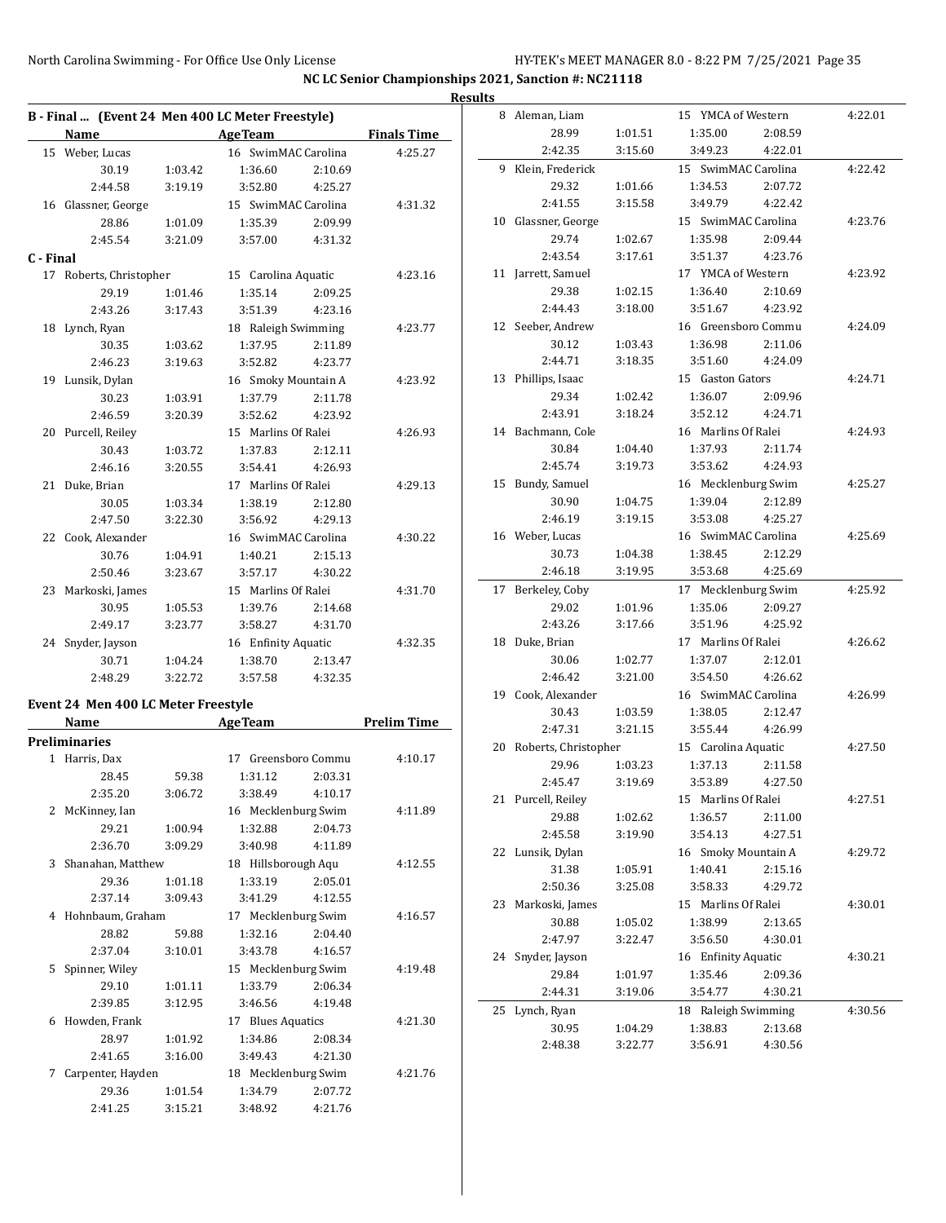**NC LC Senior Championships 2021, Sanction #: NC21118 Results**

|           |                         |         | B - Final  (Event 24 Men 400 LC Meter Freestyle) |                    |
|-----------|-------------------------|---------|--------------------------------------------------|--------------------|
|           | Name                    |         | <b>AgeTeam</b>                                   | <b>Finals Time</b> |
| 15        | Weber, Lucas            |         | 16 SwimMAC Carolina                              | 4:25.27            |
|           | 30.19                   | 1:03.42 | 1:36.60<br>2:10.69                               |                    |
|           | 2:44.58                 | 3:19.19 | 4:25.27<br>3:52.80                               |                    |
|           | 16 Glassner, George     |         | 15 SwimMAC Carolina                              | 4:31.32            |
|           | 28.86                   | 1:01.09 | 1:35.39<br>2:09.99                               |                    |
|           | 2:45.54                 | 3:21.09 | 3:57.00<br>4:31.32                               |                    |
| C - Final |                         |         |                                                  |                    |
|           | 17 Roberts, Christopher |         | 15 Carolina Aquatic                              | 4:23.16            |
|           | 29.19                   | 1:01.46 | 1:35.14<br>2:09.25                               |                    |
|           | 2:43.26                 | 3:17.43 | 3:51.39<br>4:23.16                               |                    |
|           | 18 Lynch, Ryan          |         | 18 Raleigh Swimming                              | 4:23.77            |
|           | 30.35                   | 1:03.62 | 1:37.95<br>2:11.89                               |                    |
|           | 2:46.23                 | 3:19.63 | 3:52.82<br>4:23.77                               |                    |
|           | 19 Lunsik, Dylan        |         | 16 Smoky Mountain A                              | 4:23.92            |
|           | 30.23                   | 1:03.91 | 1:37.79<br>2:11.78                               |                    |
|           | 2:46.59                 | 3:20.39 | 3:52.62<br>4:23.92                               |                    |
|           | 20 Purcell, Reiley      |         | 15 Marlins Of Ralei                              | 4:26.93            |
|           | 30.43                   | 1:03.72 | 1:37.83<br>2:12.11                               |                    |
|           | 2:46.16                 | 3:20.55 | 3:54.41<br>4:26.93                               |                    |
| 21        | Duke, Brian             |         | 17 Marlins Of Ralei                              | 4:29.13            |
|           | 30.05                   | 1:03.34 | 1:38.19<br>2:12.80                               |                    |
|           | 2:47.50                 | 3:22.30 | 3:56.92<br>4:29.13                               |                    |
|           | 22 Cook, Alexander      |         | 16 SwimMAC Carolina                              | 4:30.22            |
|           | 30.76                   | 1:04.91 | 1:40.21<br>2:15.13                               |                    |
|           | 2:50.46                 | 3:23.67 | 3:57.17<br>4:30.22                               |                    |
| 23        | Markoski, James         |         | 15 Marlins Of Ralei                              | 4:31.70            |
|           | 30.95                   | 1:05.53 | 1:39.76<br>2:14.68                               |                    |
|           | 2:49.17                 | 3:23.77 | 3:58.27<br>4:31.70                               |                    |
| 24        | Snyder, Jayson          |         | 16 Enfinity Aquatic                              | 4:32.35            |
|           | 30.71                   | 1:04.24 | 1:38.70<br>2:13.47                               |                    |
|           | 2:48.29                 | 3:22.72 | 3:57.58<br>4:32.35                               |                    |
|           |                         |         |                                                  |                    |

#### **Event 24 Men 400 LC Meter Freestyle**

|               | Name                 |         | <b>AgeTeam</b>      | <b>Prelim Time</b>  |         |  |  |
|---------------|----------------------|---------|---------------------|---------------------|---------|--|--|
|               | <b>Preliminaries</b> |         |                     |                     |         |  |  |
|               | 1 Harris, Dax        |         | 17 Greensboro Commu | 4:10.17             |         |  |  |
|               | 28.45                | 59.38   | 1:31.12             | 2:03.31             |         |  |  |
|               | 2:35.20              | 3:06.72 | 3:38.49             | 4:10.17             |         |  |  |
| $\mathcal{L}$ | McKinney, Ian        |         | 16 Mecklenburg Swim | 4:11.89             |         |  |  |
|               | 29.21                | 1:00.94 | 1:32.88             | 2:04.73             |         |  |  |
|               | 2:36.70              | 3:09.29 | 3:40.98             | 4:11.89             |         |  |  |
| 3             | Shanahan, Matthew    |         |                     | 18 Hillsborough Aqu |         |  |  |
|               | 29.36                | 1:01.18 | 1:33.19             | 2:05.01             |         |  |  |
|               | 2:37.14              | 3:09.43 | 3:41.29             | 4:12.55             |         |  |  |
| 4             | Hohnbaum, Graham     |         | 17 Mecklenburg Swim |                     | 4:16.57 |  |  |
|               | 28.82                | 59.88   | 1:32.16             | 2:04.40             |         |  |  |
|               | 2:37.04              | 3:10.01 | 3:43.78             | 4:16.57             |         |  |  |
| 5.            | Spinner, Wiley       |         | 15 Mecklenburg Swim | 4:19.48             |         |  |  |
|               | 29.10                | 1:01.11 | 1:33.79             | 2:06.34             |         |  |  |
|               | 2:39.85              | 3:12.95 | 3:46.56             | 4:19.48             |         |  |  |
| 6             | Howden, Frank        |         | 17 Blues Aquatics   |                     | 4:21.30 |  |  |
|               | 28.97                | 1:01.92 | 1:34.86             | 2:08.34             |         |  |  |
|               | 2:41.65              | 3:16.00 | 3:49.43             | 4:21.30             |         |  |  |
| 7             | Carpenter, Hayden    |         | 18 Mecklenburg Swim |                     | 4:21.76 |  |  |
|               | 29.36                | 1:01.54 | 1:34.79             | 2:07.72             |         |  |  |
|               | 2:41.25              | 3:15.21 | 3:48.92             | 4:21.76             |         |  |  |

| 8  | Aleman, Liam         |         | 15 YMCA of Western  |         | 4:22.01 |
|----|----------------------|---------|---------------------|---------|---------|
|    | 28.99                | 1:01.51 | 1:35.00             | 2:08.59 |         |
|    |                      |         |                     |         |         |
|    | 2:42.35              | 3:15.60 | 3:49.23             | 4:22.01 |         |
|    | 9 Klein, Frederick   |         | 15 SwimMAC Carolina |         | 4:22.42 |
|    | 29.32                | 1:01.66 | 1:34.53             | 2:07.72 |         |
|    | 2:41.55              | 3:15.58 | 3:49.79             | 4:22.42 |         |
|    | 10 Glassner, George  |         | 15 SwimMAC Carolina |         | 4:23.76 |
|    | 29.74                | 1:02.67 | 1:35.98             | 2:09.44 |         |
|    | 2:43.54              | 3:17.61 | 3:51.37             | 4:23.76 |         |
|    | 11 Jarrett, Samuel   |         | 17 YMCA of Western  |         | 4:23.92 |
|    | 29.38                | 1:02.15 | 1:36.40             | 2:10.69 |         |
|    | 2:44.43              | 3:18.00 | 3:51.67             | 4:23.92 |         |
|    | 12 Seeber, Andrew    |         | 16 Greensboro Commu |         | 4:24.09 |
|    | 30.12                | 1:03.43 | 1:36.98             | 2:11.06 |         |
|    | 2:44.71              | 3:18.35 | 3:51.60             | 4:24.09 |         |
|    | 13 Phillips, Isaac   |         | 15 Gaston Gators    |         | 4:24.71 |
|    | 29.34                | 1:02.42 | 1:36.07             | 2:09.96 |         |
|    | 2:43.91              | 3:18.24 | 3:52.12             | 4:24.71 |         |
|    |                      |         |                     |         |         |
|    | 14 Bachmann, Cole    |         | 16 Marlins Of Ralei |         | 4:24.93 |
|    | 30.84                | 1:04.40 | 1:37.93             | 2:11.74 |         |
|    | 2:45.74              | 3:19.73 | 3:53.62             | 4:24.93 |         |
|    | 15 Bundy, Samuel     |         | 16 Mecklenburg Swim |         | 4:25.27 |
|    | 30.90                | 1:04.75 | 1:39.04             | 2:12.89 |         |
|    | 2:46.19              | 3:19.15 | 3:53.08             | 4:25.27 |         |
|    | 16 Weber, Lucas      |         | 16 SwimMAC Carolina |         | 4:25.69 |
|    | 30.73                | 1:04.38 | 1:38.45             | 2:12.29 |         |
|    | 2:46.18              | 3:19.95 | 3:53.68             | 4:25.69 |         |
| 17 | Berkeley, Coby       |         | 17 Mecklenburg Swim |         | 4:25.92 |
|    | 29.02                | 1:01.96 | 1:35.06             | 2:09.27 |         |
|    | 2:43.26              | 3:17.66 | 3:51.96             | 4:25.92 |         |
| 18 | Duke, Brian          |         | 17 Marlins Of Ralei |         | 4:26.62 |
|    | 30.06                | 1:02.77 | 1:37.07             | 2:12.01 |         |
|    | 2:46.42              | 3:21.00 | 3:54.50             | 4:26.62 |         |
| 19 | Cook, Alexander      |         | 16 SwimMAC Carolina |         | 4:26.99 |
|    | 30.43                | 1:03.59 | 1:38.05             | 2:12.47 |         |
|    | 2:47.31              | 3:21.15 | 3:55.44             | 4:26.99 |         |
|    | Roberts, Christopher |         | 15 Carolina Aquatic |         | 4:27.50 |
| 20 |                      |         |                     |         |         |
|    | 29.96                | 1:03.23 | 1:37.13             | 2:11.58 |         |
|    | 2:45.47              | 3:19.69 | 3:53.89             | 4:27.50 |         |
|    | 21 Purcell, Reiley   |         | 15 Marlins Of Ralei |         | 4:27.51 |
|    | 29.88                | 1:02.62 | 1:36.57             | 2:11.00 |         |
|    | 2:45.58              | 3:19.90 | 3:54.13             | 4:27.51 |         |
|    | 22 Lunsik, Dylan     |         | 16 Smoky Mountain A |         | 4:29.72 |
|    | 31.38                | 1:05.91 | 1:40.41             | 2:15.16 |         |
|    | 2:50.36              | 3:25.08 | 3:58.33             | 4:29.72 |         |
|    | 23 Markoski, James   |         | 15 Marlins Of Ralei |         | 4:30.01 |
|    | 30.88                | 1:05.02 | 1:38.99             | 2:13.65 |         |
|    | 2:47.97              | 3:22.47 | 3:56.50             | 4:30.01 |         |
| 24 | Snyder, Jayson       |         | 16 Enfinity Aquatic |         | 4:30.21 |
|    | 29.84                | 1:01.97 | 1:35.46             | 2:09.36 |         |
|    | 2:44.31              | 3:19.06 | 3:54.77             | 4:30.21 |         |
| 25 | Lynch, Ryan          |         | 18 Raleigh Swimming |         | 4:30.56 |
|    | 30.95                | 1:04.29 | 1:38.83             | 2:13.68 |         |
|    | 2:48.38              | 3:22.77 | 3:56.91             | 4:30.56 |         |
|    |                      |         |                     |         |         |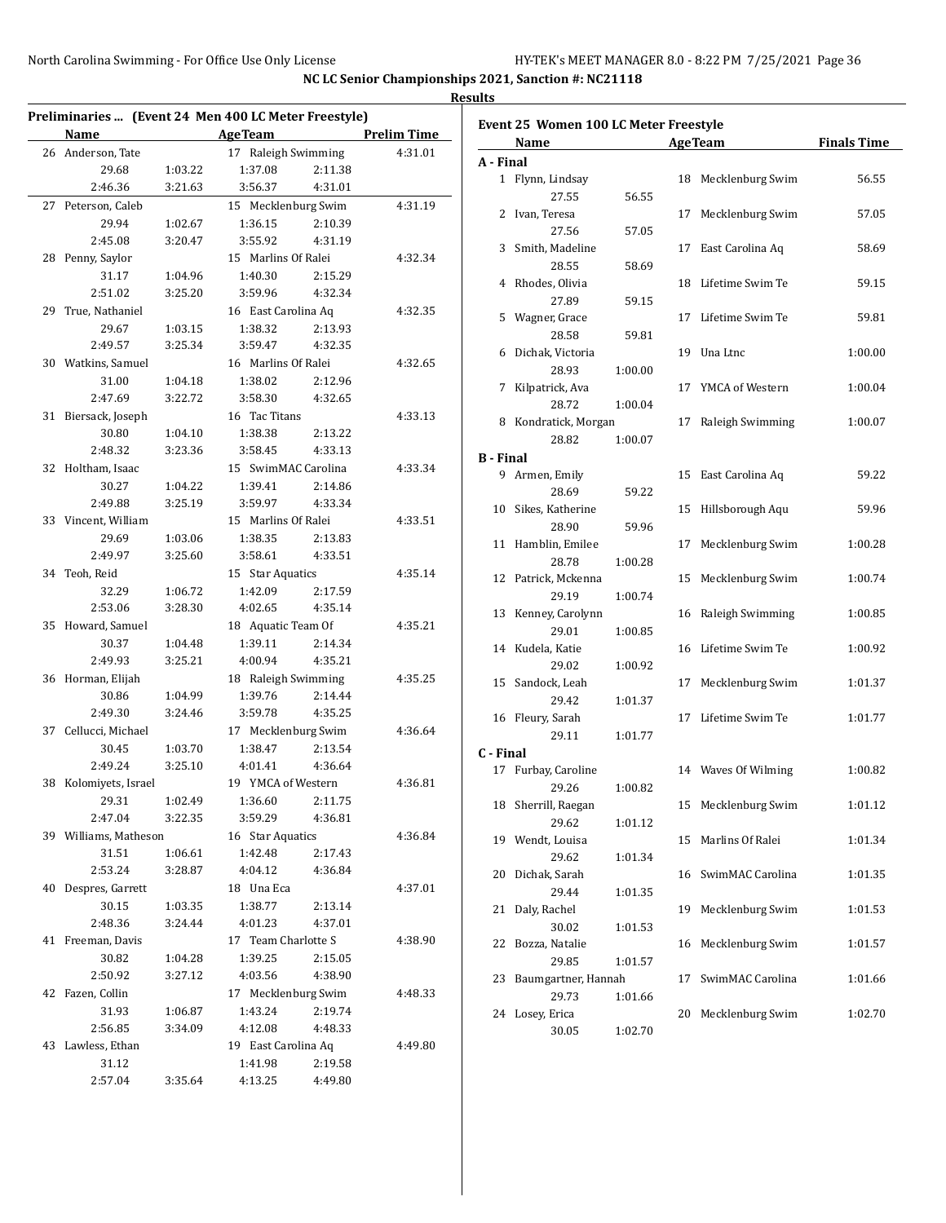**Finals Time** 

| Preliminaries  (Event 24 Men 400 LC Meter Freestyle)<br><b>Name</b> |         | <b>AgeTeam</b>      |         | <b>Prelim Time</b> |                  | Event 25 Women 100 LC Meter Freestyle |         |                     |                    |
|---------------------------------------------------------------------|---------|---------------------|---------|--------------------|------------------|---------------------------------------|---------|---------------------|--------------------|
| 26 Anderson, Tate                                                   |         | 17 Raleigh Swimming |         | 4:31.01            |                  | Name                                  |         | <b>AgeTeam</b>      | <b>Finals Time</b> |
| 29.68                                                               | 1:03.22 | 1:37.08             | 2:11.38 |                    | A - Final        |                                       |         |                     |                    |
| 2:46.36                                                             | 3:21.63 | 3:56.37             | 4:31.01 |                    |                  | 1 Flynn, Lindsay                      |         | 18 Mecklenburg Swim | 56.55              |
|                                                                     |         |                     |         |                    |                  | 27.55                                 | 56.55   |                     |                    |
| 27 Peterson, Caleb                                                  |         | 15 Mecklenburg Swim |         | 4:31.19            |                  | 2 Ivan, Teresa                        |         | 17 Mecklenburg Swim | 57.05              |
| 29.94                                                               | 1:02.67 | 1:36.15             | 2:10.39 |                    |                  | 27.56                                 | 57.05   |                     |                    |
| 2:45.08                                                             | 3:20.47 | 3:55.92             | 4:31.19 |                    |                  | 3 Smith, Madeline                     |         | 17 East Carolina Aq | 58.69              |
| 28 Penny, Saylor                                                    |         | 15 Marlins Of Ralei |         | 4:32.34            |                  | 28.55                                 | 58.69   |                     |                    |
| 31.17                                                               | 1:04.96 | 1:40.30             | 2:15.29 |                    |                  | 4 Rhodes, Olivia                      |         | 18 Lifetime Swim Te | 59.15              |
| 2:51.02                                                             | 3:25.20 | 3:59.96             | 4:32.34 |                    |                  | 27.89                                 | 59.15   |                     |                    |
| 29 True, Nathaniel                                                  |         | 16 East Carolina Aq |         | 4:32.35            |                  | 5 Wagner, Grace                       |         | 17 Lifetime Swim Te | 59.81              |
| 29.67                                                               | 1:03.15 | 1:38.32             | 2:13.93 |                    |                  | 28.58                                 | 59.81   |                     |                    |
| 2:49.57                                                             | 3:25.34 | 3:59.47             | 4:32.35 |                    |                  | 6 Dichak, Victoria                    |         | 19 Una Ltnc         | 1:00.00            |
| 30 Watkins, Samuel                                                  |         | 16 Marlins Of Ralei |         | 4:32.65            |                  | 28.93                                 | 1:00.00 |                     |                    |
| 31.00                                                               | 1:04.18 | 1:38.02             | 2:12.96 |                    |                  |                                       |         |                     |                    |
| 2:47.69                                                             | 3:22.72 | 3:58.30             | 4:32.65 |                    |                  | 7 Kilpatrick, Ava                     |         | 17 YMCA of Western  | 1:00.04            |
| 31 Biersack, Joseph                                                 |         | 16 Tac Titans       |         | 4:33.13            |                  | 28.72                                 | 1:00.04 |                     |                    |
| 30.80                                                               | 1:04.10 | 1:38.38             | 2:13.22 |                    |                  | 8 Kondratick, Morgan                  |         | 17 Raleigh Swimming | 1:00.07            |
| 2:48.32                                                             | 3:23.36 | 3:58.45             | 4:33.13 |                    |                  | 28.82                                 | 1:00.07 |                     |                    |
| 32 Holtham, Isaac                                                   |         | 15 SwimMAC Carolina |         | 4:33.34            | <b>B</b> - Final |                                       |         |                     |                    |
|                                                                     |         |                     |         |                    |                  | 9 Armen, Emily                        |         | 15 East Carolina Aq | 59.22              |
| 30.27                                                               | 1:04.22 | 1:39.41             | 2:14.86 |                    |                  | 28.69                                 | 59.22   |                     |                    |
| 2:49.88                                                             | 3:25.19 | 3:59.97             | 4:33.34 |                    |                  | 10 Sikes, Katherine                   |         | 15 Hillsborough Aqu | 59.96              |
| 33 Vincent, William                                                 |         | 15 Marlins Of Ralei |         | 4:33.51            |                  | 28.90                                 | 59.96   |                     |                    |
| 29.69                                                               | 1:03.06 | 1:38.35             | 2:13.83 |                    |                  | 11 Hamblin, Emilee                    |         | 17 Mecklenburg Swim | 1:00.28            |
| 2:49.97                                                             | 3:25.60 | 3:58.61             | 4:33.51 |                    |                  | 28.78                                 | 1:00.28 |                     |                    |
| 34 Teoh, Reid                                                       |         | 15 Star Aquatics    |         | 4:35.14            |                  | 12 Patrick, Mckenna                   |         | 15 Mecklenburg Swim | 1:00.74            |
| 32.29                                                               | 1:06.72 | 1:42.09             | 2:17.59 |                    |                  | 29.19                                 | 1:00.74 |                     |                    |
| 2:53.06                                                             | 3:28.30 | 4:02.65             | 4:35.14 |                    |                  | 13 Kenney, Carolynn                   |         | 16 Raleigh Swimming | 1:00.85            |
| 35 Howard, Samuel                                                   |         | 18 Aquatic Team Of  |         | 4:35.21            |                  | 29.01                                 | 1:00.85 |                     |                    |
| 30.37                                                               | 1:04.48 | 1:39.11             | 2:14.34 |                    |                  | 14 Kudela, Katie                      |         | 16 Lifetime Swim Te | 1:00.92            |
| 2:49.93                                                             | 3:25.21 | 4:00.94             | 4:35.21 |                    |                  | 29.02                                 | 1:00.92 |                     |                    |
| 36 Horman, Elijah                                                   |         | 18 Raleigh Swimming |         | 4:35.25            |                  |                                       |         |                     |                    |
| 30.86                                                               | 1:04.99 | 1:39.76             | 2:14.44 |                    |                  | 15 Sandock, Leah                      |         | 17 Mecklenburg Swim | 1:01.37            |
| 2:49.30                                                             | 3:24.46 | 3:59.78             | 4:35.25 |                    |                  | 29.42                                 | 1:01.37 |                     |                    |
| 37 Cellucci, Michael                                                |         | 17 Mecklenburg Swim |         | 4:36.64            |                  | 16 Fleury, Sarah                      |         | 17 Lifetime Swim Te | 1:01.77            |
| 30.45                                                               | 1:03.70 | 1:38.47             | 2:13.54 |                    |                  | 29.11                                 | 1:01.77 |                     |                    |
| 2:49.24                                                             | 3:25.10 | 4:01.41             | 4:36.64 |                    | C - Final        |                                       |         |                     |                    |
|                                                                     |         |                     |         |                    |                  | 17 Furbay, Caroline                   |         | 14 Waves Of Wilming | 1:00.82            |
| 38 Kolomiyets, Israel                                               |         | 19 YMCA of Western  |         | 4:36.81            |                  | 29.26                                 | 1:00.82 |                     |                    |
| 29.31                                                               | 1:02.49 | 1:36.60             | 2:11.75 |                    |                  | 18 Sherrill, Raegan                   |         | 15 Mecklenburg Swim | 1:01.12            |
| 2:47.04                                                             | 3:22.35 | 3:59.29             | 4:36.81 |                    |                  | 29.62                                 | 1:01.12 |                     |                    |
| 39 Williams, Matheson                                               |         | 16 Star Aquatics    |         | 4:36.84            |                  | 19 Wendt, Louisa                      |         | 15 Marlins Of Ralei | 1:01.34            |
| 31.51                                                               | 1:06.61 | 1:42.48             | 2:17.43 |                    |                  | 29.62                                 | 1:01.34 |                     |                    |
| 2:53.24                                                             | 3:28.87 | 4:04.12             | 4:36.84 |                    |                  | 20 Dichak, Sarah                      |         | 16 SwimMAC Carolina | 1:01.35            |
| 40 Despres, Garrett                                                 |         | 18 Una Eca          |         | 4:37.01            |                  | 29.44                                 | 1:01.35 |                     |                    |
| 30.15                                                               | 1:03.35 | 1:38.77             | 2:13.14 |                    |                  | 21 Daly, Rachel                       |         | 19 Mecklenburg Swim | 1:01.53            |
| 2:48.36                                                             | 3:24.44 | 4:01.23             | 4:37.01 |                    |                  | 30.02                                 | 1:01.53 |                     |                    |
| 41 Freeman, Davis                                                   |         | 17 Team Charlotte S |         | 4:38.90            |                  | 22 Bozza, Natalie                     |         | 16 Mecklenburg Swim | 1:01.57            |
| 30.82                                                               | 1:04.28 | 1:39.25             | 2:15.05 |                    |                  | 29.85                                 | 1:01.57 |                     |                    |
| 2:50.92                                                             | 3:27.12 | 4:03.56             | 4:38.90 |                    |                  | 23 Baumgartner, Hannah                |         | 17 SwimMAC Carolina | 1:01.66            |
| 42 Fazen, Collin                                                    |         | 17 Mecklenburg Swim |         | 4:48.33            |                  |                                       |         |                     |                    |
|                                                                     |         |                     |         |                    |                  | 29.73                                 | 1:01.66 |                     |                    |
| 31.93                                                               | 1:06.87 | 1:43.24             | 2:19.74 |                    |                  | 24 Losey, Erica                       |         | 20 Mecklenburg Swim | 1:02.70            |
| 2:56.85                                                             | 3:34.09 | 4:12.08             | 4:48.33 |                    |                  | 30.05                                 | 1:02.70 |                     |                    |
| 43 Lawless, Ethan                                                   |         | 19 East Carolina Aq |         | 4:49.80            |                  |                                       |         |                     |                    |
| 31.12                                                               |         | 1:41.98             | 2:19.58 |                    |                  |                                       |         |                     |                    |
| 2:57.04                                                             | 3:35.64 | 4:13.25             | 4:49.80 |                    |                  |                                       |         |                     |                    |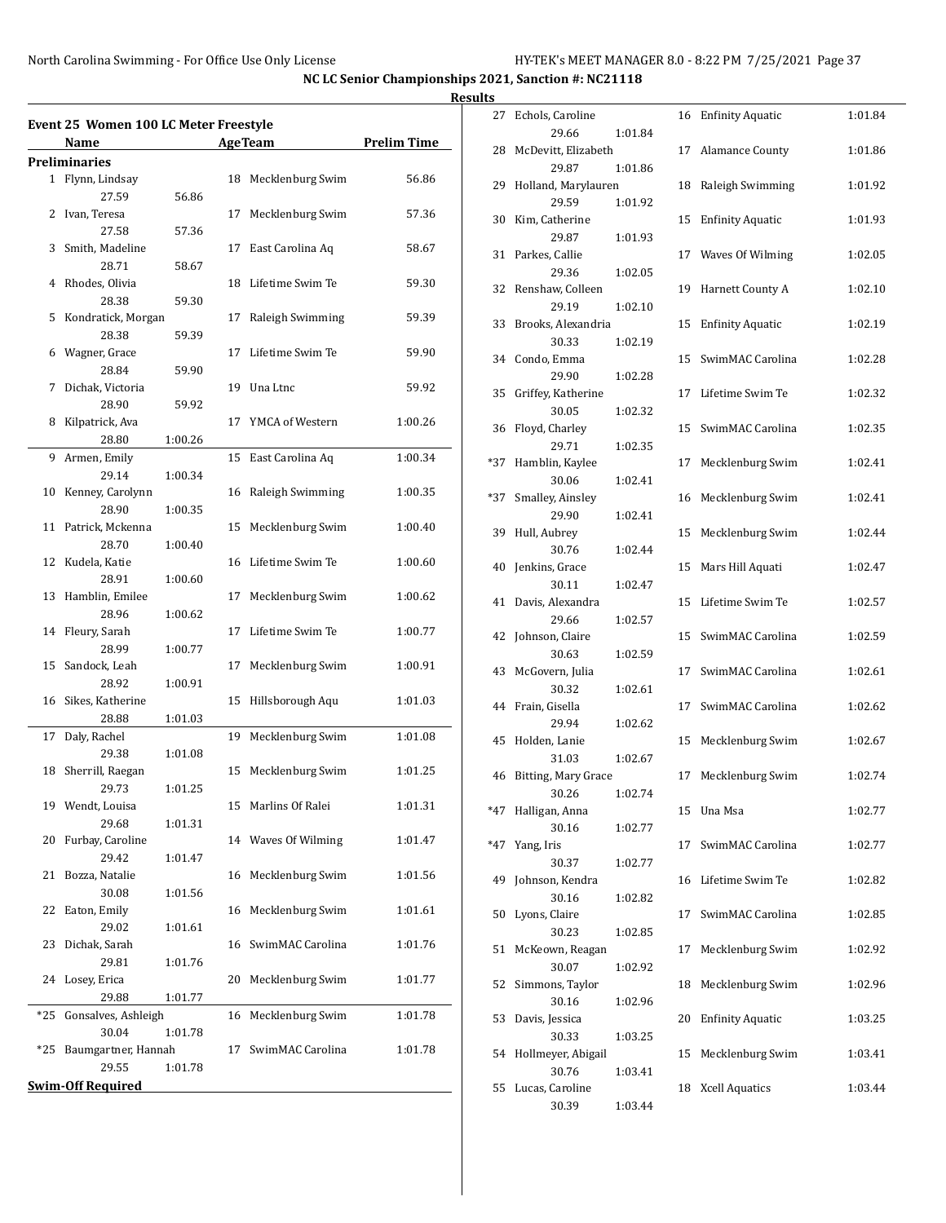#### **Results**

|     | Event 25 Women 100 LC Meter Freestyle |         |    |                     |                    |
|-----|---------------------------------------|---------|----|---------------------|--------------------|
|     | Name                                  |         |    | <b>AgeTeam</b>      | <b>Prelim Time</b> |
|     | Preliminaries                         |         |    |                     |                    |
|     | 1 Flynn, Lindsay                      |         | 18 | Mecklenburg Swim    | 56.86              |
|     | 27.59                                 | 56.86   |    |                     |                    |
|     | 2 Ivan, Teresa                        |         | 17 | Mecklenburg Swim    | 57.36              |
|     | 27.58                                 | 57.36   |    |                     |                    |
| 3   | Smith, Madeline                       |         | 17 | East Carolina Aq    | 58.67              |
|     | 28.71                                 | 58.67   |    |                     |                    |
| 4   | Rhodes, Olivia                        |         | 18 | Lifetime Swim Te    | 59.30              |
|     | 28.38                                 | 59.30   |    |                     |                    |
| 5   | Kondratick, Morgan                    |         | 17 | Raleigh Swimming    | 59.39              |
|     | 28.38                                 | 59.39   |    |                     |                    |
| 6   | Wagner, Grace                         |         | 17 | Lifetime Swim Te    | 59.90              |
|     | 28.84                                 | 59.90   |    |                     |                    |
| 7   | Dichak, Victoria                      |         | 19 | Una Ltnc            | 59.92              |
|     | 28.90                                 | 59.92   |    |                     |                    |
| 8   | Kilpatrick, Ava                       |         | 17 | YMCA of Western     | 1:00.26            |
|     | 28.80                                 | 1:00.26 |    |                     |                    |
| 9   | Armen, Emily                          |         | 15 | East Carolina Aq    | 1:00.34            |
|     | 29.14                                 | 1:00.34 |    |                     |                    |
| 10  | Kenney, Carolynn                      |         | 16 | Raleigh Swimming    | 1:00.35            |
|     | 28.90                                 | 1:00.35 |    |                     |                    |
| 11  | Patrick, Mckenna                      |         | 15 | Mecklenburg Swim    | 1:00.40            |
|     | 28.70                                 | 1:00.40 |    |                     |                    |
| 12  | Kudela, Katie                         |         | 16 | Lifetime Swim Te    | 1:00.60            |
|     | 28.91                                 | 1:00.60 |    |                     |                    |
| 13  | Hamblin, Emilee                       |         | 17 | Mecklenburg Swim    | 1:00.62            |
|     | 28.96                                 | 1:00.62 |    |                     |                    |
| 14  | Fleury, Sarah                         |         | 17 | Lifetime Swim Te    | 1:00.77            |
|     | 28.99                                 | 1:00.77 |    |                     |                    |
| 15  | Sandock, Leah                         |         | 17 | Mecklenburg Swim    | 1:00.91            |
|     | 28.92                                 | 1:00.91 |    |                     |                    |
| 16  | Sikes, Katherine                      |         | 15 | Hillsborough Aqu    | 1:01.03            |
|     | 28.88                                 | 1:01.03 |    |                     |                    |
| 17  | Daly, Rachel                          |         | 19 | Mecklenburg Swim    | 1:01.08            |
|     | 29.38                                 | 1:01.08 |    |                     |                    |
| 18  | Sherrill, Raegan                      |         | 15 | Mecklenburg Swim    | 1:01.25            |
|     | 29.73                                 | 1:01.25 |    |                     |                    |
|     | 19 Wendt, Louisa                      |         | 15 | Marlins Of Ralei    | 1:01.31            |
|     | 29.68                                 | 1:01.31 |    |                     |                    |
| 20  | Furbay, Caroline                      |         |    | 14 Waves Of Wilming | 1:01.47            |
|     | 29.42                                 | 1:01.47 |    |                     |                    |
| 21  | Bozza, Natalie                        |         | 16 | Mecklenburg Swim    | 1:01.56            |
|     | 30.08                                 | 1:01.56 |    |                     |                    |
| 22  | Eaton, Emily                          |         | 16 | Mecklenburg Swim    | 1:01.61            |
|     | 29.02                                 | 1:01.61 |    |                     |                    |
| 23  | Dichak, Sarah                         |         | 16 | SwimMAC Carolina    | 1:01.76            |
|     | 29.81                                 | 1:01.76 |    |                     |                    |
| 24  | Losey, Erica                          |         | 20 | Mecklenburg Swim    | 1:01.77            |
|     | 29.88                                 | 1:01.77 |    |                     |                    |
| *25 | Gonsalves, Ashleigh                   |         | 16 | Mecklenburg Swim    | 1:01.78            |
|     | 30.04                                 | 1:01.78 |    |                     |                    |
| *25 | Baumgartner, Hannah                   |         | 17 | SwimMAC Carolina    | 1:01.78            |
|     | 29.55                                 | 1:01.78 |    |                     |                    |
|     | <b>Swim-Off Required</b>              |         |    |                     |                    |

| 27    | Echols, Caroline             |         | 16 | <b>Enfinity Aquatic</b> | 1:01.84 |
|-------|------------------------------|---------|----|-------------------------|---------|
|       | 29.66                        | 1:01.84 |    |                         |         |
| 28    | McDevitt, Elizabeth          |         | 17 | <b>Alamance County</b>  | 1:01.86 |
|       | 29.87                        | 1:01.86 |    |                         |         |
| 29    | Holland, Marylauren          |         | 18 | Raleigh Swimming        | 1:01.92 |
|       | 29.59                        | 1:01.92 |    |                         |         |
| 30    | Kim, Catherine<br>29.87      | 1:01.93 | 15 | <b>Enfinity Aquatic</b> | 1:01.93 |
| 31    | Parkes, Callie               |         | 17 | Waves Of Wilming        | 1:02.05 |
|       | 29.36                        | 1:02.05 |    |                         |         |
| 32    | Renshaw, Colleen             |         | 19 | Harnett County A        | 1:02.10 |
|       | 29.19                        | 1:02.10 |    |                         |         |
| 33    | Brooks, Alexandria           |         | 15 | <b>Enfinity Aquatic</b> | 1:02.19 |
|       | 30.33                        | 1:02.19 |    |                         |         |
| 34    | Condo, Emma                  |         | 15 | SwimMAC Carolina        | 1:02.28 |
|       | 29.90                        | 1:02.28 |    |                         |         |
| 35    | Griffey, Katherine<br>30.05  | 1:02.32 | 17 | Lifetime Swim Te        | 1:02.32 |
| 36    | Floyd, Charley               |         | 15 | SwimMAC Carolina        | 1:02.35 |
|       | 29.71                        | 1:02.35 |    |                         |         |
| *37   | Hamblin, Kaylee              |         | 17 | Mecklenburg Swim        | 1:02.41 |
|       | 30.06                        | 1:02.41 |    |                         |         |
| *37   | Smalley, Ainsley             |         | 16 | Mecklenburg Swim        | 1:02.41 |
|       | 29.90                        | 1:02.41 |    |                         |         |
| 39    | Hull, Aubrey                 |         | 15 | Mecklenburg Swim        | 1:02.44 |
|       | 30.76                        | 1:02.44 |    |                         |         |
| 40    | Jenkins, Grace               |         | 15 | Mars Hill Aquati        | 1:02.47 |
| 41    | 30.11<br>Davis, Alexandra    | 1:02.47 | 15 | Lifetime Swim Te        | 1:02.57 |
|       | 29.66                        | 1:02.57 |    |                         |         |
| 42    | Johnson, Claire              |         | 15 | SwimMAC Carolina        | 1:02.59 |
|       | 30.63                        | 1:02.59 |    |                         |         |
| 43    | McGovern, Julia              |         | 17 | SwimMAC Carolina        | 1:02.61 |
|       | 30.32                        | 1:02.61 |    |                         |         |
| 44    | Frain, Gisella               |         | 17 | SwimMAC Carolina        | 1:02.62 |
|       | 29.94                        | 1:02.62 |    |                         |         |
| 45    | Holden, Lanie                |         | 15 | Mecklenburg Swim        | 1:02.67 |
| 46    | 31.03<br>Bitting, Mary Grace | 1:02.67 | 17 | Mecklenburg Swim        | 1:02.74 |
|       | 30.26                        | 1:02.74 |    |                         |         |
| $*47$ | Halligan, Anna               |         | 15 | Una Msa                 | 1:02.77 |
|       | 30.16                        | 1:02.77 |    |                         |         |
| $*47$ | Yang, Iris                   |         | 17 | SwimMAC Carolina        | 1:02.77 |
|       | 30.37                        | 1:02.77 |    |                         |         |
| 49    | Johnson, Kendra              |         | 16 | Lifetime Swim Te        | 1:02.82 |
|       | 30.16                        | 1:02.82 |    |                         |         |
| 50    | Lyons, Claire<br>30.23       | 1:02.85 | 17 | SwimMAC Carolina        | 1:02.85 |
| 51    | McKeown, Reagan              |         | 17 | Mecklenburg Swim        | 1:02.92 |
|       | 30.07                        | 1:02.92 |    |                         |         |
| 52    | Simmons, Taylor              |         | 18 | Mecklenburg Swim        | 1:02.96 |
|       | 30.16                        | 1:02.96 |    |                         |         |
| 53    | Davis, Jessica               |         | 20 | <b>Enfinity Aquatic</b> | 1:03.25 |
|       | 30.33                        | 1:03.25 |    |                         |         |
| 54    | Hollmeyer, Abigail           |         | 15 | Mecklenburg Swim        | 1:03.41 |
|       | 30.76                        | 1:03.41 |    |                         |         |
| 55    | Lucas, Caroline<br>30.39     | 1:03.44 | 18 | <b>Xcell Aquatics</b>   | 1:03.44 |
|       |                              |         |    |                         |         |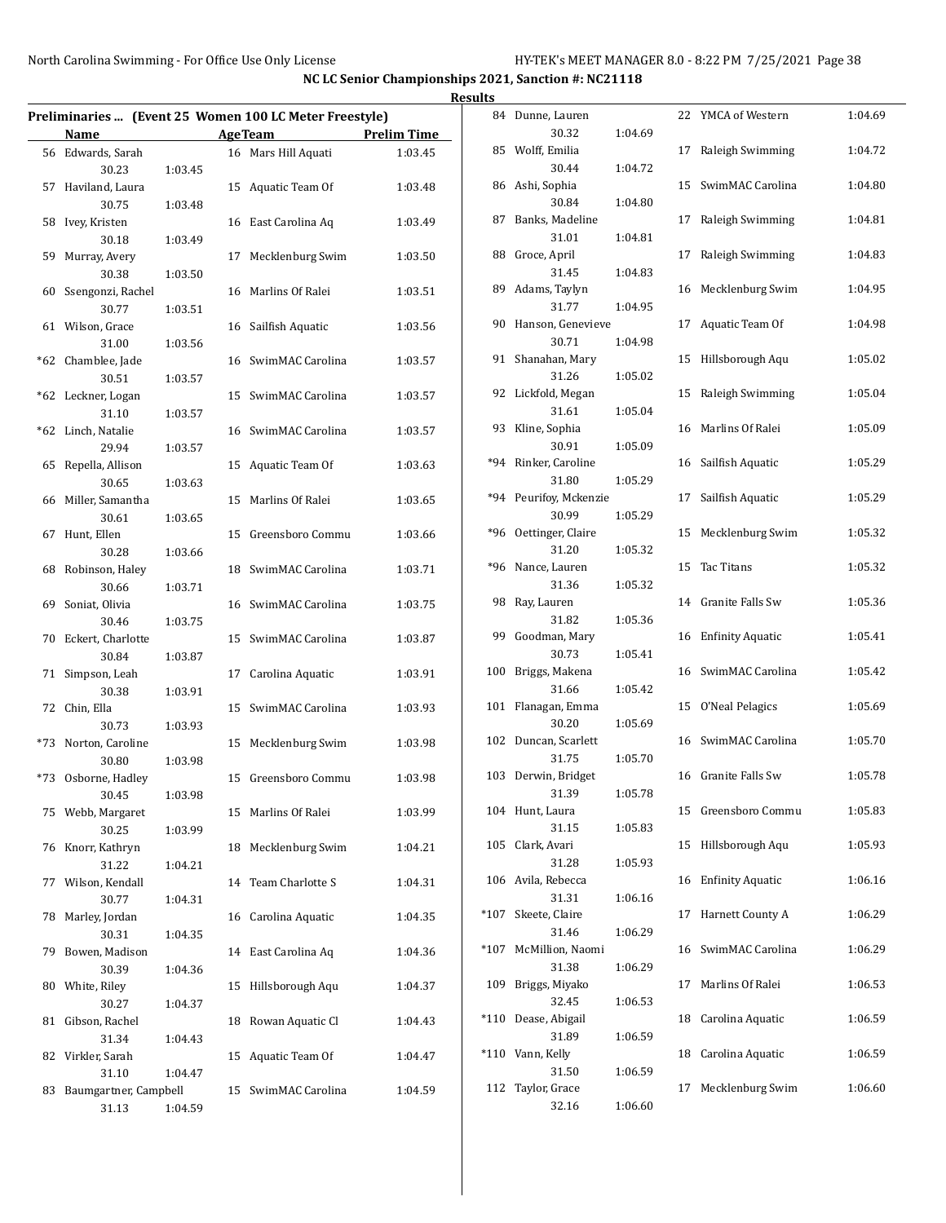|                                       |                    |                                                        |                    | <b>Results</b> |                                 |         |                     |         |
|---------------------------------------|--------------------|--------------------------------------------------------|--------------------|----------------|---------------------------------|---------|---------------------|---------|
|                                       |                    | Preliminaries  (Event 25 Women 100 LC Meter Freestyle) |                    |                | 84 Dunne, Lauren                |         | 22 YMCA of Western  | 1:04.69 |
| Name                                  |                    | <b>AgeTeam</b>                                         | <b>Prelim Time</b> |                | 30.32                           | 1:04.69 |                     |         |
| 56 Edwards, Sarah<br>30.23            | 1:03.45            | 16 Mars Hill Aquati                                    | 1:03.45            |                | 85 Wolff, Emilia<br>30.44       | 1:04.72 | 17 Raleigh Swimming | 1:04.72 |
| 57 Haviland, Laura<br>30.75           | 1:03.48            | 15 Aquatic Team Of                                     | 1:03.48            |                | 86 Ashi, Sophia<br>30.84        | 1:04.80 | 15 SwimMAC Carolina | 1:04.80 |
| 58 Ivey, Kristen<br>30.18             | 1:03.49            | 16 East Carolina Aq                                    | 1:03.49            |                | 87 Banks, Madeline<br>31.01     | 1:04.81 | 17 Raleigh Swimming | 1:04.81 |
| 59 Murray, Avery<br>30.38             | 1:03.50            | 17 Mecklenburg Swim                                    | 1:03.50            |                | 88 Groce, April<br>31.45        | 1:04.83 | 17 Raleigh Swimming | 1:04.83 |
| 60 Ssengonzi, Rachel<br>30.77         | 1:03.51            | 16 Marlins Of Ralei                                    | 1:03.51            |                | 89 Adams, Taylyn<br>31.77       | 1:04.95 | 16 Mecklenburg Swim | 1:04.95 |
| 61 Wilson, Grace<br>31.00             | 1:03.56            | 16 Sailfish Aquatic                                    | 1:03.56            |                | 90 Hanson, Genevieve<br>30.71   | 1:04.98 | 17 Aquatic Team Of  | 1:04.98 |
| *62 Chamblee, Jade<br>30.51           | 1:03.57            | 16 SwimMAC Carolina                                    | 1:03.57            |                | 91 Shanahan, Mary<br>31.26      | 1:05.02 | 15 Hillsborough Aqu | 1:05.02 |
| *62 Leckner, Logan<br>31.10           | 1:03.57            | 15 SwimMAC Carolina                                    | 1:03.57            |                | 92 Lickfold, Megan<br>31.61     | 1:05.04 | 15 Raleigh Swimming | 1:05.04 |
| *62 Linch, Natalie                    |                    | 16 SwimMAC Carolina                                    | 1:03.57            |                | 93 Kline, Sophia<br>30.91       | 1:05.09 | 16 Marlins Of Ralei | 1:05.09 |
| 29.94<br>65 Repella, Allison          | 1:03.57            | 15 Aquatic Team Of                                     | 1:03.63            |                | *94 Rinker, Caroline<br>31.80   | 1:05.29 | 16 Sailfish Aquatic | 1:05.29 |
| 30.65<br>66 Miller, Samantha<br>30.61 | 1:03.63<br>1:03.65 | 15 Marlins Of Ralei                                    | 1:03.65            |                | *94 Peurifoy, Mckenzie<br>30.99 | 1:05.29 | 17 Sailfish Aquatic | 1:05.29 |
| 67 Hunt, Ellen<br>30.28               | 1:03.66            | 15 Greensboro Commu                                    | 1:03.66            |                | *96 Oettinger, Claire<br>31.20  | 1:05.32 | 15 Mecklenburg Swim | 1:05.32 |
| 68 Robinson, Haley<br>30.66           | 1:03.71            | 18 SwimMAC Carolina                                    | 1:03.71            |                | *96 Nance, Lauren<br>31.36      | 1:05.32 | 15 Tac Titans       | 1:05.32 |
| 69 Soniat, Olivia<br>30.46            | 1:03.75            | 16 SwimMAC Carolina                                    | 1:03.75            |                | 98 Ray, Lauren<br>31.82         | 1:05.36 | 14 Granite Falls Sw | 1:05.36 |
| 70 Eckert, Charlotte<br>30.84         | 1:03.87            | 15 SwimMAC Carolina                                    | 1:03.87            |                | 99 Goodman, Mary<br>30.73       | 1:05.41 | 16 Enfinity Aquatic | 1:05.41 |
| 71 Simpson, Leah<br>30.38             | 1:03.91            | 17 Carolina Aquatic                                    | 1:03.91            |                | 100 Briggs, Makena<br>31.66     | 1:05.42 | 16 SwimMAC Carolina | 1:05.42 |
| 72 Chin, Ella<br>30.73                | 1:03.93            | 15 SwimMAC Carolina                                    | 1:03.93            |                | 101 Flanagan, Emma<br>30.20     | 1:05.69 | 15 O'Neal Pelagics  | 1:05.69 |
| *73 Norton, Caroline<br>30.80         | 1:03.98            | 15 Mecklenburg Swim                                    | 1:03.98            |                | 102 Duncan, Scarlett<br>31.75   | 1:05.70 | 16 SwimMAC Carolina | 1:05.70 |
| *73 Osborne, Hadley<br>30.45          | 1:03.98            | 15 Greensboro Commu                                    | 1:03.98            |                | 103 Derwin, Bridget<br>31.39    | 1:05.78 | 16 Granite Falls Sw | 1:05.78 |
| 75 Webb, Margaret<br>30.25            | 1:03.99            | 15 Marlins Of Ralei                                    | 1:03.99            |                | 104 Hunt, Laura<br>31.15        | 1:05.83 | 15 Greensboro Commu | 1:05.83 |
| 76 Knorr, Kathryn<br>31.22            | 1:04.21            | 18 Mecklenburg Swim                                    | 1:04.21            |                | 105 Clark, Avari<br>31.28       | 1:05.93 | 15 Hillsborough Aqu | 1:05.93 |
| 77 Wilson, Kendall<br>30.77           | 1:04.31            | 14 Team Charlotte S                                    | 1:04.31            |                | 106 Avila, Rebecca<br>31.31     | 1:06.16 | 16 Enfinity Aquatic | 1:06.16 |
| 78 Marley, Jordan<br>30.31            | 1:04.35            | 16 Carolina Aquatic                                    | 1:04.35            |                | *107 Skeete, Claire<br>31.46    | 1:06.29 | 17 Harnett County A | 1:06.29 |
| 79 Bowen, Madison<br>30.39            | 1:04.36            | 14 East Carolina Aq                                    | 1:04.36            |                | *107 McMillion, Naomi<br>31.38  | 1:06.29 | 16 SwimMAC Carolina | 1:06.29 |
| 80 White, Riley<br>30.27              | 1:04.37            | 15 Hillsborough Aqu                                    | 1:04.37            |                | 109 Briggs, Miyako<br>32.45     | 1:06.53 | 17 Marlins Of Ralei | 1:06.53 |
| 81 Gibson, Rachel<br>31.34            | 1:04.43            | 18 Rowan Aquatic Cl                                    | 1:04.43            |                | *110 Dease, Abigail<br>31.89    | 1:06.59 | 18 Carolina Aquatic | 1:06.59 |
| 82 Virkler, Sarah<br>31.10            | 1:04.47            | 15 Aquatic Team Of                                     | 1:04.47            |                | *110 Vann, Kelly<br>31.50       | 1:06.59 | 18 Carolina Aquatic | 1:06.59 |
| 83 Baumgartner, Campbell<br>31.13     | 1:04.59            | 15 SwimMAC Carolina                                    | 1:04.59            |                | 112 Taylor, Grace<br>32.16      | 1:06.60 | 17 Mecklenburg Swim | 1:06.60 |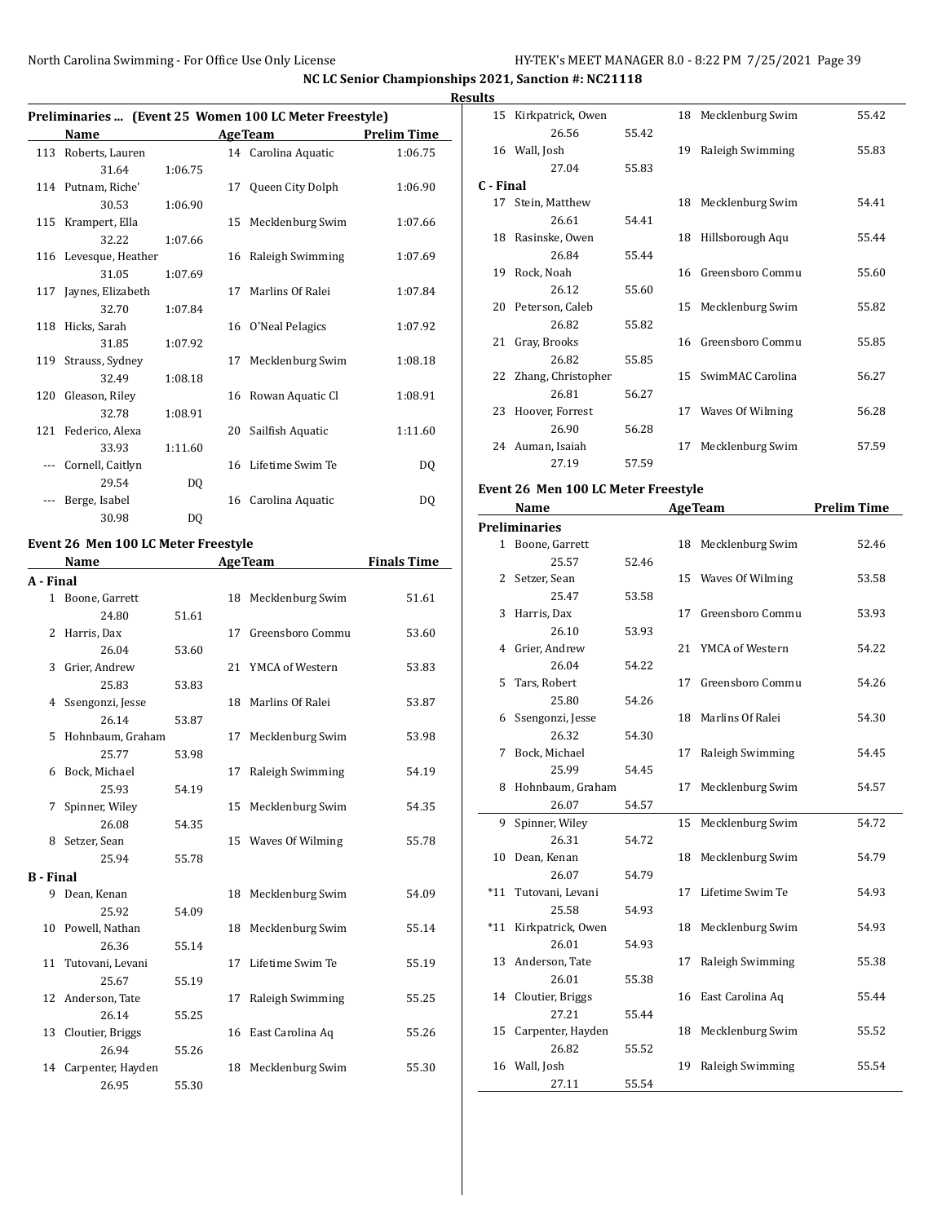**NC LC Senior Championships 2021, Sanction #: NC21118 Results**

### **Preliminaries ... (Event 25 Women 100 LC Meter Freestyle) Name Age Team Prelim Time** 113 Roberts, Lauren 14 Carolina Aquatic 1:06.75 31.64 1:06.75 114 Putnam, Riche' 17 Queen City Dolph 1:06.90 30.53 1:06.90 115 Krampert, Ella 15 Mecklenburg Swim 1:07.66

|     | 32.22                 | 1:07.66 |    |                     |         |
|-----|-----------------------|---------|----|---------------------|---------|
|     | 116 Levesque, Heather |         |    | 16 Raleigh Swimming | 1:07.69 |
|     | 31.05                 | 1:07.69 |    |                     |         |
| 117 | Jaynes, Elizabeth     |         | 17 | Marlins Of Ralei    | 1:07.84 |
|     | 32.70                 | 1:07.84 |    |                     |         |
| 118 | Hicks, Sarah          |         |    | 16 O'Neal Pelagics  | 1:07.92 |
|     | 31.85                 | 1:07.92 |    |                     |         |
| 119 | Strauss, Sydney       |         | 17 | Mecklenburg Swim    | 1:08.18 |
|     | 32.49                 | 1:08.18 |    |                     |         |
| 120 | Gleason, Riley        |         |    | 16 Rowan Aquatic Cl | 1:08.91 |
|     | 32.78                 | 1:08.91 |    |                     |         |
| 121 | Federico, Alexa       |         | 20 | Sailfish Aquatic    | 1:11.60 |
|     | 33.93                 | 1:11.60 |    |                     |         |
|     | Cornell, Caitlyn      |         |    | 16 Lifetime Swim Te | DQ      |
|     | 29.54                 | DQ      |    |                     |         |
|     | Berge, Isabel         |         | 16 | Carolina Aquatic    | DO      |
|     | 30.98                 | DQ      |    |                     |         |

#### **Event 26 Men 100 LC Meter Freestyle**

|                  | Name                |       |    | <b>AgeTeam</b>      | <b>Finals Time</b> |
|------------------|---------------------|-------|----|---------------------|--------------------|
| A - Final        |                     |       |    |                     |                    |
|                  | 1 Boone, Garrett    |       |    | 18 Mecklenburg Swim | 51.61              |
|                  | 24.80               | 51.61 |    |                     |                    |
| 2                | Harris, Dax         |       | 17 | Greensboro Commu    | 53.60              |
|                  | 26.04               | 53.60 |    |                     |                    |
| 3                | Grier, Andrew       |       |    | 21 YMCA of Western  | 53.83              |
|                  | 25.83               | 53.83 |    |                     |                    |
| 4                | Ssengonzi, Jesse    |       |    | 18 Marlins Of Ralei | 53.87              |
|                  | 26.14               | 53.87 |    |                     |                    |
| 5.               | Hohnbaum, Graham    |       | 17 | Mecklenburg Swim    | 53.98              |
|                  | 25.77               | 53.98 |    |                     |                    |
| 6                | Bock, Michael       |       | 17 | Raleigh Swimming    | 54.19              |
|                  | 25.93               | 54.19 |    |                     |                    |
| 7                | Spinner, Wiley      |       |    | 15 Mecklenburg Swim | 54.35              |
|                  | 26.08               | 54.35 |    |                     |                    |
| 8                | Setzer, Sean        |       |    | 15 Waves Of Wilming | 55.78              |
|                  | 25.94               | 55.78 |    |                     |                    |
| <b>B</b> - Final |                     |       |    |                     |                    |
|                  | 9 Dean, Kenan       |       |    | 18 Mecklenburg Swim | 54.09              |
|                  | 25.92               | 54.09 |    |                     |                    |
| 10               | Powell, Nathan      |       |    | 18 Mecklenburg Swim | 55.14              |
|                  | 26.36               | 55.14 |    |                     |                    |
|                  | 11 Tutovani, Levani |       | 17 | Lifetime Swim Te    | 55.19              |
|                  | 25.67               | 55.19 |    |                     |                    |
|                  | 12 Anderson, Tate   |       | 17 | Raleigh Swimming    | 55.25              |
|                  | 26.14               | 55.25 |    |                     |                    |
| 13               | Cloutier, Briggs    |       |    | 16 East Carolina Aq | 55.26              |
|                  | 26.94               | 55.26 |    |                     |                    |
| 14               | Carpenter, Hayden   |       |    | 18 Mecklenburg Swim | 55.30              |
|                  | 26.95               | 55.30 |    |                     |                    |

|           | 15 Kirkpatrick, Owen  |       |    | 18 Mecklenburg Swim | 55.42 |
|-----------|-----------------------|-------|----|---------------------|-------|
|           | 26.56                 | 55.42 |    |                     |       |
|           | 16 Wall, Josh         |       | 19 | Raleigh Swimming    | 55.83 |
|           | 27.04                 | 55.83 |    |                     |       |
| C - Final |                       |       |    |                     |       |
| 17        | Stein, Matthew        |       |    | 18 Mecklenburg Swim | 54.41 |
|           | 26.61                 | 54.41 |    |                     |       |
|           | 18 Rasinske, Owen     |       |    | 18 Hillsborough Aqu | 55.44 |
|           | 26.84                 | 55.44 |    |                     |       |
|           | 19 Rock, Noah         |       |    | 16 Greensboro Commu | 55.60 |
|           | 26.12                 | 55.60 |    |                     |       |
|           | 20 Peterson, Caleb    |       |    | 15 Mecklenburg Swim | 55.82 |
|           | 26.82                 | 55.82 |    |                     |       |
| 21        | Gray, Brooks          |       |    | 16 Greensboro Commu | 55.85 |
|           | 26.82                 | 55.85 |    |                     |       |
|           | 22 Zhang, Christopher |       | 15 | SwimMAC Carolina    | 56.27 |
|           | 26.81                 | 56.27 |    |                     |       |
|           | 23 Hoover, Forrest    |       |    | 17 Waves Of Wilming | 56.28 |
|           | 26.90                 | 56.28 |    |                     |       |
|           | 24 Auman, Isaiah      |       | 17 | Mecklenburg Swim    | 57.59 |
|           | 27.19                 | 57.59 |    |                     |       |

#### **Event 26 Men 100 LC Meter Freestyle**

|       | Name                |       | <b>AgeTeam</b> |                     | <b>Prelim Time</b> |
|-------|---------------------|-------|----------------|---------------------|--------------------|
|       | Preliminaries       |       |                |                     |                    |
|       | 1 Boone, Garrett    |       | 18             | Mecklenburg Swim    | 52.46              |
|       | 25.57               | 52.46 |                |                     |                    |
| 2     | Setzer, Sean        |       | 15             | Waves Of Wilming    | 53.58              |
|       | 25.47               | 53.58 |                |                     |                    |
| 3     | Harris, Dax         |       | 17             | Greensboro Commu    | 53.93              |
|       | 26.10               | 53.93 |                |                     |                    |
| 4     | Grier, Andrew       |       | 21             | YMCA of Western     | 54.22              |
|       | 26.04               | 54.22 |                |                     |                    |
| 5     | Tars, Robert        |       | 17             | Greensboro Commu    | 54.26              |
|       | 25.80               | 54.26 |                |                     |                    |
| 6     | Ssengonzi, Jesse    |       | 18             | Marlins Of Ralei    | 54.30              |
|       | 26.32               | 54.30 |                |                     |                    |
| 7     | Bock, Michael       |       | 17             | Raleigh Swimming    | 54.45              |
|       | 25.99               | 54.45 |                |                     |                    |
| 8     | Hohnbaum, Graham    |       | 17             | Mecklenburg Swim    | 54.57              |
|       | 26.07               | 54.57 |                |                     |                    |
| 9     | Spinner, Wiley      |       | 15             | Mecklenburg Swim    | 54.72              |
|       | 26.31               | 54.72 |                |                     |                    |
| 10    | Dean, Kenan         |       | 18             | Mecklenburg Swim    | 54.79              |
|       | 26.07               | 54.79 |                |                     |                    |
| $*11$ | Tutovani, Levani    |       | 17             | Lifetime Swim Te    | 54.93              |
|       | 25.58               | 54.93 |                |                     |                    |
| $*11$ | Kirkpatrick, Owen   |       | 18             | Mecklenburg Swim    | 54.93              |
|       | 26.01               | 54.93 |                |                     |                    |
| 13    | Anderson, Tate      |       | 17             | Raleigh Swimming    | 55.38              |
|       | 26.01               | 55.38 |                |                     |                    |
|       | 14 Cloutier, Briggs |       |                | 16 East Carolina Aq | 55.44              |
|       | 27.21               | 55.44 |                |                     |                    |
| 15    | Carpenter, Hayden   |       | 18             | Mecklenburg Swim    | 55.52              |
|       | 26.82               | 55.52 |                |                     |                    |
|       | 16 Wall, Josh       |       | 19             | Raleigh Swimming    | 55.54              |
|       | 27.11               | 55.54 |                |                     |                    |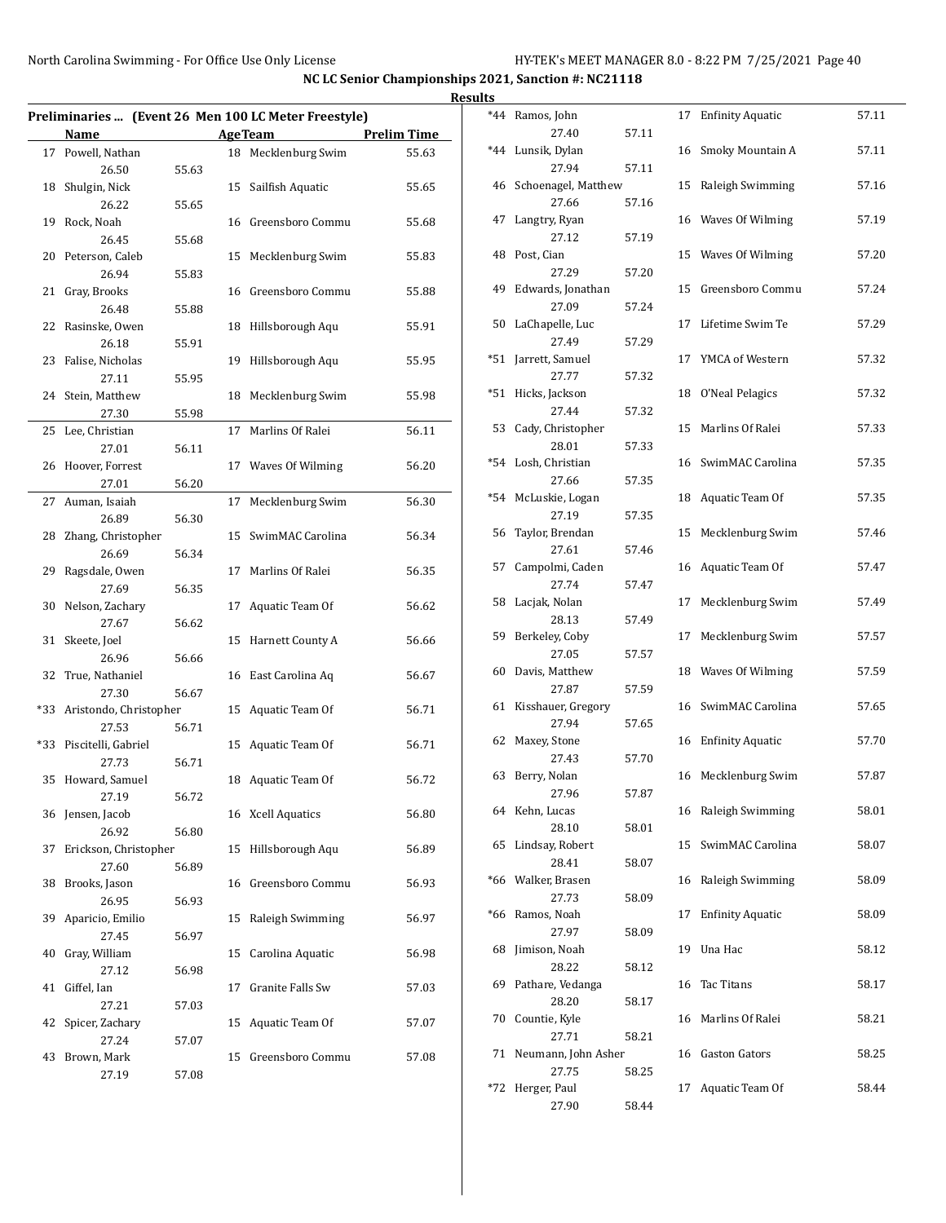|    |                                     |       |    |                                                      |                    | Results        |
|----|-------------------------------------|-------|----|------------------------------------------------------|--------------------|----------------|
|    |                                     |       |    | Preliminaries  (Event 26 Men 100 LC Meter Freestyle) |                    | *4             |
|    | Name                                |       |    | <b>AgeTeam</b>                                       | <b>Prelim Time</b> |                |
|    | 17 Powell, Nathan                   |       |    | 18 Mecklenburg Swim                                  | 55.63              | $*_{4}$        |
| 18 | 26.50<br>Shulgin, Nick              | 55.63 |    | 15 Sailfish Aquatic                                  | 55.65              | 4              |
|    | 26.22                               | 55.65 |    |                                                      |                    |                |
|    | 19 Rock, Noah                       |       |    | 16 Greensboro Commu                                  | 55.68              | $4^{\prime}$   |
|    | 26.45                               | 55.68 |    |                                                      |                    |                |
|    | 20 Peterson, Caleb                  |       |    | 15 Mecklenburg Swim                                  | 55.83              | 41             |
|    | 26.94                               | 55.83 |    |                                                      |                    |                |
| 21 | Gray, Brooks                        |       |    | 16 Greensboro Commu                                  | 55.88              | 4 <sup>0</sup> |
|    | 26.48                               | 55.88 |    |                                                      |                    |                |
| 22 | Rasinske, Owen                      |       |    | 18 Hillsborough Aqu                                  | 55.91              | 5              |
|    | 26.18                               | 55.91 |    |                                                      |                    |                |
|    | 23 Falise, Nicholas                 |       |    | 19 Hillsborough Aqu                                  | 55.95              | $*5$           |
|    | 27.11                               | 55.95 |    |                                                      |                    | $*5$           |
| 24 | Stein, Matthew                      |       |    | 18 Mecklenburg Swim                                  | 55.98              |                |
|    | 27.30                               | 55.98 |    | 17 Marlins Of Ralei                                  | 56.11              | 5.             |
| 25 | Lee, Christian<br>27.01             | 56.11 |    |                                                      |                    |                |
|    | 26 Hoover, Forrest                  |       |    | 17 Waves Of Wilming                                  | 56.20              | $*5.$          |
|    | 27.01                               | 56.20 |    |                                                      |                    |                |
|    | 27 Auman, Isaiah                    |       |    | 17 Mecklenburg Swim                                  | 56.30              | $*5.$          |
|    | 26.89                               | 56.30 |    |                                                      |                    |                |
| 28 | Zhang, Christopher                  |       |    | 15 SwimMAC Carolina                                  | 56.34              | 5              |
|    | 26.69                               | 56.34 |    |                                                      |                    |                |
| 29 | Ragsdale, Owen                      |       | 17 | Marlins Of Ralei                                     | 56.35              | 51             |
|    | 27.69                               | 56.35 |    |                                                      |                    |                |
| 30 | Nelson, Zachary                     |       |    | 17 Aquatic Team Of                                   | 56.62              | 51             |
|    | 27.67                               | 56.62 |    |                                                      |                    |                |
| 31 | Skeete, Joel                        |       |    | 15 Harnett County A                                  | 56.66              | 5              |
|    | 26.96                               | 56.66 |    |                                                      |                    | 6 <sup>1</sup> |
|    | 32 True, Nathaniel                  |       |    | 16 East Carolina Aq                                  | 56.67              |                |
|    | 27.30<br>*33 Aristondo, Christopher | 56.67 |    | 15 Aquatic Team Of                                   | 56.71              | 6 <sup>2</sup> |
|    | 27.53                               | 56.71 |    |                                                      |                    |                |
|    | *33 Piscitelli, Gabriel             |       |    | 15 Aquatic Team Of                                   | 56.71              | 6.             |
|    | 27.73                               | 56.71 |    |                                                      |                    |                |
|    | 35 Howard, Samuel                   |       |    | 18 Aquatic Team Of                                   | 56.72              | 6.             |
|    | 27.19                               | 56.72 |    |                                                      |                    |                |
|    | 36 Jensen, Jacob                    |       |    | 16 Xcell Aquatics                                    | 56.80              | 6.             |
|    | 26.92                               | 56.80 |    |                                                      |                    |                |
| 37 | Erickson, Christopher               |       |    | 15 Hillsborough Aqu                                  | 56.89              | 6.             |
|    | 27.60                               | 56.89 |    |                                                      |                    |                |
| 38 | Brooks, Jason                       |       |    | 16 Greensboro Commu                                  | 56.93              | *61            |
|    | 26.95                               | 56.93 |    |                                                      |                    |                |
| 39 | Aparicio, Emilio                    |       | 15 | Raleigh Swimming                                     | 56.97              | *61            |
|    | 27.45                               | 56.97 |    |                                                      |                    | 6              |
| 40 | Gray, William                       |       | 15 | Carolina Aquatic                                     | 56.98              |                |
|    | 27.12                               | 56.98 |    |                                                      |                    | 6              |
| 41 | Giffel, Ian                         |       | 17 | Granite Falls Sw                                     | 57.03              |                |
| 42 | 27.21<br>Spicer, Zachary            | 57.03 |    | 15 Aquatic Team Of                                   | 57.07              | 71             |
|    | 27.24                               | 57.07 |    |                                                      |                    |                |
| 43 | Brown, Mark                         |       | 15 | Greensboro Commu                                     | 57.08              | 7              |
|    | 27.19                               | 57.08 |    |                                                      |                    |                |
|    |                                     |       |    |                                                      |                    | *7:            |

| S     |                              |       |    |                         |       |
|-------|------------------------------|-------|----|-------------------------|-------|
| $*44$ | Ramos, John                  |       | 17 | <b>Enfinity Aquatic</b> | 57.11 |
| $*44$ | 27.40<br>Lunsik, Dylan       | 57.11 |    |                         |       |
|       | 27.94                        | 57.11 | 16 | Smoky Mountain A        | 57.11 |
| 46    | Schoenagel, Matthew          |       | 15 | Raleigh Swimming        | 57.16 |
|       | 27.66                        | 57.16 |    |                         |       |
| 47    | Langtry, Ryan                |       |    | 16 Waves Of Wilming     | 57.19 |
|       | 27.12                        | 57.19 |    |                         |       |
| 48    | Post, Cian<br>27.29          | 57.20 | 15 | Waves Of Wilming        | 57.20 |
| 49    | Edwards, Jonathan            |       | 15 | Greensboro Commu        | 57.24 |
|       | 27.09                        | 57.24 |    |                         |       |
| 50    | LaChapelle, Luc              |       | 17 | Lifetime Swim Te        | 57.29 |
|       | 27.49                        | 57.29 |    |                         |       |
| *51   | Jarrett, Samuel              |       | 17 | YMCA of Western         | 57.32 |
| *51   | 27.77<br>Hicks, Jackson      | 57.32 | 18 | O'Neal Pelagics         | 57.32 |
|       | 27.44                        | 57.32 |    |                         |       |
| 53    | Cady, Christopher            |       | 15 | Marlins Of Ralei        | 57.33 |
|       | 28.01                        | 57.33 |    |                         |       |
| *54   | Losh, Christian              |       | 16 | SwimMAC Carolina        | 57.35 |
|       | 27.66                        | 57.35 |    |                         |       |
| $*54$ | McLuskie, Logan<br>27.19     | 57.35 | 18 | Aquatic Team Of         | 57.35 |
| 56    | Taylor, Brendan              |       | 15 | Mecklenburg Swim        | 57.46 |
|       | 27.61                        | 57.46 |    |                         |       |
| 57    | Campolmi, Caden              |       | 16 | Aquatic Team Of         | 57.47 |
|       | 27.74                        | 57.47 |    |                         |       |
| 58    | Lacjak, Nolan<br>28.13       | 57.49 | 17 | Mecklenburg Swim        | 57.49 |
| 59    | Berkeley, Coby               |       | 17 | Mecklenburg Swim        | 57.57 |
|       | 27.05                        | 57.57 |    |                         |       |
| 60    | Davis, Matthew               |       | 18 | Waves Of Wilming        | 57.59 |
|       | 27.87                        | 57.59 |    |                         |       |
| 61    | Kisshauer, Gregory<br>27.94  | 57.65 | 16 | SwimMAC Carolina        | 57.65 |
| 62    | Maxey, Stone                 |       | 16 | <b>Enfinity Aquatic</b> | 57.70 |
|       | 27.43                        | 57.70 |    |                         |       |
| 63    | Berry, Nolan                 |       |    | 16 Mecklenburg Swim     | 57.87 |
|       | 27.96                        | 57.87 |    |                         |       |
|       | 64 Kehn, Lucas<br>28.10      |       | 16 | Raleigh Swimming        | 58.01 |
| 65    | Lindsay, Robert              | 58.01 | 15 | SwimMAC Carolina        | 58.07 |
|       | 28.41                        | 58.07 |    |                         |       |
| *66   | Walker, Brasen               |       | 16 | Raleigh Swimming        | 58.09 |
|       | 27.73                        | 58.09 |    |                         |       |
| *66   | Ramos, Noah                  |       | 17 | <b>Enfinity Aquatic</b> | 58.09 |
| 68    | 27.97<br>Jimison, Noah       | 58.09 | 19 | Una Hac                 | 58.12 |
|       | 28.22                        | 58.12 |    |                         |       |
| 69    | Pathare, Vedanga             |       | 16 | Tac Titans              | 58.17 |
|       | 28.20                        | 58.17 |    |                         |       |
| 70    | Countie, Kyle                |       | 16 | Marlins Of Ralei        | 58.21 |
| 71    | 27.71<br>Neumann, John Asher | 58.21 |    | <b>Gaston Gators</b>    |       |
|       | 27.75                        | 58.25 | 16 |                         | 58.25 |
| *72   | Herger, Paul                 |       | 17 | Aquatic Team Of         | 58.44 |
|       | 27.90                        | 58.44 |    |                         |       |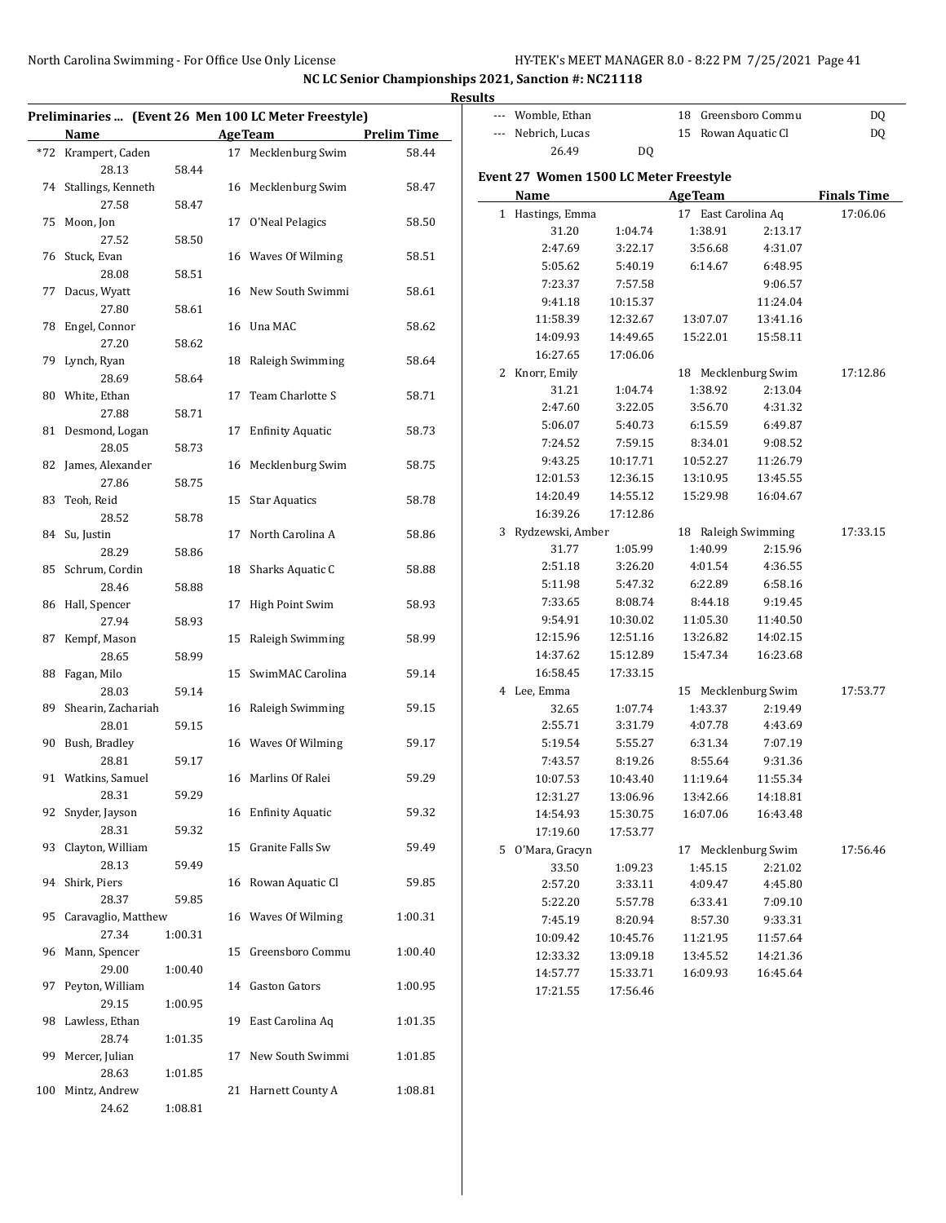|                                |         |                                                      |                    | <b>Results</b> |                                        |          |                     |                    |                    |
|--------------------------------|---------|------------------------------------------------------|--------------------|----------------|----------------------------------------|----------|---------------------|--------------------|--------------------|
|                                |         | Preliminaries  (Event 26 Men 100 LC Meter Freestyle) |                    |                | --- Womble, Ethan                      |          | 18 Greensboro Commu |                    | DQ                 |
| Name                           |         | <b>AgeTeam</b>                                       | <b>Prelim Time</b> |                | --- Nebrich, Lucas                     |          | 15 Rowan Aquatic Cl |                    | DQ                 |
| *72 Krampert, Caden            |         | 17 Mecklenburg Swim                                  | 58.44              |                | 26.49                                  | DQ       |                     |                    |                    |
| 28.13                          | 58.44   | 16 Mecklenburg Swim                                  |                    |                | Event 27 Women 1500 LC Meter Freestyle |          |                     |                    |                    |
| 74 Stallings, Kenneth<br>27.58 | 58.47   |                                                      | 58.47              |                | Name                                   |          | <b>AgeTeam</b>      |                    | <b>Finals Time</b> |
| 75 Moon, Jon                   |         | 17 O'Neal Pelagics                                   | 58.50              |                | 1 Hastings, Emma                       |          | 17 East Carolina Aq |                    | 17:06.06           |
| 27.52                          | 58.50   |                                                      |                    |                | 31.20                                  | 1:04.74  | 1:38.91             | 2:13.17            |                    |
| 76 Stuck, Evan                 |         | 16 Waves Of Wilming                                  | 58.51              |                | 2:47.69                                | 3:22.17  | 3:56.68             | 4:31.07            |                    |
| 28.08                          | 58.51   |                                                      |                    |                | 5:05.62                                | 5:40.19  | 6:14.67             | 6:48.95            |                    |
| 77 Dacus, Wyatt                |         | 16 New South Swimmi                                  | 58.61              |                | 7:23.37                                | 7:57.58  |                     | 9:06.57            |                    |
| 27.80                          | 58.61   |                                                      |                    |                | 9:41.18                                | 10:15.37 |                     | 11:24.04           |                    |
| 78 Engel, Connor               |         | 16 Una MAC                                           | 58.62              |                | 11:58.39                               | 12:32.67 | 13:07.07            | 13:41.16           |                    |
| 27.20                          | 58.62   |                                                      |                    |                | 14:09.93                               | 14:49.65 | 15:22.01            | 15:58.11           |                    |
| 79 Lynch, Ryan                 |         | 18 Raleigh Swimming                                  | 58.64              |                | 16:27.65                               | 17:06.06 |                     |                    |                    |
| 28.69                          | 58.64   |                                                      |                    |                | 2 Knorr, Emily                         |          | 18 Mecklenburg Swim |                    | 17:12.86           |
| 80 White, Ethan                |         | 17 Team Charlotte S                                  | 58.71              |                | 31.21                                  | 1:04.74  | 1:38.92             | 2:13.04            |                    |
| 27.88                          | 58.71   |                                                      |                    |                | 2:47.60                                | 3:22.05  | 3:56.70             | 4:31.32            |                    |
| 81 Desmond, Logan              |         | 17 Enfinity Aquatic                                  | 58.73              |                | 5:06.07                                | 5:40.73  | 6:15.59             | 6:49.87            |                    |
| 28.05                          | 58.73   |                                                      |                    |                | 7:24.52                                | 7:59.15  | 8:34.01             | 9:08.52            |                    |
| 82 James, Alexander            |         | 16 Mecklenburg Swim                                  | 58.75              |                | 9:43.25                                | 10:17.71 | 10:52.27            | 11:26.79           |                    |
| 27.86                          | 58.75   |                                                      |                    |                | 12:01.53                               | 12:36.15 | 13:10.95            | 13:45.55           |                    |
| 83 Teoh, Reid                  |         | 15 Star Aquatics                                     | 58.78              |                | 14:20.49                               | 14:55.12 | 15:29.98            | 16:04.67           |                    |
| 28.52                          | 58.78   |                                                      |                    |                | 16:39.26                               | 17:12.86 |                     |                    |                    |
| 84 Su, Justin                  |         | 17 North Carolina A                                  | 58.86              |                | 3 Rydzewski, Amber                     |          | 18 Raleigh Swimming |                    | 17:33.15           |
| 28.29                          | 58.86   |                                                      |                    |                | 31.77                                  | 1:05.99  | 1:40.99             | 2:15.96            |                    |
| 85 Schrum, Cordin              |         | 18 Sharks Aquatic C                                  | 58.88              |                | 2:51.18                                | 3:26.20  | 4:01.54             | 4:36.55            |                    |
| 28.46                          | 58.88   |                                                      |                    |                | 5:11.98                                | 5:47.32  | 6:22.89             | 6:58.16            |                    |
| 86 Hall, Spencer               |         | 17 High Point Swim                                   | 58.93              |                | 7:33.65                                | 8:08.74  | 8:44.18             | 9:19.45            |                    |
| 27.94                          | 58.93   |                                                      |                    |                | 9:54.91                                | 10:30.02 | 11:05.30            | 11:40.50           |                    |
| 87 Kempf, Mason                |         | 15 Raleigh Swimming                                  | 58.99              |                | 12:15.96                               | 12:51.16 | 13:26.82            | 14:02.15           |                    |
| 28.65                          | 58.99   |                                                      |                    |                | 14:37.62                               | 15:12.89 | 15:47.34            | 16:23.68           |                    |
| 88 Fagan, Milo                 |         | 15 SwimMAC Carolina                                  | 59.14              |                | 16:58.45<br>4 Lee, Emma                | 17:33.15 |                     |                    |                    |
| 28.03                          | 59.14   |                                                      |                    |                |                                        | 1:07.74  | 15 Mecklenburg Swim |                    | 17:53.77           |
| 89 Shearin, Zachariah<br>28.01 | 59.15   | 16 Raleigh Swimming                                  | 59.15              |                | 32.65<br>2:55.71                       | 3:31.79  | 1:43.37<br>4:07.78  | 2:19.49<br>4:43.69 |                    |
| 90 Bush, Bradley               |         | 16 Waves Of Wilming                                  | 59.17              |                | 5:19.54                                | 5:55.27  | 6:31.34             | 7:07.19            |                    |
| 28.81                          | 59.17   |                                                      |                    |                | 7:43.57                                | 8:19.26  | 8:55.64             | 9:31.36            |                    |
| 91 Watkins, Samuel             |         | 16 Marlins Of Ralei                                  | 59.29              |                | 10:07.53                               | 10:43.40 | 11:19.64            | 11:55.34           |                    |
| 28.31                          | 59.29   |                                                      |                    |                | 12:31.27                               | 13:06.96 | 13:42.66            | 14:18.81           |                    |
| 92 Snyder, Jayson              |         | 16 Enfinity Aquatic                                  | 59.32              |                | 14:54.93                               | 15:30.75 | 16:07.06            | 16:43.48           |                    |
| 28.31                          | 59.32   |                                                      |                    |                | 17:19.60                               | 17:53.77 |                     |                    |                    |
| 93 Clayton, William            |         | 15 Granite Falls Sw                                  | 59.49              |                | 5 O'Mara, Gracyn                       |          | 17 Mecklenburg Swim |                    | 17:56.46           |
| 28.13                          | 59.49   |                                                      |                    |                | 33.50                                  | 1:09.23  | 1:45.15             | 2:21.02            |                    |
| 94 Shirk, Piers                |         | 16 Rowan Aquatic Cl                                  | 59.85              |                | 2:57.20                                | 3:33.11  | 4:09.47             | 4:45.80            |                    |
| 28.37                          | 59.85   |                                                      |                    |                | 5:22.20                                | 5:57.78  | 6:33.41             | 7:09.10            |                    |
| 95 Caravaglio, Matthew         |         | 16 Waves Of Wilming                                  | 1:00.31            |                | 7:45.19                                | 8:20.94  | 8:57.30             | 9:33.31            |                    |
| 27.34                          | 1:00.31 |                                                      |                    |                | 10:09.42                               | 10:45.76 | 11:21.95            | 11:57.64           |                    |
| 96 Mann, Spencer               |         | 15 Greensboro Commu                                  | 1:00.40            |                | 12:33.32                               | 13:09.18 | 13:45.52            | 14:21.36           |                    |
| 29.00                          | 1:00.40 |                                                      |                    |                | 14:57.77                               | 15:33.71 | 16:09.93            | 16:45.64           |                    |
| 97 Peyton, William             |         | 14 Gaston Gators                                     | 1:00.95            |                | 17:21.55                               | 17:56.46 |                     |                    |                    |
| 29.15                          | 1:00.95 |                                                      |                    |                |                                        |          |                     |                    |                    |
| 98 Lawless, Ethan              |         | 19 East Carolina Aq                                  | 1:01.35            |                |                                        |          |                     |                    |                    |
| 28.74                          | 1:01.35 |                                                      |                    |                |                                        |          |                     |                    |                    |
| 99 Mercer, Julian              |         | 17 New South Swimmi                                  | 1:01.85            |                |                                        |          |                     |                    |                    |
| 28.63                          | 1:01.85 |                                                      |                    |                |                                        |          |                     |                    |                    |
| 100 Mintz, Andrew              |         | 21 Harnett County A                                  | 1:08.81            |                |                                        |          |                     |                    |                    |
| 24.62                          | 1:08.81 |                                                      |                    |                |                                        |          |                     |                    |                    |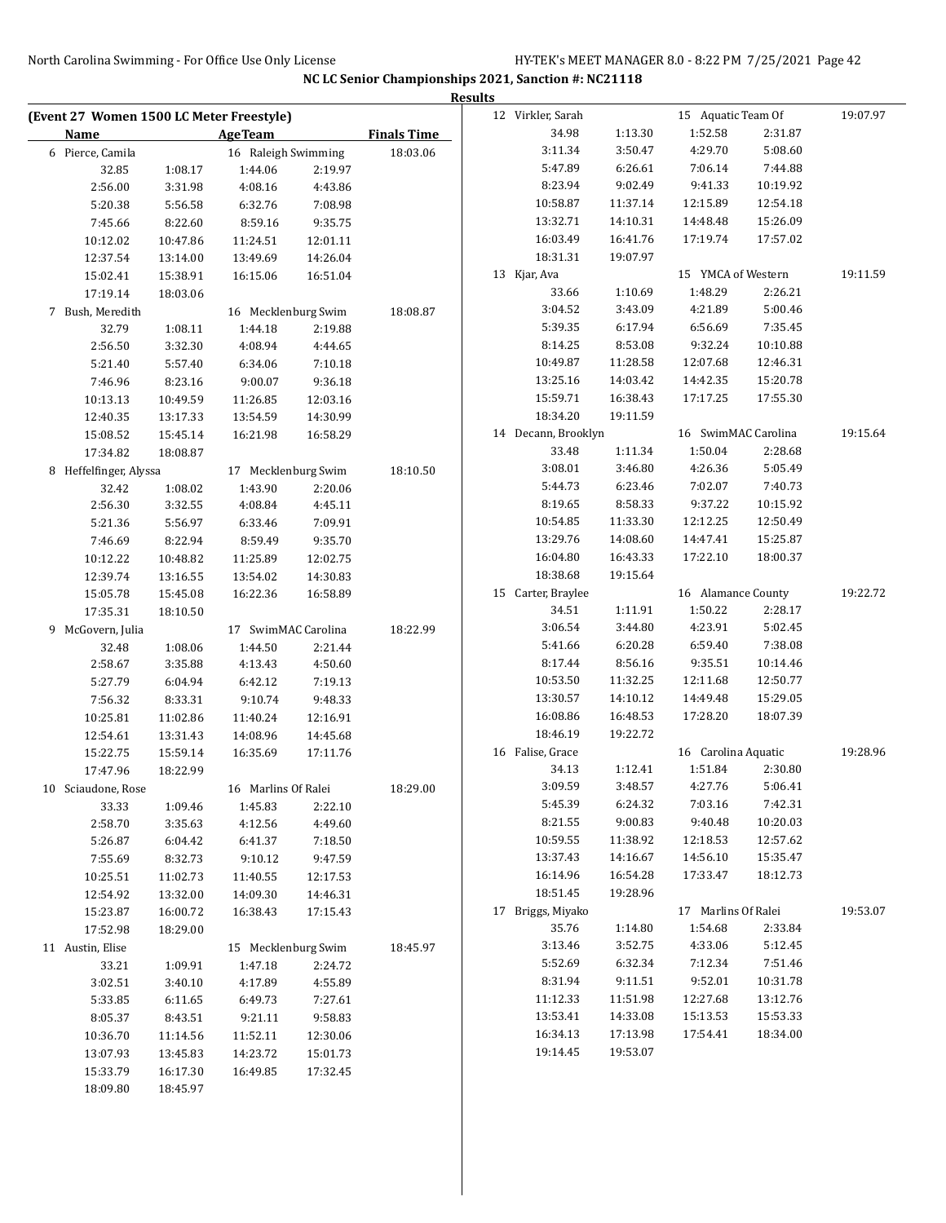|                                          |                     |                     |                    |                    | <b>Results</b> |                     |                    |                     |                    |          |
|------------------------------------------|---------------------|---------------------|--------------------|--------------------|----------------|---------------------|--------------------|---------------------|--------------------|----------|
| (Event 27 Women 1500 LC Meter Freestyle) |                     |                     |                    |                    |                | 12 Virkler, Sarah   |                    | 15 Aquatic Team Of  |                    | 19:07.97 |
| Name                                     |                     | <b>AgeTeam</b>      |                    | <b>Finals Time</b> |                | 34.98               | 1:13.30            | 1:52.58             | 2:31.87            |          |
| 6 Pierce, Camila                         |                     | 16 Raleigh Swimming |                    | 18:03.06           |                | 3:11.34             | 3:50.47            | 4:29.70             | 5:08.60            |          |
| 32.85                                    | 1:08.17             | 1:44.06             | 2:19.97            |                    |                | 5:47.89             | 6:26.61            | 7:06.14             | 7:44.88            |          |
| 2:56.00                                  | 3:31.98             | 4:08.16             | 4:43.86            |                    |                | 8:23.94             | 9:02.49            | 9:41.33             | 10:19.92           |          |
| 5:20.38                                  | 5:56.58             | 6:32.76             | 7:08.98            |                    |                | 10:58.87            | 11:37.14           | 12:15.89            | 12:54.18           |          |
| 7:45.66                                  | 8:22.60             | 8:59.16             | 9:35.75            |                    |                | 13:32.71            | 14:10.31           | 14:48.48            | 15:26.09           |          |
| 10:12.02                                 | 10:47.86            | 11:24.51            | 12:01.11           |                    |                | 16:03.49            | 16:41.76           | 17:19.74            | 17:57.02           |          |
| 12:37.54                                 | 13:14.00            | 13:49.69            | 14:26.04           |                    |                | 18:31.31            | 19:07.97           |                     |                    |          |
| 15:02.41                                 | 15:38.91            | 16:15.06            | 16:51.04           |                    |                | 13 Kjar, Ava        |                    | 15 YMCA of Western  |                    | 19:11.59 |
| 17:19.14                                 | 18:03.06            |                     |                    |                    |                | 33.66               | 1:10.69            | 1:48.29             | 2:26.21            |          |
| 7 Bush, Meredith                         |                     | 16 Mecklenburg Swim |                    | 18:08.87           |                | 3:04.52             | 3:43.09            | 4:21.89             | 5:00.46            |          |
| 32.79                                    | 1:08.11             | 1:44.18             | 2:19.88            |                    |                | 5:39.35             | 6:17.94            | 6:56.69             | 7:35.45            |          |
| 2:56.50                                  | 3:32.30             | 4:08.94             | 4:44.65            |                    |                | 8:14.25             | 8:53.08            | 9:32.24             | 10:10.88           |          |
| 5:21.40                                  | 5:57.40             | 6:34.06             | 7:10.18            |                    |                | 10:49.87            | 11:28.58           | 12:07.68            | 12:46.31           |          |
| 7:46.96                                  | 8:23.16             | 9:00.07             | 9:36.18            |                    |                | 13:25.16            | 14:03.42           | 14:42.35            | 15:20.78           |          |
| 10:13.13                                 | 10:49.59            | 11:26.85            | 12:03.16           |                    |                | 15:59.71            | 16:38.43           | 17:17.25            | 17:55.30           |          |
| 12:40.35                                 | 13:17.33            | 13:54.59            | 14:30.99           |                    |                | 18:34.20            | 19:11.59           |                     |                    |          |
| 15:08.52                                 | 15:45.14            | 16:21.98            | 16:58.29           |                    |                | 14 Decann, Brooklyn |                    | 16 SwimMAC Carolina |                    | 19:15.64 |
| 17:34.82                                 | 18:08.87            |                     |                    |                    |                | 33.48               | 1:11.34            | 1:50.04             | 2:28.68            |          |
| 8 Heffelfinger, Alyssa                   |                     | 17 Mecklenburg Swim |                    | 18:10.50           |                | 3:08.01             | 3:46.80            | 4:26.36             | 5:05.49            |          |
| 32.42                                    | 1:08.02             | 1:43.90             | 2:20.06            |                    |                | 5:44.73             | 6:23.46            | 7:02.07             | 7:40.73            |          |
| 2:56.30                                  | 3:32.55             | 4:08.84             | 4:45.11            |                    |                | 8:19.65             | 8:58.33            | 9:37.22             | 10:15.92           |          |
| 5:21.36                                  | 5:56.97             | 6:33.46             | 7:09.91            |                    |                | 10:54.85            | 11:33.30           | 12:12.25            | 12:50.49           |          |
| 7:46.69                                  | 8:22.94             | 8:59.49             | 9:35.70            |                    |                | 13:29.76            | 14:08.60           | 14:47.41            | 15:25.87           |          |
| 10:12.22                                 | 10:48.82            | 11:25.89            | 12:02.75           |                    |                | 16:04.80            | 16:43.33           | 17:22.10            | 18:00.37           |          |
| 12:39.74                                 | 13:16.55            | 13:54.02            | 14:30.83           |                    |                | 18:38.68            | 19:15.64           |                     |                    |          |
| 15:05.78                                 | 15:45.08            | 16:22.36            | 16:58.89           |                    |                | 15 Carter, Braylee  |                    | 16 Alamance County  |                    | 19:22.72 |
| 17:35.31                                 | 18:10.50            |                     |                    |                    |                | 34.51               | 1:11.91<br>3:44.80 | 1:50.22<br>4:23.91  | 2:28.17            |          |
| 9 McGovern, Julia                        |                     | 17 SwimMAC Carolina |                    | 18:22.99           |                | 3:06.54<br>5:41.66  | 6:20.28            | 6:59.40             | 5:02.45<br>7:38.08 |          |
| 32.48                                    | 1:08.06             | 1:44.50             | 2:21.44            |                    |                | 8:17.44             | 8:56.16            | 9:35.51             | 10:14.46           |          |
| 2:58.67<br>5:27.79                       | 3:35.88             | 4:13.43             | 4:50.60            |                    |                | 10:53.50            | 11:32.25           | 12:11.68            | 12:50.77           |          |
| 7:56.32                                  | 6:04.94             | 6:42.12             | 7:19.13<br>9:48.33 |                    |                | 13:30.57            | 14:10.12           | 14:49.48            | 15:29.05           |          |
| 10:25.81                                 | 8:33.31<br>11:02.86 | 9:10.74<br>11:40.24 | 12:16.91           |                    |                | 16:08.86            | 16:48.53           | 17:28.20            | 18:07.39           |          |
| 12:54.61                                 | 13:31.43            | 14:08.96            | 14:45.68           |                    |                | 18:46.19            | 19:22.72           |                     |                    |          |
| 15:22.75                                 | 15:59.14            | 16:35.69            | 17:11.76           |                    |                | 16 Falise, Grace    |                    | 16 Carolina Aquatic |                    | 19:28.96 |
| 17:47.96                                 | 18:22.99            |                     |                    |                    |                | 34.13               | 1:12.41            | 1:51.84             | 2:30.80            |          |
| 10 Sciaudone, Rose                       |                     | 16 Marlins Of Ralei |                    | 18:29.00           |                | 3:09.59             | 3:48.57            | 4:27.76             | 5:06.41            |          |
| 33.33                                    | 1:09.46             | 1:45.83             | 2:22.10            |                    |                | 5:45.39             | 6:24.32            | 7:03.16             | 7:42.31            |          |
| 2:58.70                                  | 3:35.63             | 4:12.56             | 4:49.60            |                    |                | 8:21.55             | 9:00.83            | 9:40.48             | 10:20.03           |          |
| 5:26.87                                  | 6:04.42             | 6:41.37             | 7:18.50            |                    |                | 10:59.55            | 11:38.92           | 12:18.53            | 12:57.62           |          |
| 7:55.69                                  | 8:32.73             | 9:10.12             | 9:47.59            |                    |                | 13:37.43            | 14:16.67           | 14:56.10            | 15:35.47           |          |
| 10:25.51                                 | 11:02.73            | 11:40.55            | 12:17.53           |                    |                | 16:14.96            | 16:54.28           | 17:33.47            | 18:12.73           |          |
| 12:54.92                                 | 13:32.00            | 14:09.30            | 14:46.31           |                    |                | 18:51.45            | 19:28.96           |                     |                    |          |
| 15:23.87                                 | 16:00.72            | 16:38.43            | 17:15.43           |                    |                | 17 Briggs, Miyako   |                    | 17 Marlins Of Ralei |                    | 19:53.07 |
| 17:52.98                                 | 18:29.00            |                     |                    |                    |                | 35.76               | 1:14.80            | 1:54.68             | 2:33.84            |          |
| 11 Austin, Elise                         |                     | 15 Mecklenburg Swim |                    | 18:45.97           |                | 3:13.46             | 3:52.75            | 4:33.06             | 5:12.45            |          |
| 33.21                                    | 1:09.91             | 1:47.18             | 2:24.72            |                    |                | 5:52.69             | 6:32.34            | 7:12.34             | 7:51.46            |          |
| 3:02.51                                  | 3:40.10             | 4:17.89             | 4:55.89            |                    |                | 8:31.94             | 9:11.51            | 9:52.01             | 10:31.78           |          |
| 5:33.85                                  | 6:11.65             | 6:49.73             | 7:27.61            |                    |                | 11:12.33            | 11:51.98           | 12:27.68            | 13:12.76           |          |
| 8:05.37                                  | 8:43.51             | 9:21.11             | 9:58.83            |                    |                | 13:53.41            | 14:33.08           | 15:13.53            | 15:53.33           |          |
| 10:36.70                                 | 11:14.56            | 11:52.11            | 12:30.06           |                    |                | 16:34.13            | 17:13.98           | 17:54.41            | 18:34.00           |          |
|                                          |                     |                     |                    |                    |                |                     | 19:53.07           |                     |                    |          |
|                                          | 13:45.83            | 14:23.72            | 15:01.73           |                    |                | 19:14.45            |                    |                     |                    |          |
| 13:07.93<br>15:33.79                     | 16:17.30            | 16:49.85            | 17:32.45           |                    |                |                     |                    |                     |                    |          |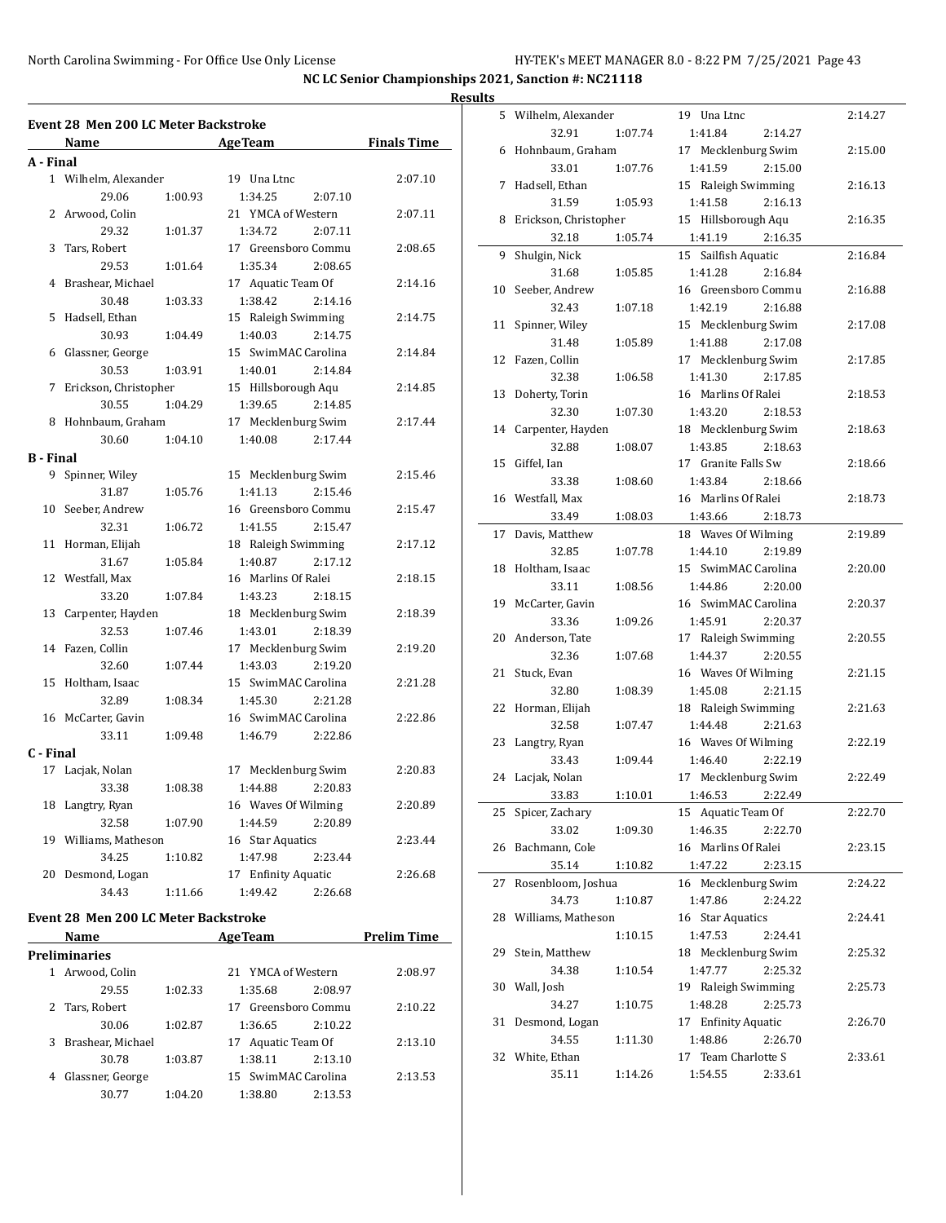#### **Results**

| <b>Event 28 Men 200 LC Meter Backstroke</b> |                                |         |                                           |                    |  |  |
|---------------------------------------------|--------------------------------|---------|-------------------------------------------|--------------------|--|--|
|                                             | Name                           |         | <b>AgeTeam</b>                            | <b>Finals Time</b> |  |  |
| A - Final                                   |                                |         |                                           |                    |  |  |
|                                             | 1 Wilhelm, Alexander           |         | 19 Una Ltnc                               | 2:07.10            |  |  |
|                                             | 29.06                          | 1:00.93 | 1:34.25<br>2:07.10                        |                    |  |  |
| 2                                           | Arwood, Colin                  |         | 21 YMCA of Western                        | 2:07.11            |  |  |
|                                             | 29.32                          | 1:01.37 | 1:34.72<br>2:07.11                        |                    |  |  |
| 3                                           | Tars, Robert                   |         | 17 Greensboro Commu                       | 2:08.65            |  |  |
|                                             | 29.53                          | 1:01.64 | 1:35.34<br>2:08.65                        |                    |  |  |
| $\overline{4}$                              | Brashear, Michael              |         | 17 Aquatic Team Of                        | 2:14.16            |  |  |
|                                             | 30.48                          | 1:03.33 | 1:38.42<br>2:14.16                        |                    |  |  |
| 5                                           | Hadsell, Ethan                 |         | 15 Raleigh Swimming                       | 2:14.75            |  |  |
|                                             | 30.93                          | 1:04.49 | 1:40.03<br>2:14.75                        |                    |  |  |
| 6                                           | Glassner, George               |         | 15 SwimMAC Carolina                       | 2:14.84            |  |  |
|                                             | 30.53                          | 1:03.91 | 1:40.01<br>2:14.84                        |                    |  |  |
| 7                                           | Erickson, Christopher          |         | 15 Hillsborough Aqu                       | 2:14.85            |  |  |
|                                             | 30.55                          | 1:04.29 | 1:39.65<br>2:14.85                        |                    |  |  |
| 8                                           | Hohnbaum, Graham               |         | 17 Mecklenburg Swim                       | 2:17.44            |  |  |
|                                             | 30.60                          | 1:04.10 | 1:40.08<br>2:17.44                        |                    |  |  |
| <b>B</b> - Final                            |                                |         |                                           |                    |  |  |
| 9                                           | Spinner, Wiley                 |         | 15 Mecklenburg Swim                       | 2:15.46            |  |  |
|                                             | 31.87                          | 1:05.76 | 2:15.46<br>1:41.13                        |                    |  |  |
| 10                                          | Seeber, Andrew                 |         | 16 Greensboro Commu                       | 2:15.47            |  |  |
|                                             | 32.31                          | 1:06.72 | 1:41.55<br>2:15.47                        |                    |  |  |
| 11                                          | Horman, Elijah                 |         | 18 Raleigh Swimming                       | 2:17.12            |  |  |
|                                             | 31.67                          | 1:05.84 | 1:40.87<br>2:17.12                        |                    |  |  |
| 12                                          | Westfall, Max                  |         | 16 Marlins Of Ralei                       | 2:18.15            |  |  |
|                                             | 33.20                          | 1:07.84 | 1:43.23<br>2:18.15                        |                    |  |  |
| 13                                          | Carpenter, Hayden              |         | 18 Mecklenburg Swim                       | 2:18.39            |  |  |
|                                             | 32.53                          | 1:07.46 | 1:43.01<br>2:18.39                        |                    |  |  |
| 14                                          | Fazen, Collin                  |         | 17 Mecklenburg Swim                       | 2:19.20            |  |  |
|                                             | 32.60                          | 1:07.44 | 2:19.20<br>1:43.03                        |                    |  |  |
| 15                                          | Holtham, Isaac                 |         | 15 SwimMAC Carolina                       | 2:21.28            |  |  |
|                                             | 32.89                          | 1:08.34 | 1:45.30<br>2:21.28                        |                    |  |  |
| 16                                          | McCarter, Gavin                |         | 16 SwimMAC Carolina                       | 2:22.86            |  |  |
|                                             | 33.11                          | 1:09.48 | 1:46.79<br>2:22.86                        |                    |  |  |
| C - Final<br>17                             |                                |         |                                           |                    |  |  |
|                                             | Lacjak, Nolan                  |         | 17 Mecklenburg Swim                       | 2:20.83            |  |  |
| 18                                          | 33.38                          | 1:08.38 | 1:44.88<br>2:20.83<br>16 Waves Of Wilming | 2:20.89            |  |  |
|                                             | Langtry, Ryan                  |         | 1:44.59                                   |                    |  |  |
|                                             | 32.58<br>19 Williams, Matheson | 1:07.90 | 2:20.89<br>16 Star Aquatics               | 2:23.44            |  |  |
|                                             | 34.25                          | 1:10.82 | 1:47.98<br>2:23.44                        |                    |  |  |
| 20                                          | Desmond, Logan                 |         | 17 Enfinity Aquatic                       | 2:26.68            |  |  |
|                                             | 34.43                          | 1:11.66 | 1:49.42<br>2:26.68                        |                    |  |  |
|                                             |                                |         |                                           |                    |  |  |

#### **Event 28 Men 200 LC Meter Backstroke**

|   | LVCIII ZO TICH ZOO LGTICICI DACISHOIIC |         |                     |                    |  |  |  |  |  |  |
|---|----------------------------------------|---------|---------------------|--------------------|--|--|--|--|--|--|
|   | <b>Name</b>                            |         | <b>AgeTeam</b>      | <b>Prelim Time</b> |  |  |  |  |  |  |
|   | Preliminaries                          |         |                     |                    |  |  |  |  |  |  |
| 1 | Arwood, Colin                          |         | 21 YMCA of Western  | 2:08.97            |  |  |  |  |  |  |
|   | 29.55                                  | 1:02.33 | 2:08.97<br>1:35.68  |                    |  |  |  |  |  |  |
|   | 2 Tars, Robert                         |         | 17 Greensboro Commu | 2:10.22            |  |  |  |  |  |  |
|   | 30.06                                  | 1:02.87 | 2:10.22<br>1:36.65  |                    |  |  |  |  |  |  |
| 3 | Brashear, Michael                      |         | 17 Aquatic Team Of  | 2:13.10            |  |  |  |  |  |  |
|   | 30.78                                  | 1:03.87 | 1:38.11<br>2:13.10  |                    |  |  |  |  |  |  |
| 4 | Glassner, George                       |         | 15 SwimMAC Carolina | 2:13.53            |  |  |  |  |  |  |
|   | 30.77                                  | 1:04.20 | 2:13.53<br>1:38.80  |                    |  |  |  |  |  |  |

|    | 5 Wilhelm, Alexander  |         | 19 Una Ltnc         | 2:14.27 |
|----|-----------------------|---------|---------------------|---------|
|    | 32.91                 | 1:07.74 | 1:41.84<br>2:14.27  |         |
| 6  | Hohnbaum, Graham      |         | 17 Mecklenburg Swim | 2:15.00 |
|    | 33.01                 | 1:07.76 | 1:41.59<br>2:15.00  |         |
| 7  | Hadsell, Ethan        |         | 15 Raleigh Swimming | 2:16.13 |
|    | 31.59                 | 1:05.93 | 1:41.58<br>2:16.13  |         |
| 8  | Erickson, Christopher |         | 15 Hillsborough Aqu | 2:16.35 |
|    | 32.18                 | 1:05.74 | 1:41.19<br>2:16.35  |         |
| 9  | Shulgin, Nick         |         | 15 Sailfish Aquatic | 2:16.84 |
|    | 31.68                 | 1:05.85 | 1:41.28<br>2:16.84  |         |
| 10 | Seeber, Andrew        |         | 16 Greensboro Commu | 2:16.88 |
|    | 32.43                 | 1:07.18 | 1:42.19<br>2:16.88  |         |
| 11 | Spinner, Wiley        |         | 15 Mecklenburg Swim | 2:17.08 |
|    | 31.48                 | 1:05.89 | 1:41.88<br>2:17.08  |         |
| 12 | Fazen, Collin         |         | 17 Mecklenburg Swim | 2:17.85 |
|    | 32.38                 | 1:06.58 | 1:41.30<br>2:17.85  |         |
| 13 | Doherty, Torin        |         | 16 Marlins Of Ralei | 2:18.53 |
|    | 32.30                 | 1:07.30 | 1:43.20<br>2:18.53  |         |
| 14 | Carpenter, Hayden     |         | 18 Mecklenburg Swim | 2:18.63 |
|    | 32.88                 | 1:08.07 | 1:43.85<br>2:18.63  |         |
| 15 | Giffel, Ian           |         | 17 Granite Falls Sw | 2:18.66 |
|    | 33.38                 | 1:08.60 | 1:43.84<br>2:18.66  |         |
|    | 16 Westfall, Max      |         | 16 Marlins Of Ralei | 2:18.73 |
|    | 33.49                 | 1:08.03 | 1:43.66<br>2:18.73  |         |
| 17 | Davis, Matthew        |         | 18 Waves Of Wilming | 2:19.89 |
|    | 32.85                 | 1:07.78 | 1:44.10<br>2:19.89  |         |
| 18 | Holtham, Isaac        |         | 15 SwimMAC Carolina | 2:20.00 |
|    | 33.11                 | 1:08.56 | 1:44.86<br>2:20.00  |         |
| 19 | McCarter, Gavin       |         | 16 SwimMAC Carolina | 2:20.37 |
|    | 33.36                 | 1:09.26 | 1:45.91<br>2:20.37  |         |
| 20 | Anderson, Tate        |         | 17 Raleigh Swimming | 2:20.55 |
|    | 32.36                 | 1:07.68 | 1:44.37<br>2:20.55  |         |
| 21 | Stuck, Evan           |         | 16 Waves Of Wilming | 2:21.15 |
|    | 32.80                 | 1:08.39 | 1:45.08<br>2:21.15  |         |
| 22 | Horman, Elijah        |         | 18 Raleigh Swimming | 2:21.63 |
|    | 32.58                 | 1:07.47 | 1:44.48<br>2:21.63  |         |
| 23 | Langtry, Ryan         |         | 16 Waves Of Wilming | 2:22.19 |
|    | 33.43                 | 1:09.44 | 1:46.40<br>2:22.19  |         |
|    | 24 Lacjak, Nolan      |         | 17 Mecklenburg Swim | 2:22.49 |
|    | 33.83                 | 1:10.01 | 1:46.53<br>2:22.49  |         |
| 25 | Spicer, Zachary       |         | 15 Aquatic Team Of  | 2:22.70 |
|    | 33.02                 | 1:09.30 | 1:46.35<br>2:22.70  |         |
| 26 | Bachmann, Cole        |         | 16 Marlins Of Ralei | 2:23.15 |
|    | 35.14                 | 1:10.82 | 1:47.22<br>2:23.15  |         |
| 27 | Rosenbloom, Joshua    |         | 16 Mecklenburg Swim | 2:24.22 |
|    | 34.73                 | 1:10.87 | 1:47.86<br>2:24.22  |         |
| 28 | Williams, Matheson    |         | 16 Star Aquatics    | 2:24.41 |
|    |                       | 1:10.15 | 1:47.53<br>2:24.41  |         |
| 29 | Stein, Matthew        |         | 18 Mecklenburg Swim | 2:25.32 |
|    | 34.38                 | 1:10.54 | 1:47.77<br>2:25.32  |         |
| 30 | Wall, Josh            |         | 19 Raleigh Swimming | 2:25.73 |
|    | 34.27                 | 1:10.75 | 1:48.28<br>2:25.73  |         |
| 31 | Desmond, Logan        |         | 17 Enfinity Aquatic | 2:26.70 |
|    | 34.55                 | 1:11.30 | 1:48.86<br>2:26.70  |         |
| 32 | White, Ethan          |         | 17 Team Charlotte S | 2:33.61 |
|    | 35.11                 | 1:14.26 | 1:54.55<br>2:33.61  |         |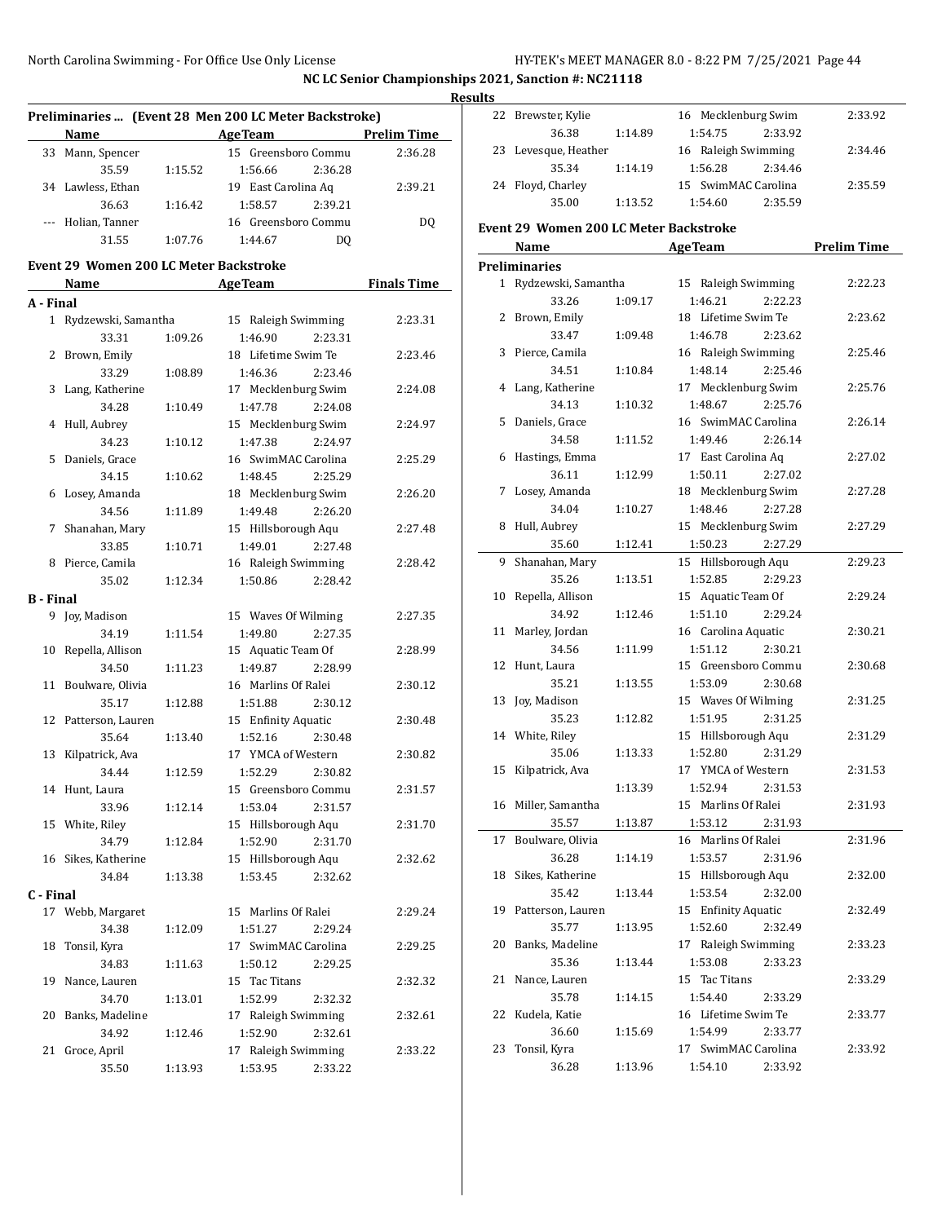|                  |                                               |         |                                                       |                    | <b>Results</b> |
|------------------|-----------------------------------------------|---------|-------------------------------------------------------|--------------------|----------------|
|                  |                                               |         | Preliminaries  (Event 28 Men 200 LC Meter Backstroke) |                    | 2              |
|                  | Name                                          |         | Age Team Prelim Time                                  |                    |                |
|                  | 33 Mann, Spencer                              |         | 15 Greensboro Commu                                   | 2:36.28            | 2              |
|                  | 35.59                                         | 1:15.52 | 1:56.66<br>2:36.28                                    |                    |                |
|                  | 34 Lawless, Ethan                             |         | 19 East Carolina Aq                                   | 2:39.21            | 2              |
|                  | 36.63                                         | 1:16.42 | 2:39.21<br>1:58.57                                    |                    |                |
|                  | --- Holian, Tanner                            |         | 16 Greensboro Commu                                   | DQ                 | Eve            |
|                  | 31.55                                         | 1:07.76 | 1:44.67<br>DQ                                         |                    |                |
|                  | <b>Event 29 Women 200 LC Meter Backstroke</b> |         |                                                       |                    | Pre            |
|                  | Name                                          |         | <b>Example 2018 Age Team</b>                          | <b>Finals Time</b> |                |
| A - Final        |                                               |         |                                                       |                    |                |
|                  | 1 Rydzewski, Samantha                         |         | 15 Raleigh Swimming                                   | 2:23.31            |                |
|                  | 33.31                                         | 1:09.26 | 1:46.90<br>2:23.31                                    |                    |                |
|                  | 2 Brown, Emily                                |         | 18 Lifetime Swim Te                                   | 2:23.46            |                |
|                  | 33.29                                         | 1:08.89 | 1:46.36<br>2:23.46                                    |                    |                |
|                  | 3 Lang, Katherine                             |         | 17 Mecklenburg Swim                                   | 2:24.08            |                |
|                  | 34.28                                         | 1:10.49 | 1:47.78<br>2:24.08                                    |                    |                |
|                  | 4 Hull, Aubrey                                |         | 15 Mecklenburg Swim                                   | 2:24.97            |                |
|                  | 34.23                                         | 1:10.12 | 1:47.38<br>2:24.97                                    |                    |                |
|                  | 5 Daniels, Grace                              |         | 16 SwimMAC Carolina                                   | 2:25.29            |                |
|                  | 34.15                                         | 1:10.62 | 1:48.45<br>2:25.29                                    |                    |                |
|                  | 6 Losey, Amanda                               |         | 18 Mecklenburg Swim                                   | 2:26.20            |                |
|                  | 34.56                                         | 1:11.89 | 1:49.48<br>2:26.20                                    |                    |                |
|                  | 7 Shanahan, Mary                              |         | 15 Hillsborough Aqu                                   | 2:27.48            |                |
|                  | 33.85                                         | 1:10.71 | 1:49.01<br>2:27.48                                    |                    |                |
|                  | 8 Pierce, Camila                              |         | 16 Raleigh Swimming                                   | 2:28.42            |                |
|                  | 35.02                                         | 1:12.34 | 1:50.86<br>2:28.42                                    |                    |                |
| <b>B</b> - Final |                                               |         |                                                       |                    | 1              |
|                  | 9 Joy, Madison                                |         | 15 Waves Of Wilming                                   | 2:27.35            |                |
|                  | 34.19                                         | 1:11.54 | 1:49.80<br>2:27.35                                    |                    | 1              |
|                  | 10 Repella, Allison                           |         | 15 Aquatic Team Of                                    | 2:28.99            |                |
|                  | 34.50                                         | 1:11.23 | 2:28.99<br>1:49.87                                    |                    | 1              |
|                  | 11 Boulware, Olivia                           |         | 16 Marlins Of Ralei                                   | 2:30.12            |                |
|                  | 35.17                                         | 1:12.88 | 1:51.88<br>2:30.12                                    |                    | 1              |
|                  | 12 Patterson, Lauren                          |         | 15 Enfinity Aquatic                                   | 2:30.48            |                |
|                  | 35.64                                         | 1:13.40 | 1:52.16<br>2:30.48                                    |                    | 1              |
|                  | 13 Kilpatrick, Ava                            |         | 17 YMCA of Western                                    | 2:30.82            |                |
|                  | 34.44                                         | 1:12.59 | 1:52.29<br>2:30.82                                    |                    | 1              |
|                  | 14 Hunt, Laura                                |         | 15 Greensboro Commu                                   | 2:31.57            |                |
|                  | 33.96                                         | 1:12.14 | 1:53.04<br>2:31.57                                    |                    | 1              |
|                  | 15 White, Riley                               |         | 15 Hillsborough Aqu                                   | 2:31.70            |                |
|                  | 34.79                                         | 1:12.84 | 1:52.90<br>2:31.70                                    |                    | 1              |
|                  | 16 Sikes, Katherine                           |         | 15 Hillsborough Aqu                                   | 2:32.62            |                |
|                  | 34.84                                         | 1:13.38 | 1:53.45<br>2:32.62                                    |                    | 1              |
| C - Final        |                                               |         |                                                       |                    |                |
|                  | 17 Webb, Margaret                             |         | 15 Marlins Of Ralei                                   | 2:29.24            | 1              |
|                  | 34.38                                         | 1:12.09 | 1:51.27<br>2:29.24                                    |                    |                |
| 18               | Tonsil, Kyra                                  |         | 17 SwimMAC Carolina                                   | 2:29.25            | 2              |
|                  | 34.83                                         | 1:11.63 | 1:50.12<br>2:29.25                                    |                    |                |
| 19               | Nance, Lauren                                 |         | 15 Tac Titans                                         | 2:32.32            | 2              |
|                  | 34.70                                         | 1:13.01 | 1:52.99<br>2:32.32                                    |                    |                |
| 20               | Banks, Madeline                               |         | 17 Raleigh Swimming                                   | 2:32.61            | 2              |
|                  | 34.92                                         |         |                                                       |                    |                |
|                  | Groce, April                                  | 1:12.46 | 1:52.90<br>2:32.61                                    |                    | 2              |
| 21               |                                               |         | 17 Raleigh Swimming                                   | 2:33.22            |                |
|                  | 35.50                                         | 1:13.93 | 1:53.95<br>2:33.22                                    |                    |                |

|    | 22 Brewster, Kylie                     |         | 16 Mecklenburg Swim | 2:33.92            |
|----|----------------------------------------|---------|---------------------|--------------------|
|    | 36.38                                  | 1:14.89 | 1:54.75<br>2:33.92  |                    |
|    | 23 Levesque, Heather                   |         | 16 Raleigh Swimming | 2:34.46            |
|    | 35.34                                  | 1:14.19 | 1:56.28<br>2:34.46  |                    |
|    | 24 Floyd, Charley                      |         | 15 SwimMAC Carolina | 2:35.59            |
|    | 35.00                                  | 1:13.52 | 1:54.60<br>2:35.59  |                    |
|    |                                        |         |                     |                    |
|    | Event 29 Women 200 LC Meter Backstroke |         |                     |                    |
|    | Name                                   |         | <b>AgeTeam</b>      | <b>Prelim Time</b> |
|    | <b>Preliminaries</b>                   |         |                     |                    |
|    | 1 Rydzewski, Samantha                  |         | 15 Raleigh Swimming | 2:22.23            |
|    | 33.26                                  | 1:09.17 | 1:46.21<br>2:22.23  |                    |
|    | 2 Brown, Emily                         |         | 18 Lifetime Swim Te | 2:23.62            |
|    | 33.47                                  | 1:09.48 | 1:46.78<br>2:23.62  |                    |
|    | 3 Pierce, Camila                       |         | 16 Raleigh Swimming | 2:25.46            |
|    | 34.51                                  | 1:10.84 | 1:48.14<br>2:25.46  |                    |
|    | 4 Lang, Katherine                      |         | 17 Mecklenburg Swim | 2:25.76            |
|    | 34.13                                  | 1:10.32 | 1:48.67<br>2:25.76  |                    |
|    | 5 Daniels, Grace                       |         | 16 SwimMAC Carolina | 2:26.14            |
|    | 34.58                                  | 1:11.52 | 1:49.46<br>2:26.14  |                    |
|    | 6 Hastings, Emma                       |         | 17 East Carolina Aq | 2:27.02            |
|    | 36.11                                  | 1:12.99 | 1:50.11<br>2:27.02  |                    |
|    | 7 Losey, Amanda                        |         | 18 Mecklenburg Swim | 2:27.28            |
|    | 34.04                                  | 1:10.27 | 1:48.46<br>2:27.28  |                    |
|    | 8 Hull, Aubrey                         |         | 15 Mecklenburg Swim | 2:27.29            |
|    | 35.60                                  | 1:12.41 | 1:50.23<br>2:27.29  |                    |
| 9. | Shanahan, Mary                         |         | 15 Hillsborough Aqu | 2:29.23            |
|    | 35.26                                  | 1:13.51 | 1:52.85<br>2:29.23  |                    |
| 10 | Repella, Allison                       |         | 15 Aquatic Team Of  | 2:29.24            |
|    | 34.92                                  | 1:12.46 | 1:51.10<br>2:29.24  |                    |
| 11 | Marley, Jordan                         |         | 16 Carolina Aquatic | 2:30.21            |
|    | 34.56                                  | 1:11.99 | 1:51.12<br>2:30.21  |                    |
| 12 | Hunt, Laura                            |         | 15 Greensboro Commu | 2:30.68            |
|    | 35.21                                  | 1:13.55 | 1:53.09<br>2:30.68  |                    |
| 13 | Joy, Madison                           |         | 15 Waves Of Wilming | 2:31.25            |
|    | 35.23                                  | 1:12.82 | 1:51.95<br>2:31.25  |                    |
|    | 14 White, Riley                        |         | 15 Hillsborough Aqu | 2:31.29            |
|    | 35.06                                  | 1:13.33 | 1:52.80<br>2:31.29  |                    |
| 15 | Kilpatrick, Ava                        |         | 17 YMCA of Western  | 2:31.53            |
|    |                                        | 1:13.39 | 1:52.94<br>2:31.53  |                    |
|    | 16 Miller, Samantha                    |         | 15 Marlins Of Ralei | 2:31.93            |
|    | 35.57                                  | 1:13.87 | 1:53.12<br>2:31.93  |                    |
| 17 | Boulware, Olivia                       |         | 16 Marlins Of Ralei | 2:31.96            |
|    | 36.28                                  | 1:14.19 | 1:53.57<br>2:31.96  |                    |
| 18 | Sikes, Katherine                       |         | 15 Hillsborough Aqu | 2:32.00            |
|    | 35.42                                  | 1:13.44 | 1:53.54<br>2:32.00  |                    |
| 19 | Patterson, Lauren                      |         | 15 Enfinity Aquatic | 2:32.49            |
|    | 35.77                                  | 1:13.95 | 1:52.60<br>2:32.49  |                    |
| 20 | Banks, Madeline                        |         | 17 Raleigh Swimming | 2:33.23            |
|    | 35.36                                  | 1:13.44 | 1:53.08<br>2:33.23  |                    |
| 21 | Nance, Lauren                          |         | 15 Tac Titans       | 2:33.29            |
|    | 35.78                                  | 1:14.15 | 1:54.40<br>2:33.29  |                    |
| 22 | Kudela, Katie                          |         | 16 Lifetime Swim Te | 2:33.77            |
|    | 36.60                                  | 1:15.69 | 1:54.99<br>2:33.77  |                    |
| 23 | Tonsil, Kyra                           |         | 17 SwimMAC Carolina | 2:33.92            |
|    | 36.28                                  | 1:13.96 | 2:33.92<br>1:54.10  |                    |
|    |                                        |         |                     |                    |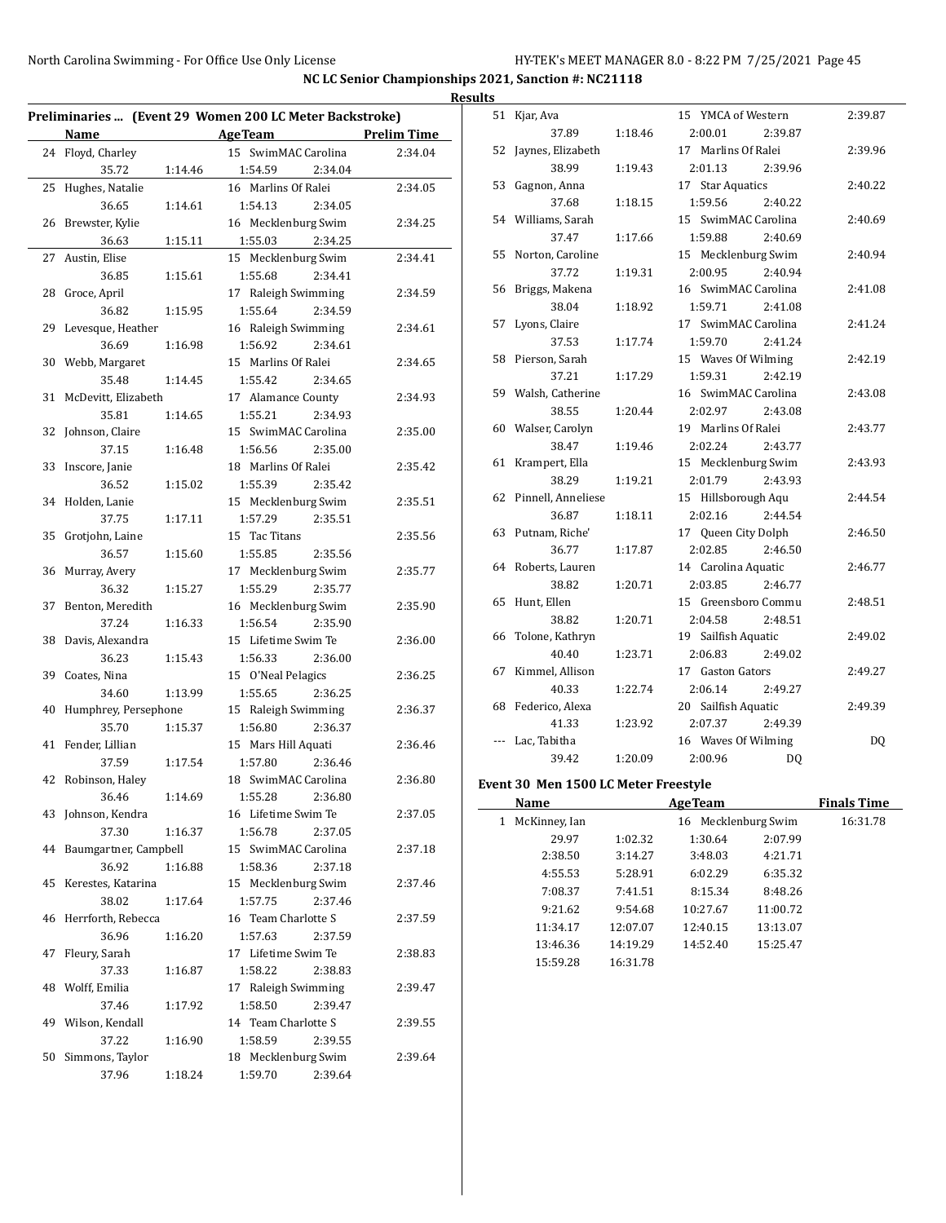#### North Carolina Swimming - For Office Use Only License H

| HY-TEK's MEET MANAGER 8.0 - 8:22 PM 7/25/2021 Page 45 |  |  |  |
|-------------------------------------------------------|--|--|--|
|-------------------------------------------------------|--|--|--|

|    | Preliminaries  (Event 29 Women 200 LC Meter Backstroke) |         |                                          |                    |
|----|---------------------------------------------------------|---------|------------------------------------------|--------------------|
|    | Name                                                    |         | <b>Age Team</b>                          | <b>Prelim Time</b> |
|    | 24 Floyd, Charley                                       |         | 15 SwimMAC Carolina                      | 2:34.04            |
|    | 35.72                                                   | 1:14.46 | 1:54.59<br>2:34.04                       |                    |
|    | 25 Hughes, Natalie                                      |         | 16 Marlins Of Ralei                      | 2:34.05            |
|    | 36.65                                                   | 1:14.61 | 1:54.13<br>2:34.05                       |                    |
|    | 26 Brewster, Kylie                                      |         | 16 Mecklenburg Swim                      | 2:34.25            |
|    | 36.63                                                   | 1:15.11 | 1:55.03<br>2:34.25                       |                    |
| 27 | Austin, Elise                                           |         | 15 Mecklenburg Swim                      | 2:34.41            |
|    | 36.85                                                   | 1:15.61 | 1:55.68<br>2:34.41                       |                    |
|    | 28 Groce, April                                         |         | 17 Raleigh Swimming                      | 2:34.59            |
|    | 36.82                                                   | 1:15.95 | 2:34.59<br>1:55.64                       |                    |
|    | 29 Levesque, Heather                                    |         | 16 Raleigh Swimming                      | 2:34.61            |
|    | 36.69                                                   | 1:16.98 | 1:56.92<br>2:34.61                       |                    |
|    | 30 Webb, Margaret                                       |         | 15 Marlins Of Ralei                      | 2:34.65            |
|    | 35.48<br>McDevitt, Elizabeth                            | 1:14.45 | 1:55.42<br>2:34.65<br>17 Alamance County |                    |
|    | 35.81                                                   | 1:14.65 | 2:34.93<br>1:55.21                       | 2:34.93            |
|    | 32 Johnson, Claire                                      |         | 15 SwimMAC Carolina                      | 2:35.00            |
|    | 37.15                                                   | 1:16.48 | 1:56.56<br>2:35.00                       |                    |
|    | 33 Inscore, Janie                                       |         | 18 Marlins Of Ralei                      | 2:35.42            |
|    | 36.52                                                   | 1:15.02 | 1:55.39<br>2:35.42                       |                    |
|    | 34 Holden, Lanie                                        |         | 15 Mecklenburg Swim                      | 2:35.51            |
|    | 37.75                                                   | 1:17.11 | 1:57.29<br>2:35.51                       |                    |
|    | 35 Grotjohn, Laine                                      |         | 15 Tac Titans                            | 2:35.56            |
|    | 36.57                                                   | 1:15.60 | 1:55.85<br>2:35.56                       |                    |
|    | 36 Murray, Avery                                        |         | 17 Mecklenburg Swim                      | 2:35.77            |
|    | 36.32                                                   | 1:15.27 | 2:35.77<br>1:55.29                       |                    |
|    | Benton, Meredith                                        |         | 16 Mecklenburg Swim                      | 2:35.90            |
|    | 37.24                                                   | 1:16.33 | 1:56.54<br>2:35.90                       |                    |
|    | 38 Davis, Alexandra                                     |         | 15 Lifetime Swim Te                      | 2:36.00            |
|    | 36.23                                                   | 1:15.43 | 1:56.33<br>2:36.00                       |                    |
|    | 39 Coates, Nina                                         |         | 15 O'Neal Pelagics                       | 2:36.25            |
|    | 34.60                                                   | 1:13.99 | 1:55.65<br>2:36.25                       |                    |
|    | 40 Humphrey, Persephone                                 |         | 15 Raleigh Swimming                      | 2:36.37            |
|    | 35.70                                                   | 1:15.37 | 1:56.80<br>2:36.37                       |                    |
|    | 41 Fender, Lillian                                      |         | 15 Mars Hill Aquati                      | 2:36.46            |
|    | 37.59                                                   | 1:17.54 | 1:57.80<br>2:36.46                       |                    |
|    | 42 Robinson, Haley                                      |         | 18 SwimMAC Carolina                      | 2:36.80            |
|    | 36.46                                                   | 1:14.69 | 1:55.28<br>2:36.80                       |                    |
|    | 43 Johnson, Kendra                                      |         | 16 Lifetime Swim Te                      | 2:37.05            |
|    | 37.30                                                   | 1:16.37 | 1:56.78<br>2:37.05                       |                    |
|    | 44 Baumgartner, Campbell                                |         | 15 SwimMAC Carolina                      | 2:37.18            |
|    | 36.92                                                   | 1:16.88 | 1:58.36<br>2:37.18                       |                    |
|    | 45 Kerestes, Katarina                                   |         | 15 Mecklenburg Swim                      | 2:37.46            |
|    | 38.02                                                   | 1:17.64 | 1:57.75<br>2:37.46                       |                    |
|    | 46 Herrforth, Rebecca                                   |         | 16 Team Charlotte S                      | 2:37.59            |
|    | 36.96                                                   | 1:16.20 | 1:57.63<br>2:37.59                       |                    |
| 47 | Fleury, Sarah                                           |         | 17 Lifetime Swim Te                      | 2:38.83            |
|    | 37.33                                                   | 1:16.87 | 1:58.22<br>2:38.83                       |                    |
|    | 48 Wolff, Emilia                                        |         | 17 Raleigh Swimming                      | 2:39.47            |
|    | 37.46                                                   | 1:17.92 | 1:58.50<br>2:39.47                       |                    |
|    | 49 Wilson, Kendall                                      |         | 14 Team Charlotte S                      | 2:39.55            |
|    | 37.22                                                   | 1:16.90 | 1:58.59<br>2:39.55                       |                    |
|    | 50 Simmons, Taylor                                      |         | 18 Mecklenburg Swim                      | 2:39.64            |
|    |                                                         |         |                                          |                    |

| ults |                                      |         |                     |                    |
|------|--------------------------------------|---------|---------------------|--------------------|
| 51   | Kjar, Ava                            |         | 15 YMCA of Western  | 2:39.87            |
|      | 37.89                                | 1:18.46 | 2:00.01<br>2:39.87  |                    |
| 52   | Jaynes, Elizabeth                    |         | 17 Marlins Of Ralei | 2:39.96            |
|      | 38.99                                | 1:19.43 | 2:01.13<br>2:39.96  |                    |
| 53   | Gagnon, Anna                         |         | 17 Star Aquatics    | 2:40.22            |
|      | 37.68                                | 1:18.15 | 1:59.56<br>2:40.22  |                    |
|      | 54 Williams, Sarah                   |         | 15 SwimMAC Carolina | 2:40.69            |
|      | 37.47                                | 1:17.66 | 1:59.88<br>2:40.69  |                    |
| 55   | Norton, Caroline                     |         | 15 Mecklenburg Swim | 2:40.94            |
|      | 37.72                                | 1:19.31 | 2:00.95<br>2:40.94  |                    |
| 56   | Briggs, Makena                       |         | 16 SwimMAC Carolina | 2:41.08            |
|      | 38.04                                | 1:18.92 | 1:59.71<br>2:41.08  |                    |
| 57   | Lyons, Claire                        |         | 17 SwimMAC Carolina | 2:41.24            |
|      | 37.53                                | 1:17.74 | 1:59.70<br>2:41.24  |                    |
| 58   | Pierson, Sarah                       |         | 15 Waves Of Wilming | 2:42.19            |
|      | 37.21                                | 1:17.29 | 1:59.31<br>2:42.19  |                    |
|      | 59 Walsh, Catherine                  |         | 16 SwimMAC Carolina | 2:43.08            |
|      | 38.55                                | 1:20.44 | 2:02.97<br>2:43.08  |                    |
| 60   | Walser, Carolyn                      |         | 19 Marlins Of Ralei | 2:43.77            |
|      | 38.47                                | 1:19.46 | 2:02.24<br>2:43.77  |                    |
| 61   | Krampert, Ella                       |         | 15 Mecklenburg Swim | 2:43.93            |
|      | 38.29                                | 1:19.21 | 2:01.79<br>2:43.93  |                    |
| 62   | Pinnell, Anneliese                   |         | 15 Hillsborough Aqu | 2:44.54            |
|      | 36.87                                | 1:18.11 | 2:02.16<br>2:44.54  |                    |
| 63   | Putnam, Riche'                       |         | 17 Queen City Dolph | 2:46.50            |
|      | 36.77                                | 1:17.87 | 2:02.85<br>2:46.50  |                    |
| 64   | Roberts, Lauren                      |         | 14 Carolina Aquatic | 2:46.77            |
|      | 38.82                                | 1:20.71 | 2:03.85<br>2:46.77  |                    |
| 65   | Hunt, Ellen                          |         | 15 Greensboro Commu | 2:48.51            |
|      | 38.82                                | 1:20.71 | 2:04.58<br>2:48.51  |                    |
| 66   | Tolone, Kathryn                      |         | 19 Sailfish Aquatic | 2:49.02            |
|      | 40.40                                | 1:23.71 | 2:49.02<br>2:06.83  |                    |
| 67   | Kimmel, Allison                      |         | 17 Gaston Gators    | 2:49.27            |
|      | 40.33                                | 1:22.74 | 2:06.14<br>2:49.27  |                    |
| 68   | Federico, Alexa                      |         | 20 Sailfish Aquatic | 2:49.39            |
|      | 41.33                                | 1:23.92 | 2:07.37<br>2:49.39  |                    |
|      | Lac, Tabitha                         |         | 16 Waves Of Wilming | DQ                 |
|      | 39.42                                | 1:20.09 | 2:00.96<br>DQ       |                    |
|      | Event 30 Men 1500 LC Meter Freestyle |         |                     |                    |
|      | Name                                 |         | <b>AgeTeam</b>      | <b>Finals Time</b> |
|      |                                      |         |                     |                    |

|   | name          |          | Age Team            |          | <b>Finals Time</b> |
|---|---------------|----------|---------------------|----------|--------------------|
| 1 | McKinney, Ian |          | 16 Mecklenburg Swim |          | 16:31.78           |
|   | 29.97         | 1:02.32  | 1:30.64             | 2:07.99  |                    |
|   | 2:38.50       | 3:14.27  | 3:48.03             | 4:21.71  |                    |
|   | 4:55.53       | 5:28.91  | 6:02.29             | 6:35.32  |                    |
|   | 7:08.37       | 7:41.51  | 8:15.34             | 8:48.26  |                    |
|   | 9:21.62       | 9:54.68  | 10:27.67            | 11:00.72 |                    |
|   | 11:34.17      | 12:07.07 | 12:40.15            | 13:13.07 |                    |
|   | 13:46.36      | 14:19.29 | 14:52.40            | 15:25.47 |                    |
|   | 15:59.28      | 16:31.78 |                     |          |                    |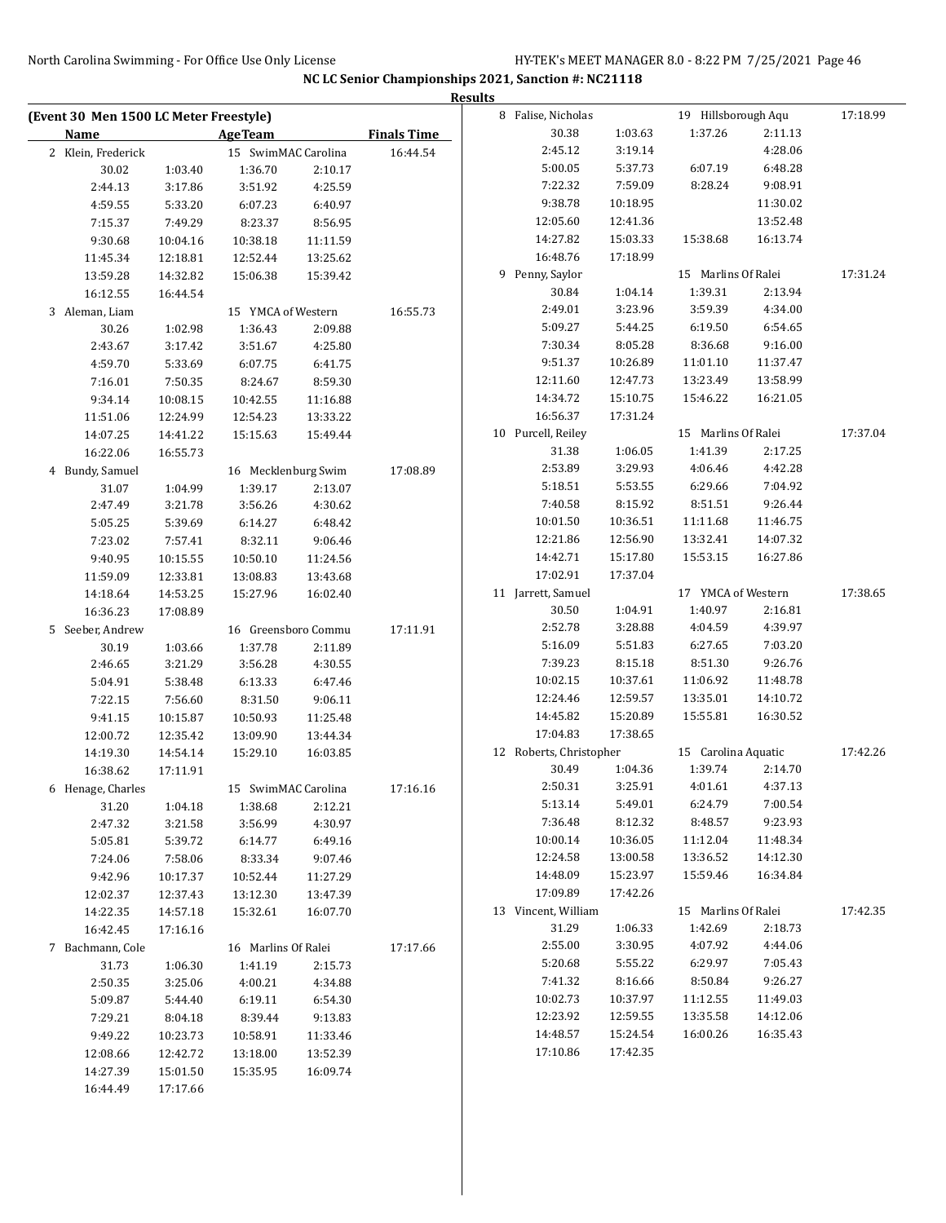|                                        |                    |                      |          |                    | <b>Results</b> |                         |                    |                     |                    |          |
|----------------------------------------|--------------------|----------------------|----------|--------------------|----------------|-------------------------|--------------------|---------------------|--------------------|----------|
| (Event 30 Men 1500 LC Meter Freestyle) |                    |                      |          |                    |                | 8 Falise, Nicholas      |                    | 19 Hillsborough Aqu |                    | 17:18.99 |
| Name                                   |                    | <b>AgeTeam</b>       |          | <b>Finals Time</b> |                | 30.38                   | 1:03.63            | 1:37.26             | 2:11.13            |          |
| 2 Klein, Frederick                     |                    | 15 SwimMAC Carolina  |          | 16:44.54           |                | 2:45.12                 | 3:19.14            |                     | 4:28.06            |          |
| 30.02                                  | 1:03.40            | 1:36.70              | 2:10.17  |                    |                | 5:00.05                 | 5:37.73            | 6:07.19             | 6:48.28            |          |
| 2:44.13                                | 3:17.86            | 3:51.92              | 4:25.59  |                    |                | 7:22.32                 | 7:59.09            | 8:28.24             | 9:08.91            |          |
| 4:59.55                                | 5:33.20            | 6:07.23              | 6:40.97  |                    |                | 9:38.78                 | 10:18.95           |                     | 11:30.02           |          |
| 7:15.37                                | 7:49.29            | 8:23.37              | 8:56.95  |                    |                | 12:05.60                | 12:41.36           |                     | 13:52.48           |          |
| 9:30.68                                | 10:04.16           | 10:38.18             | 11:11.59 |                    |                | 14:27.82                | 15:03.33           | 15:38.68            | 16:13.74           |          |
| 11:45.34                               | 12:18.81           | 12:52.44             | 13:25.62 |                    |                | 16:48.76                | 17:18.99           |                     |                    |          |
| 13:59.28                               | 14:32.82           | 15:06.38             | 15:39.42 |                    |                | 9 Penny, Saylor         |                    | 15 Marlins Of Ralei |                    | 17:31.24 |
| 16:12.55                               | 16:44.54           |                      |          |                    |                | 30.84                   | 1:04.14            | 1:39.31             | 2:13.94            |          |
| 3 Aleman, Liam                         |                    | 15 YMCA of Western   |          | 16:55.73           |                | 2:49.01                 | 3:23.96            | 3:59.39             | 4:34.00            |          |
| 30.26                                  | 1:02.98            | 1:36.43              | 2:09.88  |                    |                | 5:09.27                 | 5:44.25            | 6:19.50             | 6:54.65            |          |
| 2:43.67                                | 3:17.42            | 3:51.67              | 4:25.80  |                    |                | 7:30.34                 | 8:05.28            | 8:36.68             | 9:16.00            |          |
| 4:59.70                                | 5:33.69            | 6:07.75              | 6:41.75  |                    |                | 9:51.37                 | 10:26.89           | 11:01.10            | 11:37.47           |          |
| 7:16.01                                | 7:50.35            | 8:24.67              | 8:59.30  |                    |                | 12:11.60                | 12:47.73           | 13:23.49            | 13:58.99           |          |
| 9:34.14                                | 10:08.15           | 10:42.55             | 11:16.88 |                    |                | 14:34.72                | 15:10.75           | 15:46.22            | 16:21.05           |          |
| 11:51.06                               | 12:24.99           | 12:54.23             | 13:33.22 |                    |                | 16:56.37                | 17:31.24           |                     |                    |          |
| 14:07.25                               | 14:41.22           | 15:15.63             | 15:49.44 |                    |                | 10 Purcell, Reiley      |                    | 15 Marlins Of Ralei |                    | 17:37.04 |
| 16:22.06                               | 16:55.73           |                      |          |                    |                | 31.38                   | 1:06.05            | 1:41.39             | 2:17.25            |          |
| 4 Bundy, Samuel                        |                    | 16 Mecklenburg Swim  |          | 17:08.89           |                | 2:53.89                 | 3:29.93            | 4:06.46             | 4:42.28            |          |
| 31.07                                  | 1:04.99            | 1:39.17              | 2:13.07  |                    |                | 5:18.51                 | 5:53.55            | 6:29.66             | 7:04.92            |          |
| 2:47.49                                | 3:21.78            | 3:56.26              | 4:30.62  |                    |                | 7:40.58                 | 8:15.92            | 8:51.51             | 9:26.44            |          |
| 5:05.25                                | 5:39.69            | 6:14.27              | 6:48.42  |                    |                | 10:01.50                | 10:36.51           | 11:11.68            | 11:46.75           |          |
| 7:23.02                                | 7:57.41            | 8:32.11              | 9:06.46  |                    |                | 12:21.86                | 12:56.90           | 13:32.41            | 14:07.32           |          |
| 9:40.95                                | 10:15.55           | 10:50.10             | 11:24.56 |                    |                | 14:42.71                | 15:17.80           | 15:53.15            | 16:27.86           |          |
| 11:59.09                               | 12:33.81           | 13:08.83             | 13:43.68 |                    |                | 17:02.91                | 17:37.04           |                     |                    |          |
| 14:18.64                               | 14:53.25           | 15:27.96             | 16:02.40 |                    |                | 11 Jarrett, Samuel      |                    | 17 YMCA of Western  |                    | 17:38.65 |
| 16:36.23                               | 17:08.89           |                      |          |                    |                | 30.50                   | 1:04.91            | 1:40.97             | 2:16.81            |          |
| 5 Seeber, Andrew                       |                    | 16 Greensboro Commu  |          | 17:11.91           |                | 2:52.78                 | 3:28.88            | 4:04.59             | 4:39.97<br>7:03.20 |          |
| 30.19                                  | 1:03.66            | 1:37.78              | 2:11.89  |                    |                | 5:16.09<br>7:39.23      | 5:51.83<br>8:15.18 | 6:27.65<br>8:51.30  | 9:26.76            |          |
| 2:46.65                                | 3:21.29            | 3:56.28              | 4:30.55  |                    |                | 10:02.15                | 10:37.61           | 11:06.92            | 11:48.78           |          |
| 5:04.91                                | 5:38.48<br>7:56.60 | 6:13.33              | 6:47.46  |                    |                | 12:24.46                | 12:59.57           | 13:35.01            | 14:10.72           |          |
| 7:22.15                                |                    | 8:31.50              | 9:06.11  |                    |                | 14:45.82                | 15:20.89           | 15:55.81            | 16:30.52           |          |
| 9:41.15                                | 10:15.87           | 10:50.93             | 11:25.48 |                    |                | 17:04.83                | 17:38.65           |                     |                    |          |
| 12:00.72                               | 12:35.42           | 13:09.90<br>15:29.10 | 13:44.34 |                    |                | 12 Roberts, Christopher |                    | 15 Carolina Aquatic |                    | 17:42.26 |
| 14:19.30<br>16:38.62                   | 14:54.14           |                      | 16:03.85 |                    |                | 30.49                   | 1:04.36            | 1:39.74             | 2:14.70            |          |
| 6 Henage, Charles                      | 17:11.91           | 15 SwimMAC Carolina  |          | 17:16.16           |                | 2:50.31                 | 3:25.91            | 4:01.61             | 4:37.13            |          |
| 31.20                                  | 1:04.18            | 1:38.68              | 2:12.21  |                    |                | 5:13.14                 | 5:49.01            | 6:24.79             | 7:00.54            |          |
| 2:47.32                                | 3:21.58            | 3:56.99              | 4:30.97  |                    |                | 7:36.48                 | 8:12.32            | 8:48.57             | 9:23.93            |          |
| 5:05.81                                | 5:39.72            | 6:14.77              | 6:49.16  |                    |                | 10:00.14                | 10:36.05           | 11:12.04            | 11:48.34           |          |
| 7:24.06                                | 7:58.06            | 8:33.34              | 9:07.46  |                    |                | 12:24.58                | 13:00.58           | 13:36.52            | 14:12.30           |          |
| 9:42.96                                | 10:17.37           | 10:52.44             | 11:27.29 |                    |                | 14:48.09                | 15:23.97           | 15:59.46            | 16:34.84           |          |
| 12:02.37                               | 12:37.43           | 13:12.30             | 13:47.39 |                    |                | 17:09.89                | 17:42.26           |                     |                    |          |
| 14:22.35                               | 14:57.18           | 15:32.61             | 16:07.70 |                    |                | 13 Vincent, William     |                    | 15 Marlins Of Ralei |                    | 17:42.35 |
| 16:42.45                               | 17:16.16           |                      |          |                    |                | 31.29                   | 1:06.33            | 1:42.69             | 2:18.73            |          |
| 7 Bachmann, Cole                       |                    | 16 Marlins Of Ralei  |          | 17:17.66           |                | 2:55.00                 | 3:30.95            | 4:07.92             | 4:44.06            |          |
| 31.73                                  | 1:06.30            | 1:41.19              | 2:15.73  |                    |                | 5:20.68                 | 5:55.22            | 6:29.97             | 7:05.43            |          |
| 2:50.35                                | 3:25.06            | 4:00.21              | 4:34.88  |                    |                | 7:41.32                 | 8:16.66            | 8:50.84             | 9:26.27            |          |
| 5:09.87                                | 5:44.40            | 6:19.11              | 6:54.30  |                    |                | 10:02.73                | 10:37.97           | 11:12.55            | 11:49.03           |          |
| 7:29.21                                | 8:04.18            | 8:39.44              | 9:13.83  |                    |                | 12:23.92                | 12:59.55           | 13:35.58            | 14:12.06           |          |
| 9:49.22                                | 10:23.73           | 10:58.91             | 11:33.46 |                    |                | 14:48.57                | 15:24.54           | 16:00.26            | 16:35.43           |          |
| 12:08.66                               | 12:42.72           | 13:18.00             | 13:52.39 |                    |                | 17:10.86                | 17:42.35           |                     |                    |          |
| 14:27.39                               | 15:01.50           | 15:35.95             | 16:09.74 |                    |                |                         |                    |                     |                    |          |
| 16:44.49                               | 17:17.66           |                      |          |                    |                |                         |                    |                     |                    |          |
|                                        |                    |                      |          |                    |                |                         |                    |                     |                    |          |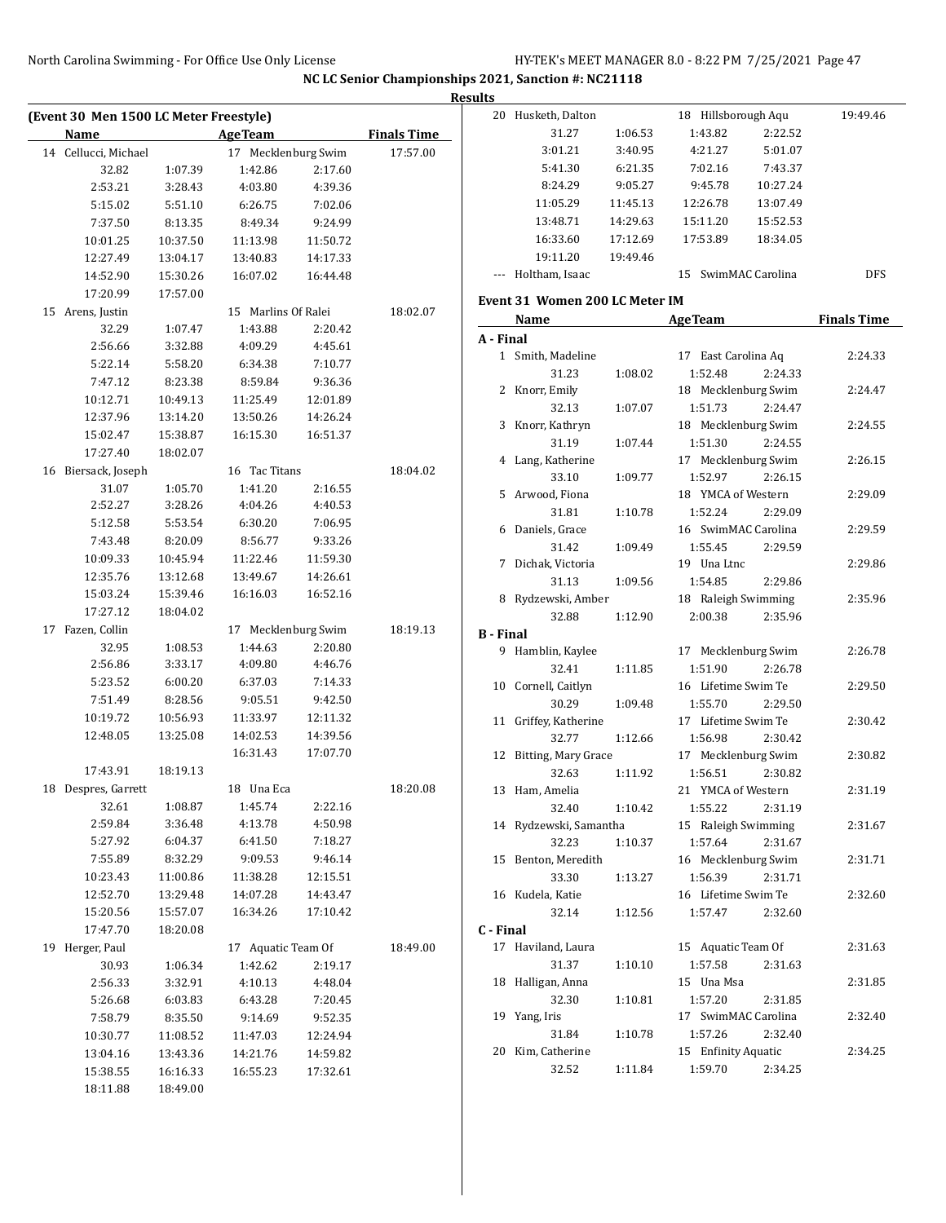|    | (Event 30 Men 1500 LC Meter Freestyle) |          |                     |          |                    |         |
|----|----------------------------------------|----------|---------------------|----------|--------------------|---------|
|    | <b>Name</b>                            |          | <b>AgeTeam</b>      |          | <b>Finals Time</b> |         |
|    | 14 Cellucci, Michael                   |          | 17 Mecklenburg Swim |          | 17:57.00           |         |
|    | 32.82                                  | 1:07.39  | 1:42.86             | 2:17.60  |                    |         |
|    | 2:53.21                                | 3:28.43  | 4:03.80             | 4:39.36  |                    |         |
|    | 5:15.02                                | 5:51.10  | 6:26.75             | 7:02.06  |                    |         |
|    | 7:37.50                                | 8:13.35  | 8:49.34             | 9:24.99  |                    |         |
|    | 10:01.25                               | 10:37.50 | 11:13.98            | 11:50.72 |                    |         |
|    | 12:27.49                               | 13:04.17 | 13:40.83            | 14:17.33 |                    |         |
|    | 14:52.90                               | 15:30.26 | 16:07.02            | 16:44.48 |                    |         |
|    | 17:20.99                               | 17:57.00 |                     |          |                    | Eve     |
|    | 15 Arens, Justin                       |          | 15 Marlins Of Ralei |          | 18:02.07           |         |
|    | 32.29                                  | 1:07.47  | 1:43.88             | 2:20.42  |                    |         |
|    | 2:56.66                                | 3:32.88  | 4:09.29             | 4:45.61  |                    | $A -$   |
|    | 5:22.14                                | 5:58.20  | 6:34.38             | 7:10.77  |                    |         |
|    | 7:47.12                                | 8:23.38  | 8:59.84             | 9:36.36  |                    |         |
|    | 10:12.71                               | 10:49.13 | 11:25.49            | 12:01.89 |                    |         |
|    | 12:37.96                               | 13:14.20 | 13:50.26            | 14:26.24 |                    |         |
|    | 15:02.47                               | 15:38.87 | 16:15.30            | 16:51.37 |                    |         |
|    | 17:27.40                               | 18:02.07 |                     |          |                    |         |
|    | 16 Biersack, Joseph                    |          | 16 Tac Titans       |          | 18:04.02           |         |
|    | 31.07                                  | 1:05.70  | 1:41.20             | 2:16.55  |                    |         |
|    | 2:52.27                                | 3:28.26  | 4:04.26             | 4:40.53  |                    |         |
|    | 5:12.58                                | 5:53.54  | 6:30.20             | 7:06.95  |                    |         |
|    | 7:43.48                                | 8:20.09  | 8:56.77             | 9:33.26  |                    |         |
|    | 10:09.33                               | 10:45.94 | 11:22.46            | 11:59.30 |                    |         |
|    | 12:35.76                               | 13:12.68 | 13:49.67            | 14:26.61 |                    |         |
|    | 15:03.24                               | 15:39.46 | 16:16.03            | 16:52.16 |                    |         |
|    | 17:27.12                               | 18:04.02 |                     |          |                    |         |
| 17 | Fazen, Collin                          |          | 17 Mecklenburg Swim |          | 18:19.13           |         |
|    | 32.95                                  | 1:08.53  | 1:44.63             | 2:20.80  |                    |         |
|    | 2:56.86                                | 3:33.17  | 4:09.80             | 4:46.76  |                    |         |
|    | 5:23.52                                | 6:00.20  | 6:37.03             | 7:14.33  |                    |         |
|    | 7:51.49                                | 8:28.56  | 9:05.51             | 9:42.50  |                    |         |
|    |                                        | 10:56.93 | 11:33.97            |          |                    |         |
|    | 10:19.72<br>12:48.05                   | 13:25.08 |                     | 12:11.32 |                    |         |
|    |                                        |          | 14:02.53            | 14:39.56 |                    |         |
|    |                                        |          | 16:31.43            | 17:07.70 |                    |         |
|    | 17:43.91                               | 18:19.13 | 18 Una Eca          |          |                    |         |
|    | 18 Despres, Garrett                    |          |                     |          | 18:20.08           |         |
|    | 32.61                                  | 1:08.87  | 1:45.74             | 2:22.16  |                    |         |
|    | 2:59.84                                | 3:36.48  | 4:13.78             | 4:50.98  |                    |         |
|    | 5:27.92                                | 6:04.37  | 6:41.50             | 7:18.27  |                    |         |
|    | 7:55.89                                | 8:32.29  | 9:09.53             | 9:46.14  |                    |         |
|    | 10:23.43                               | 11:00.86 | 11:38.28            | 12:15.51 |                    |         |
|    | 12:52.70                               | 13:29.48 | 14:07.28            | 14:43.47 |                    |         |
|    | 15:20.56                               | 15:57.07 | 16:34.26            | 17:10.42 |                    |         |
|    | 17:47.70                               | 18:20.08 |                     |          |                    | $C - 1$ |
|    | 19 Herger, Paul                        |          | 17 Aquatic Team Of  |          | 18:49.00           |         |
|    | 30.93                                  | 1:06.34  | 1:42.62             | 2:19.17  |                    |         |
|    | 2:56.33                                | 3:32.91  | 4:10.13             | 4:48.04  |                    |         |
|    | 5:26.68                                | 6:03.83  | 6:43.28             | 7:20.45  |                    |         |
|    | 7:58.79                                | 8:35.50  | 9:14.69             | 9:52.35  |                    |         |
|    | 10:30.77                               | 11:08.52 | 11:47.03            | 12:24.94 |                    |         |
|    | 13:04.16                               | 13:43.36 | 14:21.76            | 14:59.82 |                    |         |
|    | 15:38.55                               | 16:16.33 | 16:55.23            | 17:32.61 |                    |         |
|    | 18:11.88                               | 18:49.00 |                     |          |                    |         |

| սււა             |                                |          |                      |                    |
|------------------|--------------------------------|----------|----------------------|--------------------|
|                  | 20 Husketh, Dalton             |          | 18 Hillsborough Aqu  | 19:49.46           |
|                  | 31.27                          | 1:06.53  | 1:43.82<br>2:22.52   |                    |
|                  | 3:01.21                        | 3:40.95  | 4:21.27<br>5:01.07   |                    |
|                  | 5:41.30                        | 6:21.35  | 7:02.16<br>7:43.37   |                    |
|                  | 8:24.29                        | 9:05.27  | 9:45.78<br>10:27.24  |                    |
|                  | 11:05.29                       |          |                      |                    |
|                  |                                | 11:45.13 | 12:26.78<br>13:07.49 |                    |
|                  | 13:48.71                       | 14:29.63 | 15:11.20<br>15:52.53 |                    |
|                  | 16:33.60                       | 17:12.69 | 17:53.89<br>18:34.05 |                    |
|                  | 19:11.20                       | 19:49.46 |                      |                    |
|                  | --- Holtham, Isaac             |          | 15 SwimMAC Carolina  | <b>DFS</b>         |
|                  | Event 31 Women 200 LC Meter IM |          |                      |                    |
|                  | <b>Name</b>                    |          | <b>AgeTeam</b>       | <b>Finals Time</b> |
|                  |                                |          |                      |                    |
| A - Final        |                                |          |                      |                    |
|                  | 1 Smith, Madeline              |          | 17 East Carolina Aq  | 2:24.33            |
|                  | 31.23                          | 1:08.02  | 1:52.48<br>2:24.33   |                    |
|                  | 2 Knorr, Emily                 |          | 18 Mecklenburg Swim  | 2:24.47            |
|                  | 32.13                          | 1:07.07  | 1:51.73<br>2:24.47   |                    |
|                  | 3 Knorr, Kathryn               |          | 18 Mecklenburg Swim  | 2:24.55            |
|                  | 31.19                          | 1:07.44  | 1:51.30<br>2:24.55   |                    |
|                  | 4 Lang, Katherine              |          | 17 Mecklenburg Swim  | 2:26.15            |
|                  | 33.10                          | 1:09.77  | 1:52.97<br>2:26.15   |                    |
|                  | 5 Arwood, Fiona                |          | 18 YMCA of Western   | 2:29.09            |
|                  | 31.81                          | 1:10.78  | 1:52.24<br>2:29.09   |                    |
|                  | 6 Daniels, Grace               |          | 16 SwimMAC Carolina  | 2:29.59            |
|                  | 31.42                          | 1:09.49  | 1:55.45<br>2:29.59   |                    |
| 7                | Dichak, Victoria               |          | 19 Una Ltnc          | 2:29.86            |
|                  |                                |          |                      |                    |
|                  | 31.13                          | 1:09.56  | 1:54.85<br>2:29.86   |                    |
|                  | 8 Rydzewski, Amber             |          | 18 Raleigh Swimming  | 2:35.96            |
|                  | 32.88                          | 1:12.90  | 2:00.38<br>2:35.96   |                    |
| <b>B</b> - Final |                                |          |                      |                    |
|                  | 9 Hamblin, Kaylee              |          | 17 Mecklenburg Swim  | 2:26.78            |
|                  | 32.41                          | 1:11.85  | 1:51.90<br>2:26.78   |                    |
|                  | 10 Cornell, Caitlyn            |          | 16 Lifetime Swim Te  | 2:29.50            |
|                  | 30.29                          | 1:09.48  | 1:55.70<br>2:29.50   |                    |
|                  | 11 Griffey, Katherine          |          | 17 Lifetime Swim Te  | 2:30.42            |
|                  | 32.77                          | 1:12.66  | 1:56.98<br>2:30.42   |                    |
|                  | 12 Bitting, Mary Grace         |          | 17 Mecklenburg Swim  | 2:30.82            |
|                  | 32.63                          | 1:11.92  | 1:56.51<br>2:30.82   |                    |
|                  | 13 Ham, Amelia                 |          | 21 YMCA of Western   | 2:31.19            |
|                  | 32.40                          | 1:10.42  | 1:55.22<br>2:31.19   |                    |
| 14               | Rydzewski, Samantha            |          | 15 Raleigh Swimming  |                    |
|                  | 32.23                          |          | 1:57.64<br>2:31.67   | 2:31.67            |
|                  |                                | 1:10.37  |                      |                    |
| 15               | Benton, Meredith               |          | 16 Mecklenburg Swim  | 2:31.71            |
|                  | 33.30                          | 1:13.27  | 1:56.39<br>2:31.71   |                    |
|                  | 16 Kudela, Katie               |          | 16 Lifetime Swim Te  | 2:32.60            |
|                  | 32.14                          | 1:12.56  | 1:57.47<br>2:32.60   |                    |
| C - Final        |                                |          |                      |                    |
| 17               | Haviland, Laura                |          | 15 Aquatic Team Of   | 2:31.63            |
|                  | 31.37                          | 1:10.10  | 1:57.58<br>2:31.63   |                    |
| 18               | Halligan, Anna                 |          | 15 Una Msa           | 2:31.85            |
|                  | 32.30                          | 1:10.81  | 1:57.20<br>2:31.85   |                    |
| 19               | Yang, Iris                     |          | 17 SwimMAC Carolina  | 2:32.40            |
|                  | 31.84                          | 1:10.78  | 2:32.40<br>1:57.26   |                    |
| 20               | Kim, Catherine                 |          | 15 Enfinity Aquatic  | 2:34.25            |
|                  | 32.52                          | 1:11.84  | 1:59.70<br>2:34.25   |                    |
|                  |                                |          |                      |                    |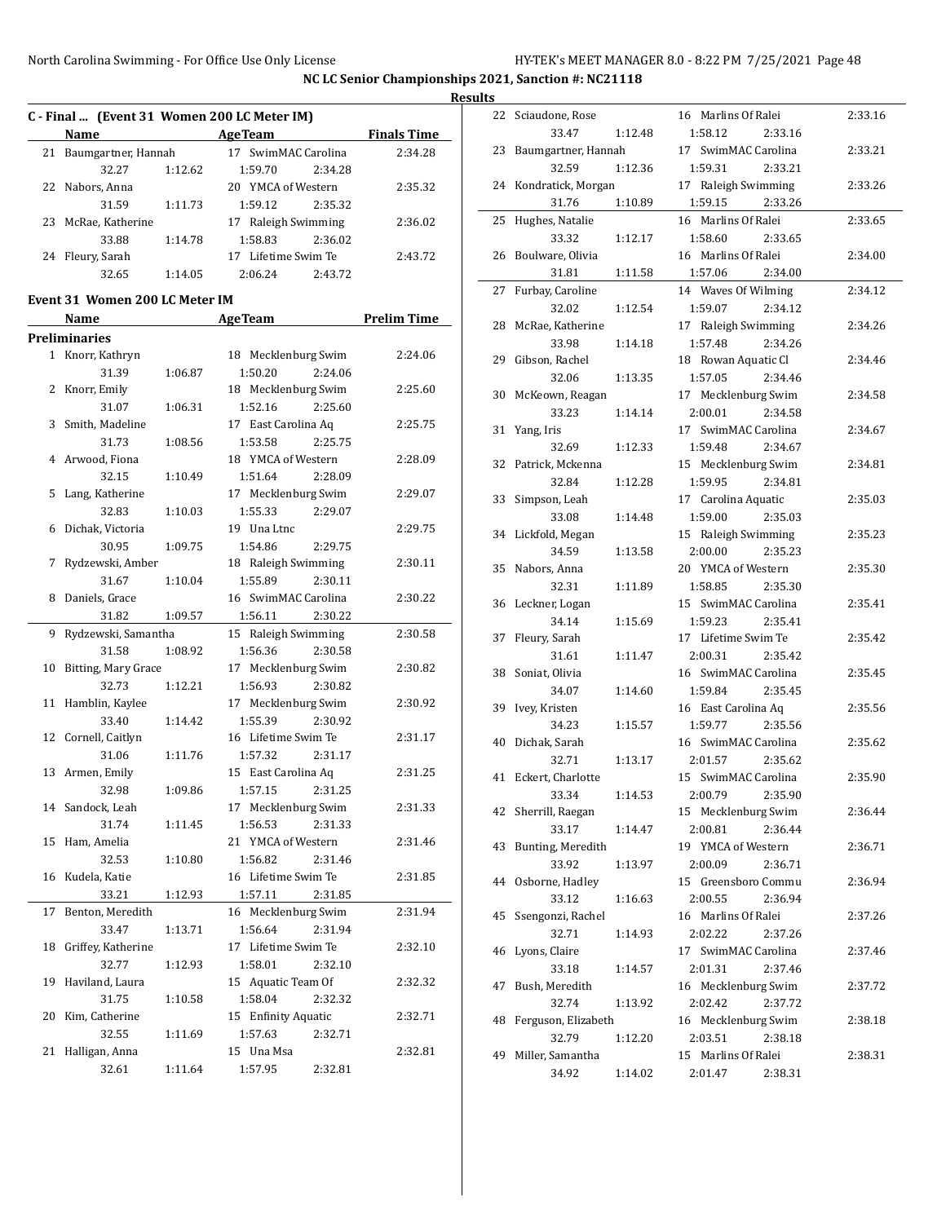$\overline{a}$ 

#### **Results**

|    |                     |         | C - Final  (Event 31 Women 200 LC Meter IM) |                    |
|----|---------------------|---------|---------------------------------------------|--------------------|
|    | <b>Name</b>         |         | <b>AgeTeam</b>                              | <b>Finals Time</b> |
| 21 | Baumgartner, Hannah |         | 17 SwimMAC Carolina                         | 2:34.28            |
|    | 32.27               | 1:12.62 | 1:59.70<br>2:34.28                          |                    |
|    | 22 Nabors, Anna     |         | 20 YMCA of Western                          | 2:35.32            |
|    | 31.59               | 1:11.73 | 2:35.32<br>1:59.12                          |                    |
| 23 | McRae, Katherine    |         | 17 Raleigh Swimming                         | 2:36.02            |
|    | 33.88               | 1:14.78 | 2:36.02<br>1:58.83                          |                    |
| 24 | Fleury, Sarah       |         | Lifetime Swim Te<br>17                      | 2:43.72            |
|    | 32.65               | 1:14.05 | 2:43.72<br>2:06.24                          |                    |

#### **Event 31 Women 200 LC Meter IM**

|              | Name                |         | <b>Age Team</b>     | <b>Prelim Time</b> |
|--------------|---------------------|---------|---------------------|--------------------|
|              | Preliminaries       |         |                     |                    |
| $\mathbf{1}$ | Knorr, Kathryn      |         | 18 Mecklenburg Swim | 2:24.06            |
|              | 31.39               | 1:06.87 | 1:50.20<br>2:24.06  |                    |
| 2            | Knorr, Emily        |         | 18 Mecklenburg Swim | 2:25.60            |
|              | 31.07               | 1:06.31 | 2:25.60<br>1:52.16  |                    |
| 3            | Smith, Madeline     |         | 17 East Carolina Aq | 2:25.75            |
|              | 31.73               | 1:08.56 | 1:53.58<br>2:25.75  |                    |
| 4            | Arwood, Fiona       |         | 18 YMCA of Western  | 2:28.09            |
|              | 32.15               | 1:10.49 | 1:51.64<br>2:28.09  |                    |
| 5            | Lang, Katherine     |         | 17 Mecklenburg Swim | 2:29.07            |
|              | 32.83               | 1:10.03 | 2:29.07<br>1:55.33  |                    |
| 6            | Dichak, Victoria    |         | 19 Una Ltnc         | 2:29.75            |
|              | 30.95               | 1:09.75 | 1:54.86<br>2:29.75  |                    |
| 7            | Rydzewski, Amber    |         | 18 Raleigh Swimming | 2:30.11            |
|              | 31.67               | 1:10.04 | 1:55.89<br>2:30.11  |                    |
| 8            | Daniels, Grace      |         | 16 SwimMAC Carolina | 2:30.22            |
|              | 31.82               | 1:09.57 | 1:56.11<br>2:30.22  |                    |
| 9            | Rydzewski, Samantha |         | 15 Raleigh Swimming | 2:30.58            |
|              | 31.58               | 1:08.92 | 1:56.36<br>2:30.58  |                    |
| 10           | Bitting, Mary Grace |         | 17 Mecklenburg Swim | 2:30.82            |
|              | 32.73               | 1:12.21 | 1:56.93<br>2:30.82  |                    |
| 11           | Hamblin, Kaylee     |         | 17 Mecklenburg Swim | 2:30.92            |
|              | 33.40               | 1:14.42 | 1:55.39<br>2:30.92  |                    |
| 12           | Cornell, Caitlyn    |         | 16 Lifetime Swim Te | 2:31.17            |
|              | 31.06               | 1:11.76 | 1:57.32<br>2:31.17  |                    |
| 13           | Armen, Emily        |         | 15 East Carolina Aq | 2:31.25            |
|              | 32.98               | 1:09.86 | 1:57.15<br>2:31.25  |                    |
| 14           | Sandock, Leah       |         | 17 Mecklenburg Swim | 2:31.33            |
|              | 31.74               | 1:11.45 | 1:56.53<br>2:31.33  |                    |
| 15           | Ham, Amelia         |         | 21 YMCA of Western  | 2:31.46            |
|              | 32.53               | 1:10.80 | 1:56.82<br>2:31.46  |                    |
| 16           | Kudela, Katie       |         | 16 Lifetime Swim Te | 2:31.85            |
|              | 33.21               | 1:12.93 | 1:57.11<br>2:31.85  |                    |
| 17           | Benton, Meredith    |         | 16 Mecklenburg Swim | 2:31.94            |
|              | 33.47               | 1:13.71 | 1:56.64<br>2:31.94  |                    |
| 18           | Griffey, Katherine  |         | 17 Lifetime Swim Te | 2:32.10            |
|              | 32.77               | 1:12.93 | 1:58.01<br>2:32.10  |                    |
| 19           | Haviland, Laura     |         | 15 Aquatic Team Of  | 2:32.32            |
|              | 31.75               | 1:10.58 | 1:58.04<br>2:32.32  |                    |
| 20           | Kim, Catherine      |         | 15 Enfinity Aquatic | 2:32.71            |
|              | 32.55               | 1:11.69 | 1:57.63<br>2:32.71  |                    |
| 21           | Halligan, Anna      |         | 15 Una Msa          | 2:32.81            |
|              | 32.61               | 1:11.64 | 1:57.95<br>2:32.81  |                    |

| 22 | Sciaudone, Rose              |         | 16 Marlins Of Ralei                       | 2:33.16 |
|----|------------------------------|---------|-------------------------------------------|---------|
|    | 33.47                        | 1:12.48 | 1:58.12<br>2:33.16                        |         |
| 23 | Baumgartner, Hannah          |         | 17 SwimMAC Carolina                       | 2:33.21 |
|    | 32.59                        | 1:12.36 | 1:59.31<br>2:33.21                        |         |
| 24 | Kondratick, Morgan           |         | 17 Raleigh Swimming                       | 2:33.26 |
|    | 31.76                        | 1:10.89 | 2:33.26<br>1:59.15                        |         |
| 25 | Hughes, Natalie              |         | 16 Marlins Of Ralei                       | 2:33.65 |
|    | 33.32                        | 1:12.17 | 1:58.60<br>2:33.65                        |         |
| 26 | Boulware, Olivia             |         | 16 Marlins Of Ralei                       | 2:34.00 |
|    | 31.81                        | 1:11.58 | 1:57.06<br>2:34.00                        |         |
| 27 | Furbay, Caroline             |         | 14 Waves Of Wilming                       | 2:34.12 |
|    | 32.02                        | 1:12.54 | 1:59.07<br>2:34.12                        |         |
| 28 | McRae, Katherine             |         | 17 Raleigh Swimming                       | 2:34.26 |
|    | 33.98                        | 1:14.18 | 1:57.48<br>2:34.26                        |         |
| 29 | Gibson, Rachel               |         | 18 Rowan Aquatic Cl                       | 2:34.46 |
|    | 32.06                        | 1:13.35 | 1:57.05<br>2:34.46                        |         |
| 30 | McKeown, Reagan              |         | 17 Mecklenburg Swim                       | 2:34.58 |
|    | 33.23                        | 1:14.14 | 2:34.58<br>2:00.01                        |         |
| 31 | Yang, Iris                   |         | 17 SwimMAC Carolina                       | 2:34.67 |
|    | 32.69                        | 1:12.33 | 1:59.48<br>2:34.67                        |         |
| 32 | Patrick, Mckenna             |         | 15 Mecklenburg Swim                       | 2:34.81 |
|    | 32.84                        | 1:12.28 | 1:59.95<br>2:34.81                        |         |
| 33 | Simpson, Leah                |         | 17 Carolina Aquatic                       | 2:35.03 |
|    | 33.08                        | 1:14.48 | 1:59.00<br>2:35.03                        |         |
| 34 | Lickfold, Megan              |         | 15 Raleigh Swimming                       | 2:35.23 |
|    | 34.59                        | 1:13.58 | 2:00.00<br>2:35.23                        |         |
| 35 | Nabors, Anna                 |         | 20 YMCA of Western                        | 2:35.30 |
|    | 32.31                        | 1:11.89 | 1:58.85<br>2:35.30                        |         |
| 36 | Leckner, Logan               |         | 15 SwimMAC Carolina                       | 2:35.41 |
|    | 34.14                        | 1:15.69 | 1:59.23<br>2:35.41                        |         |
| 37 | Fleury, Sarah                |         | 17 Lifetime Swim Te                       | 2:35.42 |
|    | 31.61                        | 1:11.47 | 2:00.31<br>2:35.42                        |         |
| 38 | Soniat, Olivia               |         | 16 SwimMAC Carolina                       | 2:35.45 |
|    | 34.07                        | 1:14.60 | 1:59.84<br>2:35.45                        |         |
| 39 | Ivey, Kristen                |         | 16 East Carolina Aq                       | 2:35.56 |
|    | 34.23                        | 1:15.57 | 1:59.77<br>2:35.56                        |         |
| 40 | Dichak, Sarah                |         | 16 SwimMAC Carolina                       | 2:35.62 |
|    | 32.71<br>Eckert, Charlotte   | 1:13.17 | 2:01.57<br>2:35.62<br>15 SwimMAC Carolina | 2:35.90 |
| 41 |                              | 1:14.53 | 2:00.79 2:35.90                           |         |
|    | 33.34<br>42 Sherrill, Raegan |         | 15 Mecklenburg Swim                       | 2:36.44 |
|    | 33.17                        | 1:14.47 | 2:36.44<br>2:00.81                        |         |
| 43 | Bunting, Meredith            |         | 19 YMCA of Western                        | 2:36.71 |
|    | 33.92                        | 1:13.97 | 2:00.09<br>2:36.71                        |         |
| 44 | Osborne, Hadley              |         | 15 Greensboro Commu                       | 2:36.94 |
|    | 33.12                        | 1:16.63 | 2:00.55<br>2:36.94                        |         |
| 45 | Ssengonzi, Rachel            |         | 16 Marlins Of Ralei                       | 2:37.26 |
|    | 32.71                        | 1:14.93 | 2:02.22<br>2:37.26                        |         |
| 46 | Lyons, Claire                |         | 17 SwimMAC Carolina                       | 2:37.46 |
|    | 33.18                        | 1:14.57 | 2:01.31<br>2:37.46                        |         |
| 47 | Bush, Meredith               |         | 16 Mecklenburg Swim                       | 2:37.72 |
|    | 32.74                        | 1:13.92 | 2:02.42<br>2:37.72                        |         |
| 48 | Ferguson, Elizabeth          |         | 16 Mecklenburg Swim                       | 2:38.18 |
|    | 32.79                        | 1:12.20 | 2:03.51<br>2:38.18                        |         |
| 49 | Miller, Samantha             |         | 15 Marlins Of Ralei                       | 2:38.31 |
|    | 34.92                        | 1:14.02 | 2:01.47<br>2:38.31                        |         |
|    |                              |         |                                           |         |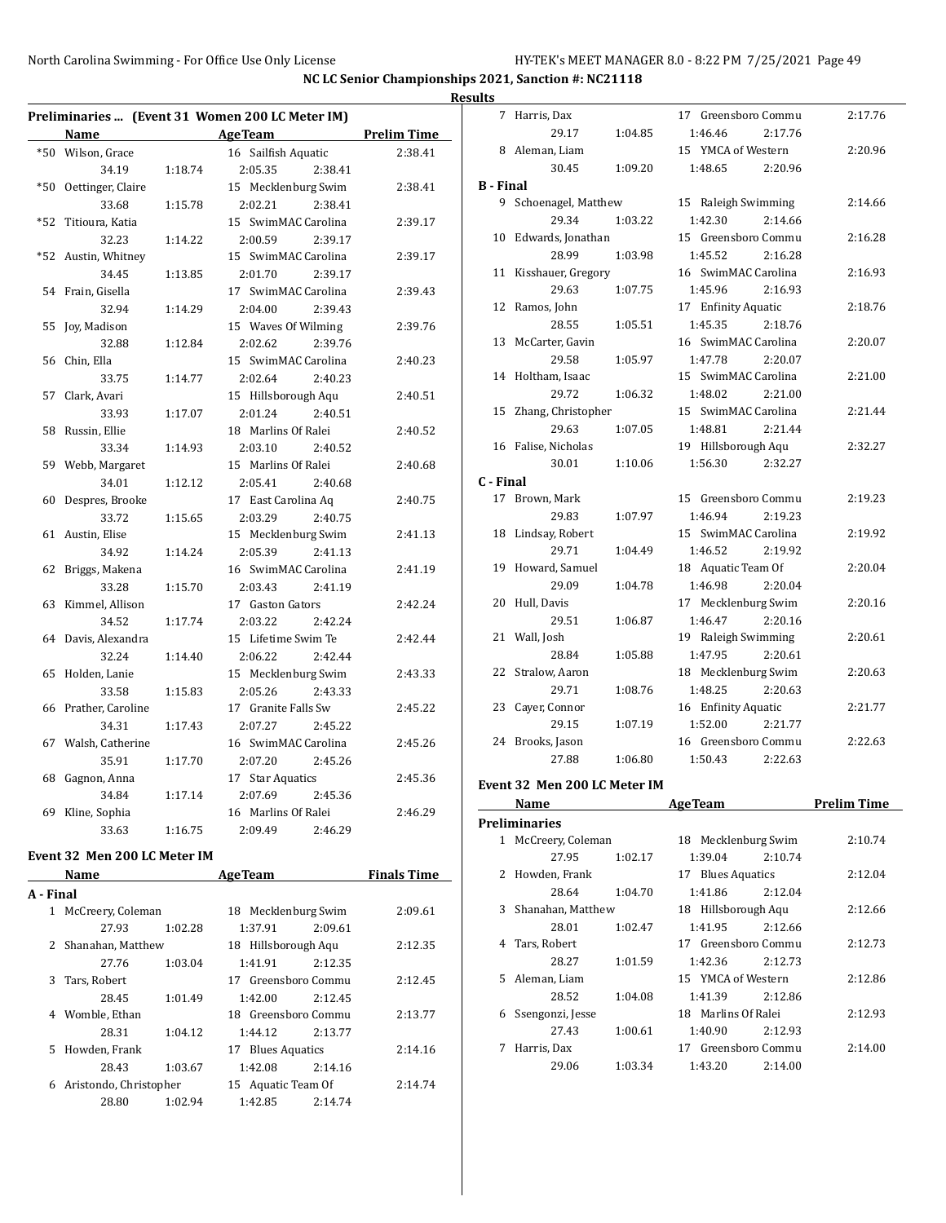**NC LC Senior Championships 2021, Sanction #: NC21118**

|       |                       |         |                                                                   |                    | <b>Results</b> |
|-------|-----------------------|---------|-------------------------------------------------------------------|--------------------|----------------|
|       | <b>Name</b>           |         | Preliminaries  (Event 31 Women 200 LC Meter IM)<br><b>AgeTeam</b> | <b>Prelim Time</b> |                |
|       | *50 Wilson, Grace     |         | 16 Sailfish Aquatic                                               | 2:38.41            |                |
|       | 34.19                 | 1:18.74 | 2:05.35<br>2:38.41                                                |                    |                |
|       | *50 Oettinger, Claire |         | 15 Mecklenburg Swim                                               | 2:38.41            | $B -$          |
|       | 33.68                 | 1:15.78 | 2:02.21<br>2:38.41                                                |                    |                |
| $*52$ | Titioura, Katia       |         | 15 SwimMAC Carolina                                               | 2:39.17            |                |
|       | 32.23                 | 1:14.22 | 2:00.59<br>2:39.17                                                |                    | $\mathbf{1}$   |
|       | *52 Austin, Whitney   |         | 15 SwimMAC Carolina                                               | 2:39.17            |                |
|       | 34.45                 | 1:13.85 | 2:01.70<br>2:39.17                                                |                    | 1              |
|       | 54 Frain, Gisella     |         | 17 SwimMAC Carolina                                               | 2:39.43            |                |
|       | 32.94                 | 1:14.29 | 2:39.43<br>2:04.00                                                |                    | 1              |
| 55    | Joy, Madison          |         | 15 Waves Of Wilming                                               | 2:39.76            |                |
|       | 32.88                 | 1:12.84 | 2:02.62<br>2:39.76                                                |                    | $\overline{1}$ |
|       | 56 Chin, Ella         |         | 15 SwimMAC Carolina                                               | 2:40.23            |                |
|       | 33.75                 | 1:14.77 | 2:02.64<br>2:40.23                                                |                    | $\overline{1}$ |
|       | 57 Clark, Avari       |         | 15 Hillsborough Aqu                                               | 2:40.51            |                |
|       | 33.93                 | 1:17.07 | 2:01.24<br>2:40.51                                                |                    | 1              |
|       | 58 Russin, Ellie      |         | 18 Marlins Of Ralei                                               | 2:40.52            |                |
|       | 33.34                 | 1:14.93 | 2:03.10<br>2:40.52                                                |                    | 1              |
|       | 59 Webb, Margaret     |         | 15 Marlins Of Ralei                                               | 2:40.68            |                |
|       | 34.01                 | 1:12.12 | 2:05.41<br>2:40.68                                                |                    | $C - I$        |
|       | 60 Despres, Brooke    |         | 17 East Carolina Aq                                               | 2:40.75            | 1              |
|       | 33.72                 | 1:15.65 | 2:03.29<br>2:40.75                                                |                    |                |
|       | 61 Austin, Elise      |         | 15 Mecklenburg Swim                                               | 2:41.13            | 1              |
|       | 34.92                 | 1:14.24 | 2:05.39<br>2:41.13                                                |                    |                |
|       | 62 Briggs, Makena     |         | 16 SwimMAC Carolina                                               | 2:41.19            | 1              |
|       | 33.28                 | 1:15.70 | 2:03.43<br>2:41.19                                                |                    |                |
|       | 63 Kimmel, Allison    |         | 17 Gaston Gators                                                  | 2:42.24            | 2              |
|       | 34.52                 | 1:17.74 | 2:03.22<br>2:42.24                                                |                    |                |
|       | 64 Davis, Alexandra   |         | 15 Lifetime Swim Te                                               | 2:42.44            | $\overline{2}$ |
|       | 32.24                 | 1:14.40 | 2:06.22<br>2:42.44                                                |                    |                |
| 65    | Holden, Lanie         |         | 15 Mecklenburg Swim                                               | 2:43.33            | $\overline{2}$ |
|       | 33.58                 | 1:15.83 | 2:05.26<br>2:43.33                                                |                    |                |
|       | 66 Prather, Caroline  |         | 17 Granite Falls Sw                                               | 2:45.22            | $\overline{2}$ |
|       | 34.31                 | 1:17.43 | 2:07.27<br>2:45.22                                                |                    |                |
|       | 67 Walsh, Catherine   |         | 16 SwimMAC Carolina                                               | 2:45.26            | $\overline{2}$ |
|       | 35.91                 | 1:17.70 | 2:07.20<br>2:45.26                                                |                    |                |
|       | 68 Gagnon, Anna       |         | 17 Star Aquatics                                                  | 2:45.36            |                |
|       | 34.84                 | 1:17.14 | 2:07.69<br>2:45.36                                                |                    | Eve            |
| 69    | Kline, Sophia         |         | 16 Marlins Of Ralei                                               | 2:46.29            |                |
|       | 33.63                 | 1:16.75 | 2:09.49<br>2:46.29                                                |                    | Pre            |
|       |                       |         |                                                                   |                    |                |

#### **Event 32 Men 200 LC Meter IM**

|              | Name                   |         | <b>AgeTeam</b>      |         | <b>Finals Time</b> |
|--------------|------------------------|---------|---------------------|---------|--------------------|
| A - Final    |                        |         |                     |         |                    |
| $\mathbf{1}$ | McCreery, Coleman      |         | 18 Mecklenburg Swim |         | 2:09.61            |
|              | 27.93                  | 1:02.28 | 1:37.91             | 2:09.61 |                    |
| 2            | Shanahan, Matthew      |         | 18 Hillsborough Aqu |         | 2:12.35            |
|              | 27.76                  | 1:03.04 | 1:41.91             | 2:12.35 |                    |
| 3            | Tars, Robert           |         | 17 Greensboro Commu |         | 2:12.45            |
|              | 28.45                  | 1:01.49 | 1:42.00             | 2:12.45 |                    |
|              | 4 Womble, Ethan        |         | 18 Greensboro Commu |         | 2:13.77            |
|              | 28.31                  | 1:04.12 | 1:44.12             | 2:13.77 |                    |
| 5.           | Howden, Frank          |         | 17 Blues Aquatics   |         | 2:14.16            |
|              | 28.43                  | 1:03.67 | 1:42.08             | 2:14.16 |                    |
| 6            | Aristondo, Christopher |         | 15 Aquatic Team Of  |         | 2:14.74            |
|              | 28.80                  | 1:02.94 | 1:42.85             | 2:14.74 |                    |

| 7                | Harris, Dax                  |         | 17 Greensboro Commu | 2:17.76            |
|------------------|------------------------------|---------|---------------------|--------------------|
|                  | 29.17                        | 1:04.85 | 2:17.76<br>1:46.46  |                    |
|                  | 8 Aleman, Liam               |         | 15 YMCA of Western  | 2:20.96            |
|                  | 30.45                        | 1:09.20 | 1:48.65<br>2:20.96  |                    |
| <b>B</b> - Final |                              |         |                     |                    |
|                  | 9 Schoenagel, Matthew        |         | 15 Raleigh Swimming | 2:14.66            |
|                  | 29.34                        | 1:03.22 | 1:42.30<br>2:14.66  |                    |
|                  | 10 Edwards, Jonathan         |         | 15 Greensboro Commu | 2:16.28            |
|                  | 28.99                        | 1:03.98 | 1:45.52<br>2:16.28  |                    |
|                  | 11 Kisshauer, Gregory        |         | 16 SwimMAC Carolina | 2:16.93            |
|                  | 29.63                        | 1:07.75 | 2:16.93             |                    |
|                  | 12 Ramos, John               |         | 1:45.96             |                    |
|                  |                              |         | 17 Enfinity Aquatic | 2:18.76            |
|                  | 28.55                        | 1:05.51 | 1:45.35<br>2:18.76  |                    |
| 13               | McCarter, Gavin              |         | 16 SwimMAC Carolina | 2:20.07            |
|                  | 29.58                        | 1:05.97 | 1:47.78<br>2:20.07  |                    |
|                  | 14 Holtham, Isaac            |         | 15 SwimMAC Carolina | 2:21.00            |
|                  | 29.72                        | 1:06.32 | 1:48.02<br>2:21.00  |                    |
|                  | 15 Zhang, Christopher        |         | 15 SwimMAC Carolina | 2:21.44            |
|                  | 29.63                        | 1:07.05 | 1:48.81<br>2:21.44  |                    |
|                  | 16 Falise, Nicholas          |         | 19 Hillsborough Aqu | 2:32.27            |
|                  | 30.01                        | 1:10.06 | 1:56.30<br>2:32.27  |                    |
| C - Final        |                              |         |                     |                    |
|                  | 17 Brown, Mark               |         | 15 Greensboro Commu | 2:19.23            |
|                  | 29.83                        | 1:07.97 | 1:46.94<br>2:19.23  |                    |
|                  | 18 Lindsay, Robert           |         | 15 SwimMAC Carolina | 2:19.92            |
|                  | 29.71                        | 1:04.49 | 1:46.52<br>2:19.92  |                    |
|                  | 19 Howard, Samuel            |         | 18 Aquatic Team Of  | 2:20.04            |
|                  | 29.09                        | 1:04.78 | 1:46.98<br>2:20.04  |                    |
| 20               | Hull, Davis                  |         | 17 Mecklenburg Swim | 2:20.16            |
|                  |                              |         |                     |                    |
|                  | 29.51                        | 1:06.87 | 1:46.47<br>2:20.16  |                    |
|                  | 21 Wall, Josh                |         | 19 Raleigh Swimming | 2:20.61            |
|                  | 28.84                        | 1:05.88 | 1:47.95<br>2:20.61  |                    |
|                  | 22 Stralow, Aaron            |         | 18 Mecklenburg Swim | 2:20.63            |
|                  | 29.71                        | 1:08.76 | 1:48.25<br>2:20.63  |                    |
|                  |                              |         | 16 Enfinity Aquatic | 2:21.77            |
|                  | 23 Cayer, Connor<br>29.15    | 1:07.19 | 1:52.00<br>2:21.77  |                    |
|                  |                              |         | 16 Greensboro Commu | 2:22.63            |
|                  | 24 Brooks, Jason<br>27.88    |         |                     |                    |
|                  |                              | 1:06.80 | 1:50.43<br>2:22.63  |                    |
|                  | Event 32 Men 200 LC Meter IM |         |                     |                    |
|                  | <u>Name</u>                  |         | <u>AgeTeam</u>      | <u>Prelim Time</u> |
|                  | <b>Preliminaries</b>         |         |                     |                    |
| 1                | McCreery, Coleman            |         | 18 Mecklenburg Swim | 2:10.74            |
|                  | 27.95                        | 1:02.17 | 1:39.04<br>2:10.74  |                    |
| 2                | Howden, Frank                |         | 17 Blues Aquatics   | 2:12.04            |
|                  | 28.64                        | 1:04.70 | 1:41.86<br>2:12.04  |                    |
| 3                | Shanahan, Matthew            |         | 18 Hillsborough Aqu | 2:12.66            |
|                  | 28.01                        | 1:02.47 | 1:41.95<br>2:12.66  |                    |
| 4                | Tars, Robert                 |         | 17 Greensboro Commu | 2:12.73            |
|                  | 28.27                        | 1:01.59 | 1:42.36<br>2:12.73  |                    |
| 5                | Aleman, Liam                 |         | 15 YMCA of Western  | 2:12.86            |
|                  | 28.52                        | 1:04.08 | 1:41.39<br>2:12.86  |                    |
| 6                | Ssengonzi, Jesse             |         | 18 Marlins Of Ralei | 2:12.93            |
|                  | 27.43                        | 1:00.61 | 1:40.90<br>2:12.93  |                    |
| 7                | Harris, Dax                  |         | 17 Greensboro Commu | 2:14.00            |
|                  | 29.06                        | 1:03.34 | 1:43.20<br>2:14.00  |                    |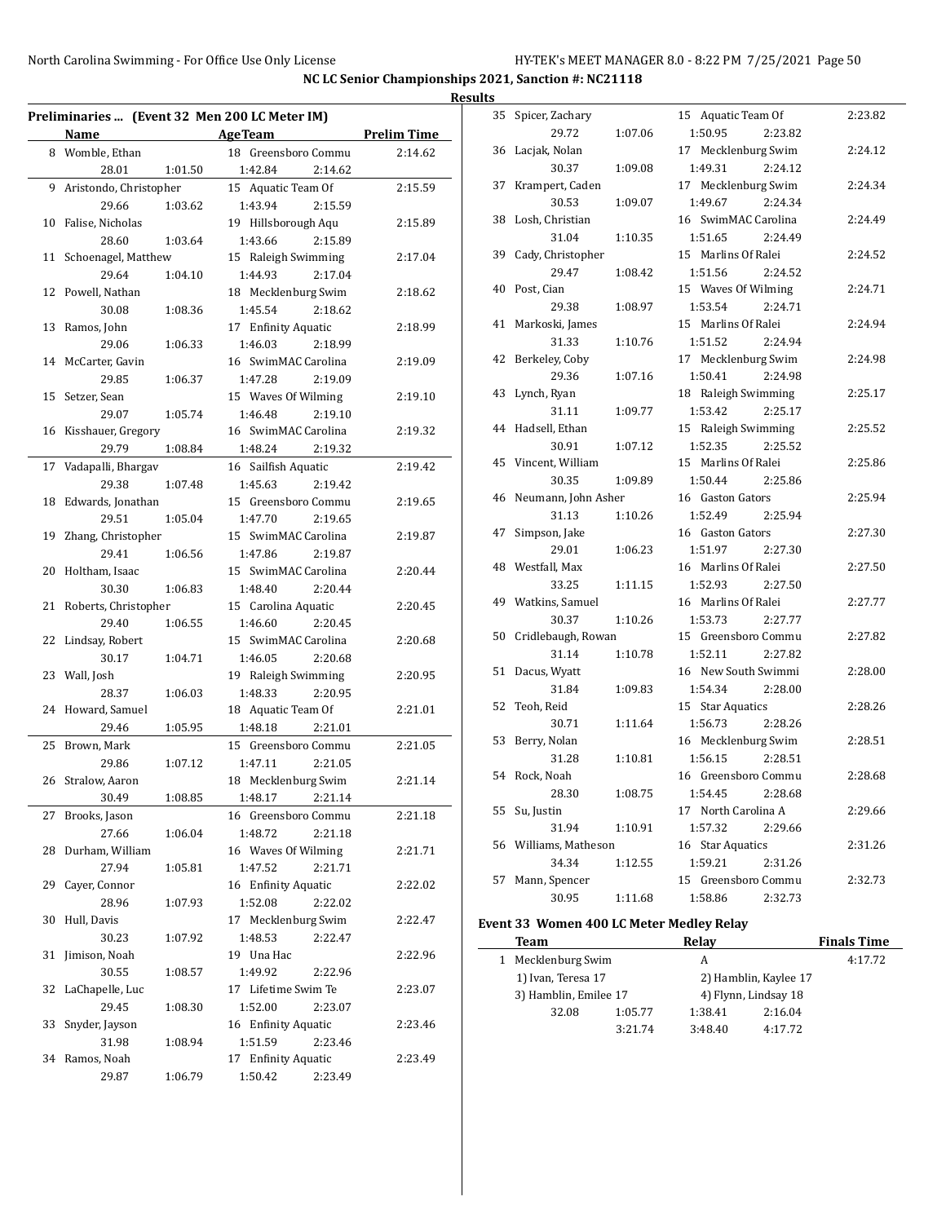| Preliminaries  (Event 32 Men 200 LC Meter IM) |                          |         |                                           |                    |  |
|-----------------------------------------------|--------------------------|---------|-------------------------------------------|--------------------|--|
|                                               | Name                     |         | <b>AgeTeam</b>                            | <b>Prelim Time</b> |  |
|                                               | 8 Womble, Ethan<br>28.01 | 1:01.50 | 18 Greensboro Commu<br>1:42.84<br>2:14.62 | 2:14.62            |  |
| 9                                             | Aristondo, Christopher   |         | 15 Aquatic Team Of                        | 2:15.59            |  |
|                                               | 29.66                    |         | 1:43.94<br>2:15.59                        |                    |  |
|                                               |                          | 1:03.62 |                                           |                    |  |
| 10                                            | Falise, Nicholas         |         | 19 Hillsborough Aqu                       | 2:15.89            |  |
|                                               | 28.60                    | 1:03.64 | 1:43.66<br>2:15.89                        |                    |  |
| 11                                            | Schoenagel, Matthew      |         | 15 Raleigh Swimming                       | 2:17.04            |  |
|                                               | 29.64                    | 1:04.10 | 1:44.93<br>2:17.04                        |                    |  |
| 12                                            | Powell, Nathan           |         | 18 Mecklenburg Swim                       | 2:18.62            |  |
|                                               | 30.08                    | 1:08.36 | 1:45.54<br>2:18.62                        |                    |  |
| 13                                            | Ramos, John              |         | 17 Enfinity Aquatic                       | 2:18.99            |  |
|                                               | 29.06                    | 1:06.33 | 1:46.03<br>2:18.99                        |                    |  |
| 14                                            | McCarter, Gavin          |         | 16 SwimMAC Carolina                       | 2:19.09            |  |
|                                               | 29.85                    | 1:06.37 | 1:47.28<br>2:19.09                        |                    |  |
| 15                                            | Setzer, Sean             |         | 15 Waves Of Wilming                       | 2:19.10            |  |
|                                               | 29.07                    | 1:05.74 | 1:46.48<br>2:19.10                        |                    |  |
| 16                                            | Kisshauer, Gregory       |         | 16 SwimMAC Carolina                       | 2:19.32            |  |
|                                               | 29.79                    | 1:08.84 | 2:19.32<br>1:48.24                        |                    |  |
| 17                                            | Vadapalli, Bhargav       |         | 16 Sailfish Aquatic                       | 2:19.42            |  |
|                                               | 29.38                    | 1:07.48 | 1:45.63<br>2:19.42                        |                    |  |
| 18                                            | Edwards, Jonathan        |         | 15 Greensboro Commu                       | 2:19.65            |  |
|                                               | 29.51                    | 1:05.04 | 1:47.70<br>2:19.65                        |                    |  |
| 19                                            | Zhang, Christopher       |         | 15 SwimMAC Carolina                       | 2:19.87            |  |
|                                               | 29.41                    | 1:06.56 | 1:47.86<br>2:19.87                        |                    |  |
| 20                                            | Holtham, Isaac           |         | 15 SwimMAC Carolina                       | 2:20.44            |  |
|                                               | 30.30                    | 1:06.83 | 1:48.40<br>2:20.44                        |                    |  |
| 21                                            | Roberts, Christopher     |         | 15 Carolina Aquatic                       | 2:20.45            |  |
| 22                                            | 29.40<br>Lindsay, Robert | 1:06.55 | 1:46.60<br>2:20.45<br>15 SwimMAC Carolina | 2:20.68            |  |
|                                               | 30.17                    | 1:04.71 | 1:46.05<br>2:20.68                        |                    |  |
| 23                                            | Wall, Josh               |         | 19 Raleigh Swimming                       | 2:20.95            |  |
|                                               | 28.37                    | 1:06.03 | 1:48.33<br>2:20.95                        |                    |  |
| 24                                            | Howard, Samuel           |         | 18 Aquatic Team Of                        | 2:21.01            |  |
|                                               | 29.46                    | 1:05.95 | 1:48.18<br>2:21.01                        |                    |  |
| 25                                            | Brown, Mark              |         | 15 Greensboro Commu                       | 2:21.05            |  |
|                                               | 29.86                    | 1:07.12 | 1:47.11<br>2:21.05                        |                    |  |
|                                               | 26 Stralow, Aaron        |         | 18 Mecklenburg Swim                       | 2:21.14            |  |
|                                               | 30.49                    | 1:08.85 | 2:21.14<br>1:48.17                        |                    |  |
| 27                                            | Brooks, Jason            |         | 16 Greensboro Commu                       | 2:21.18            |  |
|                                               | 27.66                    | 1:06.04 | 1:48.72<br>2:21.18                        |                    |  |
| 28                                            | Durham, William          |         | 16 Waves Of Wilming                       | 2:21.71            |  |
|                                               | 27.94                    | 1:05.81 | 1:47.52<br>2:21.71                        |                    |  |
| 29                                            | Cayer, Connor            |         | 16 Enfinity Aquatic                       | 2:22.02            |  |
|                                               | 28.96                    | 1:07.93 | 1:52.08<br>2:22.02                        |                    |  |
| 30                                            | Hull, Davis              |         | 17 Mecklenburg Swim                       | 2:22.47            |  |
|                                               | 30.23                    | 1:07.92 | 1:48.53<br>2:22.47                        |                    |  |
| 31                                            | Jimison, Noah            |         | 19 Una Hac                                | 2:22.96            |  |
|                                               | 30.55                    | 1:08.57 | 1:49.92<br>2:22.96                        |                    |  |
| 32                                            | LaChapelle, Luc          |         | 17 Lifetime Swim Te                       | 2:23.07            |  |
|                                               | 29.45                    | 1:08.30 | 1:52.00<br>2:23.07                        |                    |  |
| 33                                            | Snyder, Jayson           |         | 16 Enfinity Aquatic                       | 2:23.46            |  |
|                                               | 31.98                    | 1:08.94 | 1:51.59<br>2:23.46                        |                    |  |
| 34                                            | Ramos, Noah              |         | 17 Enfinity Aquatic                       | 2:23.49            |  |
|                                               | 29.87                    | 1:06.79 | 1:50.42<br>2:23.49                        |                    |  |
|                                               |                          |         |                                           |                    |  |

| <b>Results</b> |                        |         |                     |         |         |
|----------------|------------------------|---------|---------------------|---------|---------|
|                | 35 Spicer, Zachary     |         | 15 Aquatic Team Of  |         | 2:23.82 |
|                | 29.72                  | 1:07.06 | 1:50.95             | 2:23.82 |         |
|                | 36 Lacjak, Nolan       |         | 17 Mecklenburg Swim |         | 2:24.12 |
|                | 30.37                  | 1:09.08 | 1:49.31             | 2:24.12 |         |
|                | 37 Krampert, Caden     |         | 17 Mecklenburg Swim |         | 2:24.34 |
|                | 30.53                  | 1:09.07 | 1:49.67             | 2:24.34 |         |
|                | 38 Losh, Christian     |         | 16 SwimMAC Carolina |         | 2:24.49 |
|                | 31.04                  | 1:10.35 | 1:51.65             | 2:24.49 |         |
|                | 39 Cady, Christopher   |         | 15 Marlins Of Ralei |         | 2:24.52 |
|                | 29.47                  | 1:08.42 | 1:51.56             | 2:24.52 |         |
|                | 40 Post, Cian          |         | 15 Waves Of Wilming |         | 2:24.71 |
|                | 29.38                  | 1:08.97 | 1:53.54             | 2:24.71 |         |
|                | 41 Markoski, James     |         | 15 Marlins Of Ralei |         | 2:24.94 |
|                | 31.33                  | 1:10.76 | 1:51.52             | 2:24.94 |         |
|                | 42 Berkeley, Coby      |         | 17 Mecklenburg Swim |         | 2:24.98 |
|                | 29.36                  | 1:07.16 | 1:50.41             | 2:24.98 |         |
|                | 43 Lynch, Ryan         |         | 18 Raleigh Swimming |         | 2:25.17 |
|                | 31.11                  | 1:09.77 | 1:53.42             | 2:25.17 |         |
|                | 44 Hadsell, Ethan      |         | 15 Raleigh Swimming |         | 2:25.52 |
|                | 30.91                  | 1:07.12 | 1:52.35             | 2:25.52 |         |
|                | 45 Vincent, William    |         | 15 Marlins Of Ralei |         | 2:25.86 |
|                | 30.35                  | 1:09.89 | 1:50.44             | 2:25.86 |         |
|                | 46 Neumann, John Asher |         | 16 Gaston Gators    |         | 2:25.94 |
|                | 31.13                  | 1:10.26 | 1:52.49             | 2:25.94 |         |
| 47             | Simpson, Jake          |         | 16 Gaston Gators    |         | 2:27.30 |
|                | 29.01                  | 1:06.23 | 1:51.97             | 2:27.30 |         |
|                | 48 Westfall, Max       |         | 16 Marlins Of Ralei |         | 2:27.50 |
|                | 33.25                  | 1:11.15 | 1:52.93             | 2:27.50 |         |
|                | 49 Watkins, Samuel     |         | 16 Marlins Of Ralei |         | 2:27.77 |
|                | 30.37                  | 1:10.26 | 1:53.73             | 2:27.77 |         |
|                | 50 Cridlebaugh, Rowan  |         | 15 Greensboro Commu |         | 2:27.82 |
|                | 31.14                  | 1:10.78 | 1:52.11             | 2:27.82 |         |
|                | 51 Dacus, Wyatt        |         | 16 New South Swimmi |         | 2:28.00 |
|                | 31.84                  | 1:09.83 | 1:54.34             | 2:28.00 |         |
|                | 52 Teoh, Reid          |         | 15 Star Aquatics    |         | 2:28.26 |
|                | 30.71                  | 1:11.64 | 1:56.73             | 2:28.26 |         |
|                | 53 Berry, Nolan        |         | 16 Mecklenburg Swim |         | 2:28.51 |
|                | 31.28                  | 1:10.81 | 1:56.15             | 2:28.51 |         |
|                | 54 Rock, Noah          |         | 16 Greensboro Commu |         | 2:28.68 |
|                | 28.30                  | 1:08.75 | 1:54.45             | 2:28.68 |         |
|                | 55 Su, Justin          |         | 17 North Carolina A |         | 2:29.66 |
|                | 31.94                  | 1:10.91 | 1:57.32             | 2:29.66 |         |
|                | 56 Williams, Matheson  |         | 16 Star Aquatics    |         | 2:31.26 |
|                | 34.34                  | 1:12.55 | 1:59.21             | 2:31.26 |         |
| 57             | Mann, Spencer          |         | 15 Greensboro Commu |         | 2:32.73 |
|                | 30.95                  | 1:11.68 | 1:58.86             | 2:32.73 |         |
|                |                        |         |                     |         |         |

#### **Event 33 Women 400 LC Meter Medley Relay**

 $\overline{\phantom{0}}$ 

| Team                  |         | Relav                 |         | <b>Finals Time</b> |
|-----------------------|---------|-----------------------|---------|--------------------|
| Mecklenburg Swim      |         | A                     |         | 4:17.72            |
| 1) Ivan, Teresa 17    |         | 2) Hamblin, Kaylee 17 |         |                    |
| 3) Hamblin, Emilee 17 |         | 4) Flynn, Lindsay 18  |         |                    |
| 32.08                 | 1:05.77 | 1:38.41               | 2:16.04 |                    |
|                       | 3:21.74 | 3:48.40               | 4:17.72 |                    |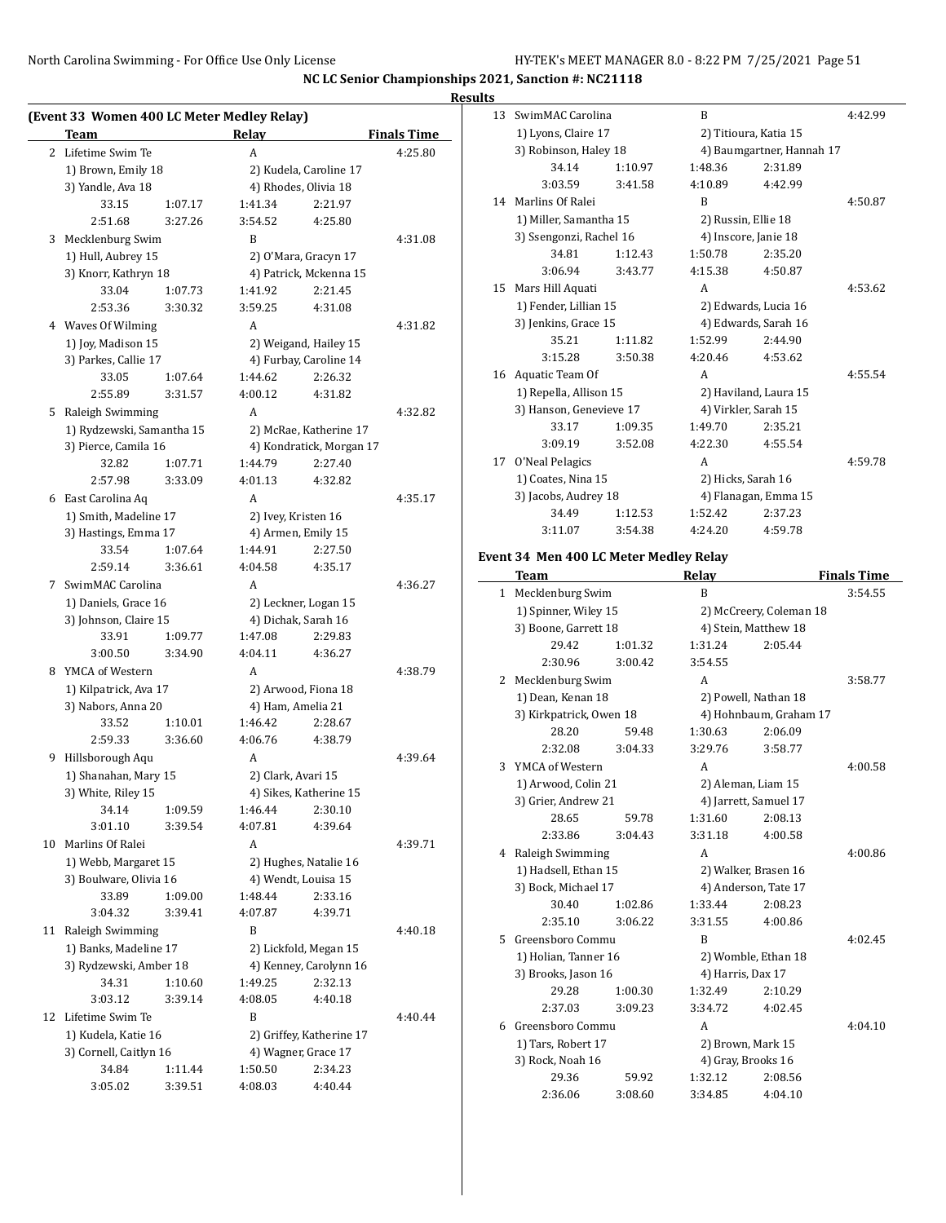#### **Results**

 $\overline{\phantom{0}}$ 

|    | (Event 33 Women 400 LC Meter Medley Relay) |         |                     |                          |                    |  |
|----|--------------------------------------------|---------|---------------------|--------------------------|--------------------|--|
|    | <b>Team</b>                                |         | Relay               |                          | <b>Finals Time</b> |  |
| 2  | Lifetime Swim Te                           |         | A                   |                          | 4:25.80            |  |
|    | 1) Brown, Emily 18                         |         |                     | 2) Kudela, Caroline 17   |                    |  |
|    | 3) Yandle, Ava 18                          |         |                     | 4) Rhodes, Olivia 18     |                    |  |
|    | 33.15                                      | 1:07.17 | 1:41.34             | 2:21.97                  |                    |  |
|    | 2:51.68                                    | 3:27.26 | 3:54.52             | 4:25.80                  |                    |  |
| 3  | Mecklenburg Swim                           |         | B                   |                          | 4:31.08            |  |
|    | 1) Hull, Aubrey 15                         |         |                     | 2) O'Mara, Gracyn 17     |                    |  |
|    | 3) Knorr, Kathryn 18                       |         |                     | 4) Patrick, Mckenna 15   |                    |  |
|    | 33.04                                      | 1:07.73 | 1:41.92             | 2:21.45                  |                    |  |
|    | 2:53.36                                    | 3:30.32 | 3:59.25             | 4:31.08                  |                    |  |
|    | 4 Waves Of Wilming                         |         | A                   |                          | 4:31.82            |  |
|    | 1) Joy, Madison 15                         |         |                     | 2) Weigand, Hailey 15    |                    |  |
|    | 3) Parkes, Callie 17                       |         |                     | 4) Furbay, Caroline 14   |                    |  |
|    | 33.05                                      | 1:07.64 | 1:44.62             | 2:26.32                  |                    |  |
|    | 2:55.89                                    | 3:31.57 | 4:00.12             | 4:31.82                  |                    |  |
|    | 5 Raleigh Swimming                         |         | A                   |                          | 4:32.82            |  |
|    | 1) Rydzewski, Samantha 15                  |         |                     | 2) McRae, Katherine 17   |                    |  |
|    | 3) Pierce, Camila 16                       |         |                     | 4) Kondratick, Morgan 17 |                    |  |
|    | 32.82                                      | 1:07.71 | 1:44.79             | 2:27.40                  |                    |  |
|    | 2:57.98                                    | 3:33.09 | 4:01.13             | 4:32.82                  |                    |  |
| 6  | East Carolina Aq                           |         | A                   |                          | 4:35.17            |  |
|    | 1) Smith, Madeline 17                      |         | 2) Ivey, Kristen 16 |                          |                    |  |
|    | 3) Hastings, Emma 17                       |         | 4) Armen, Emily 15  |                          |                    |  |
|    | 33.54                                      | 1:07.64 | 1:44.91             | 2:27.50                  |                    |  |
|    | 2:59.14                                    | 3:36.61 | 4:04.58             | 4:35.17                  |                    |  |
| 7  | SwimMAC Carolina                           |         | A                   |                          | 4:36.27            |  |
|    | 1) Daniels, Grace 16                       |         |                     | 2) Leckner, Logan 15     |                    |  |
|    | 3) Johnson, Claire 15                      |         | 4) Dichak, Sarah 16 |                          |                    |  |
|    | 33.91                                      | 1:09.77 | 1:47.08             | 2:29.83                  |                    |  |
|    | 3:00.50                                    | 3:34.90 | 4:04.11             | 4:36.27                  |                    |  |
| 8  | YMCA of Western                            |         | A                   |                          | 4:38.79            |  |
|    | 1) Kilpatrick, Ava 17                      |         |                     | 2) Arwood, Fiona 18      |                    |  |
|    | 3) Nabors, Anna 20                         |         | 4) Ham, Amelia 21   |                          |                    |  |
|    | 33.52                                      | 1:10.01 | 1:46.42             | 2:28.67                  |                    |  |
|    | 2:59.33                                    | 3:36.60 | 4:06.76             | 4:38.79                  |                    |  |
| 9  | Hillsborough Aqu                           |         | A                   |                          | 4:39.64            |  |
|    | 1) Shanahan, Mary 15                       |         | 2) Clark, Avari 15  |                          |                    |  |
|    | 3) White, Riley 15                         |         |                     | 4) Sikes, Katherine 15   |                    |  |
|    | 34.14                                      | 1:09.59 | 1:46.44             | 2:30.10                  |                    |  |
|    | 3:01.10                                    | 3:39.54 | 4:07.81             | 4:39.64                  |                    |  |
| 10 | Marlins Of Ralei                           |         | A                   |                          | 4:39.71            |  |
|    | 1) Webb, Margaret 15                       |         |                     | 2) Hughes, Natalie 16    |                    |  |
|    | 3) Boulware, Olivia 16                     |         |                     | 4) Wendt, Louisa 15      |                    |  |
|    | 33.89                                      | 1:09.00 | 1:48.44             | 2:33.16                  |                    |  |
|    | 3:04.32                                    | 3:39.41 | 4:07.87             | 4:39.71                  |                    |  |
| 11 | Raleigh Swimming                           |         | B                   |                          | 4:40.18            |  |
|    | 1) Banks, Madeline 17                      |         |                     | 2) Lickfold, Megan 15    |                    |  |
|    | 3) Rydzewski, Amber 18                     |         |                     | 4) Kenney, Carolynn 16   |                    |  |
|    | 34.31                                      | 1:10.60 | 1:49.25             | 2:32.13                  |                    |  |
|    | 3:03.12                                    | 3:39.14 | 4:08.05             | 4:40.18                  |                    |  |
| 12 | Lifetime Swim Te                           |         | B                   |                          | 4:40.44            |  |
|    | 1) Kudela, Katie 16                        |         |                     | 2) Griffey, Katherine 17 |                    |  |
|    | 3) Cornell, Caitlyn 16                     |         | 4) Wagner, Grace 17 |                          |                    |  |
|    | 34.84                                      | 1:11.44 | 1:50.50             | 2:34.23                  |                    |  |
|    | 3:05.02                                    | 3:39.51 | 4:08.03             | 4:40.44                  |                    |  |

|     | Event 34 Men 400 LC Meter Medley Relay       |         |                                                    |                       |         |
|-----|----------------------------------------------|---------|----------------------------------------------------|-----------------------|---------|
|     |                                              |         |                                                    |                       |         |
|     | 3:11.07                                      | 3:54.38 | 4:24.20                                            | 4:59.78               |         |
|     | 34.49                                        | 1:12.53 | 1:52.42                                            | 2:37.23               |         |
|     | 3) Jacobs, Audrey 18                         |         |                                                    | 4) Flanagan, Emma 15  |         |
|     | 1) Coates, Nina 15                           |         |                                                    | 2) Hicks, Sarah 16    |         |
| 17  | O'Neal Pelagics                              |         | A                                                  |                       | 4:59.78 |
|     | 3:09.19                                      | 3:52.08 | 4:22.30                                            | 4:55.54               |         |
|     | 33.17                                        | 1:09.35 | 1:49.70                                            | 2:35.21               |         |
|     | 3) Hanson, Genevieve 17                      |         |                                                    | 4) Virkler, Sarah 15  |         |
|     | 1) Repella, Allison 15                       |         |                                                    | 2) Haviland, Laura 15 |         |
|     | 16 Aquatic Team Of                           |         | A                                                  |                       | 4:55.54 |
|     | 3:15.28                                      | 3:50.38 | 4:20.46                                            | 4:53.62               |         |
|     | 35.21                                        | 1:11.82 | 1:52.99                                            | 2:44.90               |         |
|     | 3) Jenkins, Grace 15                         |         |                                                    | 4) Edwards, Sarah 16  |         |
|     | 1) Fender, Lillian 15                        |         |                                                    | 2) Edwards, Lucia 16  |         |
| 15  | Mars Hill Aquati                             |         | A                                                  |                       | 4:53.62 |
|     | 3:06.94                                      | 3:43.77 | 4:15.38                                            | 4:50.87               |         |
|     | 34.81                                        | 1:12.43 | 1:50.78                                            | 2:35.20               |         |
|     | 3) Ssengonzi, Rachel 16                      |         |                                                    | 4) Inscore, Janie 18  |         |
|     | 1) Miller, Samantha 15                       |         |                                                    | 2) Russin, Ellie 18   |         |
|     | 14 Marlins Of Ralei                          |         | B                                                  |                       | 4:50.87 |
|     | 3:03.59                                      | 3:41.58 | 4:10.89                                            | 4:42.99               |         |
|     | 34.14                                        | 1:10.97 | 1:48.36                                            | 2:31.89               |         |
|     | 1) Lyons, Claire 17<br>3) Robinson, Haley 18 |         | 2) Titioura, Katia 15<br>4) Baumgartner, Hannah 17 |                       |         |
| 13  | SwimMAC Carolina                             |         | B                                                  |                       | 4:42.99 |
| Its |                                              |         |                                                    |                       |         |

|    | Team                    |         | Relay              |                         | <b>Finals Time</b> |
|----|-------------------------|---------|--------------------|-------------------------|--------------------|
| 1  | Mecklenburg Swim        |         | R                  |                         | 3:54.55            |
|    | 1) Spinner, Wiley 15    |         |                    | 2) McCreery, Coleman 18 |                    |
|    | 3) Boone, Garrett 18    |         |                    | 4) Stein, Matthew 18    |                    |
|    | 29.42                   | 1:01.32 | 1:31.24            | 2:05.44                 |                    |
|    | 2:30.96                 | 3:00.42 | 3:54.55            |                         |                    |
| 2  | Mecklenburg Swim        |         | A                  |                         | 3:58.77            |
|    | 1) Dean, Kenan 18       |         |                    | 2) Powell, Nathan 18    |                    |
|    | 3) Kirkpatrick, Owen 18 |         |                    | 4) Hohnbaum, Graham 17  |                    |
|    | 28.20                   | 59.48   | 1:30.63            | 2:06.09                 |                    |
|    | 2:32.08                 | 3:04.33 | 3:29.76            | 3:58.77                 |                    |
| 3  | YMCA of Western         |         | A                  |                         | 4:00.58            |
|    | 1) Arwood, Colin 21     |         |                    | 2) Aleman, Liam 15      |                    |
|    | 3) Grier, Andrew 21     |         |                    | 4) Jarrett, Samuel 17   |                    |
|    | 28.65                   | 59.78   | 1:31.60            | 2:08.13                 |                    |
|    | 2:33.86                 | 3:04.43 | 3:31.18            | 4:00.58                 |                    |
| 4  | Raleigh Swimming        |         | A                  |                         | 4:00.86            |
|    | 1) Hadsell, Ethan 15    |         |                    | 2) Walker, Brasen 16    |                    |
|    | 3) Bock, Michael 17     |         |                    | 4) Anderson, Tate 17    |                    |
|    | 30.40                   | 1:02.86 | 1:33.44            | 2:08.23                 |                    |
|    | 2:35.10                 | 3:06.22 | 3:31.55            | 4:00.86                 |                    |
| 5. | Greensboro Commu        |         | B                  |                         | 4:02.45            |
|    | 1) Holian, Tanner 16    |         |                    | 2) Womble, Ethan 18     |                    |
|    | 3) Brooks, Jason 16     |         | 4) Harris, Dax 17  |                         |                    |
|    | 29.28                   | 1:00.30 | 1:32.49            | 2:10.29                 |                    |
|    | 2:37.03                 | 3:09.23 | 3:34.72            | 4:02.45                 |                    |
| 6. | Greensboro Commu        |         | A                  |                         | 4:04.10            |
|    | 1) Tars, Robert 17      |         |                    | 2) Brown, Mark 15       |                    |
|    | 3) Rock, Noah 16        |         | 4) Gray, Brooks 16 |                         |                    |
|    | 29.36                   | 59.92   | 1:32.12            | 2:08.56                 |                    |
|    | 2:36.06                 | 3:08.60 | 3:34.85            | 4:04.10                 |                    |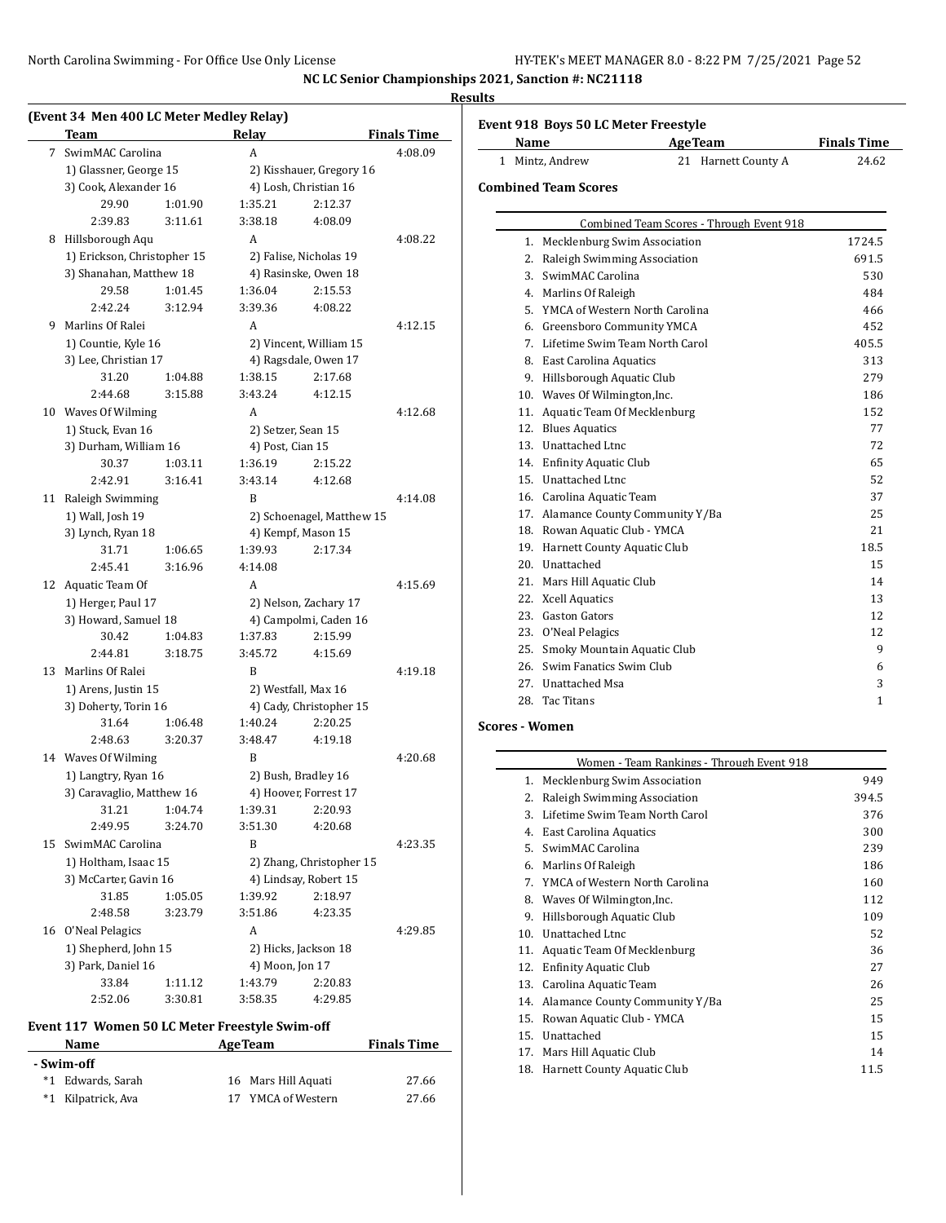### **Results**

| (Event 34 Men 400 LC Meter Medley Relay)<br>Team       | Relay              |                           | <b>Finals Time</b> |
|--------------------------------------------------------|--------------------|---------------------------|--------------------|
| 7 SwimMAC Carolina                                     | A                  |                           | 4:08.09            |
| 1) Glassner, George 15                                 |                    | 2) Kisshauer, Gregory 16  |                    |
| 3) Cook, Alexander 16                                  |                    | 4) Losh, Christian 16     |                    |
| 29.90                                                  | 1:01.90<br>1:35.21 | 2:12.37                   |                    |
| 2:39.83                                                | 3:11.61<br>3:38.18 | 4:08.09                   |                    |
| 8 Hillsborough Aqu                                     | A                  |                           | 4:08.22            |
|                                                        |                    | 2) Falise, Nicholas 19    |                    |
| 1) Erickson, Christopher 15<br>3) Shanahan, Matthew 18 |                    | 4) Rasinske, Owen 18      |                    |
| 29.58                                                  | 1:01.45<br>1:36.04 | 2:15.53                   |                    |
| 2:42.24                                                | 3:12.94<br>3:39.36 | 4:08.22                   |                    |
| 9 Marlins Of Ralei                                     | A                  |                           |                    |
|                                                        |                    |                           | 4:12.15            |
| 1) Countie, Kyle 16                                    |                    | 2) Vincent, William 15    |                    |
| 3) Lee, Christian 17                                   |                    | 4) Ragsdale, Owen 17      |                    |
| 31.20                                                  | 1:38.15<br>1:04.88 | 2:17.68                   |                    |
| 2:44.68                                                | 3:15.88<br>3:43.24 | 4:12.15                   |                    |
| 10 Waves Of Wilming                                    | A                  |                           | 4:12.68            |
| 1) Stuck, Evan 16                                      |                    | 2) Setzer, Sean 15        |                    |
| 3) Durham, William 16                                  |                    | 4) Post, Cian 15          |                    |
| 30.37                                                  | 1:03.11<br>1:36.19 | 2:15.22                   |                    |
| 2:42.91                                                | 3:16.41<br>3:43.14 | 4:12.68                   |                    |
| Raleigh Swimming<br>11                                 | B                  |                           | 4:14.08            |
| 1) Wall, Josh 19                                       |                    | 2) Schoenagel, Matthew 15 |                    |
| 3) Lynch, Ryan 18                                      |                    | 4) Kempf, Mason 15        |                    |
| 31.71                                                  | 1:39.93<br>1:06.65 | 2:17.34                   |                    |
| 2:45.41                                                | 3:16.96<br>4:14.08 |                           |                    |
| 12 Aquatic Team Of                                     | A                  |                           | 4:15.69            |
| 1) Herger, Paul 17                                     |                    | 2) Nelson, Zachary 17     |                    |
| 3) Howard, Samuel 18                                   |                    | 4) Campolmi, Caden 16     |                    |
| 30.42                                                  | 1:37.83<br>1:04.83 | 2:15.99                   |                    |
| 2:44.81                                                | 3:45.72<br>3:18.75 | 4:15.69                   |                    |
| 13 Marlins Of Ralei                                    | B                  |                           | 4:19.18            |
| 1) Arens, Justin 15                                    |                    | 2) Westfall, Max 16       |                    |
| 3) Doherty, Torin 16                                   |                    | 4) Cady, Christopher 15   |                    |
| 31.64                                                  | 1:06.48<br>1:40.24 | 2:20.25                   |                    |
| 2:48.63                                                | 3:20.37<br>3:48.47 | 4:19.18                   |                    |
| 14 Waves Of Wilming                                    | B                  |                           | 4:20.68            |
| 1) Langtry, Ryan 16                                    |                    | 2) Bush, Bradley 16       |                    |
| 3) Caravaglio, Matthew 16                              |                    | 4) Hoover, Forrest 17     |                    |
| 31.21                                                  | 1:04.74<br>1:39.31 | 2:20.93                   |                    |
| 2:49.95                                                | 3:51.30<br>3:24.70 | 4:20.68                   |                    |
| 15 SwimMAC Carolina                                    | B                  |                           | 4:23.35            |
| 1) Holtham, Isaac 15                                   |                    | 2) Zhang, Christopher 15  |                    |
| 3) McCarter, Gavin 16                                  |                    | 4) Lindsay, Robert 15     |                    |
| 31.85                                                  | 1:05.05<br>1:39.92 | 2:18.97                   |                    |
| 2:48.58                                                | 3:23.79<br>3:51.86 | 4:23.35                   |                    |
| 16 O'Neal Pelagics                                     | A                  |                           | 4:29.85            |
| 1) Shepherd, John 15                                   |                    | 2) Hicks, Jackson 18      |                    |
| 3) Park, Daniel 16                                     |                    | 4) Moon, Jon 17           |                    |
|                                                        |                    |                           |                    |
| 33.84<br>1:11.12                                       | 1:43.79            | 2:20.83                   |                    |

#### **Event 117 Women 50 LC Meter Freestyle Swim-off**

|            | Event 117 Women 50 LC Meter Freestyle Swim-off |  |                     |                    |  |  |
|------------|------------------------------------------------|--|---------------------|--------------------|--|--|
|            | <b>Name</b>                                    |  | <b>Age Team</b>     | <b>Finals Time</b> |  |  |
| - Swim-off |                                                |  |                     |                    |  |  |
|            | *1 Edwards, Sarah                              |  | 16 Mars Hill Aquati | 27.66              |  |  |
|            | *1 Kilpatrick, Ava                             |  | 17 YMCA of Western  | 27.66              |  |  |

| Event 918 Boys 50 LC Meter Freestyle |                         |             |
|--------------------------------------|-------------------------|-------------|
| $N_{\alpha m \alpha}$                | $A_{\alpha\alpha}$ Taam | Einele Time |

| Name          | Age Team            | <b>Finals</b> Time |
|---------------|---------------------|--------------------|
| Mintz, Andrew | 21 Harnett County A | 24.62              |

#### **Combined Team Scores**

| Combined Team Scores - Through Event 918 |                                    |              |  |
|------------------------------------------|------------------------------------|--------------|--|
| 1.                                       | Mecklenburg Swim Association       | 1724.5       |  |
| 2.                                       | Raleigh Swimming Association       | 691.5        |  |
| 3 <sub>1</sub>                           | SwimMAC Carolina                   | 530          |  |
| 4.                                       | Marlins Of Raleigh                 | 484          |  |
| 5.                                       | YMCA of Western North Carolina     | 466          |  |
| 6.                                       | Greensboro Community YMCA          | 452          |  |
| 7.                                       | Lifetime Swim Team North Carol     | 405.5        |  |
| 8.                                       | <b>East Carolina Aquatics</b>      | 313          |  |
| 9.                                       | Hillsborough Aquatic Club          | 279          |  |
| 10.                                      | Waves Of Wilmington, Inc.          | 186          |  |
| 11.                                      | Aquatic Team Of Mecklenburg        | 152          |  |
|                                          | 12. Blues Aquatics                 | 77           |  |
| 13.                                      | Unattached Ltnc                    | 72           |  |
| 14.                                      | <b>Enfinity Aquatic Club</b>       | 65           |  |
| 15.                                      | Unattached Ltnc                    | 52           |  |
|                                          | 16. Carolina Aquatic Team          | 37           |  |
|                                          | 17. Alamance County Community Y/Ba | 25           |  |
| 18.                                      | Rowan Aquatic Club - YMCA          | 21           |  |
| 19.                                      | Harnett County Aquatic Club        | 18.5         |  |
| 20.                                      | Unattached                         | 15           |  |
| 21.                                      | Mars Hill Aquatic Club             | 14           |  |
| 22.                                      | <b>Xcell Aquatics</b>              | 13           |  |
|                                          | 23. Gaston Gators                  | 12           |  |
|                                          | 23. O'Neal Pelagics                | 12           |  |
| 25.                                      | Smoky Mountain Aquatic Club        | 9            |  |
| 26.                                      | Swim Fanatics Swim Club            | 6            |  |
|                                          | 27. Unattached Msa                 | 3            |  |
| 28.                                      | <b>Tac Titans</b>                  | $\mathbf{1}$ |  |

#### **Scores - Women**

|     | Women - Team Rankings - Through Event 918 |       |
|-----|-------------------------------------------|-------|
|     | 1. Mecklenburg Swim Association           | 949   |
| 2.  | Raleigh Swimming Association              | 394.5 |
| 3.  | Lifetime Swim Team North Carol            | 376   |
| 4.  | <b>East Carolina Aquatics</b>             | 300   |
| .5. | SwimMAC Carolina                          | 239   |
| 6.  | Marlins Of Raleigh                        | 186   |
| 7.  | YMCA of Western North Carolina            | 160   |
| 8.  | Waves Of Wilmington, Inc.                 | 112   |
| 9.  | Hillsborough Aquatic Club                 | 109   |
| 10. | Unattached Ltnc                           | 52    |
| 11. | Aquatic Team Of Mecklenburg               | 36    |
| 12. | <b>Enfinity Aquatic Club</b>              | 27    |
| 13. | Carolina Aquatic Team                     | 26    |
| 14. | Alamance County Community Y/Ba            | 25    |
| 15. | Rowan Aquatic Club - YMCA                 | 15    |
| 15. | Unattached                                | 15    |
| 17. | Mars Hill Aquatic Club                    | 14    |
| 18. | Harnett County Aquatic Club               | 11.5  |
|     |                                           |       |